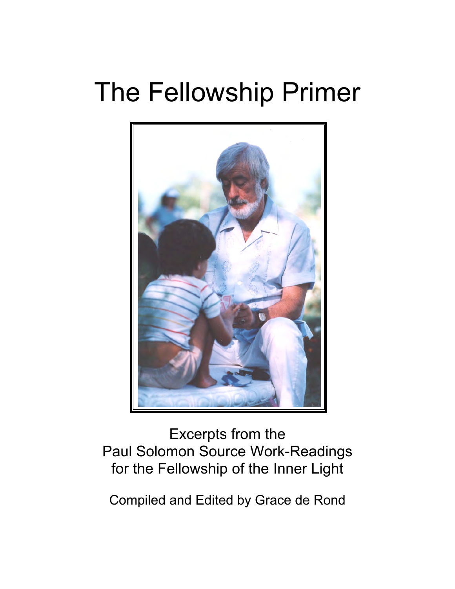# The Fellowship Primer



# Excerpts from the Paul Solomon Source Work-Readings for the Fellowship of the Inner Light

Compiled and Edited by Grace de Rond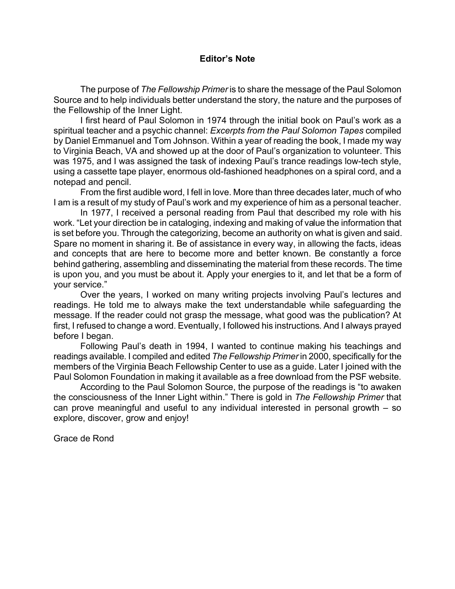# **Editor's Note**

The purpose of *The Fellowship Primer* is to share the message of the Paul Solomon Source and to help individuals better understand the story, the nature and the purposes of the Fellowship of the Inner Light.

I first heard of Paul Solomon in 1974 through the initial book on Paul's work as a spiritual teacher and a psychic channel: *Excerpts from the Paul Solomon Tapes* compiled by Daniel Emmanuel and Tom Johnson. Within a year of reading the book, I made my way to Virginia Beach, VA and showed up at the door of Paul's organization to volunteer. This was 1975, and I was assigned the task of indexing Paul's trance readings low-tech style, using a cassette tape player, enormous old-fashioned headphones on a spiral cord, and a notepad and pencil.

From the first audible word, I fell in love. More than three decades later, much of who I am is a result of my study of Paul's work and my experience of him as a personal teacher.

In 1977, I received a personal reading from Paul that described my role with his work. "Let your direction be in cataloging, indexing and making of value the information that is set before you. Through the categorizing, become an authority on what is given and said. Spare no moment in sharing it. Be of assistance in every way, in allowing the facts, ideas and concepts that are here to become more and better known. Be constantly a force behind gathering, assembling and disseminating the material from these records. The time is upon you, and you must be about it. Apply your energies to it, and let that be a form of your service."

Over the years, I worked on many writing projects involving Paul's lectures and readings. He told me to always make the text understandable while safeguarding the message. If the reader could not grasp the message, what good was the publication? At first, I refused to change a word. Eventually, I followed his instructions. And I always prayed before I began.

Following Paul's death in 1994, I wanted to continue making his teachings and readings available. I compiled and edited *The Fellowship Primer* in 2000, specifically for the members of the Virginia Beach Fellowship Center to use as a guide. Later I joined with the Paul Solomon Foundation in making it available as a free download from the PSF website.

According to the Paul Solomon Source, the purpose of the readings is "to awaken the consciousness of the Inner Light within." There is gold in *The Fellowship Primer* that can prove meaningful and useful to any individual interested in personal growth – so explore, discover, grow and enjoy!

Grace de Rond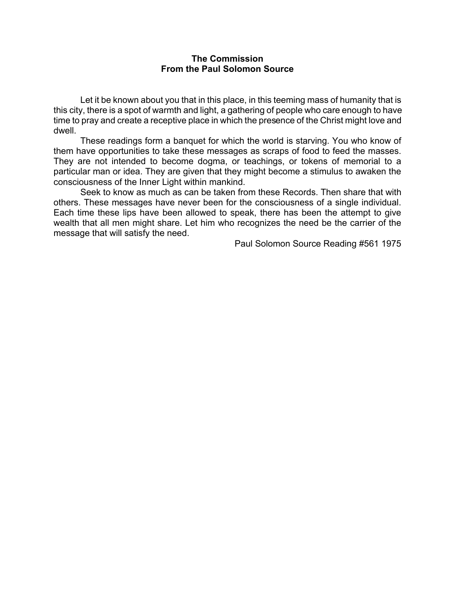# **The Commission From the Paul Solomon Source**

Let it be known about you that in this place, in this teeming mass of humanity that is this city, there is a spot of warmth and light, a gathering of people who care enough to have time to pray and create a receptive place in which the presence of the Christ might love and dwell.

These readings form a banquet for which the world is starving. You who know of them have opportunities to take these messages as scraps of food to feed the masses. They are not intended to become dogma, or teachings, or tokens of memorial to a particular man or idea. They are given that they might become a stimulus to awaken the consciousness of the Inner Light within mankind.

Seek to know as much as can be taken from these Records. Then share that with others. These messages have never been for the consciousness of a single individual. Each time these lips have been allowed to speak, there has been the attempt to give wealth that all men might share. Let him who recognizes the need be the carrier of the message that will satisfy the need.

Paul Solomon Source Reading #561 1975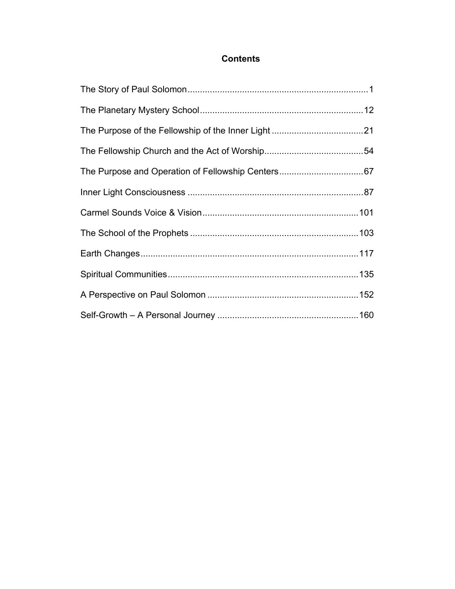# **Contents**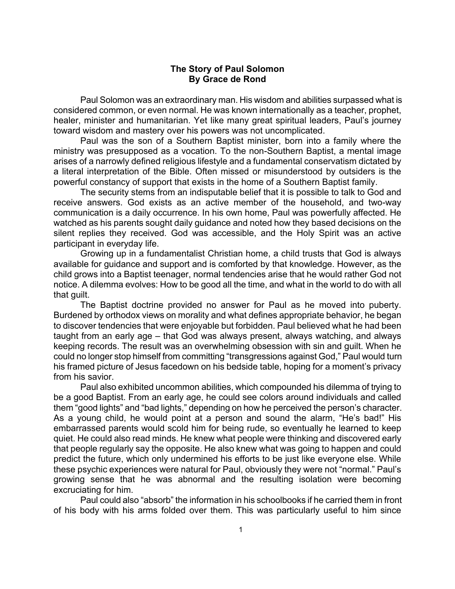# **The Story of Paul Solomon By Grace de Rond**

Paul Solomon was an extraordinary man. His wisdom and abilities surpassed what is considered common, or even normal. He was known internationally as a teacher, prophet, healer, minister and humanitarian. Yet like many great spiritual leaders, Paul's journey toward wisdom and mastery over his powers was not uncomplicated.

Paul was the son of a Southern Baptist minister, born into a family where the ministry was presupposed as a vocation. To the non-Southern Baptist, a mental image arises of a narrowly defined religious lifestyle and a fundamental conservatism dictated by a literal interpretation of the Bible. Often missed or misunderstood by outsiders is the powerful constancy of support that exists in the home of a Southern Baptist family.

The security stems from an indisputable belief that it is possible to talk to God and receive answers. God exists as an active member of the household, and two-way communication is a daily occurrence. In his own home, Paul was powerfully affected. He watched as his parents sought daily guidance and noted how they based decisions on the silent replies they received. God was accessible, and the Holy Spirit was an active participant in everyday life.

Growing up in a fundamentalist Christian home, a child trusts that God is always available for guidance and support and is comforted by that knowledge. However, as the child grows into a Baptist teenager, normal tendencies arise that he would rather God not notice. A dilemma evolves: How to be good all the time, and what in the world to do with all that guilt.

The Baptist doctrine provided no answer for Paul as he moved into puberty. Burdened by orthodox views on morality and what defines appropriate behavior, he began to discover tendencies that were enjoyable but forbidden. Paul believed what he had been taught from an early age – that God was always present, always watching, and always keeping records. The result was an overwhelming obsession with sin and guilt. When he could no longer stop himself from committing "transgressions against God," Paul would turn his framed picture of Jesus facedown on his bedside table, hoping for a moment's privacy from his savior.

Paul also exhibited uncommon abilities, which compounded his dilemma of trying to be a good Baptist. From an early age, he could see colors around individuals and called them "good lights" and "bad lights," depending on how he perceived the person's character. As a young child, he would point at a person and sound the alarm, "He's bad!" His embarrassed parents would scold him for being rude, so eventually he learned to keep quiet. He could also read minds. He knew what people were thinking and discovered early that people regularly say the opposite. He also knew what was going to happen and could predict the future, which only undermined his efforts to be just like everyone else. While these psychic experiences were natural for Paul, obviously they were not "normal." Paul's growing sense that he was abnormal and the resulting isolation were becoming excruciating for him.

Paul could also "absorb" the information in his schoolbooks if he carried them in front of his body with his arms folded over them. This was particularly useful to him since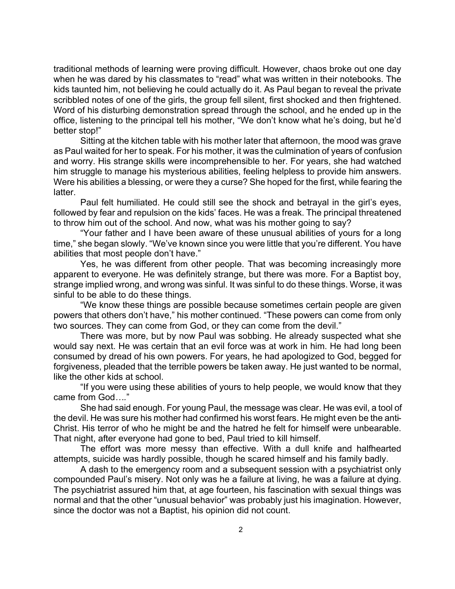traditional methods of learning were proving difficult. However, chaos broke out one day when he was dared by his classmates to "read" what was written in their notebooks. The kids taunted him, not believing he could actually do it. As Paul began to reveal the private scribbled notes of one of the girls, the group fell silent, first shocked and then frightened. Word of his disturbing demonstration spread through the school, and he ended up in the office, listening to the principal tell his mother, "We don't know what he's doing, but he'd better stop!"

Sitting at the kitchen table with his mother later that afternoon, the mood was grave as Paul waited for her to speak. For his mother, it was the culmination of years of confusion and worry. His strange skills were incomprehensible to her. For years, she had watched him struggle to manage his mysterious abilities, feeling helpless to provide him answers. Were his abilities a blessing, or were they a curse? She hoped for the first, while fearing the latter.

Paul felt humiliated. He could still see the shock and betrayal in the girl's eyes, followed by fear and repulsion on the kids' faces. He was a freak. The principal threatened to throw him out of the school. And now, what was his mother going to say?

"Your father and I have been aware of these unusual abilities of yours for a long time," she began slowly. "We've known since you were little that you're different. You have abilities that most people don't have."

Yes, he was different from other people. That was becoming increasingly more apparent to everyone. He was definitely strange, but there was more. For a Baptist boy, strange implied wrong, and wrong was sinful. It was sinful to do these things. Worse, it was sinful to be able to do these things.

"We know these things are possible because sometimes certain people are given powers that others don't have," his mother continued. "These powers can come from only two sources. They can come from God, or they can come from the devil."

There was more, but by now Paul was sobbing. He already suspected what she would say next. He was certain that an evil force was at work in him. He had long been consumed by dread of his own powers. For years, he had apologized to God, begged for forgiveness, pleaded that the terrible powers be taken away. He just wanted to be normal, like the other kids at school.

"If you were using these abilities of yours to help people, we would know that they came from God*….*"

She had said enough. For young Paul, the message was clear. He was evil, a tool of the devil. He was sure his mother had confirmed his worst fears. He might even be the anti-Christ. His terror of who he might be and the hatred he felt for himself were unbearable. That night, after everyone had gone to bed, Paul tried to kill himself.

The effort was more messy than effective. With a dull knife and halfhearted attempts, suicide was hardly possible, though he scared himself and his family badly.

A dash to the emergency room and a subsequent session with a psychiatrist only compounded Paul's misery. Not only was he a failure at living, he was a failure at dying. The psychiatrist assured him that, at age fourteen, his fascination with sexual things was normal and that the other "unusual behavior" was probably just his imagination. However, since the doctor was not a Baptist, his opinion did not count.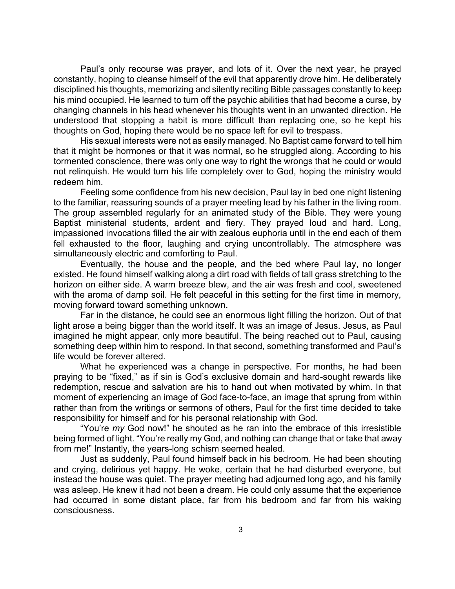Paul's only recourse was prayer, and lots of it. Over the next year, he prayed constantly, hoping to cleanse himself of the evil that apparently drove him. He deliberately disciplined his thoughts, memorizing and silently reciting Bible passages constantly to keep his mind occupied. He learned to turn off the psychic abilities that had become a curse, by changing channels in his head whenever his thoughts went in an unwanted direction. He understood that stopping a habit is more difficult than replacing one, so he kept his thoughts on God, hoping there would be no space left for evil to trespass.

His sexual interests were not as easily managed. No Baptist came forward to tell him that it might be hormones or that it was normal, so he struggled along. According to his tormented conscience, there was only one way to right the wrongs that he could or would not relinquish. He would turn his life completely over to God, hoping the ministry would redeem him.

Feeling some confidence from his new decision, Paul lay in bed one night listening to the familiar, reassuring sounds of a prayer meeting lead by his father in the living room. The group assembled regularly for an animated study of the Bible. They were young Baptist ministerial students, ardent and fiery. They prayed loud and hard. Long, impassioned invocations filled the air with zealous euphoria until in the end each of them fell exhausted to the floor, laughing and crying uncontrollably. The atmosphere was simultaneously electric and comforting to Paul.

Eventually, the house and the people, and the bed where Paul lay, no longer existed. He found himself walking along a dirt road with fields of tall grass stretching to the horizon on either side. A warm breeze blew, and the air was fresh and cool, sweetened with the aroma of damp soil. He felt peaceful in this setting for the first time in memory, moving forward toward something unknown.

Far in the distance, he could see an enormous light filling the horizon. Out of that light arose a being bigger than the world itself. It was an image of Jesus. Jesus, as Paul imagined he might appear, only more beautiful. The being reached out to Paul, causing something deep within him to respond. In that second, something transformed and Paul's life would be forever altered.

What he experienced was a change in perspective. For months, he had been praying to be "fixed," as if sin is God's exclusive domain and hard-sought rewards like redemption, rescue and salvation are his to hand out when motivated by whim. In that moment of experiencing an image of God face-to-face, an image that sprung from within rather than from the writings or sermons of others, Paul for the first time decided to take responsibility for himself and for his personal relationship with God.

"You're *my* God now!" he shouted as he ran into the embrace of this irresistible being formed of light. "You're really my God, and nothing can change that or take that away from me!" Instantly, the years-long schism seemed healed.

Just as suddenly, Paul found himself back in his bedroom. He had been shouting and crying, delirious yet happy. He woke, certain that he had disturbed everyone, but instead the house was quiet. The prayer meeting had adjourned long ago, and his family was asleep. He knew it had not been a dream. He could only assume that the experience had occurred in some distant place, far from his bedroom and far from his waking consciousness.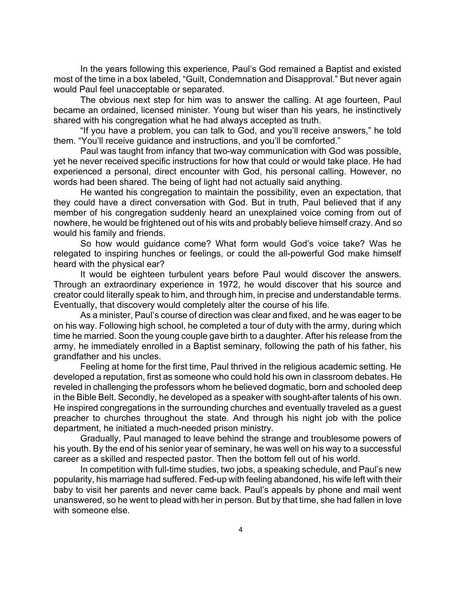In the years following this experience, Paul's God remained a Baptist and existed most of the time in a box labeled, "Guilt, Condemnation and Disapproval." But never again would Paul feel unacceptable or separated.

The obvious next step for him was to answer the calling. At age fourteen, Paul became an ordained, licensed minister. Young but wiser than his years, he instinctively shared with his congregation what he had always accepted as truth.

"If you have a problem, you can talk to God, and you'll receive answers," he told them. "You'll receive guidance and instructions, and you'll be comforted."

Paul was taught from infancy that two-way communication with God was possible, yet he never received specific instructions for how that could or would take place. He had experienced a personal, direct encounter with God, his personal calling. However, no words had been shared. The being of light had not actually said anything.

He wanted his congregation to maintain the possibility, even an expectation, that they could have a direct conversation with God. But in truth, Paul believed that if any member of his congregation suddenly heard an unexplained voice coming from out of nowhere, he would be frightened out of his wits and probably believe himself crazy. And so would his family and friends.

So how would guidance come? What form would God's voice take? Was he relegated to inspiring hunches or feelings, or could the all-powerful God make himself heard with the physical ear?

It would be eighteen turbulent years before Paul would discover the answers. Through an extraordinary experience in 1972, he would discover that his source and creator could literally speak to him, and through him, in precise and understandable terms. Eventually, that discovery would completely alter the course of his life.

As a minister, Paul's course of direction was clear and fixed, and he was eager to be on his way. Following high school, he completed a tour of duty with the army, during which time he married. Soon the young couple gave birth to a daughter. After his release from the army, he immediately enrolled in a Baptist seminary, following the path of his father, his grandfather and his uncles.

Feeling at home for the first time, Paul thrived in the religious academic setting. He developed a reputation, first as someone who could hold his own in classroom debates. He reveled in challenging the professors whom he believed dogmatic, born and schooled deep in the Bible Belt. Secondly, he developed as a speaker with sought-after talents of his own. He inspired congregations in the surrounding churches and eventually traveled as a guest preacher to churches throughout the state. And through his night job with the police department, he initiated a much-needed prison ministry.

Gradually, Paul managed to leave behind the strange and troublesome powers of his youth. By the end of his senior year of seminary, he was well on his way to a successful career as a skilled and respected pastor. Then the bottom fell out of his world.

In competition with full-time studies, two jobs, a speaking schedule, and Paul's new popularity, his marriage had suffered. Fed-up with feeling abandoned, his wife left with their baby to visit her parents and never came back. Paul's appeals by phone and mail went unanswered, so he went to plead with her in person. But by that time, she had fallen in love with someone else.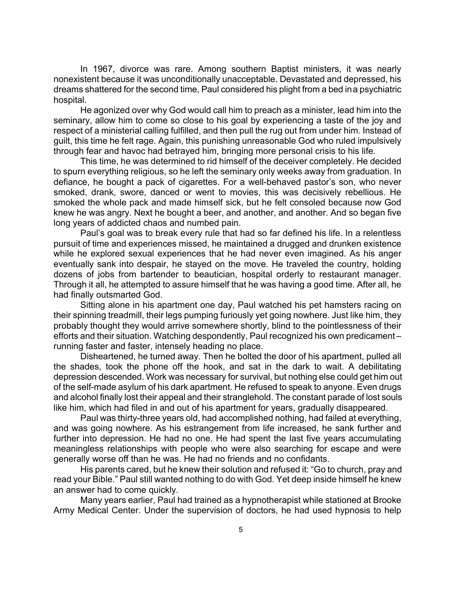In 1967, divorce was rare. Among southern Baptist ministers, it was nearly nonexistent because it was unconditionally unacceptable. Devastated and depressed, his dreams shattered for the second time, Paul considered his plight from a bed in a psychiatric hospital.

He agonized over why God would call him to preach as a minister, lead him into the seminary, allow him to come so close to his goal by experiencing a taste of the joy and respect of a ministerial calling fulfilled, and then pull the rug out from under him. Instead of guilt, this time he felt rage. Again, this punishing unreasonable God who ruled impulsively through fear and havoc had betrayed him, bringing more personal crisis to his life.

This time, he was determined to rid himself of the deceiver completely. He decided to spurn everything religious, so he left the seminary only weeks away from graduation. In defiance, he bought a pack of cigarettes. For a well-behaved pastor's son, who never smoked, drank, swore, danced or went to movies, this was decisively rebellious. He smoked the whole pack and made himself sick, but he felt consoled because now God knew he was angry. Next he bought a beer, and another, and another. And so began five long years of addicted chaos and numbed pain.

Paul's goal was to break every rule that had so far defined his life. In a relentless pursuit of time and experiences missed, he maintained a drugged and drunken existence while he explored sexual experiences that he had never even imagined. As his anger eventually sank into despair, he stayed on the move. He traveled the country, holding dozens of jobs from bartender to beautician, hospital orderly to restaurant manager. Through it all, he attempted to assure himself that he was having a good time. After all, he had finally outsmarted God.

Sitting alone in his apartment one day, Paul watched his pet hamsters racing on their spinning treadmill, their legs pumping furiously yet going nowhere. Just like him, they probably thought they would arrive somewhere shortly, blind to the pointlessness of their efforts and their situation. Watching despondently, Paul recognized his own predicament – running faster and faster, intensely heading no place.

Disheartened, he turned away. Then he bolted the door of his apartment, pulled all the shades, took the phone off the hook, and sat in the dark to wait. A debilitating depression descended. Work was necessary for survival, but nothing else could get him out of the self-made asylum of his dark apartment. He refused to speak to anyone. Even drugs and alcohol finally lost their appeal and their stranglehold. The constant parade of lost souls like him, which had filed in and out of his apartment for years, gradually disappeared.

Paul was thirty-three years old, had accomplished nothing, had failed at everything, and was going nowhere. As his estrangement from life increased, he sank further and further into depression. He had no one. He had spent the last five years accumulating meaningless relationships with people who were also searching for escape and were generally worse off than he was. He had no friends and no confidants.

His parents cared, but he knew their solution and refused it: "Go to church, pray and read your Bible." Paul still wanted nothing to do with God. Yet deep inside himself he knew an answer had to come quickly.

Many years earlier, Paul had trained as a hypnotherapist while stationed at Brooke Army Medical Center. Under the supervision of doctors, he had used hypnosis to help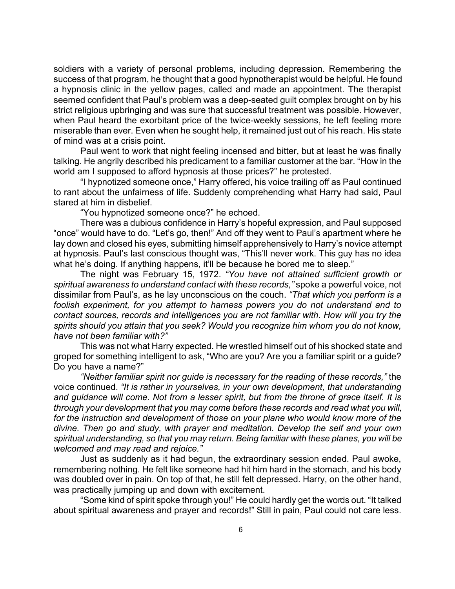soldiers with a variety of personal problems, including depression. Remembering the success of that program, he thought that a good hypnotherapist would be helpful. He found a hypnosis clinic in the yellow pages, called and made an appointment. The therapist seemed confident that Paul's problem was a deep-seated guilt complex brought on by his strict religious upbringing and was sure that successful treatment was possible. However, when Paul heard the exorbitant price of the twice-weekly sessions, he left feeling more miserable than ever. Even when he sought help, it remained just out of his reach. His state of mind was at a crisis point.

Paul went to work that night feeling incensed and bitter, but at least he was finally talking. He angrily described his predicament to a familiar customer at the bar. "How in the world am I supposed to afford hypnosis at those prices?" he protested.

"I hypnotized someone once," Harry offered, his voice trailing off as Paul continued to rant about the unfairness of life. Suddenly comprehending what Harry had said, Paul stared at him in disbelief.

"You hypnotized someone once?" he echoed.

There was a dubious confidence in Harry's hopeful expression, and Paul supposed "once" would have to do. "Let's go, then!" And off they went to Paul's apartment where he lay down and closed his eyes, submitting himself apprehensively to Harry's novice attempt at hypnosis. Paul's last conscious thought was, "This'll never work. This guy has no idea what he's doing. If anything happens, it'll be because he bored me to sleep."

The night was February 15, 1972. *"You have not attained sufficient growth or spiritual awareness to understand contact with these records,"* spoke a powerful voice, not dissimilar from Paul's, as he lay unconscious on the couch. *"That which you perform is a foolish experiment, for you attempt to harness powers you do not understand and to contact sources, records and intelligences you are not familiar with. How will you try the spirits should you attain that you seek? Would you recognize him whom you do not know, have not been familiar with?"*

This was not what Harry expected. He wrestled himself out of his shocked state and groped for something intelligent to ask, "Who are you? Are you a familiar spirit or a guide? Do you have a name?"

*"Neither familiar spirit nor guide is necessary for the reading of these records,"* the voice continued. *"It is rather in yourselves, in your own development, that understanding and guidance will come. Not from a lesser spirit, but from the throne of grace itself. It is through your development that you may come before these records and read what you will, for the instruction and development of those on your plane who would know more of the divine. Then go and study, with prayer and meditation. Develop the self and your own spiritual understanding, so that you may return. Being familiar with these planes, you will be welcomed and may read and rejoice."*

Just as suddenly as it had begun, the extraordinary session ended. Paul awoke, remembering nothing. He felt like someone had hit him hard in the stomach, and his body was doubled over in pain. On top of that, he still felt depressed. Harry, on the other hand, was practically jumping up and down with excitement.

"Some kind of spirit spoke through you!" He could hardly get the words out. "It talked about spiritual awareness and prayer and records!" Still in pain, Paul could not care less.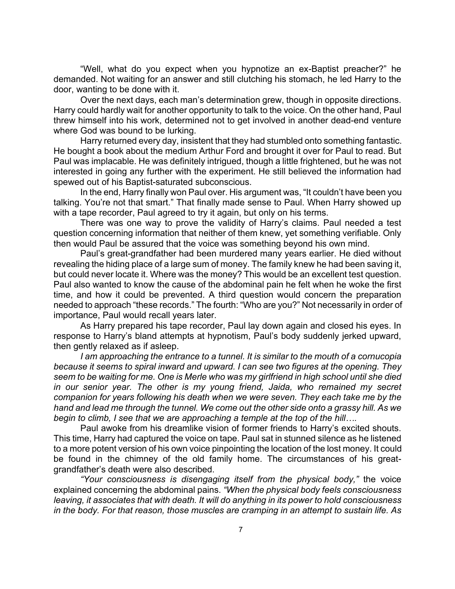"Well, what do you expect when you hypnotize an ex-Baptist preacher?" he demanded. Not waiting for an answer and still clutching his stomach, he led Harry to the door, wanting to be done with it.

Over the next days, each man's determination grew, though in opposite directions. Harry could hardly wait for another opportunity to talk to the voice. On the other hand, Paul threw himself into his work, determined not to get involved in another dead-end venture where God was bound to be lurking.

Harry returned every day, insistent that they had stumbled onto something fantastic. He bought a book about the medium Arthur Ford and brought it over for Paul to read. But Paul was implacable. He was definitely intrigued, though a little frightened, but he was not interested in going any further with the experiment. He still believed the information had spewed out of his Baptist-saturated subconscious.

In the end, Harry finally won Paul over. His argument was, "It couldn't have been you talking. You're not that smart." That finally made sense to Paul. When Harry showed up with a tape recorder, Paul agreed to try it again, but only on his terms.

There was one way to prove the validity of Harry's claims. Paul needed a test question concerning information that neither of them knew, yet something verifiable. Only then would Paul be assured that the voice was something beyond his own mind.

Paul's great-grandfather had been murdered many years earlier. He died without revealing the hiding place of a large sum of money. The family knew he had been saving it, but could never locate it. Where was the money? This would be an excellent test question. Paul also wanted to know the cause of the abdominal pain he felt when he woke the first time, and how it could be prevented. A third question would concern the preparation needed to approach "these records." The fourth: "Who are you?" Not necessarily in order of importance, Paul would recall years later.

As Harry prepared his tape recorder, Paul lay down again and closed his eyes. In response to Harry's bland attempts at hypnotism, Paul's body suddenly jerked upward, then gently relaxed as if asleep.

*I am approaching the entrance to a tunnel. It is similar to the mouth of a cornucopia because it seems to spiral inward and upward. I can see two figures at the opening. They seem to be waiting for me. One is Merle who was my girlfriend in high school until she died in our senior year. The other is my young friend, Jaida, who remained my secret companion for years following his death when we were seven. They each take me by the hand and lead me through the tunnel. We come out the other side onto a grassy hill. As we begin to climb, I see that we are approaching a temple at the top of the hill….*

Paul awoke from his dreamlike vision of former friends to Harry's excited shouts. This time, Harry had captured the voice on tape. Paul sat in stunned silence as he listened to a more potent version of his own voice pinpointing the location of the lost money. It could be found in the chimney of the old family home. The circumstances of his greatgrandfather's death were also described.

*"Your consciousness is disengaging itself from the physical body,"* the voice explained concerning the abdominal pains. *"When the physical body feels consciousness leaving, it associates that with death. It will do anything in its power to hold consciousness in the body. For that reason, those muscles are cramping in an attempt to sustain life. As*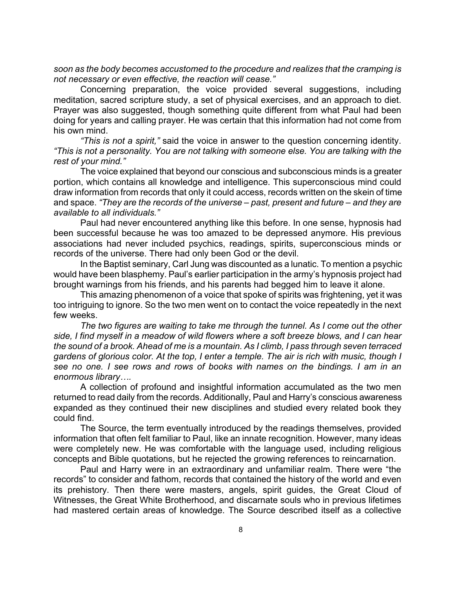*soon as the body becomes accustomed to the procedure and realizes that the cramping is not necessary or even effective, the reaction will cease."*

Concerning preparation, the voice provided several suggestions, including meditation, sacred scripture study, a set of physical exercises, and an approach to diet. Prayer was also suggested, though something quite different from what Paul had been doing for years and calling prayer. He was certain that this information had not come from his own mind.

*"This is not a spirit,"* said the voice in answer to the question concerning identity. *"This is not a personality. You are not talking with someone else. You are talking with the rest of your mind."*

The voice explained that beyond our conscious and subconscious minds is a greater portion, which contains all knowledge and intelligence. This superconscious mind could draw information from records that only it could access, records written on the skein of time and space. *"They are the records of the universe – past, present and future – and they are available to all individuals."*

Paul had never encountered anything like this before. In one sense, hypnosis had been successful because he was too amazed to be depressed anymore. His previous associations had never included psychics, readings, spirits, superconscious minds or records of the universe. There had only been God or the devil.

In the Baptist seminary, Carl Jung was discounted as a lunatic. To mention a psychic would have been blasphemy. Paul's earlier participation in the army's hypnosis project had brought warnings from his friends, and his parents had begged him to leave it alone.

This amazing phenomenon of a voice that spoke of spirits was frightening, yet it was too intriguing to ignore. So the two men went on to contact the voice repeatedly in the next few weeks.

*The two figures are waiting to take me through the tunnel. As I come out the other side, I find myself in a meadow of wild flowers where a soft breeze blows, and I can hear the sound of a brook. Ahead of me is a mountain. As I climb, I pass through seven terraced gardens of glorious color. At the top, I enter a temple. The air is rich with music, though I*  see no one. I see rows and rows of books with names on the bindings. I am in an *enormous library….*

A collection of profound and insightful information accumulated as the two men returned to read daily from the records. Additionally, Paul and Harry's conscious awareness expanded as they continued their new disciplines and studied every related book they could find.

The Source, the term eventually introduced by the readings themselves, provided information that often felt familiar to Paul, like an innate recognition. However, many ideas were completely new. He was comfortable with the language used, including religious concepts and Bible quotations, but he rejected the growing references to reincarnation.

Paul and Harry were in an extraordinary and unfamiliar realm. There were "the records" to consider and fathom, records that contained the history of the world and even its prehistory. Then there were masters, angels, spirit guides, the Great Cloud of Witnesses, the Great White Brotherhood, and discarnate souls who in previous lifetimes had mastered certain areas of knowledge. The Source described itself as a collective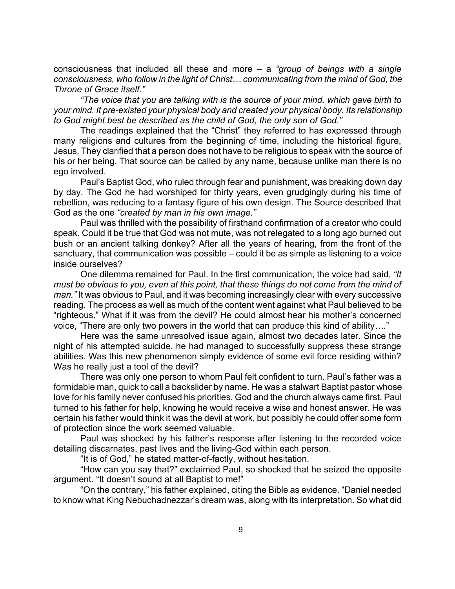consciousness that included all these and more – a *"group of beings with a single consciousness, who follow in the light of Christ… communicating from the mind of God, the Throne of Grace itself."*

*"The voice that you are talking with is the source of your mind, which gave birth to your mind. It pre-existed your physical body and created your physical body. Its relationship to God might best be described as the child of God, the only son of God."*

The readings explained that the "Christ" they referred to has expressed through many religions and cultures from the beginning of time, including the historical figure, Jesus. They clarified that a person does not have to be religious to speak with the source of his or her being. That source can be called by any name, because unlike man there is no ego involved.

Paul's Baptist God, who ruled through fear and punishment, was breaking down day by day. The God he had worshiped for thirty years, even grudgingly during his time of rebellion, was reducing to a fantasy figure of his own design. The Source described that God as the one *"created by man in his own image."*

Paul was thrilled with the possibility of firsthand confirmation of a creator who could speak. Could it be true that God was not mute, was not relegated to a long ago burned out bush or an ancient talking donkey? After all the years of hearing, from the front of the sanctuary, that communication was possible – could it be as simple as listening to a voice inside ourselves?

One dilemma remained for Paul. In the first communication, the voice had said, *"It must be obvious to you, even at this point, that these things do not come from the mind of man."* It was obvious to Paul, and it was becoming increasingly clear with every successive reading. The process as well as much of the content went against what Paul believed to be "righteous." What if it was from the devil? He could almost hear his mother's concerned voice, "There are only two powers in the world that can produce this kind of ability*….*"

Here was the same unresolved issue again, almost two decades later. Since the night of his attempted suicide, he had managed to successfully suppress these strange abilities. Was this new phenomenon simply evidence of some evil force residing within? Was he really just a tool of the devil?

There was only one person to whom Paul felt confident to turn. Paul's father was a formidable man, quick to call a backslider by name. He was a stalwart Baptist pastor whose love for his family never confused his priorities. God and the church always came first. Paul turned to his father for help, knowing he would receive a wise and honest answer. He was certain his father would think it was the devil at work, but possibly he could offer some form of protection since the work seemed valuable.

Paul was shocked by his father's response after listening to the recorded voice detailing discarnates, past lives and the living-God within each person.

"It is of God," he stated matter-of-factly, without hesitation.

"How can you say that?" exclaimed Paul, so shocked that he seized the opposite argument. "It doesn't sound at all Baptist to me!"

"On the contrary," his father explained, citing the Bible as evidence. "Daniel needed to know what King Nebuchadnezzar's dream was, along with its interpretation. So what did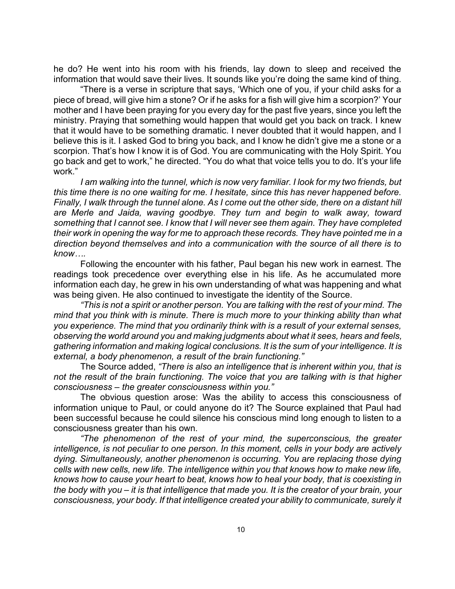he do? He went into his room with his friends, lay down to sleep and received the information that would save their lives. It sounds like you're doing the same kind of thing.

"There is a verse in scripture that says, 'Which one of you, if your child asks for a piece of bread, will give him a stone? Or if he asks for a fish will give him a scorpion?' Your mother and I have been praying for you every day for the past five years, since you left the ministry. Praying that something would happen that would get you back on track. I knew that it would have to be something dramatic. I never doubted that it would happen, and I believe this is it. I asked God to bring you back, and I know he didn't give me a stone or a scorpion. That's how I know it is of God. You are communicating with the Holy Spirit. You go back and get to work," he directed. "You do what that voice tells you to do. It's your life work."

*I am walking into the tunnel, which is now very familiar. I look for my two friends, but this time there is no one waiting for me. I hesitate, since this has never happened before. Finally, I walk through the tunnel alone. As I come out the other side, there on a distant hill are Merle and Jaida, waving goodbye. They turn and begin to walk away, toward something that I cannot see. I know that I will never see them again. They have completed their work in opening the way for me to approach these records. They have pointed me in a direction beyond themselves and into a communication with the source of all there is to know….*

Following the encounter with his father, Paul began his new work in earnest. The readings took precedence over everything else in his life. As he accumulated more information each day, he grew in his own understanding of what was happening and what was being given. He also continued to investigate the identity of the Source.

*"This is not a spirit or another person. You are talking with the rest of your mind. The mind that you think with is minute. There is much more to your thinking ability than what you experience. The mind that you ordinarily think with is a result of your external senses, observing the world around you and making judgments about what it sees, hears and feels, gathering information and making logical conclusions. It is the sum of your intelligence. It is external, a body phenomenon, a result of the brain functioning."*

The Source added, *"There is also an intelligence that is inherent within you, that is not the result of the brain functioning. The voice that you are talking with is that higher consciousness – the greater consciousness within you."*

The obvious question arose: Was the ability to access this consciousness of information unique to Paul, or could anyone do it? The Source explained that Paul had been successful because he could silence his conscious mind long enough to listen to a consciousness greater than his own.

*"The phenomenon of the rest of your mind, the superconscious, the greater intelligence, is not peculiar to one person. In this moment, cells in your body are actively dying. Simultaneously, another phenomenon is occurring. You are replacing those dying cells with new cells, new life. The intelligence within you that knows how to make new life, knows how to cause your heart to beat, knows how to heal your body, that is coexisting in the body with you – it is that intelligence that made you. It is the creator of your brain, your consciousness, your body. If that intelligence created your ability to communicate, surely it*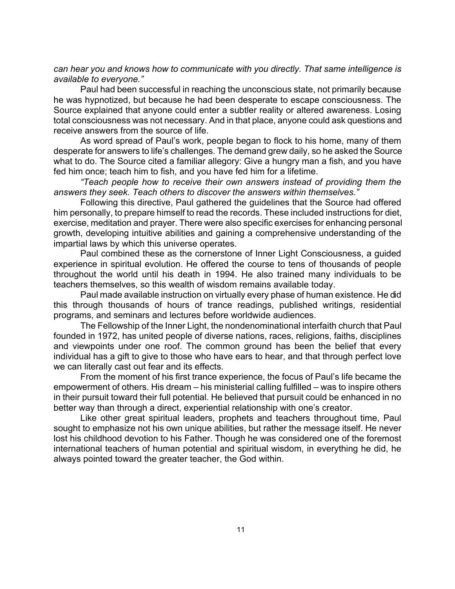*can hear you and knows how to communicate with you directly. That same intelligence is available to everyone."*

Paul had been successful in reaching the unconscious state, not primarily because he was hypnotized, but because he had been desperate to escape consciousness. The Source explained that anyone could enter a subtler reality or altered awareness. Losing total consciousness was not necessary. And in that place, anyone could ask questions and receive answers from the source of life.

As word spread of Paul's work, people began to flock to his home, many of them desperate for answers to life's challenges. The demand grew daily, so he asked the Source what to do. The Source cited a familiar allegory: Give a hungry man a fish, and you have fed him once; teach him to fish, and you have fed him for a lifetime.

*"Teach people how to receive their own answers instead of providing them the answers they seek. Teach others to discover the answers within themselves."*

Following this directive, Paul gathered the guidelines that the Source had offered him personally, to prepare himself to read the records. These included instructions for diet, exercise, meditation and prayer. There were also specific exercises for enhancing personal growth, developing intuitive abilities and gaining a comprehensive understanding of the impartial laws by which this universe operates.

Paul combined these as the cornerstone of Inner Light Consciousness, a guided experience in spiritual evolution. He offered the course to tens of thousands of people throughout the world until his death in 1994. He also trained many individuals to be teachers themselves, so this wealth of wisdom remains available today.

Paul made available instruction on virtually every phase of human existence. He did this through thousands of hours of trance readings, published writings, residential programs, and seminars and lectures before worldwide audiences.

The Fellowship of the Inner Light, the nondenominational interfaith church that Paul founded in 1972, has united people of diverse nations, races, religions, faiths, disciplines and viewpoints under one roof. The common ground has been the belief that every individual has a gift to give to those who have ears to hear, and that through perfect love we can literally cast out fear and its effects.

From the moment of his first trance experience, the focus of Paul's life became the empowerment of others. His dream – his ministerial calling fulfilled – was to inspire others in their pursuit toward their full potential. He believed that pursuit could be enhanced in no better way than through a direct, experiential relationship with one's creator.

Like other great spiritual leaders, prophets and teachers throughout time, Paul sought to emphasize not his own unique abilities, but rather the message itself. He never lost his childhood devotion to his Father. Though he was considered one of the foremost international teachers of human potential and spiritual wisdom, in everything he did, he always pointed toward the greater teacher, the God within.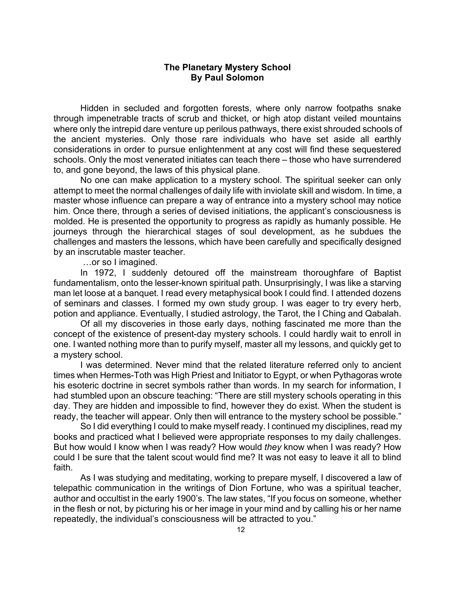# **The Planetary Mystery School By Paul Solomon**

Hidden in secluded and forgotten forests, where only narrow footpaths snake through impenetrable tracts of scrub and thicket, or high atop distant veiled mountains where only the intrepid dare venture up perilous pathways, there exist shrouded schools of the ancient mysteries. Only those rare individuals who have set aside all earthly considerations in order to pursue enlightenment at any cost will find these sequestered schools. Only the most venerated initiates can teach there – those who have surrendered to, and gone beyond, the laws of this physical plane.

No one can make application to a mystery school. The spiritual seeker can only attempt to meet the normal challenges of daily life with inviolate skill and wisdom. In time, a master whose influence can prepare a way of entrance into a mystery school may notice him. Once there, through a series of devised initiations, the applicant's consciousness is molded. He is presented the opportunity to progress as rapidly as humanly possible. He journeys through the hierarchical stages of soul development, as he subdues the challenges and masters the lessons, which have been carefully and specifically designed by an inscrutable master teacher.

…or so I imagined.

In 1972, I suddenly detoured off the mainstream thoroughfare of Baptist fundamentalism, onto the lesser-known spiritual path. Unsurprisingly, I was like a starving man let loose at a banquet. I read every metaphysical book I could find. I attended dozens of seminars and classes. I formed my own study group. I was eager to try every herb, potion and appliance. Eventually, I studied astrology, the Tarot, the I Ching and Qabalah.

Of all my discoveries in those early days, nothing fascinated me more than the concept of the existence of present-day mystery schools. I could hardly wait to enroll in one. I wanted nothing more than to purify myself, master all my lessons, and quickly get to a mystery school.

I was determined. Never mind that the related literature referred only to ancient times when Hermes-Toth was High Priest and Initiator to Egypt, or when Pythagoras wrote his esoteric doctrine in secret symbols rather than words. In my search for information, I had stumbled upon an obscure teaching: "There are still mystery schools operating in this day. They are hidden and impossible to find, however they do exist. When the student is ready, the teacher will appear. Only then will entrance to the mystery school be possible."

So I did everything I could to make myself ready. I continued my disciplines, read my books and practiced what I believed were appropriate responses to my daily challenges. But how would I know when I was ready? How would *they* know when I was ready? How could I be sure that the talent scout would find me? It was not easy to leave it all to blind faith.

As I was studying and meditating, working to prepare myself, I discovered a law of telepathic communication in the writings of Dion Fortune, who was a spiritual teacher, author and occultist in the early 1900's. The law states, "If you focus on someone, whether in the flesh or not, by picturing his or her image in your mind and by calling his or her name repeatedly, the individual's consciousness will be attracted to you."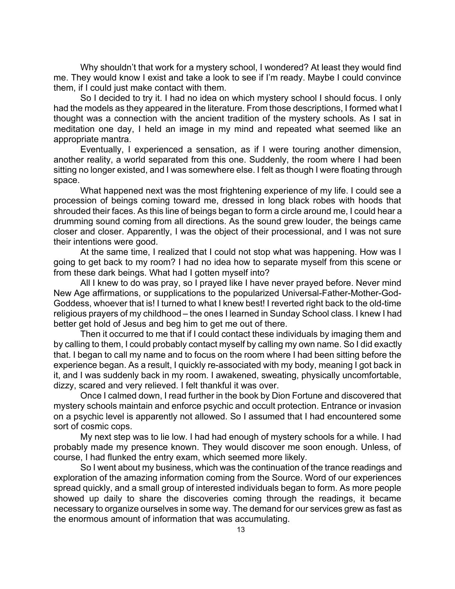Why shouldn't that work for a mystery school, I wondered? At least they would find me. They would know I exist and take a look to see if I'm ready. Maybe I could convince them, if I could just make contact with them.

So I decided to try it. I had no idea on which mystery school I should focus. I only had the models as they appeared in the literature. From those descriptions, I formed what I thought was a connection with the ancient tradition of the mystery schools. As I sat in meditation one day, I held an image in my mind and repeated what seemed like an appropriate mantra.

Eventually, I experienced a sensation, as if I were touring another dimension, another reality, a world separated from this one. Suddenly, the room where I had been sitting no longer existed, and I was somewhere else. I felt as though I were floating through space.

What happened next was the most frightening experience of my life. I could see a procession of beings coming toward me, dressed in long black robes with hoods that shrouded their faces. As this line of beings began to form a circle around me, I could hear a drumming sound coming from all directions. As the sound grew louder, the beings came closer and closer. Apparently, I was the object of their processional, and I was not sure their intentions were good.

At the same time, I realized that I could not stop what was happening. How was I going to get back to my room? I had no idea how to separate myself from this scene or from these dark beings. What had I gotten myself into?

All I knew to do was pray, so I prayed like I have never prayed before. Never mind New Age affirmations, or supplications to the popularized Universal-Father-Mother-God-Goddess, whoever that is! I turned to what I knew best! I reverted right back to the old-time religious prayers of my childhood – the ones I learned in Sunday School class. I knew I had better get hold of Jesus and beg him to get me out of there.

Then it occurred to me that if I could contact these individuals by imaging them and by calling to them, I could probably contact myself by calling my own name. So I did exactly that. I began to call my name and to focus on the room where I had been sitting before the experience began. As a result, I quickly re-associated with my body, meaning I got back in it, and I was suddenly back in my room. I awakened, sweating, physically uncomfortable, dizzy, scared and very relieved. I felt thankful it was over.

Once I calmed down, I read further in the book by Dion Fortune and discovered that mystery schools maintain and enforce psychic and occult protection. Entrance or invasion on a psychic level is apparently not allowed. So I assumed that I had encountered some sort of cosmic cops.

My next step was to lie low. I had had enough of mystery schools for a while. I had probably made my presence known. They would discover me soon enough. Unless, of course, I had flunked the entry exam, which seemed more likely.

So I went about my business, which was the continuation of the trance readings and exploration of the amazing information coming from the Source. Word of our experiences spread quickly, and a small group of interested individuals began to form. As more people showed up daily to share the discoveries coming through the readings, it became necessary to organize ourselves in some way. The demand for our services grew as fast as the enormous amount of information that was accumulating.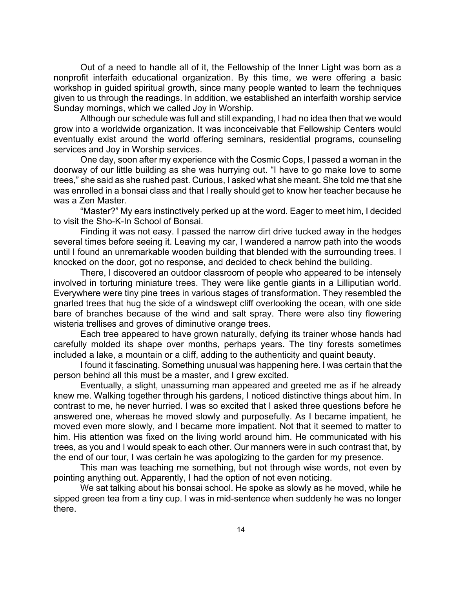Out of a need to handle all of it, the Fellowship of the Inner Light was born as a nonprofit interfaith educational organization. By this time, we were offering a basic workshop in guided spiritual growth, since many people wanted to learn the techniques given to us through the readings. In addition, we established an interfaith worship service Sunday mornings, which we called Joy in Worship.

Although our schedule was full and still expanding, I had no idea then that we would grow into a worldwide organization. It was inconceivable that Fellowship Centers would eventually exist around the world offering seminars, residential programs, counseling services and Joy in Worship services.

One day, soon after my experience with the Cosmic Cops, I passed a woman in the doorway of our little building as she was hurrying out. "I have to go make love to some trees," she said as she rushed past. Curious, I asked what she meant. She told me that she was enrolled in a bonsai class and that I really should get to know her teacher because he was a Zen Master.

"Master?" My ears instinctively perked up at the word. Eager to meet him, I decided to visit the Sho-K-In School of Bonsai.

Finding it was not easy. I passed the narrow dirt drive tucked away in the hedges several times before seeing it. Leaving my car, I wandered a narrow path into the woods until I found an unremarkable wooden building that blended with the surrounding trees. I knocked on the door, got no response, and decided to check behind the building.

There, I discovered an outdoor classroom of people who appeared to be intensely involved in torturing miniature trees. They were like gentle giants in a Lilliputian world. Everywhere were tiny pine trees in various stages of transformation. They resembled the gnarled trees that hug the side of a windswept cliff overlooking the ocean, with one side bare of branches because of the wind and salt spray. There were also tiny flowering wisteria trellises and groves of diminutive orange trees.

Each tree appeared to have grown naturally, defying its trainer whose hands had carefully molded its shape over months, perhaps years. The tiny forests sometimes included a lake, a mountain or a cliff, adding to the authenticity and quaint beauty.

I found it fascinating. Something unusual was happening here. I was certain that the person behind all this must be a master, and I grew excited.

Eventually, a slight, unassuming man appeared and greeted me as if he already knew me. Walking together through his gardens, I noticed distinctive things about him. In contrast to me, he never hurried. I was so excited that I asked three questions before he answered one, whereas he moved slowly and purposefully. As I became impatient, he moved even more slowly, and I became more impatient. Not that it seemed to matter to him. His attention was fixed on the living world around him. He communicated with his trees, as you and I would speak to each other. Our manners were in such contrast that, by the end of our tour, I was certain he was apologizing to the garden for my presence.

This man was teaching me something, but not through wise words, not even by pointing anything out. Apparently, I had the option of not even noticing.

We sat talking about his bonsai school. He spoke as slowly as he moved, while he sipped green tea from a tiny cup. I was in mid-sentence when suddenly he was no longer there.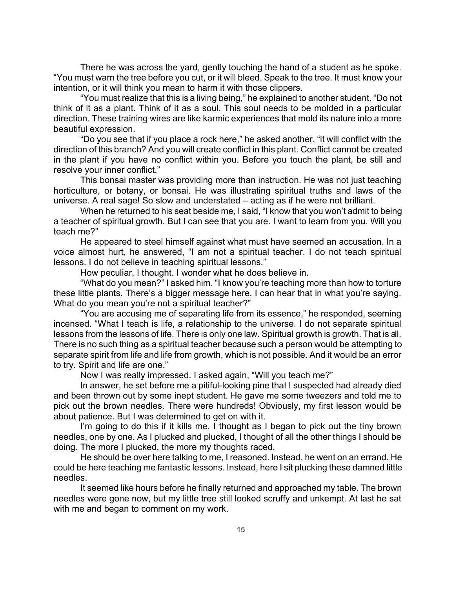There he was across the yard, gently touching the hand of a student as he spoke. "You must warn the tree before you cut, or it will bleed. Speak to the tree. It must know your intention, or it will think you mean to harm it with those clippers.

"You must realize that this is a living being," he explained to another student. "Do not think of it as a plant. Think of it as a soul. This soul needs to be molded in a particular direction. These training wires are like karmic experiences that mold its nature into a more beautiful expression.

"Do you see that if you place a rock here," he asked another, "it will conflict with the direction of this branch? And you will create conflict in this plant. Conflict cannot be created in the plant if you have no conflict within you. Before you touch the plant, be still and resolve your inner conflict."

This bonsai master was providing more than instruction. He was not just teaching horticulture, or botany, or bonsai. He was illustrating spiritual truths and laws of the universe. A real sage! So slow and understated – acting as if he were not brilliant.

When he returned to his seat beside me, I said, "I know that you won't admit to being a teacher of spiritual growth. But I can see that you are. I want to learn from you. Will you teach me?"

He appeared to steel himself against what must have seemed an accusation. In a voice almost hurt, he answered, "I am not a spiritual teacher. I do not teach spiritual lessons. I do not believe in teaching spiritual lessons."

How peculiar, I thought. I wonder what he does believe in.

"What do you mean?" I asked him. "I know you're teaching more than how to torture these little plants. There's a bigger message here. I can hear that in what you're saying. What do you mean you're not a spiritual teacher?"

"You are accusing me of separating life from its essence," he responded, seeming incensed. "What I teach is life, a relationship to the universe. I do not separate spiritual lessons from the lessons of life. There is only one law. Spiritual growth is growth. That is all. There is no such thing as a spiritual teacher because such a person would be attempting to separate spirit from life and life from growth, which is not possible. And it would be an error to try. Spirit and life are one."

Now I was really impressed. I asked again, "Will you teach me?"

In answer, he set before me a pitiful-looking pine that I suspected had already died and been thrown out by some inept student. He gave me some tweezers and told me to pick out the brown needles. There were hundreds! Obviously, my first lesson would be about patience. But I was determined to get on with it.

I'm going to do this if it kills me, I thought as I began to pick out the tiny brown needles, one by one. As I plucked and plucked, I thought of all the other things I should be doing. The more I plucked, the more my thoughts raced.

He should be over here talking to me, I reasoned. Instead, he went on an errand. He could be here teaching me fantastic lessons. Instead, here I sit plucking these damned little needles.

It seemed like hours before he finally returned and approached my table. The brown needles were gone now, but my little tree still looked scruffy and unkempt. At last he sat with me and began to comment on my work.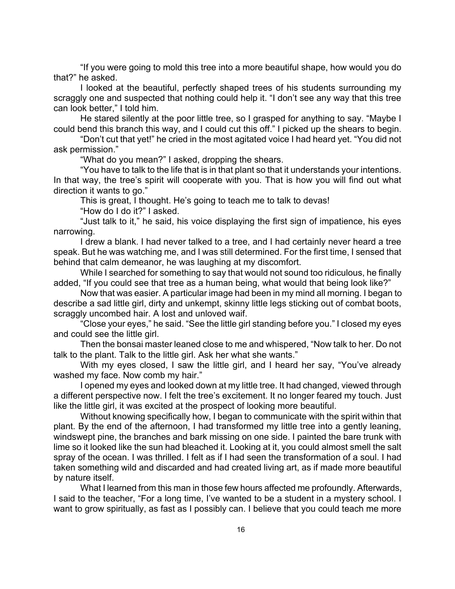"If you were going to mold this tree into a more beautiful shape, how would you do that?" he asked.

I looked at the beautiful, perfectly shaped trees of his students surrounding my scraggly one and suspected that nothing could help it. "I don't see any way that this tree can look better," I told him.

He stared silently at the poor little tree, so I grasped for anything to say. "Maybe I could bend this branch this way, and I could cut this off." I picked up the shears to begin.

"Don't cut that yet!" he cried in the most agitated voice I had heard yet. "You did not ask permission."

"What do you mean?" I asked, dropping the shears.

"You have to talk to the life that is in that plant so that it understands your intentions. In that way, the tree's spirit will cooperate with you. That is how you will find out what direction it wants to go."

This is great, I thought. He's going to teach me to talk to devas!

"How do I do it?" I asked.

"Just talk to it," he said, his voice displaying the first sign of impatience, his eyes narrowing.

I drew a blank. I had never talked to a tree, and I had certainly never heard a tree speak. But he was watching me, and I was still determined. For the first time, I sensed that behind that calm demeanor, he was laughing at my discomfort.

While I searched for something to say that would not sound too ridiculous, he finally added, "If you could see that tree as a human being, what would that being look like?"

Now that was easier. A particular image had been in my mind all morning. I began to describe a sad little girl, dirty and unkempt, skinny little legs sticking out of combat boots, scraggly uncombed hair. A lost and unloved waif.

"Close your eyes," he said. "See the little girl standing before you." I closed my eyes and could see the little girl.

Then the bonsai master leaned close to me and whispered, "Now talk to her. Do not talk to the plant. Talk to the little girl. Ask her what she wants."

With my eyes closed, I saw the little girl, and I heard her say, "You've already washed my face. Now comb my hair."

I opened my eyes and looked down at my little tree. It had changed, viewed through a different perspective now. I felt the tree's excitement. It no longer feared my touch. Just like the little girl, it was excited at the prospect of looking more beautiful.

Without knowing specifically how, I began to communicate with the spirit within that plant. By the end of the afternoon, I had transformed my little tree into a gently leaning, windswept pine, the branches and bark missing on one side. I painted the bare trunk with lime so it looked like the sun had bleached it. Looking at it, you could almost smell the salt spray of the ocean. I was thrilled. I felt as if I had seen the transformation of a soul. I had taken something wild and discarded and had created living art, as if made more beautiful by nature itself.

What I learned from this man in those few hours affected me profoundly. Afterwards, I said to the teacher, "For a long time, I've wanted to be a student in a mystery school. I want to grow spiritually, as fast as I possibly can. I believe that you could teach me more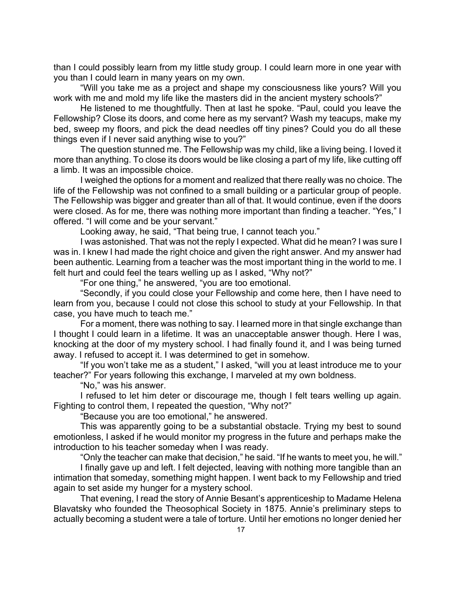than I could possibly learn from my little study group. I could learn more in one year with you than I could learn in many years on my own.

"Will you take me as a project and shape my consciousness like yours? Will you work with me and mold my life like the masters did in the ancient mystery schools?"

He listened to me thoughtfully. Then at last he spoke. "Paul, could you leave the Fellowship? Close its doors, and come here as my servant? Wash my teacups, make my bed, sweep my floors, and pick the dead needles off tiny pines? Could you do all these things even if I never said anything wise to you?"

The question stunned me. The Fellowship was my child, like a living being. I loved it more than anything. To close its doors would be like closing a part of my life, like cutting off a limb. It was an impossible choice.

I weighed the options for a moment and realized that there really was no choice. The life of the Fellowship was not confined to a small building or a particular group of people. The Fellowship was bigger and greater than all of that. It would continue, even if the doors were closed. As for me, there was nothing more important than finding a teacher. "Yes," I offered. "I will come and be your servant."

Looking away, he said, "That being true, I cannot teach you."

I was astonished. That was not the reply I expected. What did he mean? I was sure I was in. I knew I had made the right choice and given the right answer. And my answer had been authentic. Learning from a teacher was the most important thing in the world to me. I felt hurt and could feel the tears welling up as I asked, "Why not?"

"For one thing," he answered, "you are too emotional.

"Secondly, if you could close your Fellowship and come here, then I have need to learn from you, because I could not close this school to study at your Fellowship. In that case, you have much to teach me."

For a moment, there was nothing to say. I learned more in that single exchange than I thought I could learn in a lifetime. It was an unacceptable answer though. Here I was, knocking at the door of my mystery school. I had finally found it, and I was being turned away. I refused to accept it. I was determined to get in somehow.

"If you won't take me as a student," I asked, "will you at least introduce me to your teacher?" For years following this exchange, I marveled at my own boldness.

"No," was his answer.

I refused to let him deter or discourage me, though I felt tears welling up again. Fighting to control them, I repeated the question, "Why not?"

"Because you are too emotional," he answered.

This was apparently going to be a substantial obstacle. Trying my best to sound emotionless, I asked if he would monitor my progress in the future and perhaps make the introduction to his teacher someday when I was ready.

"Only the teacher can make that decision," he said. "If he wants to meet you, he will."

I finally gave up and left. I felt dejected, leaving with nothing more tangible than an intimation that someday, something might happen. I went back to my Fellowship and tried again to set aside my hunger for a mystery school.

That evening, I read the story of Annie Besant's apprenticeship to Madame Helena Blavatsky who founded the Theosophical Society in 1875. Annie's preliminary steps to actually becoming a student were a tale of torture. Until her emotions no longer denied her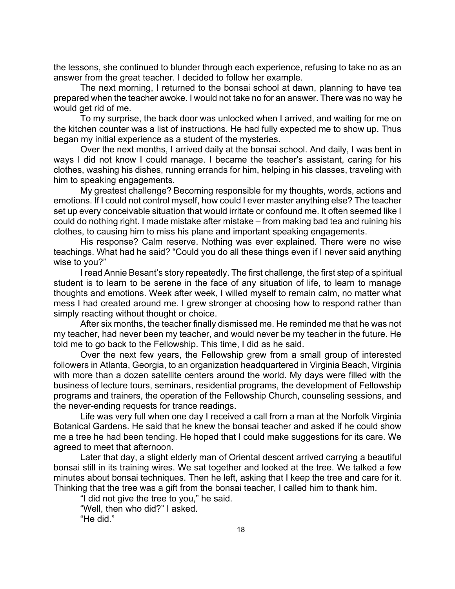the lessons, she continued to blunder through each experience, refusing to take no as an answer from the great teacher. I decided to follow her example.

The next morning, I returned to the bonsai school at dawn, planning to have tea prepared when the teacher awoke. I would not take no for an answer. There was no way he would get rid of me.

To my surprise, the back door was unlocked when I arrived, and waiting for me on the kitchen counter was a list of instructions. He had fully expected me to show up. Thus began my initial experience as a student of the mysteries.

Over the next months, I arrived daily at the bonsai school. And daily, I was bent in ways I did not know I could manage. I became the teacher's assistant, caring for his clothes, washing his dishes, running errands for him, helping in his classes, traveling with him to speaking engagements.

My greatest challenge? Becoming responsible for my thoughts, words, actions and emotions. If I could not control myself, how could I ever master anything else? The teacher set up every conceivable situation that would irritate or confound me. It often seemed like I could do nothing right. I made mistake after mistake – from making bad tea and ruining his clothes, to causing him to miss his plane and important speaking engagements.

His response? Calm reserve. Nothing was ever explained. There were no wise teachings. What had he said? "Could you do all these things even if I never said anything wise to you?"

I read Annie Besant's story repeatedly. The first challenge, the first step of a spiritual student is to learn to be serene in the face of any situation of life, to learn to manage thoughts and emotions. Week after week, I willed myself to remain calm, no matter what mess I had created around me. I grew stronger at choosing how to respond rather than simply reacting without thought or choice.

After six months, the teacher finally dismissed me. He reminded me that he was not my teacher, had never been my teacher, and would never be my teacher in the future. He told me to go back to the Fellowship. This time, I did as he said.

Over the next few years, the Fellowship grew from a small group of interested followers in Atlanta, Georgia, to an organization headquartered in Virginia Beach, Virginia with more than a dozen satellite centers around the world. My days were filled with the business of lecture tours, seminars, residential programs, the development of Fellowship programs and trainers, the operation of the Fellowship Church, counseling sessions, and the never-ending requests for trance readings.

Life was very full when one day I received a call from a man at the Norfolk Virginia Botanical Gardens. He said that he knew the bonsai teacher and asked if he could show me a tree he had been tending. He hoped that I could make suggestions for its care. We agreed to meet that afternoon.

Later that day, a slight elderly man of Oriental descent arrived carrying a beautiful bonsai still in its training wires. We sat together and looked at the tree. We talked a few minutes about bonsai techniques. Then he left, asking that I keep the tree and care for it. Thinking that the tree was a gift from the bonsai teacher, I called him to thank him.

"I did not give the tree to you," he said.

"Well, then who did?" I asked.

"He did."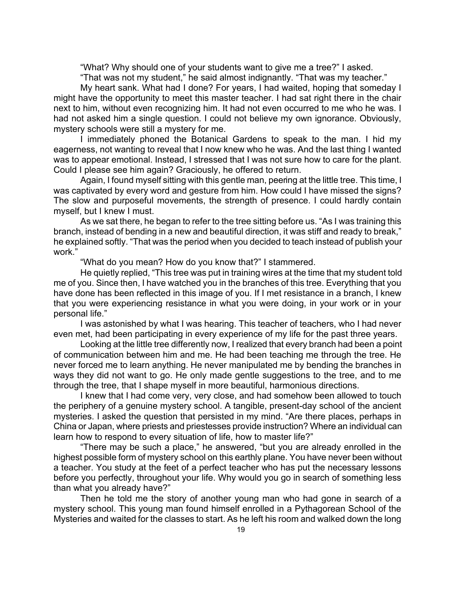"What? Why should one of your students want to give me a tree?" I asked.

"That was not my student," he said almost indignantly. "That was my teacher."

My heart sank. What had I done? For years, I had waited, hoping that someday I might have the opportunity to meet this master teacher. I had sat right there in the chair next to him, without even recognizing him. It had not even occurred to me who he was. I had not asked him a single question. I could not believe my own ignorance. Obviously, mystery schools were still a mystery for me.

I immediately phoned the Botanical Gardens to speak to the man. I hid my eagerness, not wanting to reveal that I now knew who he was. And the last thing I wanted was to appear emotional. Instead, I stressed that I was not sure how to care for the plant. Could I please see him again? Graciously, he offered to return.

Again, I found myself sitting with this gentle man, peering at the little tree. This time, I was captivated by every word and gesture from him. How could I have missed the signs? The slow and purposeful movements, the strength of presence. I could hardly contain myself, but I knew I must.

As we sat there, he began to refer to the tree sitting before us. "As I was training this branch, instead of bending in a new and beautiful direction, it was stiff and ready to break," he explained softly. "That was the period when you decided to teach instead of publish your work."

"What do you mean? How do you know that?" I stammered.

He quietly replied, "This tree was put in training wires at the time that my student told me of you. Since then, I have watched you in the branches of this tree. Everything that you have done has been reflected in this image of you. If I met resistance in a branch, I knew that you were experiencing resistance in what you were doing, in your work or in your personal life."

I was astonished by what I was hearing. This teacher of teachers, who I had never even met, had been participating in every experience of my life for the past three years.

Looking at the little tree differently now, I realized that every branch had been a point of communication between him and me. He had been teaching me through the tree. He never forced me to learn anything. He never manipulated me by bending the branches in ways they did not want to go. He only made gentle suggestions to the tree, and to me through the tree, that I shape myself in more beautiful, harmonious directions.

I knew that I had come very, very close, and had somehow been allowed to touch the periphery of a genuine mystery school. A tangible, present-day school of the ancient mysteries. I asked the question that persisted in my mind. "Are there places, perhaps in China or Japan, where priests and priestesses provide instruction? Where an individual can learn how to respond to every situation of life, how to master life?"

"There may be such a place," he answered, "but you are already enrolled in the highest possible form of mystery school on this earthly plane. You have never been without a teacher. You study at the feet of a perfect teacher who has put the necessary lessons before you perfectly, throughout your life. Why would you go in search of something less than what you already have?"

Then he told me the story of another young man who had gone in search of a mystery school. This young man found himself enrolled in a Pythagorean School of the Mysteries and waited for the classes to start. As he left his room and walked down the long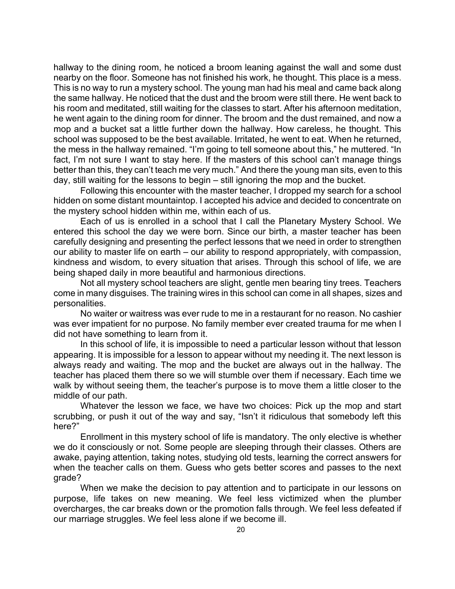hallway to the dining room, he noticed a broom leaning against the wall and some dust nearby on the floor. Someone has not finished his work, he thought. This place is a mess. This is no way to run a mystery school. The young man had his meal and came back along the same hallway. He noticed that the dust and the broom were still there. He went back to his room and meditated, still waiting for the classes to start. After his afternoon meditation, he went again to the dining room for dinner. The broom and the dust remained, and now a mop and a bucket sat a little further down the hallway. How careless, he thought. This school was supposed to be the best available. Irritated, he went to eat. When he returned, the mess in the hallway remained. "I'm going to tell someone about this," he muttered. "In fact, I'm not sure I want to stay here. If the masters of this school can't manage things better than this, they can't teach me very much." And there the young man sits, even to this day, still waiting for the lessons to begin – still ignoring the mop and the bucket.

Following this encounter with the master teacher, I dropped my search for a school hidden on some distant mountaintop. I accepted his advice and decided to concentrate on the mystery school hidden within me, within each of us.

Each of us is enrolled in a school that I call the Planetary Mystery School. We entered this school the day we were born. Since our birth, a master teacher has been carefully designing and presenting the perfect lessons that we need in order to strengthen our ability to master life on earth – our ability to respond appropriately, with compassion, kindness and wisdom, to every situation that arises. Through this school of life, we are being shaped daily in more beautiful and harmonious directions.

Not all mystery school teachers are slight, gentle men bearing tiny trees. Teachers come in many disguises. The training wires in this school can come in all shapes, sizes and personalities.

No waiter or waitress was ever rude to me in a restaurant for no reason. No cashier was ever impatient for no purpose. No family member ever created trauma for me when I did not have something to learn from it.

In this school of life, it is impossible to need a particular lesson without that lesson appearing. It is impossible for a lesson to appear without my needing it. The next lesson is always ready and waiting. The mop and the bucket are always out in the hallway. The teacher has placed them there so we will stumble over them if necessary. Each time we walk by without seeing them, the teacher's purpose is to move them a little closer to the middle of our path.

Whatever the lesson we face, we have two choices: Pick up the mop and start scrubbing, or push it out of the way and say, "Isn't it ridiculous that somebody left this here?"

Enrollment in this mystery school of life is mandatory. The only elective is whether we do it consciously or not. Some people are sleeping through their classes. Others are awake, paying attention, taking notes, studying old tests, learning the correct answers for when the teacher calls on them. Guess who gets better scores and passes to the next grade?

When we make the decision to pay attention and to participate in our lessons on purpose, life takes on new meaning. We feel less victimized when the plumber overcharges, the car breaks down or the promotion falls through. We feel less defeated if our marriage struggles. We feel less alone if we become ill.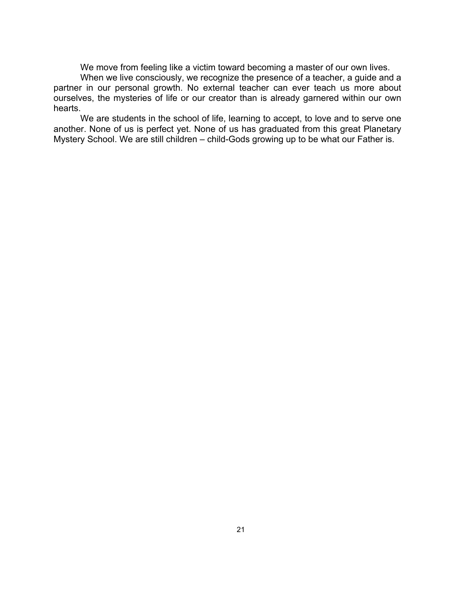We move from feeling like a victim toward becoming a master of our own lives.

When we live consciously, we recognize the presence of a teacher, a guide and a partner in our personal growth. No external teacher can ever teach us more about ourselves, the mysteries of life or our creator than is already garnered within our own hearts.

We are students in the school of life, learning to accept, to love and to serve one another. None of us is perfect yet. None of us has graduated from this great Planetary Mystery School. We are still children – child-Gods growing up to be what our Father is.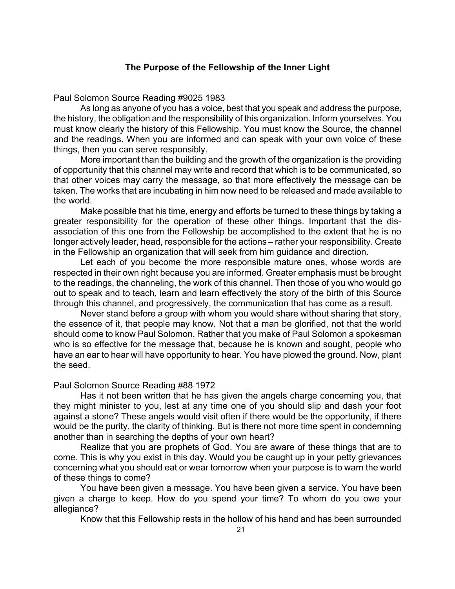### **The Purpose of the Fellowship of the Inner Light**

Paul Solomon Source Reading #9025 1983

As long as anyone of you has a voice, best that you speak and address the purpose, the history, the obligation and the responsibility of this organization. Inform yourselves. You must know clearly the history of this Fellowship. You must know the Source, the channel and the readings. When you are informed and can speak with your own voice of these things, then you can serve responsibly.

More important than the building and the growth of the organization is the providing of opportunity that this channel may write and record that which is to be communicated, so that other voices may carry the message, so that more effectively the message can be taken. The works that are incubating in him now need to be released and made available to the world.

Make possible that his time, energy and efforts be turned to these things by taking a greater responsibility for the operation of these other things. Important that the disassociation of this one from the Fellowship be accomplished to the extent that he is no longer actively leader, head, responsible for the actions – rather your responsibility. Create in the Fellowship an organization that will seek from him guidance and direction.

Let each of you become the more responsible mature ones, whose words are respected in their own right because you are informed. Greater emphasis must be brought to the readings, the channeling, the work of this channel. Then those of you who would go out to speak and to teach, learn and learn effectively the story of the birth of this Source through this channel, and progressively, the communication that has come as a result.

Never stand before a group with whom you would share without sharing that story, the essence of it, that people may know. Not that a man be glorified, not that the world should come to know Paul Solomon. Rather that you make of Paul Solomon a spokesman who is so effective for the message that, because he is known and sought, people who have an ear to hear will have opportunity to hear. You have plowed the ground. Now, plant the seed.

#### Paul Solomon Source Reading #88 1972

Has it not been written that he has given the angels charge concerning you, that they might minister to you, lest at any time one of you should slip and dash your foot against a stone? These angels would visit often if there would be the opportunity, if there would be the purity, the clarity of thinking. But is there not more time spent in condemning another than in searching the depths of your own heart?

Realize that you are prophets of God. You are aware of these things that are to come. This is why you exist in this day. Would you be caught up in your petty grievances concerning what you should eat or wear tomorrow when your purpose is to warn the world of these things to come?

You have been given a message. You have been given a service. You have been given a charge to keep. How do you spend your time? To whom do you owe your allegiance?

Know that this Fellowship rests in the hollow of his hand and has been surrounded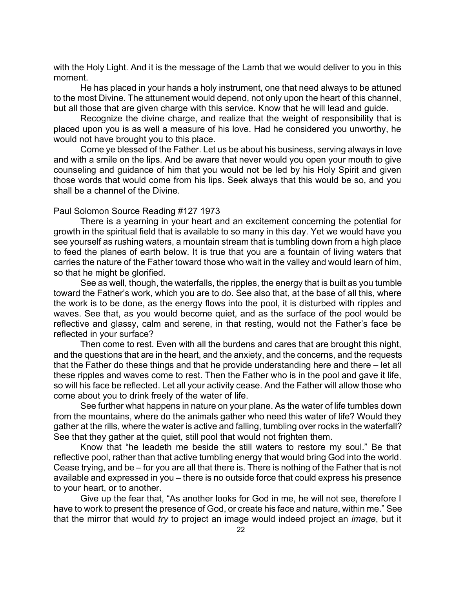with the Holy Light. And it is the message of the Lamb that we would deliver to you in this moment.

He has placed in your hands a holy instrument, one that need always to be attuned to the most Divine. The attunement would depend, not only upon the heart of this channel, but all those that are given charge with this service. Know that he will lead and guide.

Recognize the divine charge, and realize that the weight of responsibility that is placed upon you is as well a measure of his love. Had he considered you unworthy, he would not have brought you to this place.

Come ye blessed of the Father. Let us be about his business, serving always in love and with a smile on the lips. And be aware that never would you open your mouth to give counseling and guidance of him that you would not be led by his Holy Spirit and given those words that would come from his lips. Seek always that this would be so, and you shall be a channel of the Divine.

#### Paul Solomon Source Reading #127 1973

There is a yearning in your heart and an excitement concerning the potential for growth in the spiritual field that is available to so many in this day. Yet we would have you see yourself as rushing waters, a mountain stream that is tumbling down from a high place to feed the planes of earth below. It is true that you are a fountain of living waters that carries the nature of the Father toward those who wait in the valley and would learn of him, so that he might be glorified.

See as well, though, the waterfalls, the ripples, the energy that is built as you tumble toward the Father's work, which you are to do. See also that, at the base of all this, where the work is to be done, as the energy flows into the pool, it is disturbed with ripples and waves. See that, as you would become quiet, and as the surface of the pool would be reflective and glassy, calm and serene, in that resting, would not the Father's face be reflected in your surface?

Then come to rest. Even with all the burdens and cares that are brought this night, and the questions that are in the heart, and the anxiety, and the concerns, and the requests that the Father do these things and that he provide understanding here and there – let all these ripples and waves come to rest. Then the Father who is in the pool and gave it life, so will his face be reflected. Let all your activity cease. And the Father will allow those who come about you to drink freely of the water of life.

See further what happens in nature on your plane. As the water of life tumbles down from the mountains, where do the animals gather who need this water of life? Would they gather at the rills, where the water is active and falling, tumbling over rocks in the waterfall? See that they gather at the quiet, still pool that would not frighten them.

Know that "he leadeth me beside the still waters to restore my soul." Be that reflective pool, rather than that active tumbling energy that would bring God into the world. Cease trying, and be – for you are all that there is. There is nothing of the Father that is not available and expressed in you – there is no outside force that could express his presence to your heart, or to another.

Give up the fear that, "As another looks for God in me, he will not see, therefore I have to work to present the presence of God, or create his face and nature, within me." See that the mirror that would *try* to project an image would indeed project an *image*, but it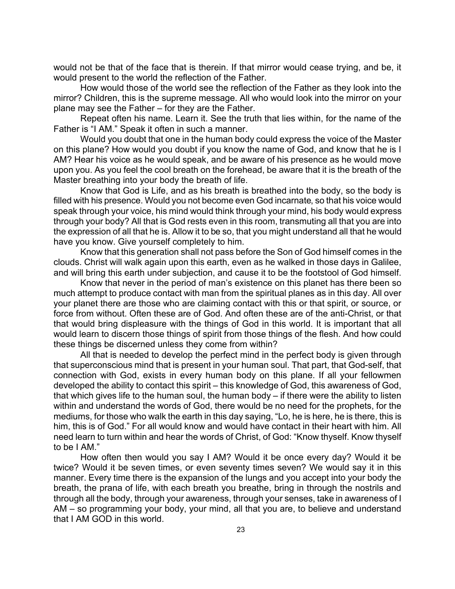would not be that of the face that is therein. If that mirror would cease trying, and be, it would present to the world the reflection of the Father.

How would those of the world see the reflection of the Father as they look into the mirror? Children, this is the supreme message. All who would look into the mirror on your plane may see the Father – for they are the Father.

Repeat often his name. Learn it. See the truth that lies within, for the name of the Father is "I AM." Speak it often in such a manner.

Would you doubt that one in the human body could express the voice of the Master on this plane? How would you doubt if you know the name of God, and know that he is I AM? Hear his voice as he would speak, and be aware of his presence as he would move upon you. As you feel the cool breath on the forehead, be aware that it is the breath of the Master breathing into your body the breath of life.

Know that God is Life, and as his breath is breathed into the body, so the body is filled with his presence. Would you not become even God incarnate, so that his voice would speak through your voice, his mind would think through your mind, his body would express through your body? All that is God rests even in this room, transmuting all that you are into the expression of all that he is. Allow it to be so, that you might understand all that he would have you know. Give yourself completely to him.

Know that this generation shall not pass before the Son of God himself comes in the clouds. Christ will walk again upon this earth, even as he walked in those days in Galilee, and will bring this earth under subjection, and cause it to be the footstool of God himself.

Know that never in the period of man's existence on this planet has there been so much attempt to produce contact with man from the spiritual planes as in this day. All over your planet there are those who are claiming contact with this or that spirit, or source, or force from without. Often these are of God. And often these are of the anti-Christ, or that that would bring displeasure with the things of God in this world. It is important that all would learn to discern those things of spirit from those things of the flesh. And how could these things be discerned unless they come from within?

All that is needed to develop the perfect mind in the perfect body is given through that superconscious mind that is present in your human soul. That part, that God-self, that connection with God, exists in every human body on this plane. If all your fellowmen developed the ability to contact this spirit – this knowledge of God, this awareness of God, that which gives life to the human soul, the human body – if there were the ability to listen within and understand the words of God, there would be no need for the prophets, for the mediums, for those who walk the earth in this day saying, "Lo, he is here, he is there, this is him, this is of God." For all would know and would have contact in their heart with him. All need learn to turn within and hear the words of Christ, of God: "Know thyself. Know thyself to be I AM."

How often then would you say I AM? Would it be once every day? Would it be twice? Would it be seven times, or even seventy times seven? We would say it in this manner. Every time there is the expansion of the lungs and you accept into your body the breath, the prana of life, with each breath you breathe, bring in through the nostrils and through all the body, through your awareness, through your senses, take in awareness of I AM – so programming your body, your mind, all that you are, to believe and understand that I AM GOD in this world.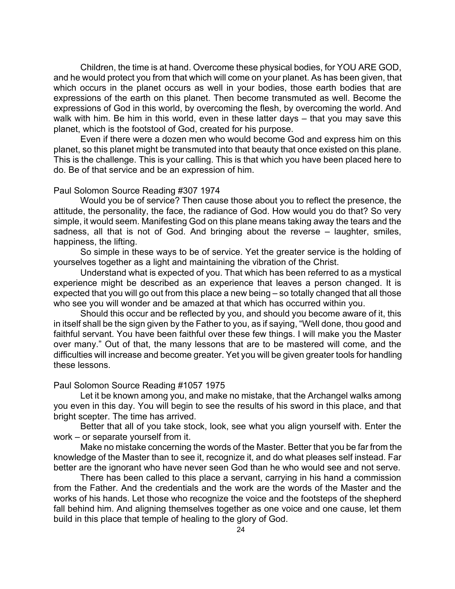Children, the time is at hand. Overcome these physical bodies, for YOU ARE GOD, and he would protect you from that which will come on your planet. As has been given, that which occurs in the planet occurs as well in your bodies, those earth bodies that are expressions of the earth on this planet. Then become transmuted as well. Become the expressions of God in this world, by overcoming the flesh, by overcoming the world. And walk with him. Be him in this world, even in these latter days – that you may save this planet, which is the footstool of God, created for his purpose.

Even if there were a dozen men who would become God and express him on this planet, so this planet might be transmuted into that beauty that once existed on this plane. This is the challenge. This is your calling. This is that which you have been placed here to do. Be of that service and be an expression of him.

#### Paul Solomon Source Reading #307 1974

Would you be of service? Then cause those about you to reflect the presence, the attitude, the personality, the face, the radiance of God. How would you do that? So very simple, it would seem. Manifesting God on this plane means taking away the tears and the sadness, all that is not of God. And bringing about the reverse – laughter, smiles, happiness, the lifting.

So simple in these ways to be of service. Yet the greater service is the holding of yourselves together as a light and maintaining the vibration of the Christ.

Understand what is expected of you. That which has been referred to as a mystical experience might be described as an experience that leaves a person changed. It is expected that you will go out from this place a new being – so totally changed that all those who see you will wonder and be amazed at that which has occurred within you.

Should this occur and be reflected by you, and should you become aware of it, this in itself shall be the sign given by the Father to you, as if saying, "Well done, thou good and faithful servant. You have been faithful over these few things. I will make you the Master over many." Out of that, the many lessons that are to be mastered will come, and the difficulties will increase and become greater. Yet you will be given greater tools for handling these lessons.

#### Paul Solomon Source Reading #1057 1975

Let it be known among you, and make no mistake, that the Archangel walks among you even in this day. You will begin to see the results of his sword in this place, and that bright scepter. The time has arrived.

Better that all of you take stock, look, see what you align yourself with. Enter the work – or separate yourself from it.

Make no mistake concerning the words of the Master. Better that you be far from the knowledge of the Master than to see it, recognize it, and do what pleases self instead. Far better are the ignorant who have never seen God than he who would see and not serve.

There has been called to this place a servant, carrying in his hand a commission from the Father. And the credentials and the work are the words of the Master and the works of his hands. Let those who recognize the voice and the footsteps of the shepherd fall behind him. And aligning themselves together as one voice and one cause, let them build in this place that temple of healing to the glory of God.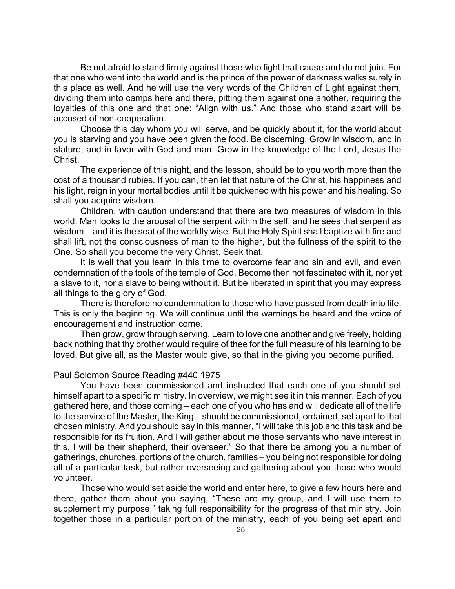Be not afraid to stand firmly against those who fight that cause and do not join. For that one who went into the world and is the prince of the power of darkness walks surely in this place as well. And he will use the very words of the Children of Light against them, dividing them into camps here and there, pitting them against one another, requiring the loyalties of this one and that one: "Align with us." And those who stand apart will be accused of non-cooperation.

Choose this day whom you will serve, and be quickly about it, for the world about you is starving and you have been given the food. Be discerning. Grow in wisdom, and in stature, and in favor with God and man. Grow in the knowledge of the Lord, Jesus the Christ.

The experience of this night, and the lesson, should be to you worth more than the cost of a thousand rubies. If you can, then let that nature of the Christ, his happiness and his light, reign in your mortal bodies until it be quickened with his power and his healing. So shall you acquire wisdom.

Children, with caution understand that there are two measures of wisdom in this world. Man looks to the arousal of the serpent within the self, and he sees that serpent as wisdom – and it is the seat of the worldly wise. But the Holy Spirit shall baptize with fire and shall lift, not the consciousness of man to the higher, but the fullness of the spirit to the One. So shall you become the very Christ. Seek that.

It is well that you learn in this time to overcome fear and sin and evil, and even condemnation of the tools of the temple of God. Become then not fascinated with it, nor yet a slave to it, nor a slave to being without it. But be liberated in spirit that you may express all things to the glory of God.

There is therefore no condemnation to those who have passed from death into life. This is only the beginning. We will continue until the warnings be heard and the voice of encouragement and instruction come.

Then grow, grow through serving. Learn to love one another and give freely, holding back nothing that thy brother would require of thee for the full measure of his learning to be loved. But give all, as the Master would give, so that in the giving you become purified.

#### Paul Solomon Source Reading #440 1975

You have been commissioned and instructed that each one of you should set himself apart to a specific ministry. In overview, we might see it in this manner. Each of you gathered here, and those coming – each one of you who has and will dedicate all of the life to the service of the Master, the King – should be commissioned, ordained, set apart to that chosen ministry. And you should say in this manner, "I will take this job and this task and be responsible for its fruition. And I will gather about me those servants who have interest in this. I will be their shepherd, their overseer." So that there be among you a number of gatherings, churches, portions of the church, families – you being not responsible for doing all of a particular task, but rather overseeing and gathering about you those who would volunteer.

Those who would set aside the world and enter here, to give a few hours here and there, gather them about you saying, "These are my group, and I will use them to supplement my purpose," taking full responsibility for the progress of that ministry. Join together those in a particular portion of the ministry, each of you being set apart and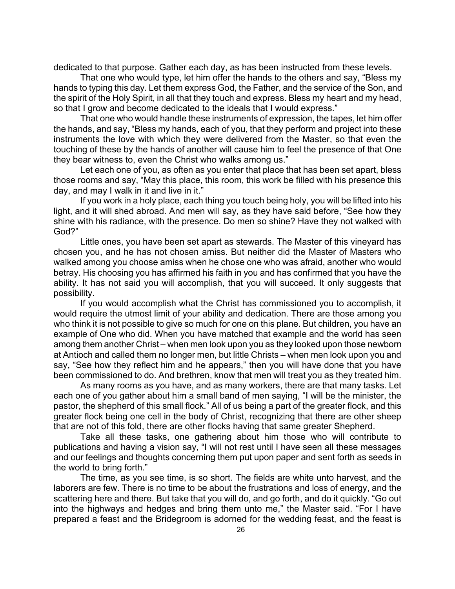dedicated to that purpose. Gather each day, as has been instructed from these levels.

That one who would type, let him offer the hands to the others and say, "Bless my hands to typing this day. Let them express God, the Father, and the service of the Son, and the spirit of the Holy Spirit, in all that they touch and express. Bless my heart and my head, so that I grow and become dedicated to the ideals that I would express."

That one who would handle these instruments of expression, the tapes, let him offer the hands, and say, "Bless my hands, each of you, that they perform and project into these instruments the love with which they were delivered from the Master, so that even the touching of these by the hands of another will cause him to feel the presence of that One they bear witness to, even the Christ who walks among us."

Let each one of you, as often as you enter that place that has been set apart, bless those rooms and say, "May this place, this room, this work be filled with his presence this day, and may I walk in it and live in it."

If you work in a holy place, each thing you touch being holy, you will be lifted into his light, and it will shed abroad. And men will say, as they have said before, "See how they shine with his radiance, with the presence. Do men so shine? Have they not walked with God?"

Little ones, you have been set apart as stewards. The Master of this vineyard has chosen you, and he has not chosen amiss. But neither did the Master of Masters who walked among you choose amiss when he chose one who was afraid, another who would betray. His choosing you has affirmed his faith in you and has confirmed that you have the ability. It has not said you will accomplish, that you will succeed. It only suggests that possibility.

If you would accomplish what the Christ has commissioned you to accomplish, it would require the utmost limit of your ability and dedication. There are those among you who think it is not possible to give so much for one on this plane. But children, you have an example of One who did. When you have matched that example and the world has seen among them another Christ – when men look upon you as they looked upon those newborn at Antioch and called them no longer men, but little Christs – when men look upon you and say, "See how they reflect him and he appears," then you will have done that you have been commissioned to do. And brethren, know that men will treat you as they treated him.

As many rooms as you have, and as many workers, there are that many tasks. Let each one of you gather about him a small band of men saying, "I will be the minister, the pastor, the shepherd of this small flock." All of us being a part of the greater flock, and this greater flock being one cell in the body of Christ, recognizing that there are other sheep that are not of this fold, there are other flocks having that same greater Shepherd.

Take all these tasks, one gathering about him those who will contribute to publications and having a vision say, "I will not rest until I have seen all these messages and our feelings and thoughts concerning them put upon paper and sent forth as seeds in the world to bring forth."

The time, as you see time, is so short. The fields are white unto harvest, and the laborers are few. There is no time to be about the frustrations and loss of energy, and the scattering here and there. But take that you will do, and go forth, and do it quickly. "Go out into the highways and hedges and bring them unto me," the Master said. "For I have prepared a feast and the Bridegroom is adorned for the wedding feast, and the feast is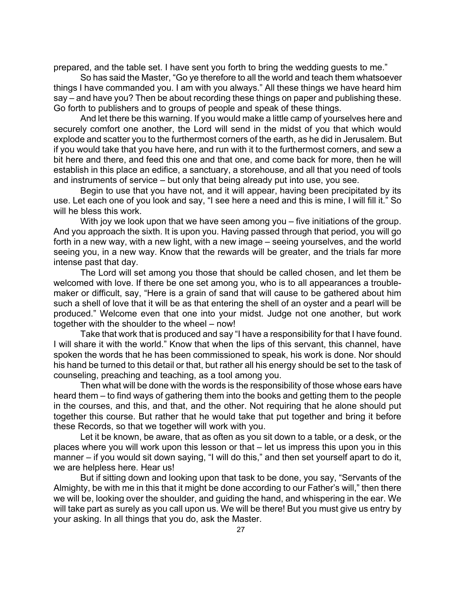prepared, and the table set. I have sent you forth to bring the wedding guests to me."

So has said the Master, "Go ye therefore to all the world and teach them whatsoever things I have commanded you. I am with you always." All these things we have heard him say – and have you? Then be about recording these things on paper and publishing these. Go forth to publishers and to groups of people and speak of these things.

And let there be this warning. If you would make a little camp of yourselves here and securely comfort one another, the Lord will send in the midst of you that which would explode and scatter you to the furthermost corners of the earth, as he did in Jerusalem. But if you would take that you have here, and run with it to the furthermost corners, and sew a bit here and there, and feed this one and that one, and come back for more, then he will establish in this place an edifice, a sanctuary, a storehouse, and all that you need of tools and instruments of service – but only that being already put into use, you see.

Begin to use that you have not, and it will appear, having been precipitated by its use. Let each one of you look and say, "I see here a need and this is mine, I will fill it." So will he bless this work.

With joy we look upon that we have seen among you – five initiations of the group. And you approach the sixth. It is upon you. Having passed through that period, you will go forth in a new way, with a new light, with a new image – seeing yourselves, and the world seeing you, in a new way. Know that the rewards will be greater, and the trials far more intense past that day.

The Lord will set among you those that should be called chosen, and let them be welcomed with love. If there be one set among you, who is to all appearances a troublemaker or difficult, say, "Here is a grain of sand that will cause to be gathered about him such a shell of love that it will be as that entering the shell of an oyster and a pearl will be produced." Welcome even that one into your midst. Judge not one another, but work together with the shoulder to the wheel – now!

Take that work that is produced and say "I have a responsibility for that I have found. I will share it with the world." Know that when the lips of this servant, this channel, have spoken the words that he has been commissioned to speak, his work is done. Nor should his hand be turned to this detail or that, but rather all his energy should be set to the task of counseling, preaching and teaching, as a tool among you.

Then what will be done with the words is the responsibility of those whose ears have heard them – to find ways of gathering them into the books and getting them to the people in the courses, and this, and that, and the other. Not requiring that he alone should put together this course. But rather that he would take that put together and bring it before these Records, so that we together will work with you.

Let it be known, be aware, that as often as you sit down to a table, or a desk, or the places where you will work upon this lesson or that – let us impress this upon you in this manner – if you would sit down saying, "I will do this," and then set yourself apart to do it, we are helpless here. Hear us!

But if sitting down and looking upon that task to be done, you say, "Servants of the Almighty, be with me in this that it might be done according to our Father's will," then there we will be, looking over the shoulder, and guiding the hand, and whispering in the ear. We will take part as surely as you call upon us. We will be there! But you must give us entry by your asking. In all things that you do, ask the Master.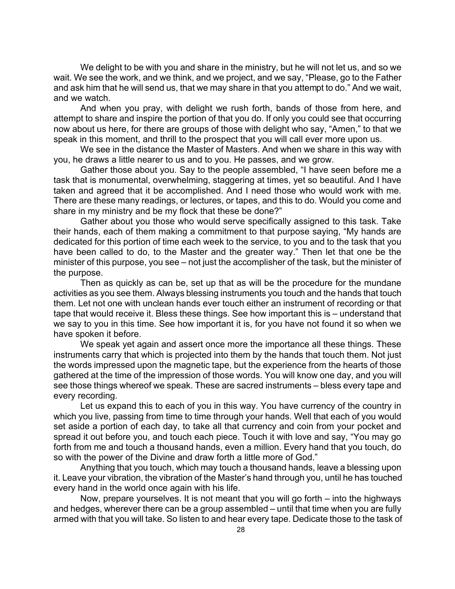We delight to be with you and share in the ministry, but he will not let us, and so we wait. We see the work, and we think, and we project, and we say, "Please, go to the Father and ask him that he will send us, that we may share in that you attempt to do." And we wait, and we watch.

And when you pray, with delight we rush forth, bands of those from here, and attempt to share and inspire the portion of that you do. If only you could see that occurring now about us here, for there are groups of those with delight who say, "Amen," to that we speak in this moment, and thrill to the prospect that you will call ever more upon us.

We see in the distance the Master of Masters. And when we share in this way with you, he draws a little nearer to us and to you. He passes, and we grow.

Gather those about you. Say to the people assembled, "I have seen before me a task that is monumental, overwhelming, staggering at times, yet so beautiful. And I have taken and agreed that it be accomplished. And I need those who would work with me. There are these many readings, or lectures, or tapes, and this to do. Would you come and share in my ministry and be my flock that these be done?"

Gather about you those who would serve specifically assigned to this task. Take their hands, each of them making a commitment to that purpose saying, "My hands are dedicated for this portion of time each week to the service, to you and to the task that you have been called to do, to the Master and the greater way." Then let that one be the minister of this purpose, you see – not just the accomplisher of the task, but the minister of the purpose.

Then as quickly as can be, set up that as will be the procedure for the mundane activities as you see them. Always blessing instruments you touch and the hands that touch them. Let not one with unclean hands ever touch either an instrument of recording or that tape that would receive it. Bless these things. See how important this is – understand that we say to you in this time. See how important it is, for you have not found it so when we have spoken it before.

We speak yet again and assert once more the importance all these things. These instruments carry that which is projected into them by the hands that touch them. Not just the words impressed upon the magnetic tape, but the experience from the hearts of those gathered at the time of the impression of those words. You will know one day, and you will see those things whereof we speak. These are sacred instruments – bless every tape and every recording.

Let us expand this to each of you in this way. You have currency of the country in which you live, passing from time to time through your hands. Well that each of you would set aside a portion of each day, to take all that currency and coin from your pocket and spread it out before you, and touch each piece. Touch it with love and say, "You may go forth from me and touch a thousand hands, even a million. Every hand that you touch, do so with the power of the Divine and draw forth a little more of God."

Anything that you touch, which may touch a thousand hands, leave a blessing upon it. Leave your vibration, the vibration of the Master's hand through you, until he has touched every hand in the world once again with his life.

Now, prepare yourselves. It is not meant that you will go forth – into the highways and hedges, wherever there can be a group assembled – until that time when you are fully armed with that you will take. So listen to and hear every tape. Dedicate those to the task of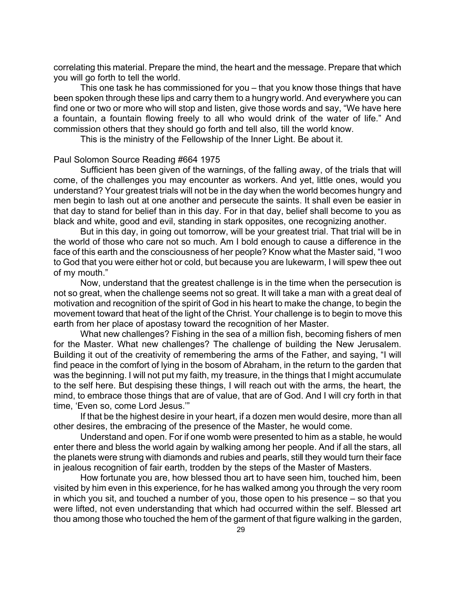correlating this material. Prepare the mind, the heart and the message. Prepare that which you will go forth to tell the world.

This one task he has commissioned for you – that you know those things that have been spoken through these lips and carry them to a hungry world. And everywhere you can find one or two or more who will stop and listen, give those words and say, "We have here a fountain, a fountain flowing freely to all who would drink of the water of life." And commission others that they should go forth and tell also, till the world know.

This is the ministry of the Fellowship of the Inner Light. Be about it.

#### Paul Solomon Source Reading #664 1975

Sufficient has been given of the warnings, of the falling away, of the trials that will come, of the challenges you may encounter as workers. And yet, little ones, would you understand? Your greatest trials will not be in the day when the world becomes hungry and men begin to lash out at one another and persecute the saints. It shall even be easier in that day to stand for belief than in this day. For in that day, belief shall become to you as black and white, good and evil, standing in stark opposites, one recognizing another.

But in this day, in going out tomorrow, will be your greatest trial. That trial will be in the world of those who care not so much. Am I bold enough to cause a difference in the face of this earth and the consciousness of her people? Know what the Master said, "I woo to God that you were either hot or cold, but because you are lukewarm, I will spew thee out of my mouth."

Now, understand that the greatest challenge is in the time when the persecution is not so great, when the challenge seems not so great. It will take a man with a great deal of motivation and recognition of the spirit of God in his heart to make the change, to begin the movement toward that heat of the light of the Christ. Your challenge is to begin to move this earth from her place of apostasy toward the recognition of her Master.

What new challenges? Fishing in the sea of a million fish, becoming fishers of men for the Master. What new challenges? The challenge of building the New Jerusalem. Building it out of the creativity of remembering the arms of the Father, and saying, "I will find peace in the comfort of lying in the bosom of Abraham, in the return to the garden that was the beginning. I will not put my faith, my treasure, in the things that I might accumulate to the self here. But despising these things, I will reach out with the arms, the heart, the mind, to embrace those things that are of value, that are of God. And I will cry forth in that time, 'Even so, come Lord Jesus.'"

If that be the highest desire in your heart, if a dozen men would desire, more than all other desires, the embracing of the presence of the Master, he would come.

Understand and open. For if one womb were presented to him as a stable, he would enter there and bless the world again by walking among her people. And if all the stars, all the planets were strung with diamonds and rubies and pearls, still they would turn their face in jealous recognition of fair earth, trodden by the steps of the Master of Masters.

How fortunate you are, how blessed thou art to have seen him, touched him, been visited by him even in this experience, for he has walked among you through the very room in which you sit, and touched a number of you, those open to his presence – so that you were lifted, not even understanding that which had occurred within the self. Blessed art thou among those who touched the hem of the garment of that figure walking in the garden,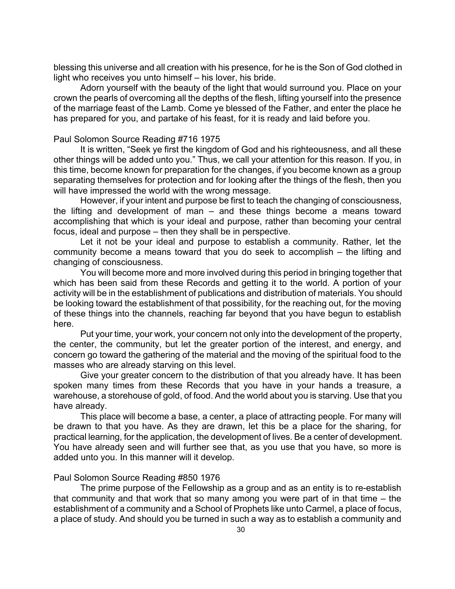blessing this universe and all creation with his presence, for he is the Son of God clothed in light who receives you unto himself – his lover, his bride.

Adorn yourself with the beauty of the light that would surround you. Place on your crown the pearls of overcoming all the depths of the flesh, lifting yourself into the presence of the marriage feast of the Lamb. Come ye blessed of the Father, and enter the place he has prepared for you, and partake of his feast, for it is ready and laid before you.

#### Paul Solomon Source Reading #716 1975

It is written, "Seek ye first the kingdom of God and his righteousness, and all these other things will be added unto you." Thus, we call your attention for this reason. If you, in this time, become known for preparation for the changes, if you become known as a group separating themselves for protection and for looking after the things of the flesh, then you will have impressed the world with the wrong message.

However, if your intent and purpose be first to teach the changing of consciousness, the lifting and development of man – and these things become a means toward accomplishing that which is your ideal and purpose, rather than becoming your central focus, ideal and purpose – then they shall be in perspective.

Let it not be your ideal and purpose to establish a community. Rather, let the community become a means toward that you do seek to accomplish – the lifting and changing of consciousness.

You will become more and more involved during this period in bringing together that which has been said from these Records and getting it to the world. A portion of your activity will be in the establishment of publications and distribution of materials. You should be looking toward the establishment of that possibility, for the reaching out, for the moving of these things into the channels, reaching far beyond that you have begun to establish here.

Put your time, your work, your concern not only into the development of the property, the center, the community, but let the greater portion of the interest, and energy, and concern go toward the gathering of the material and the moving of the spiritual food to the masses who are already starving on this level.

Give your greater concern to the distribution of that you already have. It has been spoken many times from these Records that you have in your hands a treasure, a warehouse, a storehouse of gold, of food. And the world about you is starving. Use that you have already.

This place will become a base, a center, a place of attracting people. For many will be drawn to that you have. As they are drawn, let this be a place for the sharing, for practical learning, for the application, the development of lives. Be a center of development. You have already seen and will further see that, as you use that you have, so more is added unto you. In this manner will it develop.

# Paul Solomon Source Reading #850 1976

The prime purpose of the Fellowship as a group and as an entity is to re-establish that community and that work that so many among you were part of in that time – the establishment of a community and a School of Prophets like unto Carmel, a place of focus, a place of study. And should you be turned in such a way as to establish a community and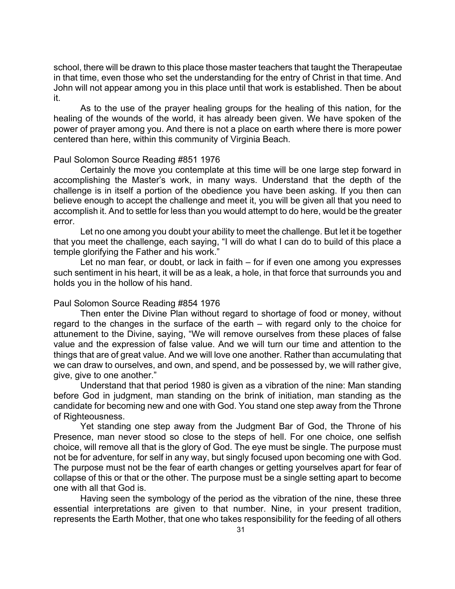school, there will be drawn to this place those master teachers that taught the Therapeutae in that time, even those who set the understanding for the entry of Christ in that time. And John will not appear among you in this place until that work is established. Then be about it.

As to the use of the prayer healing groups for the healing of this nation, for the healing of the wounds of the world, it has already been given. We have spoken of the power of prayer among you. And there is not a place on earth where there is more power centered than here, within this community of Virginia Beach.

#### Paul Solomon Source Reading #851 1976

Certainly the move you contemplate at this time will be one large step forward in accomplishing the Master's work, in many ways. Understand that the depth of the challenge is in itself a portion of the obedience you have been asking. If you then can believe enough to accept the challenge and meet it, you will be given all that you need to accomplish it. And to settle for less than you would attempt to do here, would be the greater error.

Let no one among you doubt your ability to meet the challenge. But let it be together that you meet the challenge, each saying, "I will do what I can do to build of this place a temple glorifying the Father and his work."

Let no man fear, or doubt, or lack in faith – for if even one among you expresses such sentiment in his heart, it will be as a leak, a hole, in that force that surrounds you and holds you in the hollow of his hand.

#### Paul Solomon Source Reading #854 1976

Then enter the Divine Plan without regard to shortage of food or money, without regard to the changes in the surface of the earth – with regard only to the choice for attunement to the Divine, saying, "We will remove ourselves from these places of false value and the expression of false value. And we will turn our time and attention to the things that are of great value. And we will love one another. Rather than accumulating that we can draw to ourselves, and own, and spend, and be possessed by, we will rather give, give, give to one another."

Understand that that period 1980 is given as a vibration of the nine: Man standing before God in judgment, man standing on the brink of initiation, man standing as the candidate for becoming new and one with God. You stand one step away from the Throne of Righteousness.

Yet standing one step away from the Judgment Bar of God, the Throne of his Presence, man never stood so close to the steps of hell. For one choice, one selfish choice, will remove all that is the glory of God. The eye must be single. The purpose must not be for adventure, for self in any way, but singly focused upon becoming one with God. The purpose must not be the fear of earth changes or getting yourselves apart for fear of collapse of this or that or the other. The purpose must be a single setting apart to become one with all that God is.

Having seen the symbology of the period as the vibration of the nine, these three essential interpretations are given to that number. Nine, in your present tradition, represents the Earth Mother, that one who takes responsibility for the feeding of all others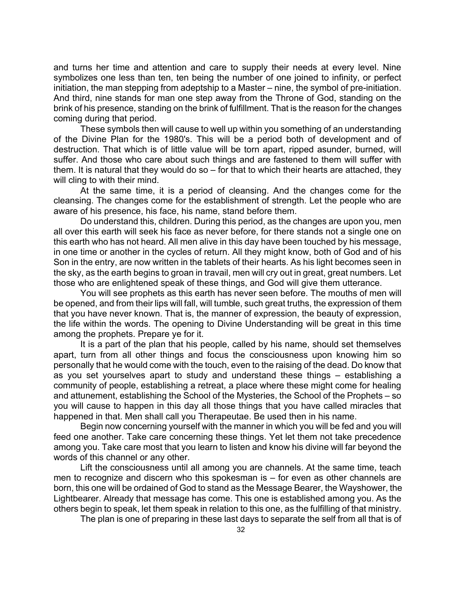and turns her time and attention and care to supply their needs at every level. Nine symbolizes one less than ten, ten being the number of one joined to infinity, or perfect initiation, the man stepping from adeptship to a Master – nine, the symbol of pre-initiation. And third, nine stands for man one step away from the Throne of God, standing on the brink of his presence, standing on the brink of fulfillment. That is the reason for the changes coming during that period.

These symbols then will cause to well up within you something of an understanding of the Divine Plan for the 1980's. This will be a period both of development and of destruction. That which is of little value will be torn apart, ripped asunder, burned, will suffer. And those who care about such things and are fastened to them will suffer with them. It is natural that they would do so – for that to which their hearts are attached, they will cling to with their mind.

At the same time, it is a period of cleansing. And the changes come for the cleansing. The changes come for the establishment of strength. Let the people who are aware of his presence, his face, his name, stand before them.

Do understand this, children. During this period, as the changes are upon you, men all over this earth will seek his face as never before, for there stands not a single one on this earth who has not heard. All men alive in this day have been touched by his message, in one time or another in the cycles of return. All they might know, both of God and of his Son in the entry, are now written in the tablets of their hearts. As his light becomes seen in the sky, as the earth begins to groan in travail, men will cry out in great, great numbers. Let those who are enlightened speak of these things, and God will give them utterance.

You will see prophets as this earth has never seen before. The mouths of men will be opened, and from their lips will fall, will tumble, such great truths, the expression of them that you have never known. That is, the manner of expression, the beauty of expression, the life within the words. The opening to Divine Understanding will be great in this time among the prophets. Prepare ye for it.

It is a part of the plan that his people, called by his name, should set themselves apart, turn from all other things and focus the consciousness upon knowing him so personally that he would come with the touch, even to the raising of the dead. Do know that as you set yourselves apart to study and understand these things – establishing a community of people, establishing a retreat, a place where these might come for healing and attunement, establishing the School of the Mysteries, the School of the Prophets – so you will cause to happen in this day all those things that you have called miracles that happened in that. Men shall call you Therapeutae. Be used then in his name.

Begin now concerning yourself with the manner in which you will be fed and you will feed one another. Take care concerning these things. Yet let them not take precedence among you. Take care most that you learn to listen and know his divine will far beyond the words of this channel or any other.

Lift the consciousness until all among you are channels. At the same time, teach men to recognize and discern who this spokesman is – for even as other channels are born, this one will be ordained of God to stand as the Message Bearer, the Wayshower, the Lightbearer. Already that message has come. This one is established among you. As the others begin to speak, let them speak in relation to this one, as the fulfilling of that ministry.

The plan is one of preparing in these last days to separate the self from all that is of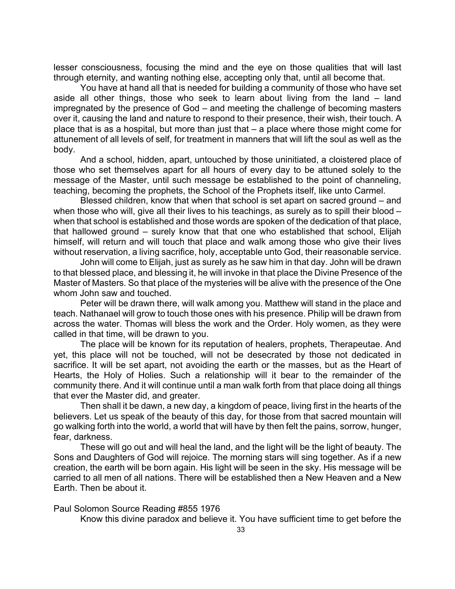lesser consciousness, focusing the mind and the eye on those qualities that will last through eternity, and wanting nothing else, accepting only that, until all become that.

You have at hand all that is needed for building a community of those who have set aside all other things, those who seek to learn about living from the land – land impregnated by the presence of God – and meeting the challenge of becoming masters over it, causing the land and nature to respond to their presence, their wish, their touch. A place that is as a hospital, but more than just that – a place where those might come for attunement of all levels of self, for treatment in manners that will lift the soul as well as the body.

And a school, hidden, apart, untouched by those uninitiated, a cloistered place of those who set themselves apart for all hours of every day to be attuned solely to the message of the Master, until such message be established to the point of channeling, teaching, becoming the prophets, the School of the Prophets itself, like unto Carmel.

Blessed children, know that when that school is set apart on sacred ground – and when those who will, give all their lives to his teachings, as surely as to spill their blood – when that school is established and those words are spoken of the dedication of that place, that hallowed ground – surely know that that one who established that school, Elijah himself, will return and will touch that place and walk among those who give their lives without reservation, a living sacrifice, holy, acceptable unto God, their reasonable service.

John will come to Elijah, just as surely as he saw him in that day. John will be drawn to that blessed place, and blessing it, he will invoke in that place the Divine Presence of the Master of Masters. So that place of the mysteries will be alive with the presence of the One whom John saw and touched.

Peter will be drawn there, will walk among you. Matthew will stand in the place and teach. Nathanael will grow to touch those ones with his presence. Philip will be drawn from across the water. Thomas will bless the work and the Order. Holy women, as they were called in that time, will be drawn to you.

The place will be known for its reputation of healers, prophets, Therapeutae. And yet, this place will not be touched, will not be desecrated by those not dedicated in sacrifice. It will be set apart, not avoiding the earth or the masses, but as the Heart of Hearts, the Holy of Holies. Such a relationship will it bear to the remainder of the community there. And it will continue until a man walk forth from that place doing all things that ever the Master did, and greater.

Then shall it be dawn, a new day, a kingdom of peace, living first in the hearts of the believers. Let us speak of the beauty of this day, for those from that sacred mountain will go walking forth into the world, a world that will have by then felt the pains, sorrow, hunger, fear, darkness.

These will go out and will heal the land, and the light will be the light of beauty. The Sons and Daughters of God will rejoice. The morning stars will sing together. As if a new creation, the earth will be born again. His light will be seen in the sky. His message will be carried to all men of all nations. There will be established then a New Heaven and a New Earth. Then be about it.

Paul Solomon Source Reading #855 1976

Know this divine paradox and believe it. You have sufficient time to get before the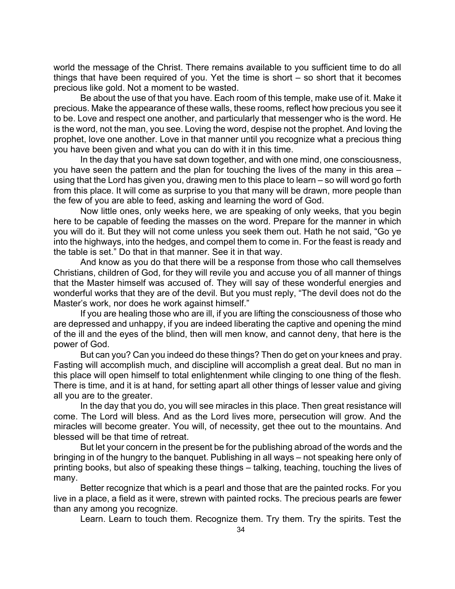world the message of the Christ. There remains available to you sufficient time to do all things that have been required of you. Yet the time is short – so short that it becomes precious like gold. Not a moment to be wasted.

Be about the use of that you have. Each room of this temple, make use of it. Make it precious. Make the appearance of these walls, these rooms, reflect how precious you see it to be. Love and respect one another, and particularly that messenger who is the word. He is the word, not the man, you see. Loving the word, despise not the prophet. And loving the prophet, love one another. Love in that manner until you recognize what a precious thing you have been given and what you can do with it in this time.

In the day that you have sat down together, and with one mind, one consciousness, you have seen the pattern and the plan for touching the lives of the many in this area – using that the Lord has given you, drawing men to this place to learn – so will word go forth from this place. It will come as surprise to you that many will be drawn, more people than the few of you are able to feed, asking and learning the word of God.

Now little ones, only weeks here, we are speaking of only weeks, that you begin here to be capable of feeding the masses on the word. Prepare for the manner in which you will do it. But they will not come unless you seek them out. Hath he not said, "Go ye into the highways, into the hedges, and compel them to come in. For the feast is ready and the table is set." Do that in that manner. See it in that way.

And know as you do that there will be a response from those who call themselves Christians, children of God, for they will revile you and accuse you of all manner of things that the Master himself was accused of. They will say of these wonderful energies and wonderful works that they are of the devil. But you must reply, "The devil does not do the Master's work, nor does he work against himself."

If you are healing those who are ill, if you are lifting the consciousness of those who are depressed and unhappy, if you are indeed liberating the captive and opening the mind of the ill and the eyes of the blind, then will men know, and cannot deny, that here is the power of God.

But can you? Can you indeed do these things? Then do get on your knees and pray. Fasting will accomplish much, and discipline will accomplish a great deal. But no man in this place will open himself to total enlightenment while clinging to one thing of the flesh. There is time, and it is at hand, for setting apart all other things of lesser value and giving all you are to the greater.

In the day that you do, you will see miracles in this place. Then great resistance will come. The Lord will bless. And as the Lord lives more, persecution will grow. And the miracles will become greater. You will, of necessity, get thee out to the mountains. And blessed will be that time of retreat.

But let your concern in the present be for the publishing abroad of the words and the bringing in of the hungry to the banquet. Publishing in all ways – not speaking here only of printing books, but also of speaking these things – talking, teaching, touching the lives of many.

Better recognize that which is a pearl and those that are the painted rocks. For you live in a place, a field as it were, strewn with painted rocks. The precious pearls are fewer than any among you recognize.

Learn. Learn to touch them. Recognize them. Try them. Try the spirits. Test the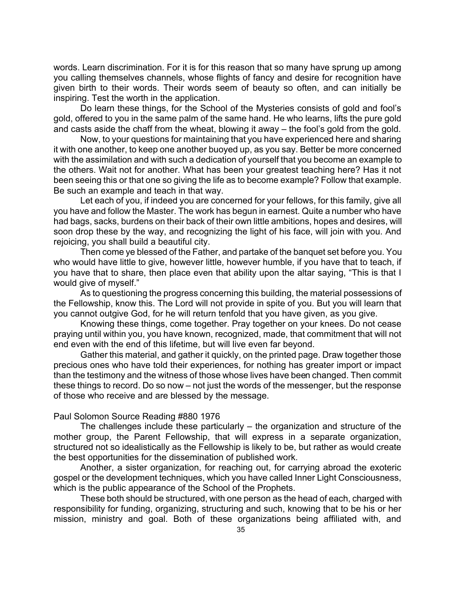words. Learn discrimination. For it is for this reason that so many have sprung up among you calling themselves channels, whose flights of fancy and desire for recognition have given birth to their words. Their words seem of beauty so often, and can initially be inspiring. Test the worth in the application.

Do learn these things, for the School of the Mysteries consists of gold and fool's gold, offered to you in the same palm of the same hand. He who learns, lifts the pure gold and casts aside the chaff from the wheat, blowing it away – the fool's gold from the gold.

Now, to your questions for maintaining that you have experienced here and sharing it with one another, to keep one another buoyed up, as you say. Better be more concerned with the assimilation and with such a dedication of yourself that you become an example to the others. Wait not for another. What has been your greatest teaching here? Has it not been seeing this or that one so giving the life as to become example? Follow that example. Be such an example and teach in that way.

Let each of you, if indeed you are concerned for your fellows, for this family, give all you have and follow the Master. The work has begun in earnest. Quite a number who have had bags, sacks, burdens on their back of their own little ambitions, hopes and desires, will soon drop these by the way, and recognizing the light of his face, will join with you. And rejoicing, you shall build a beautiful city.

Then come ye blessed of the Father, and partake of the banquet set before you. You who would have little to give, however little, however humble, if you have that to teach, if you have that to share, then place even that ability upon the altar saying, "This is that I would give of myself."

As to questioning the progress concerning this building, the material possessions of the Fellowship, know this. The Lord will not provide in spite of you. But you will learn that you cannot outgive God, for he will return tenfold that you have given, as you give.

Knowing these things, come together. Pray together on your knees. Do not cease praying until within you, you have known, recognized, made, that commitment that will not end even with the end of this lifetime, but will live even far beyond.

Gather this material, and gather it quickly, on the printed page. Draw together those precious ones who have told their experiences, for nothing has greater import or impact than the testimony and the witness of those whose lives have been changed. Then commit these things to record. Do so now – not just the words of the messenger, but the response of those who receive and are blessed by the message.

## Paul Solomon Source Reading #880 1976

The challenges include these particularly – the organization and structure of the mother group, the Parent Fellowship, that will express in a separate organization, structured not so idealistically as the Fellowship is likely to be, but rather as would create the best opportunities for the dissemination of published work.

Another, a sister organization, for reaching out, for carrying abroad the exoteric gospel or the development techniques, which you have called Inner Light Consciousness, which is the public appearance of the School of the Prophets.

These both should be structured, with one person as the head of each, charged with responsibility for funding, organizing, structuring and such, knowing that to be his or her mission, ministry and goal. Both of these organizations being affiliated with, and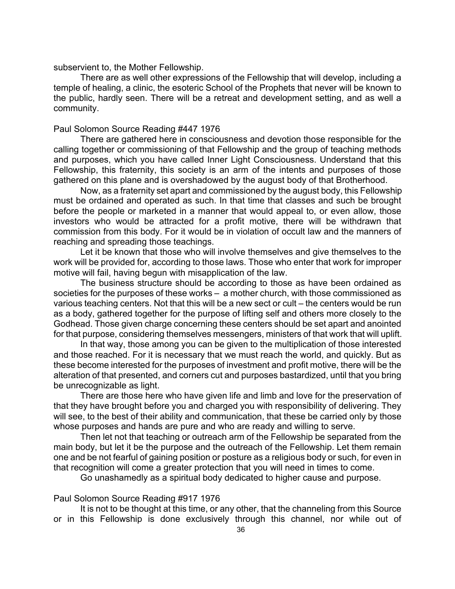subservient to, the Mother Fellowship.

There are as well other expressions of the Fellowship that will develop, including a temple of healing, a clinic, the esoteric School of the Prophets that never will be known to the public, hardly seen. There will be a retreat and development setting, and as well a community.

#### Paul Solomon Source Reading #447 1976

There are gathered here in consciousness and devotion those responsible for the calling together or commissioning of that Fellowship and the group of teaching methods and purposes, which you have called Inner Light Consciousness. Understand that this Fellowship, this fraternity, this society is an arm of the intents and purposes of those gathered on this plane and is overshadowed by the august body of that Brotherhood.

Now, as a fraternity set apart and commissioned by the august body, this Fellowship must be ordained and operated as such. In that time that classes and such be brought before the people or marketed in a manner that would appeal to, or even allow, those investors who would be attracted for a profit motive, there will be withdrawn that commission from this body. For it would be in violation of occult law and the manners of reaching and spreading those teachings.

Let it be known that those who will involve themselves and give themselves to the work will be provided for, according to those laws. Those who enter that work for improper motive will fail, having begun with misapplication of the law.

The business structure should be according to those as have been ordained as societies for the purposes of these works – a mother church, with those commissioned as various teaching centers. Not that this will be a new sect or cult – the centers would be run as a body, gathered together for the purpose of lifting self and others more closely to the Godhead. Those given charge concerning these centers should be set apart and anointed for that purpose, considering themselves messengers, ministers of that work that will uplift.

In that way, those among you can be given to the multiplication of those interested and those reached. For it is necessary that we must reach the world, and quickly. But as these become interested for the purposes of investment and profit motive, there will be the alteration of that presented, and corners cut and purposes bastardized, until that you bring be unrecognizable as light.

There are those here who have given life and limb and love for the preservation of that they have brought before you and charged you with responsibility of delivering. They will see, to the best of their ability and communication, that these be carried only by those whose purposes and hands are pure and who are ready and willing to serve.

Then let not that teaching or outreach arm of the Fellowship be separated from the main body, but let it be the purpose and the outreach of the Fellowship. Let them remain one and be not fearful of gaining position or posture as a religious body or such, for even in that recognition will come a greater protection that you will need in times to come.

Go unashamedly as a spiritual body dedicated to higher cause and purpose.

### Paul Solomon Source Reading #917 1976

It is not to be thought at this time, or any other, that the channeling from this Source or in this Fellowship is done exclusively through this channel, nor while out of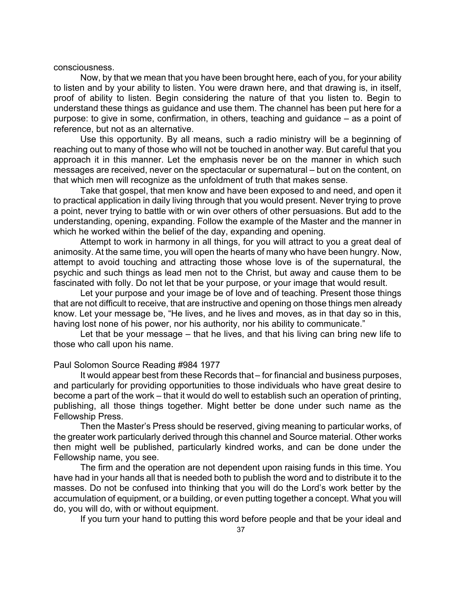#### consciousness.

Now, by that we mean that you have been brought here, each of you, for your ability to listen and by your ability to listen. You were drawn here, and that drawing is, in itself, proof of ability to listen. Begin considering the nature of that you listen to. Begin to understand these things as guidance and use them. The channel has been put here for a purpose: to give in some, confirmation, in others, teaching and guidance – as a point of reference, but not as an alternative.

Use this opportunity. By all means, such a radio ministry will be a beginning of reaching out to many of those who will not be touched in another way. But careful that you approach it in this manner. Let the emphasis never be on the manner in which such messages are received, never on the spectacular or supernatural – but on the content, on that which men will recognize as the unfoldment of truth that makes sense.

Take that gospel, that men know and have been exposed to and need, and open it to practical application in daily living through that you would present. Never trying to prove a point, never trying to battle with or win over others of other persuasions. But add to the understanding, opening, expanding. Follow the example of the Master and the manner in which he worked within the belief of the day, expanding and opening.

Attempt to work in harmony in all things, for you will attract to you a great deal of animosity. At the same time, you will open the hearts of many who have been hungry. Now, attempt to avoid touching and attracting those whose love is of the supernatural, the psychic and such things as lead men not to the Christ, but away and cause them to be fascinated with folly. Do not let that be your purpose, or your image that would result.

Let your purpose and your image be of love and of teaching. Present those things that are not difficult to receive, that are instructive and opening on those things men already know. Let your message be, "He lives, and he lives and moves, as in that day so in this, having lost none of his power, nor his authority, nor his ability to communicate."

Let that be your message – that he lives, and that his living can bring new life to those who call upon his name.

#### Paul Solomon Source Reading #984 1977

It would appear best from these Records that – for financial and business purposes, and particularly for providing opportunities to those individuals who have great desire to become a part of the work – that it would do well to establish such an operation of printing, publishing, all those things together. Might better be done under such name as the Fellowship Press.

Then the Master's Press should be reserved, giving meaning to particular works, of the greater work particularly derived through this channel and Source material. Other works then might well be published, particularly kindred works, and can be done under the Fellowship name, you see.

The firm and the operation are not dependent upon raising funds in this time. You have had in your hands all that is needed both to publish the word and to distribute it to the masses. Do not be confused into thinking that you will do the Lord's work better by the accumulation of equipment, or a building, or even putting together a concept. What you will do, you will do, with or without equipment.

If you turn your hand to putting this word before people and that be your ideal and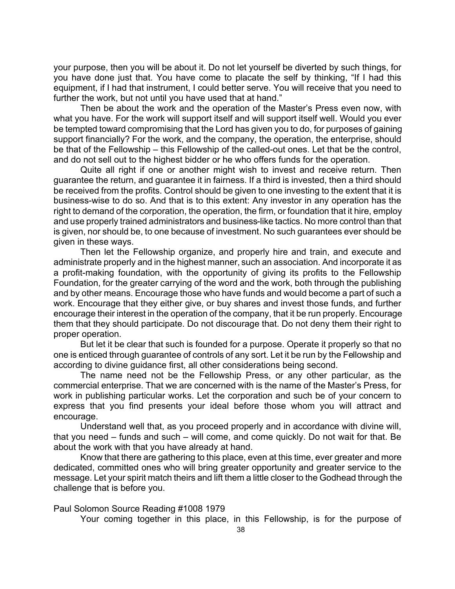your purpose, then you will be about it. Do not let yourself be diverted by such things, for you have done just that. You have come to placate the self by thinking, "If I had this equipment, if I had that instrument, I could better serve. You will receive that you need to further the work, but not until you have used that at hand."

Then be about the work and the operation of the Master's Press even now, with what you have. For the work will support itself and will support itself well. Would you ever be tempted toward compromising that the Lord has given you to do, for purposes of gaining support financially? For the work, and the company, the operation, the enterprise, should be that of the Fellowship – this Fellowship of the called-out ones. Let that be the control, and do not sell out to the highest bidder or he who offers funds for the operation.

Quite all right if one or another might wish to invest and receive return. Then guarantee the return, and guarantee it in fairness. If a third is invested, then a third should be received from the profits. Control should be given to one investing to the extent that it is business-wise to do so. And that is to this extent: Any investor in any operation has the right to demand of the corporation, the operation, the firm, or foundation that it hire, employ and use properly trained administrators and business-like tactics. No more control than that is given, nor should be, to one because of investment. No such guarantees ever should be given in these ways.

Then let the Fellowship organize, and properly hire and train, and execute and administrate properly and in the highest manner, such an association. And incorporate it as a profit-making foundation, with the opportunity of giving its profits to the Fellowship Foundation, for the greater carrying of the word and the work, both through the publishing and by other means. Encourage those who have funds and would become a part of such a work. Encourage that they either give, or buy shares and invest those funds, and further encourage their interest in the operation of the company, that it be run properly. Encourage them that they should participate. Do not discourage that. Do not deny them their right to proper operation.

But let it be clear that such is founded for a purpose. Operate it properly so that no one is enticed through guarantee of controls of any sort. Let it be run by the Fellowship and according to divine guidance first, all other considerations being second.

The name need not be the Fellowship Press, or any other particular, as the commercial enterprise. That we are concerned with is the name of the Master's Press, for work in publishing particular works. Let the corporation and such be of your concern to express that you find presents your ideal before those whom you will attract and encourage.

Understand well that, as you proceed properly and in accordance with divine will, that you need – funds and such – will come, and come quickly. Do not wait for that. Be about the work with that you have already at hand.

Know that there are gathering to this place, even at this time, ever greater and more dedicated, committed ones who will bring greater opportunity and greater service to the message. Let your spirit match theirs and lift them a little closer to the Godhead through the challenge that is before you.

Paul Solomon Source Reading #1008 1979

Your coming together in this place, in this Fellowship, is for the purpose of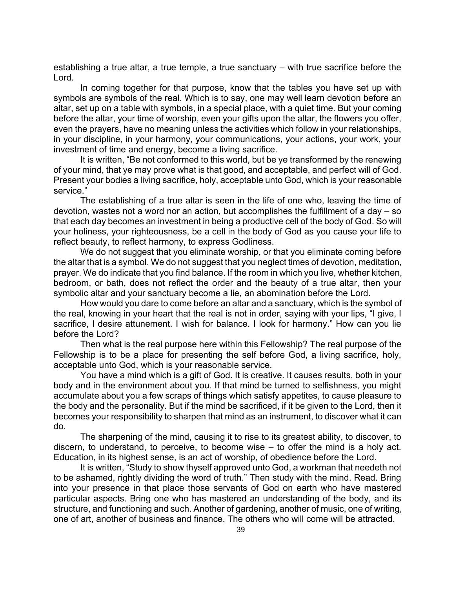establishing a true altar, a true temple, a true sanctuary – with true sacrifice before the Lord.

In coming together for that purpose, know that the tables you have set up with symbols are symbols of the real. Which is to say, one may well learn devotion before an altar, set up on a table with symbols, in a special place, with a quiet time. But your coming before the altar, your time of worship, even your gifts upon the altar, the flowers you offer, even the prayers, have no meaning unless the activities which follow in your relationships, in your discipline, in your harmony, your communications, your actions, your work, your investment of time and energy, become a living sacrifice.

It is written, "Be not conformed to this world, but be ye transformed by the renewing of your mind, that ye may prove what is that good, and acceptable, and perfect will of God. Present your bodies a living sacrifice, holy, acceptable unto God, which is your reasonable service."

The establishing of a true altar is seen in the life of one who, leaving the time of devotion, wastes not a word nor an action, but accomplishes the fulfillment of a day – so that each day becomes an investment in being a productive cell of the body of God. So will your holiness, your righteousness, be a cell in the body of God as you cause your life to reflect beauty, to reflect harmony, to express Godliness.

We do not suggest that you eliminate worship, or that you eliminate coming before the altar that is a symbol. We do not suggest that you neglect times of devotion, meditation, prayer. We do indicate that you find balance. If the room in which you live, whether kitchen, bedroom, or bath, does not reflect the order and the beauty of a true altar, then your symbolic altar and your sanctuary become a lie, an abomination before the Lord.

How would you dare to come before an altar and a sanctuary, which is the symbol of the real, knowing in your heart that the real is not in order, saying with your lips, "I give, I sacrifice, I desire attunement. I wish for balance. I look for harmony." How can you lie before the Lord?

Then what is the real purpose here within this Fellowship? The real purpose of the Fellowship is to be a place for presenting the self before God, a living sacrifice, holy, acceptable unto God, which is your reasonable service.

You have a mind which is a gift of God. It is creative. It causes results, both in your body and in the environment about you. If that mind be turned to selfishness, you might accumulate about you a few scraps of things which satisfy appetites, to cause pleasure to the body and the personality. But if the mind be sacrificed, if it be given to the Lord, then it becomes your responsibility to sharpen that mind as an instrument, to discover what it can do.

The sharpening of the mind, causing it to rise to its greatest ability, to discover, to discern, to understand, to perceive, to become wise – to offer the mind is a holy act. Education, in its highest sense, is an act of worship, of obedience before the Lord.

It is written, "Study to show thyself approved unto God, a workman that needeth not to be ashamed, rightly dividing the word of truth." Then study with the mind. Read. Bring into your presence in that place those servants of God on earth who have mastered particular aspects. Bring one who has mastered an understanding of the body, and its structure, and functioning and such. Another of gardening, another of music, one of writing, one of art, another of business and finance. The others who will come will be attracted.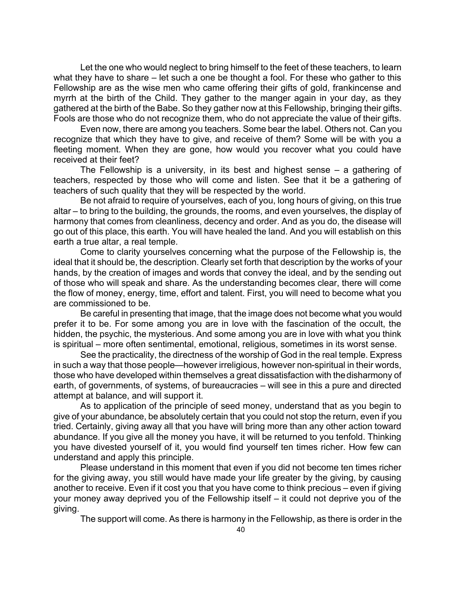Let the one who would neglect to bring himself to the feet of these teachers, to learn what they have to share – let such a one be thought a fool. For these who gather to this Fellowship are as the wise men who came offering their gifts of gold, frankincense and myrrh at the birth of the Child. They gather to the manger again in your day, as they gathered at the birth of the Babe. So they gather now at this Fellowship, bringing their gifts. Fools are those who do not recognize them, who do not appreciate the value of their gifts.

Even now, there are among you teachers. Some bear the label. Others not. Can you recognize that which they have to give, and receive of them? Some will be with you a fleeting moment. When they are gone, how would you recover what you could have received at their feet?

The Fellowship is a university, in its best and highest sense – a gathering of teachers, respected by those who will come and listen. See that it be a gathering of teachers of such quality that they will be respected by the world.

Be not afraid to require of yourselves, each of you, long hours of giving, on this true altar – to bring to the building, the grounds, the rooms, and even yourselves, the display of harmony that comes from cleanliness, decency and order. And as you do, the disease will go out of this place, this earth. You will have healed the land. And you will establish on this earth a true altar, a real temple.

Come to clarity yourselves concerning what the purpose of the Fellowship is, the ideal that it should be, the description. Clearly set forth that description by the works of your hands, by the creation of images and words that convey the ideal, and by the sending out of those who will speak and share. As the understanding becomes clear, there will come the flow of money, energy, time, effort and talent. First, you will need to become what you are commissioned to be.

Be careful in presenting that image, that the image does not become what you would prefer it to be. For some among you are in love with the fascination of the occult, the hidden, the psychic, the mysterious. And some among you are in love with what you think is spiritual – more often sentimental, emotional, religious, sometimes in its worst sense.

See the practicality, the directness of the worship of God in the real temple. Express in such a way that those people—however irreligious, however non-spiritual in their words, those who have developed within themselves a great dissatisfaction with the disharmony of earth, of governments, of systems, of bureaucracies – will see in this a pure and directed attempt at balance, and will support it.

As to application of the principle of seed money, understand that as you begin to give of your abundance, be absolutely certain that you could not stop the return, even if you tried. Certainly, giving away all that you have will bring more than any other action toward abundance. If you give all the money you have, it will be returned to you tenfold. Thinking you have divested yourself of it, you would find yourself ten times richer. How few can understand and apply this principle.

Please understand in this moment that even if you did not become ten times richer for the giving away, you still would have made your life greater by the giving, by causing another to receive. Even if it cost you that you have come to think precious – even if giving your money away deprived you of the Fellowship itself – it could not deprive you of the giving.

The support will come. As there is harmony in the Fellowship, as there is order in the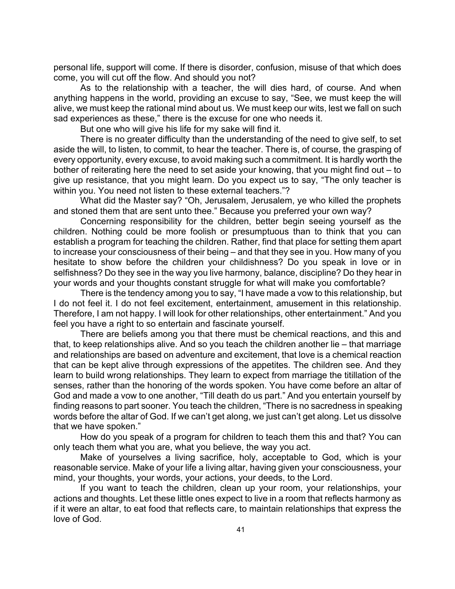personal life, support will come. If there is disorder, confusion, misuse of that which does come, you will cut off the flow. And should you not?

As to the relationship with a teacher, the will dies hard, of course. And when anything happens in the world, providing an excuse to say, "See, we must keep the will alive, we must keep the rational mind about us. We must keep our wits, lest we fall on such sad experiences as these," there is the excuse for one who needs it.

But one who will give his life for my sake will find it.

There is no greater difficulty than the understanding of the need to give self, to set aside the will, to listen, to commit, to hear the teacher. There is, of course, the grasping of every opportunity, every excuse, to avoid making such a commitment. It is hardly worth the bother of reiterating here the need to set aside your knowing, that you might find out – to give up resistance, that you might learn. Do you expect us to say, "The only teacher is within you. You need not listen to these external teachers."?

What did the Master say? "Oh, Jerusalem, Jerusalem, ye who killed the prophets and stoned them that are sent unto thee." Because you preferred your own way?

Concerning responsibility for the children, better begin seeing yourself as the children. Nothing could be more foolish or presumptuous than to think that you can establish a program for teaching the children. Rather, find that place for setting them apart to increase your consciousness of their being – and that they see in you. How many of you hesitate to show before the children your childishness? Do you speak in love or in selfishness? Do they see in the way you live harmony, balance, discipline? Do they hear in your words and your thoughts constant struggle for what will make you comfortable?

There is the tendency among you to say, "I have made a vow to this relationship, but I do not feel it. I do not feel excitement, entertainment, amusement in this relationship. Therefore, I am not happy. I will look for other relationships, other entertainment." And you feel you have a right to so entertain and fascinate yourself.

There are beliefs among you that there must be chemical reactions, and this and that, to keep relationships alive. And so you teach the children another lie – that marriage and relationships are based on adventure and excitement, that love is a chemical reaction that can be kept alive through expressions of the appetites. The children see. And they learn to build wrong relationships. They learn to expect from marriage the titillation of the senses, rather than the honoring of the words spoken. You have come before an altar of God and made a vow to one another, "Till death do us part." And you entertain yourself by finding reasons to part sooner. You teach the children, "There is no sacredness in speaking words before the altar of God. If we can't get along, we just can't get along. Let us dissolve that we have spoken."

How do you speak of a program for children to teach them this and that? You can only teach them what you are, what you believe, the way you act.

Make of yourselves a living sacrifice, holy, acceptable to God, which is your reasonable service. Make of your life a living altar, having given your consciousness, your mind, your thoughts, your words, your actions, your deeds, to the Lord.

If you want to teach the children, clean up your room, your relationships, your actions and thoughts. Let these little ones expect to live in a room that reflects harmony as if it were an altar, to eat food that reflects care, to maintain relationships that express the love of God.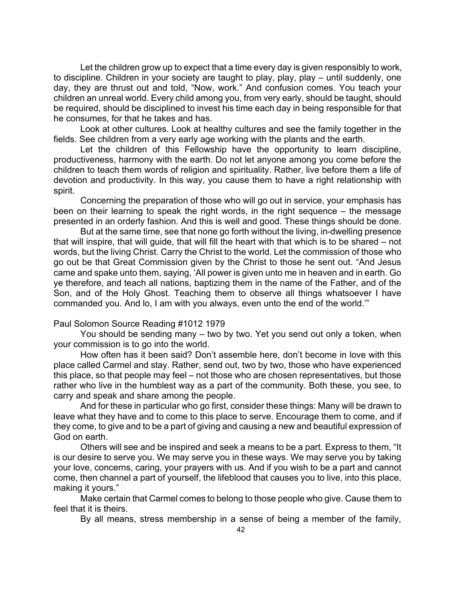Let the children grow up to expect that a time every day is given responsibly to work, to discipline. Children in your society are taught to play, play, play – until suddenly, one day, they are thrust out and told, "Now, work." And confusion comes. You teach your children an unreal world. Every child among you, from very early, should be taught, should be required, should be disciplined to invest his time each day in being responsible for that he consumes, for that he takes and has.

Look at other cultures. Look at healthy cultures and see the family together in the fields. See children from a very early age working with the plants and the earth.

Let the children of this Fellowship have the opportunity to learn discipline, productiveness, harmony with the earth. Do not let anyone among you come before the children to teach them words of religion and spirituality. Rather, live before them a life of devotion and productivity. In this way, you cause them to have a right relationship with spirit.

Concerning the preparation of those who will go out in service, your emphasis has been on their learning to speak the right words, in the right sequence – the message presented in an orderly fashion. And this is well and good. These things should be done.

But at the same time, see that none go forth without the living, in-dwelling presence that will inspire, that will guide, that will fill the heart with that which is to be shared – not words, but the living Christ. Carry the Christ to the world. Let the commission of those who go out be that Great Commission given by the Christ to those he sent out. "And Jesus came and spake unto them, saying, 'All power is given unto me in heaven and in earth. Go ye therefore, and teach all nations, baptizing them in the name of the Father, and of the Son, and of the Holy Ghost. Teaching them to observe all things whatsoever I have commanded you. And lo, I am with you always, even unto the end of the world.'"

### Paul Solomon Source Reading #1012 1979

You should be sending many – two by two. Yet you send out only a token, when your commission is to go into the world.

How often has it been said? Don't assemble here, don't become in love with this place called Carmel and stay. Rather, send out, two by two, those who have experienced this place, so that people may feel – not those who are chosen representatives, but those rather who live in the humblest way as a part of the community. Both these, you see, to carry and speak and share among the people.

And for these in particular who go first, consider these things: Many will be drawn to leave what they have and to come to this place to serve. Encourage them to come, and if they come, to give and to be a part of giving and causing a new and beautiful expression of God on earth.

Others will see and be inspired and seek a means to be a part. Express to them, "It is our desire to serve you. We may serve you in these ways. We may serve you by taking your love, concerns, caring, your prayers with us. And if you wish to be a part and cannot come, then channel a part of yourself, the lifeblood that causes you to live, into this place, making it yours."

Make certain that Carmel comes to belong to those people who give. Cause them to feel that it is theirs.

By all means, stress membership in a sense of being a member of the family,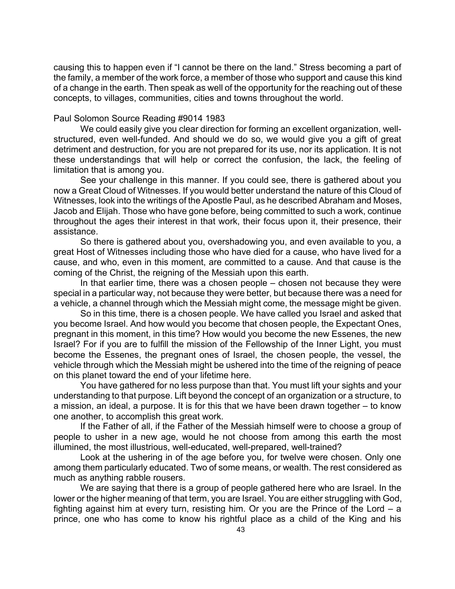causing this to happen even if "I cannot be there on the land." Stress becoming a part of the family, a member of the work force, a member of those who support and cause this kind of a change in the earth. Then speak as well of the opportunity for the reaching out of these concepts, to villages, communities, cities and towns throughout the world.

## Paul Solomon Source Reading #9014 1983

We could easily give you clear direction for forming an excellent organization, wellstructured, even well-funded. And should we do so, we would give you a gift of great detriment and destruction, for you are not prepared for its use, nor its application. It is not these understandings that will help or correct the confusion, the lack, the feeling of limitation that is among you.

See your challenge in this manner. If you could see, there is gathered about you now a Great Cloud of Witnesses. If you would better understand the nature of this Cloud of Witnesses, look into the writings of the Apostle Paul, as he described Abraham and Moses, Jacob and Elijah. Those who have gone before, being committed to such a work, continue throughout the ages their interest in that work, their focus upon it, their presence, their assistance.

So there is gathered about you, overshadowing you, and even available to you, a great Host of Witnesses including those who have died for a cause, who have lived for a cause, and who, even in this moment, are committed to a cause. And that cause is the coming of the Christ, the reigning of the Messiah upon this earth.

In that earlier time, there was a chosen people – chosen not because they were special in a particular way, not because they were better, but because there was a need for a vehicle, a channel through which the Messiah might come, the message might be given.

So in this time, there is a chosen people. We have called you Israel and asked that you become Israel. And how would you become that chosen people, the Expectant Ones, pregnant in this moment, in this time? How would you become the new Essenes, the new Israel? For if you are to fulfill the mission of the Fellowship of the Inner Light, you must become the Essenes, the pregnant ones of Israel, the chosen people, the vessel, the vehicle through which the Messiah might be ushered into the time of the reigning of peace on this planet toward the end of your lifetime here.

You have gathered for no less purpose than that. You must lift your sights and your understanding to that purpose. Lift beyond the concept of an organization or a structure, to a mission, an ideal, a purpose. It is for this that we have been drawn together – to know one another, to accomplish this great work.

If the Father of all, if the Father of the Messiah himself were to choose a group of people to usher in a new age, would he not choose from among this earth the most illumined, the most illustrious, well-educated, well-prepared, well-trained?

Look at the ushering in of the age before you, for twelve were chosen. Only one among them particularly educated. Two of some means, or wealth. The rest considered as much as anything rabble rousers.

We are saying that there is a group of people gathered here who are Israel. In the lower or the higher meaning of that term, you are Israel. You are either struggling with God, fighting against him at every turn, resisting him. Or you are the Prince of the Lord – a prince, one who has come to know his rightful place as a child of the King and his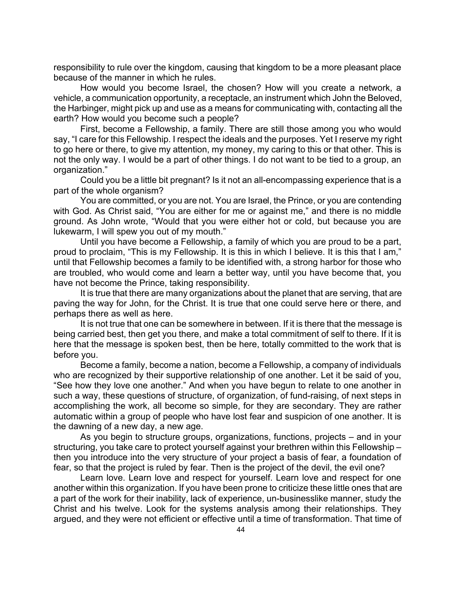responsibility to rule over the kingdom, causing that kingdom to be a more pleasant place because of the manner in which he rules.

How would you become Israel, the chosen? How will you create a network, a vehicle, a communication opportunity, a receptacle, an instrument which John the Beloved, the Harbinger, might pick up and use as a means for communicating with, contacting all the earth? How would you become such a people?

First, become a Fellowship, a family. There are still those among you who would say, "I care for this Fellowship. I respect the ideals and the purposes. Yet I reserve my right to go here or there, to give my attention, my money, my caring to this or that other. This is not the only way. I would be a part of other things. I do not want to be tied to a group, an organization."

Could you be a little bit pregnant? Is it not an all-encompassing experience that is a part of the whole organism?

You are committed, or you are not. You are Israel, the Prince, or you are contending with God. As Christ said, "You are either for me or against me," and there is no middle ground. As John wrote, "Would that you were either hot or cold, but because you are lukewarm, I will spew you out of my mouth."

Until you have become a Fellowship, a family of which you are proud to be a part, proud to proclaim, "This is my Fellowship. It is this in which I believe. It is this that I am," until that Fellowship becomes a family to be identified with, a strong harbor for those who are troubled, who would come and learn a better way, until you have become that, you have not become the Prince, taking responsibility.

It is true that there are many organizations about the planet that are serving, that are paving the way for John, for the Christ. It is true that one could serve here or there, and perhaps there as well as here.

It is not true that one can be somewhere in between. If it is there that the message is being carried best, then get you there, and make a total commitment of self to there. If it is here that the message is spoken best, then be here, totally committed to the work that is before you.

Become a family, become a nation, become a Fellowship, a company of individuals who are recognized by their supportive relationship of one another. Let it be said of you, "See how they love one another." And when you have begun to relate to one another in such a way, these questions of structure, of organization, of fund-raising, of next steps in accomplishing the work, all become so simple, for they are secondary. They are rather automatic within a group of people who have lost fear and suspicion of one another. It is the dawning of a new day, a new age.

As you begin to structure groups, organizations, functions, projects – and in your structuring, you take care to protect yourself against your brethren within this Fellowship – then you introduce into the very structure of your project a basis of fear, a foundation of fear, so that the project is ruled by fear. Then is the project of the devil, the evil one?

Learn love. Learn love and respect for yourself. Learn love and respect for one another within this organization. If you have been prone to criticize these little ones that are a part of the work for their inability, lack of experience, un-businesslike manner, study the Christ and his twelve. Look for the systems analysis among their relationships. They argued, and they were not efficient or effective until a time of transformation. That time of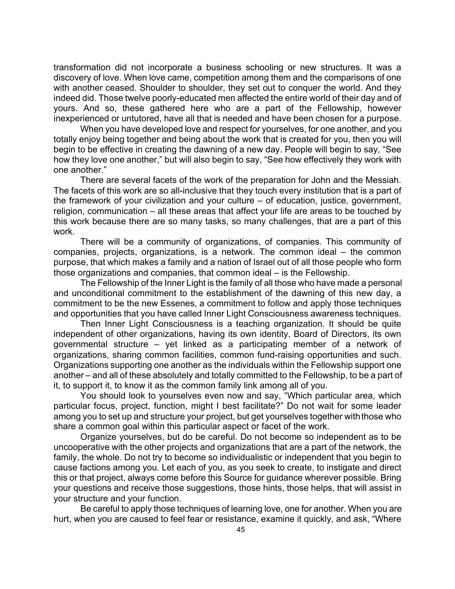transformation did not incorporate a business schooling or new structures. It was a discovery of love. When love came, competition among them and the comparisons of one with another ceased. Shoulder to shoulder, they set out to conquer the world. And they indeed did. Those twelve poorly-educated men affected the entire world of their day and of yours. And so, these gathered here who are a part of the Fellowship, however inexperienced or untutored, have all that is needed and have been chosen for a purpose.

When you have developed love and respect for yourselves, for one another, and you totally enjoy being together and being about the work that is created for you, then you will begin to be effective in creating the dawning of a new day. People will begin to say, "See how they love one another," but will also begin to say, "See how effectively they work with one another."

There are several facets of the work of the preparation for John and the Messiah. The facets of this work are so all-inclusive that they touch every institution that is a part of the framework of your civilization and your culture – of education, justice, government, religion, communication – all these areas that affect your life are areas to be touched by this work because there are so many tasks, so many challenges, that are a part of this work.

There will be a community of organizations, of companies. This community of companies, projects, organizations, is a network. The common ideal – the common purpose, that which makes a family and a nation of Israel out of all those people who form those organizations and companies, that common ideal – is the Fellowship.

The Fellowship of the Inner Light is the family of all those who have made a personal and unconditional commitment to the establishment of the dawning of this new day, a commitment to be the new Essenes, a commitment to follow and apply those techniques and opportunities that you have called Inner Light Consciousness awareness techniques.

Then Inner Light Consciousness is a teaching organization. It should be quite independent of other organizations, having its own identity, Board of Directors, its own governmental structure – yet linked as a participating member of a network of organizations, sharing common facilities, common fund-raising opportunities and such. Organizations supporting one another as the individuals within the Fellowship support one another – and all of these absolutely and totally committed to the Fellowship, to be a part of it, to support it, to know it as the common family link among all of you.

You should look to yourselves even now and say, "Which particular area, which particular focus, project, function, might I best facilitate?" Do not wait for some leader among you to set up and structure your project, but get yourselves together with those who share a common goal within this particular aspect or facet of the work.

Organize yourselves, but do be careful. Do not become so independent as to be uncooperative with the other projects and organizations that are a part of the network, the family, the whole. Do not try to become so individualistic or independent that you begin to cause factions among you. Let each of you, as you seek to create, to instigate and direct this or that project, always come before this Source for guidance wherever possible. Bring your questions and receive those suggestions, those hints, those helps, that will assist in your structure and your function.

Be careful to apply those techniques of learning love, one for another. When you are hurt, when you are caused to feel fear or resistance, examine it quickly, and ask, "Where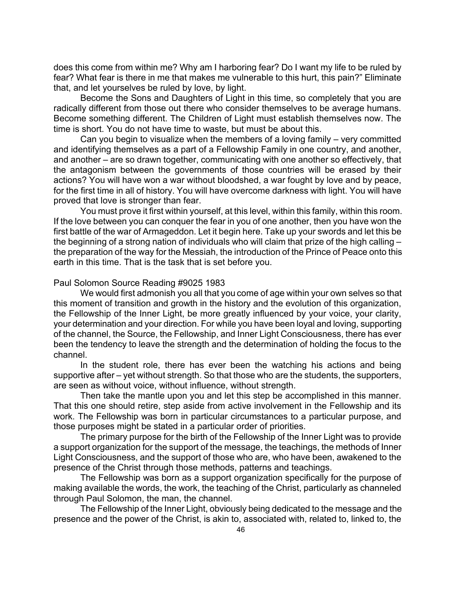does this come from within me? Why am I harboring fear? Do I want my life to be ruled by fear? What fear is there in me that makes me vulnerable to this hurt, this pain?" Eliminate that, and let yourselves be ruled by love, by light.

Become the Sons and Daughters of Light in this time, so completely that you are radically different from those out there who consider themselves to be average humans. Become something different. The Children of Light must establish themselves now. The time is short. You do not have time to waste, but must be about this.

Can you begin to visualize when the members of a loving family – very committed and identifying themselves as a part of a Fellowship Family in one country, and another, and another – are so drawn together, communicating with one another so effectively, that the antagonism between the governments of those countries will be erased by their actions? You will have won a war without bloodshed, a war fought by love and by peace, for the first time in all of history. You will have overcome darkness with light. You will have proved that love is stronger than fear.

You must prove it first within yourself, at this level, within this family, within this room. If the love between you can conquer the fear in you of one another, then you have won the first battle of the war of Armageddon. Let it begin here. Take up your swords and let this be the beginning of a strong nation of individuals who will claim that prize of the high calling – the preparation of the way for the Messiah, the introduction of the Prince of Peace onto this earth in this time. That is the task that is set before you.

#### Paul Solomon Source Reading #9025 1983

We would first admonish you all that you come of age within your own selves so that this moment of transition and growth in the history and the evolution of this organization, the Fellowship of the Inner Light, be more greatly influenced by your voice, your clarity, your determination and your direction. For while you have been loyal and loving, supporting of the channel, the Source, the Fellowship, and Inner Light Consciousness, there has ever been the tendency to leave the strength and the determination of holding the focus to the channel.

In the student role, there has ever been the watching his actions and being supportive after – yet without strength. So that those who are the students, the supporters, are seen as without voice, without influence, without strength.

Then take the mantle upon you and let this step be accomplished in this manner. That this one should retire, step aside from active involvement in the Fellowship and its work. The Fellowship was born in particular circumstances to a particular purpose, and those purposes might be stated in a particular order of priorities.

The primary purpose for the birth of the Fellowship of the Inner Light was to provide a support organization for the support of the message, the teachings, the methods of Inner Light Consciousness, and the support of those who are, who have been, awakened to the presence of the Christ through those methods, patterns and teachings.

The Fellowship was born as a support organization specifically for the purpose of making available the words, the work, the teaching of the Christ, particularly as channeled through Paul Solomon, the man, the channel.

The Fellowship of the Inner Light, obviously being dedicated to the message and the presence and the power of the Christ, is akin to, associated with, related to, linked to, the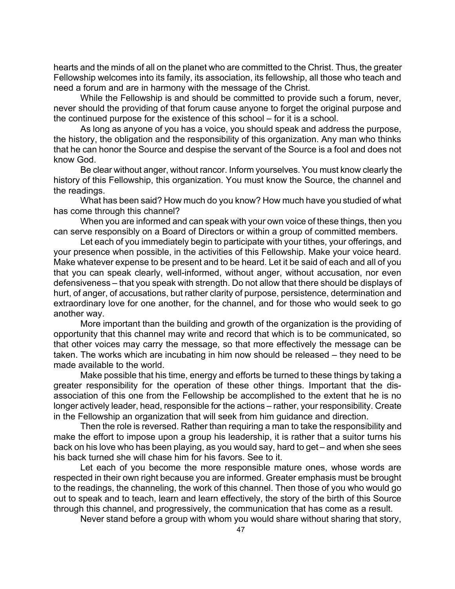hearts and the minds of all on the planet who are committed to the Christ. Thus, the greater Fellowship welcomes into its family, its association, its fellowship, all those who teach and need a forum and are in harmony with the message of the Christ.

While the Fellowship is and should be committed to provide such a forum, never, never should the providing of that forum cause anyone to forget the original purpose and the continued purpose for the existence of this school – for it is a school.

As long as anyone of you has a voice, you should speak and address the purpose, the history, the obligation and the responsibility of this organization. Any man who thinks that he can honor the Source and despise the servant of the Source is a fool and does not know God.

Be clear without anger, without rancor. Inform yourselves. You must know clearly the history of this Fellowship, this organization. You must know the Source, the channel and the readings.

What has been said? How much do you know? How much have you studied of what has come through this channel?

When you are informed and can speak with your own voice of these things, then you can serve responsibly on a Board of Directors or within a group of committed members.

Let each of you immediately begin to participate with your tithes, your offerings, and your presence when possible, in the activities of this Fellowship. Make your voice heard. Make whatever expense to be present and to be heard. Let it be said of each and all of you that you can speak clearly, well-informed, without anger, without accusation, nor even defensiveness – that you speak with strength. Do not allow that there should be displays of hurt, of anger, of accusations, but rather clarity of purpose, persistence, determination and extraordinary love for one another, for the channel, and for those who would seek to go another way.

More important than the building and growth of the organization is the providing of opportunity that this channel may write and record that which is to be communicated, so that other voices may carry the message, so that more effectively the message can be taken. The works which are incubating in him now should be released – they need to be made available to the world.

Make possible that his time, energy and efforts be turned to these things by taking a greater responsibility for the operation of these other things. Important that the disassociation of this one from the Fellowship be accomplished to the extent that he is no longer actively leader, head, responsible for the actions – rather, your responsibility. Create in the Fellowship an organization that will seek from him guidance and direction.

Then the role is reversed. Rather than requiring a man to take the responsibility and make the effort to impose upon a group his leadership, it is rather that a suitor turns his back on his love who has been playing, as you would say, hard to get – and when she sees his back turned she will chase him for his favors. See to it.

Let each of you become the more responsible mature ones, whose words are respected in their own right because you are informed. Greater emphasis must be brought to the readings, the channeling, the work of this channel. Then those of you who would go out to speak and to teach, learn and learn effectively, the story of the birth of this Source through this channel, and progressively, the communication that has come as a result.

Never stand before a group with whom you would share without sharing that story,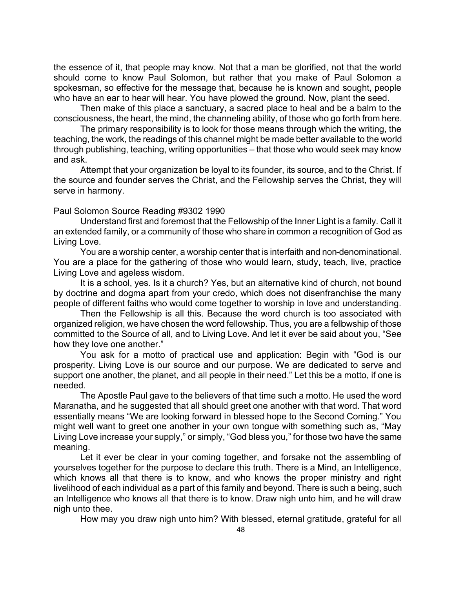the essence of it, that people may know. Not that a man be glorified, not that the world should come to know Paul Solomon, but rather that you make of Paul Solomon a spokesman, so effective for the message that, because he is known and sought, people who have an ear to hear will hear. You have plowed the ground. Now, plant the seed.

Then make of this place a sanctuary, a sacred place to heal and be a balm to the consciousness, the heart, the mind, the channeling ability, of those who go forth from here.

The primary responsibility is to look for those means through which the writing, the teaching, the work, the readings of this channel might be made better available to the world through publishing, teaching, writing opportunities – that those who would seek may know and ask.

Attempt that your organization be loyal to its founder, its source, and to the Christ. If the source and founder serves the Christ, and the Fellowship serves the Christ, they will serve in harmony.

Paul Solomon Source Reading #9302 1990

Understand first and foremost that the Fellowship of the Inner Light is a family. Call it an extended family, or a community of those who share in common a recognition of God as Living Love.

You are a worship center, a worship center that is interfaith and non-denominational. You are a place for the gathering of those who would learn, study, teach, live, practice Living Love and ageless wisdom.

It is a school, yes. Is it a church? Yes, but an alternative kind of church, not bound by doctrine and dogma apart from your credo, which does not disenfranchise the many people of different faiths who would come together to worship in love and understanding.

Then the Fellowship is all this. Because the word church is too associated with organized religion, we have chosen the word fellowship. Thus, you are a fellowship of those committed to the Source of all, and to Living Love. And let it ever be said about you, "See how they love one another."

You ask for a motto of practical use and application: Begin with "God is our prosperity. Living Love is our source and our purpose. We are dedicated to serve and support one another, the planet, and all people in their need." Let this be a motto, if one is needed.

The Apostle Paul gave to the believers of that time such a motto. He used the word Maranatha, and he suggested that all should greet one another with that word. That word essentially means "We are looking forward in blessed hope to the Second Coming." You might well want to greet one another in your own tongue with something such as, "May Living Love increase your supply," or simply, "God bless you," for those two have the same meaning.

Let it ever be clear in your coming together, and forsake not the assembling of yourselves together for the purpose to declare this truth. There is a Mind, an Intelligence, which knows all that there is to know, and who knows the proper ministry and right livelihood of each individual as a part of this family and beyond. There is such a being, such an Intelligence who knows all that there is to know. Draw nigh unto him, and he will draw nigh unto thee.

How may you draw nigh unto him? With blessed, eternal gratitude, grateful for all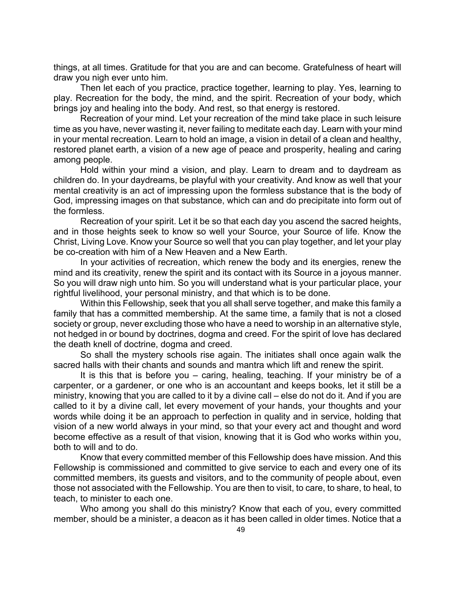things, at all times. Gratitude for that you are and can become. Gratefulness of heart will draw you nigh ever unto him.

Then let each of you practice, practice together, learning to play. Yes, learning to play. Recreation for the body, the mind, and the spirit. Recreation of your body, which brings joy and healing into the body. And rest, so that energy is restored.

Recreation of your mind. Let your recreation of the mind take place in such leisure time as you have, never wasting it, never failing to meditate each day. Learn with your mind in your mental recreation. Learn to hold an image, a vision in detail of a clean and healthy, restored planet earth, a vision of a new age of peace and prosperity, healing and caring among people.

Hold within your mind a vision, and play. Learn to dream and to daydream as children do. In your daydreams, be playful with your creativity. And know as well that your mental creativity is an act of impressing upon the formless substance that is the body of God, impressing images on that substance, which can and do precipitate into form out of the formless.

Recreation of your spirit. Let it be so that each day you ascend the sacred heights, and in those heights seek to know so well your Source, your Source of life. Know the Christ, Living Love. Know your Source so well that you can play together, and let your play be co-creation with him of a New Heaven and a New Earth.

In your activities of recreation, which renew the body and its energies, renew the mind and its creativity, renew the spirit and its contact with its Source in a joyous manner. So you will draw nigh unto him. So you will understand what is your particular place, your rightful livelihood, your personal ministry, and that which is to be done.

Within this Fellowship, seek that you all shall serve together, and make this family a family that has a committed membership. At the same time, a family that is not a closed society or group, never excluding those who have a need to worship in an alternative style, not hedged in or bound by doctrines, dogma and creed. For the spirit of love has declared the death knell of doctrine, dogma and creed.

So shall the mystery schools rise again. The initiates shall once again walk the sacred halls with their chants and sounds and mantra which lift and renew the spirit.

It is this that is before you – caring, healing, teaching. If your ministry be of a carpenter, or a gardener, or one who is an accountant and keeps books, let it still be a ministry, knowing that you are called to it by a divine call – else do not do it. And if you are called to it by a divine call, let every movement of your hands, your thoughts and your words while doing it be an approach to perfection in quality and in service, holding that vision of a new world always in your mind, so that your every act and thought and word become effective as a result of that vision, knowing that it is God who works within you, both to will and to do.

Know that every committed member of this Fellowship does have mission. And this Fellowship is commissioned and committed to give service to each and every one of its committed members, its guests and visitors, and to the community of people about, even those not associated with the Fellowship. You are then to visit, to care, to share, to heal, to teach, to minister to each one.

Who among you shall do this ministry? Know that each of you, every committed member, should be a minister, a deacon as it has been called in older times. Notice that a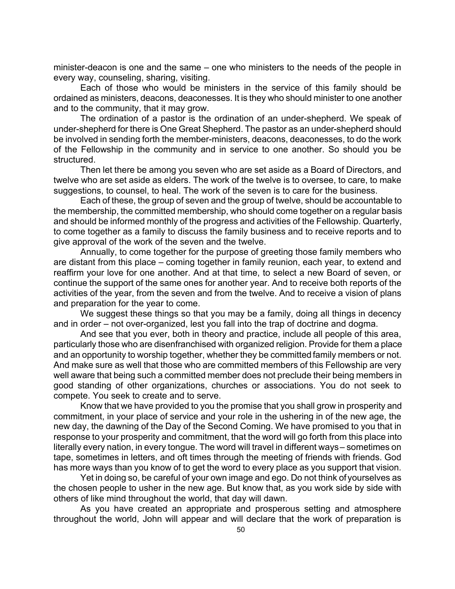minister-deacon is one and the same – one who ministers to the needs of the people in every way, counseling, sharing, visiting.

Each of those who would be ministers in the service of this family should be ordained as ministers, deacons, deaconesses. It is they who should minister to one another and to the community, that it may grow.

The ordination of a pastor is the ordination of an under-shepherd. We speak of under-shepherd for there is One Great Shepherd. The pastor as an under-shepherd should be involved in sending forth the member-ministers, deacons, deaconesses, to do the work of the Fellowship in the community and in service to one another. So should you be structured.

Then let there be among you seven who are set aside as a Board of Directors, and twelve who are set aside as elders. The work of the twelve is to oversee, to care, to make suggestions, to counsel, to heal. The work of the seven is to care for the business.

Each of these, the group of seven and the group of twelve, should be accountable to the membership, the committed membership, who should come together on a regular basis and should be informed monthly of the progress and activities of the Fellowship. Quarterly, to come together as a family to discuss the family business and to receive reports and to give approval of the work of the seven and the twelve.

Annually, to come together for the purpose of greeting those family members who are distant from this place – coming together in family reunion, each year, to extend and reaffirm your love for one another. And at that time, to select a new Board of seven, or continue the support of the same ones for another year. And to receive both reports of the activities of the year, from the seven and from the twelve. And to receive a vision of plans and preparation for the year to come.

We suggest these things so that you may be a family, doing all things in decency and in order – not over-organized, lest you fall into the trap of doctrine and dogma.

And see that you ever, both in theory and practice, include all people of this area, particularly those who are disenfranchised with organized religion. Provide for them a place and an opportunity to worship together, whether they be committed family members or not. And make sure as well that those who are committed members of this Fellowship are very well aware that being such a committed member does not preclude their being members in good standing of other organizations, churches or associations. You do not seek to compete. You seek to create and to serve.

Know that we have provided to you the promise that you shall grow in prosperity and commitment, in your place of service and your role in the ushering in of the new age, the new day, the dawning of the Day of the Second Coming. We have promised to you that in response to your prosperity and commitment, that the word will go forth from this place into literally every nation, in every tongue. The word will travel in different ways – sometimes on tape, sometimes in letters, and oft times through the meeting of friends with friends. God has more ways than you know of to get the word to every place as you support that vision.

Yet in doing so, be careful of your own image and ego. Do not think of yourselves as the chosen people to usher in the new age. But know that, as you work side by side with others of like mind throughout the world, that day will dawn.

As you have created an appropriate and prosperous setting and atmosphere throughout the world, John will appear and will declare that the work of preparation is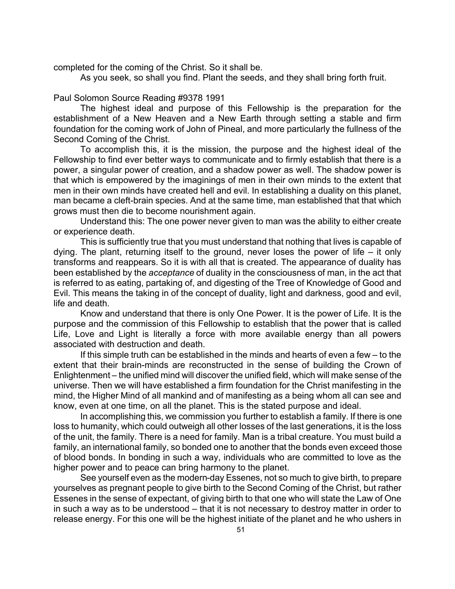completed for the coming of the Christ. So it shall be.

As you seek, so shall you find. Plant the seeds, and they shall bring forth fruit.

# Paul Solomon Source Reading #9378 1991

The highest ideal and purpose of this Fellowship is the preparation for the establishment of a New Heaven and a New Earth through setting a stable and firm foundation for the coming work of John of Pineal, and more particularly the fullness of the Second Coming of the Christ.

To accomplish this, it is the mission, the purpose and the highest ideal of the Fellowship to find ever better ways to communicate and to firmly establish that there is a power, a singular power of creation, and a shadow power as well. The shadow power is that which is empowered by the imaginings of men in their own minds to the extent that men in their own minds have created hell and evil. In establishing a duality on this planet, man became a cleft-brain species. And at the same time, man established that that which grows must then die to become nourishment again.

Understand this: The one power never given to man was the ability to either create or experience death.

This is sufficiently true that you must understand that nothing that lives is capable of dying. The plant, returning itself to the ground, never loses the power of life – it only transforms and reappears. So it is with all that is created. The appearance of duality has been established by the *acceptance* of duality in the consciousness of man, in the act that is referred to as eating, partaking of, and digesting of the Tree of Knowledge of Good and Evil. This means the taking in of the concept of duality, light and darkness, good and evil, life and death.

Know and understand that there is only One Power. It is the power of Life. It is the purpose and the commission of this Fellowship to establish that the power that is called Life, Love and Light is literally a force with more available energy than all powers associated with destruction and death.

If this simple truth can be established in the minds and hearts of even a few – to the extent that their brain-minds are reconstructed in the sense of building the Crown of Enlightenment – the unified mind will discover the unified field, which will make sense of the universe. Then we will have established a firm foundation for the Christ manifesting in the mind, the Higher Mind of all mankind and of manifesting as a being whom all can see and know, even at one time, on all the planet. This is the stated purpose and ideal.

In accomplishing this, we commission you further to establish a family. If there is one loss to humanity, which could outweigh all other losses of the last generations, it is the loss of the unit, the family. There is a need for family. Man is a tribal creature. You must build a family, an international family, so bonded one to another that the bonds even exceed those of blood bonds. In bonding in such a way, individuals who are committed to love as the higher power and to peace can bring harmony to the planet.

See yourself even as the modern-day Essenes, not so much to give birth, to prepare yourselves as pregnant people to give birth to the Second Coming of the Christ, but rather Essenes in the sense of expectant, of giving birth to that one who will state the Law of One in such a way as to be understood – that it is not necessary to destroy matter in order to release energy. For this one will be the highest initiate of the planet and he who ushers in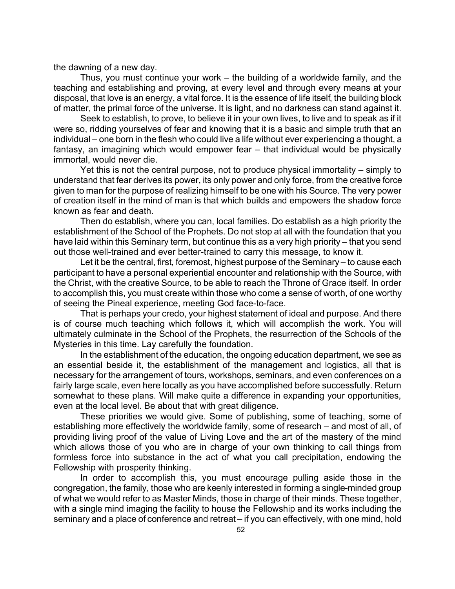the dawning of a new day.

Thus, you must continue your work – the building of a worldwide family, and the teaching and establishing and proving, at every level and through every means at your disposal, that love is an energy, a vital force. It is the essence of life itself, the building block of matter, the primal force of the universe. It is light, and no darkness can stand against it.

Seek to establish, to prove, to believe it in your own lives, to live and to speak as if it were so, ridding yourselves of fear and knowing that it is a basic and simple truth that an individual – one born in the flesh who could live a life without ever experiencing a thought, a fantasy, an imagining which would empower fear – that individual would be physically immortal, would never die.

Yet this is not the central purpose, not to produce physical immortality – simply to understand that fear derives its power, its only power and only force, from the creative force given to man for the purpose of realizing himself to be one with his Source. The very power of creation itself in the mind of man is that which builds and empowers the shadow force known as fear and death.

Then do establish, where you can, local families. Do establish as a high priority the establishment of the School of the Prophets. Do not stop at all with the foundation that you have laid within this Seminary term, but continue this as a very high priority – that you send out those well-trained and ever better-trained to carry this message, to know it.

Let it be the central, first, foremost, highest purpose of the Seminary – to cause each participant to have a personal experiential encounter and relationship with the Source, with the Christ, with the creative Source, to be able to reach the Throne of Grace itself. In order to accomplish this, you must create within those who come a sense of worth, of one worthy of seeing the Pineal experience, meeting God face-to-face.

That is perhaps your credo, your highest statement of ideal and purpose. And there is of course much teaching which follows it, which will accomplish the work. You will ultimately culminate in the School of the Prophets, the resurrection of the Schools of the Mysteries in this time. Lay carefully the foundation.

In the establishment of the education, the ongoing education department, we see as an essential beside it, the establishment of the management and logistics, all that is necessary for the arrangement of tours, workshops, seminars, and even conferences on a fairly large scale, even here locally as you have accomplished before successfully. Return somewhat to these plans. Will make quite a difference in expanding your opportunities, even at the local level. Be about that with great diligence.

These priorities we would give. Some of publishing, some of teaching, some of establishing more effectively the worldwide family, some of research – and most of all, of providing living proof of the value of Living Love and the art of the mastery of the mind which allows those of you who are in charge of your own thinking to call things from formless force into substance in the act of what you call precipitation, endowing the Fellowship with prosperity thinking.

In order to accomplish this, you must encourage pulling aside those in the congregation, the family, those who are keenly interested in forming a single-minded group of what we would refer to as Master Minds, those in charge of their minds. These together, with a single mind imaging the facility to house the Fellowship and its works including the seminary and a place of conference and retreat – if you can effectively, with one mind, hold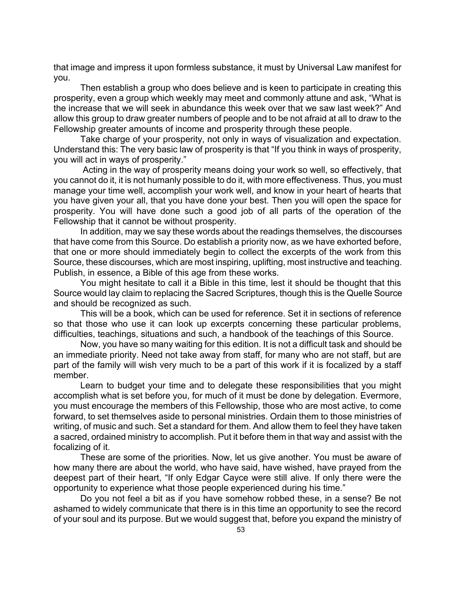that image and impress it upon formless substance, it must by Universal Law manifest for you.

Then establish a group who does believe and is keen to participate in creating this prosperity, even a group which weekly may meet and commonly attune and ask, "What is the increase that we will seek in abundance this week over that we saw last week?" And allow this group to draw greater numbers of people and to be not afraid at all to draw to the Fellowship greater amounts of income and prosperity through these people.

Take charge of your prosperity, not only in ways of visualization and expectation. Understand this: The very basic law of prosperity is that "If you think in ways of prosperity, you will act in ways of prosperity."

 Acting in the way of prosperity means doing your work so well, so effectively, that you cannot do it, it is not humanly possible to do it, with more effectiveness. Thus, you must manage your time well, accomplish your work well, and know in your heart of hearts that you have given your all, that you have done your best. Then you will open the space for prosperity. You will have done such a good job of all parts of the operation of the Fellowship that it cannot be without prosperity.

In addition, may we say these words about the readings themselves, the discourses that have come from this Source. Do establish a priority now, as we have exhorted before, that one or more should immediately begin to collect the excerpts of the work from this Source, these discourses, which are most inspiring, uplifting, most instructive and teaching. Publish, in essence, a Bible of this age from these works.

You might hesitate to call it a Bible in this time, lest it should be thought that this Source would lay claim to replacing the Sacred Scriptures, though this is the Quelle Source and should be recognized as such.

This will be a book, which can be used for reference. Set it in sections of reference so that those who use it can look up excerpts concerning these particular problems, difficulties, teachings, situations and such, a handbook of the teachings of this Source.

Now, you have so many waiting for this edition. It is not a difficult task and should be an immediate priority. Need not take away from staff, for many who are not staff, but are part of the family will wish very much to be a part of this work if it is focalized by a staff member.

Learn to budget your time and to delegate these responsibilities that you might accomplish what is set before you, for much of it must be done by delegation. Evermore, you must encourage the members of this Fellowship, those who are most active, to come forward, to set themselves aside to personal ministries. Ordain them to those ministries of writing, of music and such. Set a standard for them. And allow them to feel they have taken a sacred, ordained ministry to accomplish. Put it before them in that way and assist with the focalizing of it.

These are some of the priorities. Now, let us give another. You must be aware of how many there are about the world, who have said, have wished, have prayed from the deepest part of their heart, "If only Edgar Cayce were still alive. If only there were the opportunity to experience what those people experienced during his time."

Do you not feel a bit as if you have somehow robbed these, in a sense? Be not ashamed to widely communicate that there is in this time an opportunity to see the record of your soul and its purpose. But we would suggest that, before you expand the ministry of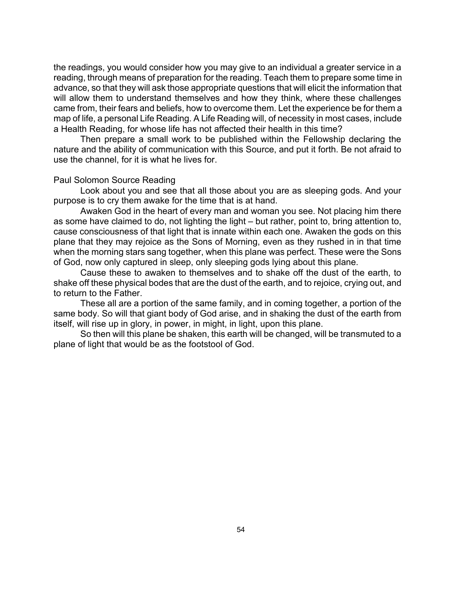the readings, you would consider how you may give to an individual a greater service in a reading, through means of preparation for the reading. Teach them to prepare some time in advance, so that they will ask those appropriate questions that will elicit the information that will allow them to understand themselves and how they think, where these challenges came from, their fears and beliefs, how to overcome them. Let the experience be for them a map of life, a personal Life Reading. A Life Reading will, of necessity in most cases, include a Health Reading, for whose life has not affected their health in this time?

Then prepare a small work to be published within the Fellowship declaring the nature and the ability of communication with this Source, and put it forth. Be not afraid to use the channel, for it is what he lives for.

### Paul Solomon Source Reading

Look about you and see that all those about you are as sleeping gods. And your purpose is to cry them awake for the time that is at hand.

Awaken God in the heart of every man and woman you see. Not placing him there as some have claimed to do, not lighting the light – but rather, point to, bring attention to, cause consciousness of that light that is innate within each one. Awaken the gods on this plane that they may rejoice as the Sons of Morning, even as they rushed in in that time when the morning stars sang together, when this plane was perfect. These were the Sons of God, now only captured in sleep, only sleeping gods lying about this plane.

Cause these to awaken to themselves and to shake off the dust of the earth, to shake off these physical bodes that are the dust of the earth, and to rejoice, crying out, and to return to the Father.

These all are a portion of the same family, and in coming together, a portion of the same body. So will that giant body of God arise, and in shaking the dust of the earth from itself, will rise up in glory, in power, in might, in light, upon this plane.

So then will this plane be shaken, this earth will be changed, will be transmuted to a plane of light that would be as the footstool of God.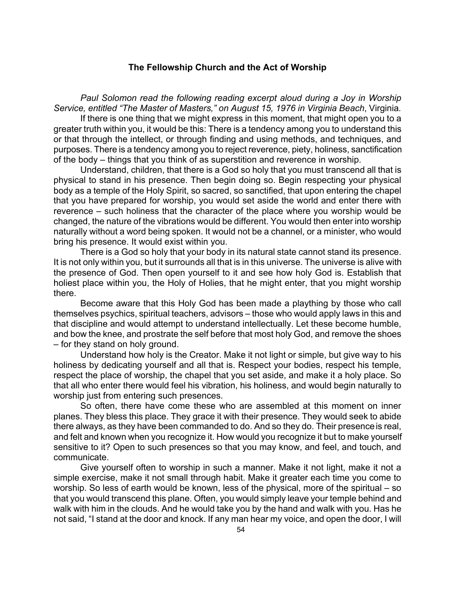# **The Fellowship Church and the Act of Worship**

Paul Solomon read the following reading excerpt aloud during a Joy in Worship *Service, entitled "The Master of Masters," on August 15, 1976 in Virginia Beach*, Virginia*.*

If there is one thing that we might express in this moment, that might open you to a greater truth within you, it would be this: There is a tendency among you to understand this or that through the intellect, or through finding and using methods, and techniques, and purposes. There is a tendency among you to reject reverence, piety, holiness, sanctification of the body – things that you think of as superstition and reverence in worship.

Understand, children, that there is a God so holy that you must transcend all that is physical to stand in his presence. Then begin doing so. Begin respecting your physical body as a temple of the Holy Spirit, so sacred, so sanctified, that upon entering the chapel that you have prepared for worship, you would set aside the world and enter there with reverence – such holiness that the character of the place where you worship would be changed, the nature of the vibrations would be different. You would then enter into worship naturally without a word being spoken. It would not be a channel, or a minister, who would bring his presence. It would exist within you.

There is a God so holy that your body in its natural state cannot stand its presence. It is not only within you, but it surrounds all that is in this universe. The universe is alive with the presence of God. Then open yourself to it and see how holy God is. Establish that holiest place within you, the Holy of Holies, that he might enter, that you might worship there.

Become aware that this Holy God has been made a plaything by those who call themselves psychics, spiritual teachers, advisors – those who would apply laws in this and that discipline and would attempt to understand intellectually. Let these become humble, and bow the knee, and prostrate the self before that most holy God, and remove the shoes – for they stand on holy ground.

Understand how holy is the Creator. Make it not light or simple, but give way to his holiness by dedicating yourself and all that is. Respect your bodies, respect his temple, respect the place of worship, the chapel that you set aside, and make it a holy place. So that all who enter there would feel his vibration, his holiness, and would begin naturally to worship just from entering such presences.

So often, there have come these who are assembled at this moment on inner planes. They bless this place. They grace it with their presence. They would seek to abide there always, as they have been commanded to do. And so they do. Their presence is real, and felt and known when you recognize it. How would you recognize it but to make yourself sensitive to it? Open to such presences so that you may know, and feel, and touch, and communicate.

Give yourself often to worship in such a manner. Make it not light, make it not a simple exercise, make it not small through habit. Make it greater each time you come to worship. So less of earth would be known, less of the physical, more of the spiritual – so that you would transcend this plane. Often, you would simply leave your temple behind and walk with him in the clouds. And he would take you by the hand and walk with you. Has he not said, "I stand at the door and knock. If any man hear my voice, and open the door, I will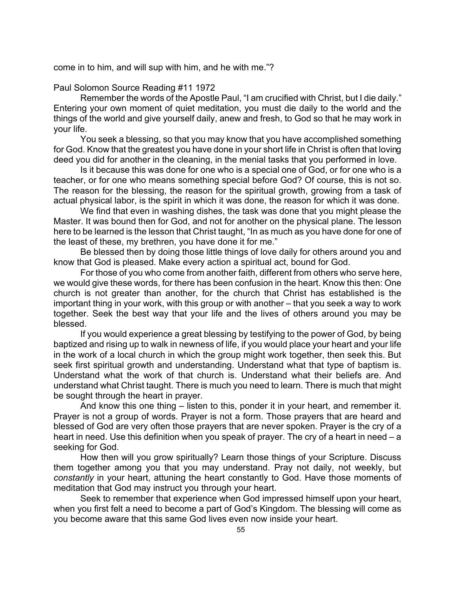come in to him, and will sup with him, and he with me."?

Paul Solomon Source Reading #11 1972

Remember the words of the Apostle Paul, "I am crucified with Christ, but I die daily." Entering your own moment of quiet meditation, you must die daily to the world and the things of the world and give yourself daily, anew and fresh, to God so that he may work in your life.

You seek a blessing, so that you may know that you have accomplished something for God. Know that the greatest you have done in your short life in Christ is often that loving deed you did for another in the cleaning, in the menial tasks that you performed in love.

Is it because this was done for one who is a special one of God, or for one who is a teacher, or for one who means something special before God? Of course, this is not so. The reason for the blessing, the reason for the spiritual growth, growing from a task of actual physical labor, is the spirit in which it was done, the reason for which it was done.

We find that even in washing dishes, the task was done that you might please the Master. It was bound then for God, and not for another on the physical plane. The lesson here to be learned is the lesson that Christ taught, "In as much as you have done for one of the least of these, my brethren, you have done it for me."

Be blessed then by doing those little things of love daily for others around you and know that God is pleased. Make every action a spiritual act, bound for God.

For those of you who come from another faith, different from others who serve here, we would give these words, for there has been confusion in the heart. Know this then: One church is not greater than another, for the church that Christ has established is the important thing in your work, with this group or with another – that you seek a way to work together. Seek the best way that your life and the lives of others around you may be blessed.

If you would experience a great blessing by testifying to the power of God, by being baptized and rising up to walk in newness of life, if you would place your heart and your life in the work of a local church in which the group might work together, then seek this. But seek first spiritual growth and understanding. Understand what that type of baptism is. Understand what the work of that church is. Understand what their beliefs are. And understand what Christ taught. There is much you need to learn. There is much that might be sought through the heart in prayer.

And know this one thing – listen to this, ponder it in your heart, and remember it. Prayer is not a group of words. Prayer is not a form. Those prayers that are heard and blessed of God are very often those prayers that are never spoken. Prayer is the cry of a heart in need. Use this definition when you speak of prayer. The cry of a heart in need – a seeking for God.

How then will you grow spiritually? Learn those things of your Scripture. Discuss them together among you that you may understand. Pray not daily, not weekly, but *constantly* in your heart, attuning the heart constantly to God. Have those moments of meditation that God may instruct you through your heart.

Seek to remember that experience when God impressed himself upon your heart, when you first felt a need to become a part of God's Kingdom. The blessing will come as you become aware that this same God lives even now inside your heart.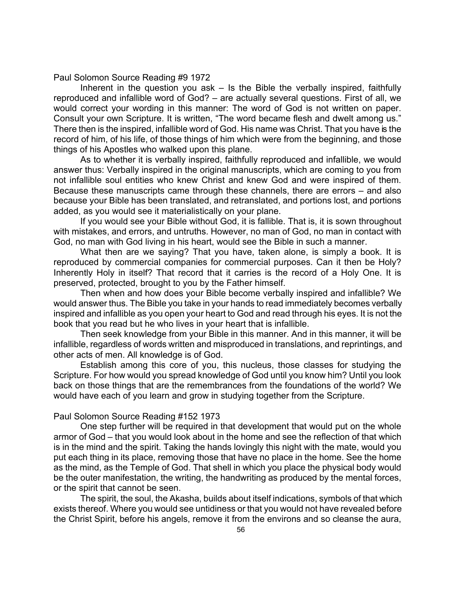Paul Solomon Source Reading #9 1972

Inherent in the question you ask  $-$  Is the Bible the verbally inspired, faithfully reproduced and infallible word of God? – are actually several questions. First of all, we would correct your wording in this manner: The word of God is not written on paper. Consult your own Scripture. It is written, "The word became flesh and dwelt among us." There then is the inspired, infallible word of God. His name was Christ. That you have is the record of him, of his life, of those things of him which were from the beginning, and those things of his Apostles who walked upon this plane.

As to whether it is verbally inspired, faithfully reproduced and infallible, we would answer thus: Verbally inspired in the original manuscripts, which are coming to you from not infallible soul entities who knew Christ and knew God and were inspired of them. Because these manuscripts came through these channels, there are errors – and also because your Bible has been translated, and retranslated, and portions lost, and portions added, as you would see it materialistically on your plane.

If you would see your Bible without God, it is fallible. That is, it is sown throughout with mistakes, and errors, and untruths. However, no man of God, no man in contact with God, no man with God living in his heart, would see the Bible in such a manner.

What then are we saying? That you have, taken alone, is simply a book. It is reproduced by commercial companies for commercial purposes. Can it then be Holy? Inherently Holy in itself? That record that it carries is the record of a Holy One. It is preserved, protected, brought to you by the Father himself.

Then when and how does your Bible become verbally inspired and infallible? We would answer thus. The Bible you take in your hands to read immediately becomes verbally inspired and infallible as you open your heart to God and read through his eyes. It is not the book that you read but he who lives in your heart that is infallible.

Then seek knowledge from your Bible in this manner. And in this manner, it will be infallible, regardless of words written and misproduced in translations, and reprintings, and other acts of men. All knowledge is of God.

Establish among this core of you, this nucleus, those classes for studying the Scripture. For how would you spread knowledge of God until you know him? Until you look back on those things that are the remembrances from the foundations of the world? We would have each of you learn and grow in studying together from the Scripture.

### Paul Solomon Source Reading #152 1973

One step further will be required in that development that would put on the whole armor of God – that you would look about in the home and see the reflection of that which is in the mind and the spirit. Taking the hands lovingly this night with the mate, would you put each thing in its place, removing those that have no place in the home. See the home as the mind, as the Temple of God. That shell in which you place the physical body would be the outer manifestation, the writing, the handwriting as produced by the mental forces, or the spirit that cannot be seen.

The spirit, the soul, the Akasha, builds about itself indications, symbols of that which exists thereof. Where you would see untidiness or that you would not have revealed before the Christ Spirit, before his angels, remove it from the environs and so cleanse the aura,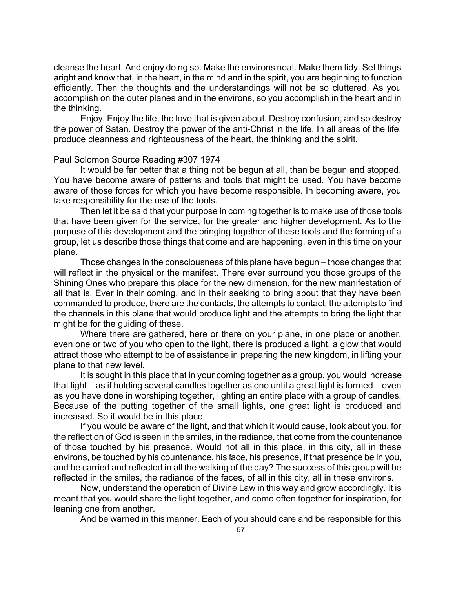cleanse the heart. And enjoy doing so. Make the environs neat. Make them tidy. Set things aright and know that, in the heart, in the mind and in the spirit, you are beginning to function efficiently. Then the thoughts and the understandings will not be so cluttered. As you accomplish on the outer planes and in the environs, so you accomplish in the heart and in the thinking.

Enjoy. Enjoy the life, the love that is given about. Destroy confusion, and so destroy the power of Satan. Destroy the power of the anti-Christ in the life. In all areas of the life, produce cleanness and righteousness of the heart, the thinking and the spirit.

# Paul Solomon Source Reading #307 1974

It would be far better that a thing not be begun at all, than be begun and stopped. You have become aware of patterns and tools that might be used. You have become aware of those forces for which you have become responsible. In becoming aware, you take responsibility for the use of the tools.

Then let it be said that your purpose in coming together is to make use of those tools that have been given for the service, for the greater and higher development. As to the purpose of this development and the bringing together of these tools and the forming of a group, let us describe those things that come and are happening, even in this time on your plane.

Those changes in the consciousness of this plane have begun – those changes that will reflect in the physical or the manifest. There ever surround you those groups of the Shining Ones who prepare this place for the new dimension, for the new manifestation of all that is. Ever in their coming, and in their seeking to bring about that they have been commanded to produce, there are the contacts, the attempts to contact, the attempts to find the channels in this plane that would produce light and the attempts to bring the light that might be for the guiding of these.

Where there are gathered, here or there on your plane, in one place or another, even one or two of you who open to the light, there is produced a light, a glow that would attract those who attempt to be of assistance in preparing the new kingdom, in lifting your plane to that new level.

It is sought in this place that in your coming together as a group, you would increase that light – as if holding several candles together as one until a great light is formed – even as you have done in worshiping together, lighting an entire place with a group of candles. Because of the putting together of the small lights, one great light is produced and increased. So it would be in this place.

If you would be aware of the light, and that which it would cause, look about you, for the reflection of God is seen in the smiles, in the radiance, that come from the countenance of those touched by his presence. Would not all in this place, in this city, all in these environs, be touched by his countenance, his face, his presence, if that presence be in you, and be carried and reflected in all the walking of the day? The success of this group will be reflected in the smiles, the radiance of the faces, of all in this city, all in these environs.

Now, understand the operation of Divine Law in this way and grow accordingly. It is meant that you would share the light together, and come often together for inspiration, for leaning one from another.

And be warned in this manner. Each of you should care and be responsible for this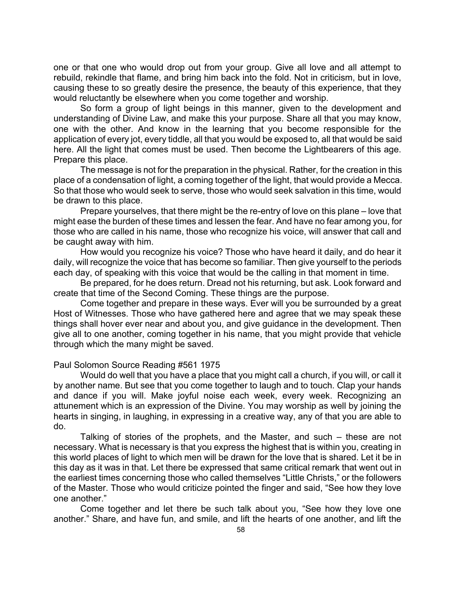one or that one who would drop out from your group. Give all love and all attempt to rebuild, rekindle that flame, and bring him back into the fold. Not in criticism, but in love, causing these to so greatly desire the presence, the beauty of this experience, that they would reluctantly be elsewhere when you come together and worship.

So form a group of light beings in this manner, given to the development and understanding of Divine Law, and make this your purpose. Share all that you may know, one with the other. And know in the learning that you become responsible for the application of every jot, every tiddle, all that you would be exposed to, all that would be said here. All the light that comes must be used. Then become the Lightbearers of this age. Prepare this place.

The message is not for the preparation in the physical. Rather, for the creation in this place of a condensation of light, a coming together of the light, that would provide a Mecca. So that those who would seek to serve, those who would seek salvation in this time, would be drawn to this place.

Prepare yourselves, that there might be the re-entry of love on this plane – love that might ease the burden of these times and lessen the fear. And have no fear among you, for those who are called in his name, those who recognize his voice, will answer that call and be caught away with him.

How would you recognize his voice? Those who have heard it daily, and do hear it daily, will recognize the voice that has become so familiar. Then give yourself to the periods each day, of speaking with this voice that would be the calling in that moment in time.

Be prepared, for he does return. Dread not his returning, but ask. Look forward and create that time of the Second Coming. These things are the purpose.

Come together and prepare in these ways. Ever will you be surrounded by a great Host of Witnesses. Those who have gathered here and agree that we may speak these things shall hover ever near and about you, and give guidance in the development. Then give all to one another, coming together in his name, that you might provide that vehicle through which the many might be saved.

# Paul Solomon Source Reading #561 1975

Would do well that you have a place that you might call a church, if you will, or call it by another name. But see that you come together to laugh and to touch. Clap your hands and dance if you will. Make joyful noise each week, every week. Recognizing an attunement which is an expression of the Divine. You may worship as well by joining the hearts in singing, in laughing, in expressing in a creative way, any of that you are able to do.

Talking of stories of the prophets, and the Master, and such – these are not necessary. What is necessary is that you express the highest that is within you, creating in this world places of light to which men will be drawn for the love that is shared. Let it be in this day as it was in that. Let there be expressed that same critical remark that went out in the earliest times concerning those who called themselves "Little Christs," or the followers of the Master. Those who would criticize pointed the finger and said, "See how they love one another."

Come together and let there be such talk about you, "See how they love one another." Share, and have fun, and smile, and lift the hearts of one another, and lift the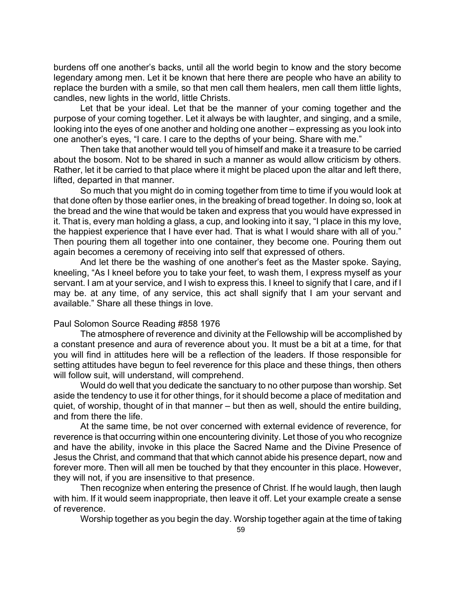burdens off one another's backs, until all the world begin to know and the story become legendary among men. Let it be known that here there are people who have an ability to replace the burden with a smile, so that men call them healers, men call them little lights, candles, new lights in the world, little Christs.

Let that be your ideal. Let that be the manner of your coming together and the purpose of your coming together. Let it always be with laughter, and singing, and a smile, looking into the eyes of one another and holding one another – expressing as you look into one another's eyes, "I care. I care to the depths of your being. Share with me."

Then take that another would tell you of himself and make it a treasure to be carried about the bosom. Not to be shared in such a manner as would allow criticism by others. Rather, let it be carried to that place where it might be placed upon the altar and left there, lifted, departed in that manner.

So much that you might do in coming together from time to time if you would look at that done often by those earlier ones, in the breaking of bread together. In doing so, look at the bread and the wine that would be taken and express that you would have expressed in it. That is, every man holding a glass, a cup, and looking into it say, "I place in this my love, the happiest experience that I have ever had. That is what I would share with all of you." Then pouring them all together into one container, they become one. Pouring them out again becomes a ceremony of receiving into self that expressed of others.

And let there be the washing of one another's feet as the Master spoke. Saying, kneeling, "As I kneel before you to take your feet, to wash them, I express myself as your servant. I am at your service, and I wish to express this. I kneel to signify that I care, and if I may be. at any time, of any service, this act shall signify that I am your servant and available." Share all these things in love.

### Paul Solomon Source Reading #858 1976

The atmosphere of reverence and divinity at the Fellowship will be accomplished by a constant presence and aura of reverence about you. It must be a bit at a time, for that you will find in attitudes here will be a reflection of the leaders. If those responsible for setting attitudes have begun to feel reverence for this place and these things, then others will follow suit, will understand, will comprehend.

Would do well that you dedicate the sanctuary to no other purpose than worship. Set aside the tendency to use it for other things, for it should become a place of meditation and quiet, of worship, thought of in that manner – but then as well, should the entire building, and from there the life.

At the same time, be not over concerned with external evidence of reverence, for reverence is that occurring within one encountering divinity. Let those of you who recognize and have the ability, invoke in this place the Sacred Name and the Divine Presence of Jesus the Christ, and command that that which cannot abide his presence depart, now and forever more. Then will all men be touched by that they encounter in this place. However, they will not, if you are insensitive to that presence.

Then recognize when entering the presence of Christ. If he would laugh, then laugh with him. If it would seem inappropriate, then leave it off. Let your example create a sense of reverence.

Worship together as you begin the day. Worship together again at the time of taking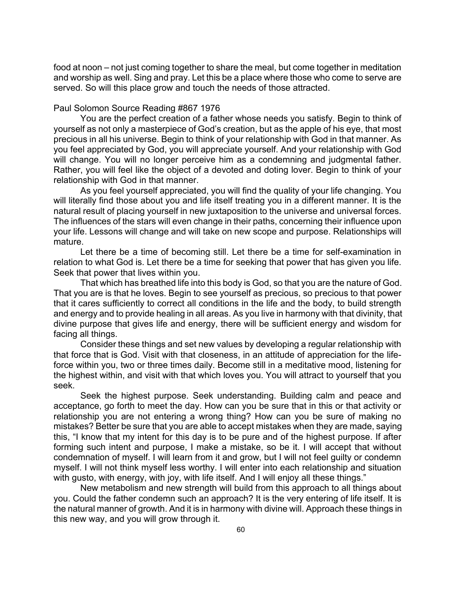food at noon – not just coming together to share the meal, but come together in meditation and worship as well. Sing and pray. Let this be a place where those who come to serve are served. So will this place grow and touch the needs of those attracted.

## Paul Solomon Source Reading #867 1976

You are the perfect creation of a father whose needs you satisfy. Begin to think of yourself as not only a masterpiece of God's creation, but as the apple of his eye, that most precious in all his universe. Begin to think of your relationship with God in that manner. As you feel appreciated by God, you will appreciate yourself. And your relationship with God will change. You will no longer perceive him as a condemning and judgmental father. Rather, you will feel like the object of a devoted and doting lover. Begin to think of your relationship with God in that manner.

As you feel yourself appreciated, you will find the quality of your life changing. You will literally find those about you and life itself treating you in a different manner. It is the natural result of placing yourself in new juxtaposition to the universe and universal forces. The influences of the stars will even change in their paths, concerning their influence upon your life. Lessons will change and will take on new scope and purpose. Relationships will mature.

Let there be a time of becoming still. Let there be a time for self-examination in relation to what God is. Let there be a time for seeking that power that has given you life. Seek that power that lives within you.

That which has breathed life into this body is God, so that you are the nature of God. That you are is that he loves. Begin to see yourself as precious, so precious to that power that it cares sufficiently to correct all conditions in the life and the body, to build strength and energy and to provide healing in all areas. As you live in harmony with that divinity, that divine purpose that gives life and energy, there will be sufficient energy and wisdom for facing all things.

Consider these things and set new values by developing a regular relationship with that force that is God. Visit with that closeness, in an attitude of appreciation for the lifeforce within you, two or three times daily. Become still in a meditative mood, listening for the highest within, and visit with that which loves you. You will attract to yourself that you seek.

Seek the highest purpose. Seek understanding. Building calm and peace and acceptance, go forth to meet the day. How can you be sure that in this or that activity or relationship you are not entering a wrong thing? How can you be sure of making no mistakes? Better be sure that you are able to accept mistakes when they are made, saying this, "I know that my intent for this day is to be pure and of the highest purpose. If after forming such intent and purpose, I make a mistake, so be it. I will accept that without condemnation of myself. I will learn from it and grow, but I will not feel guilty or condemn myself. I will not think myself less worthy. I will enter into each relationship and situation with gusto, with energy, with joy, with life itself. And I will enjoy all these things."

New metabolism and new strength will build from this approach to all things about you. Could the father condemn such an approach? It is the very entering of life itself. It is the natural manner of growth. And it is in harmony with divine will. Approach these things in this new way, and you will grow through it.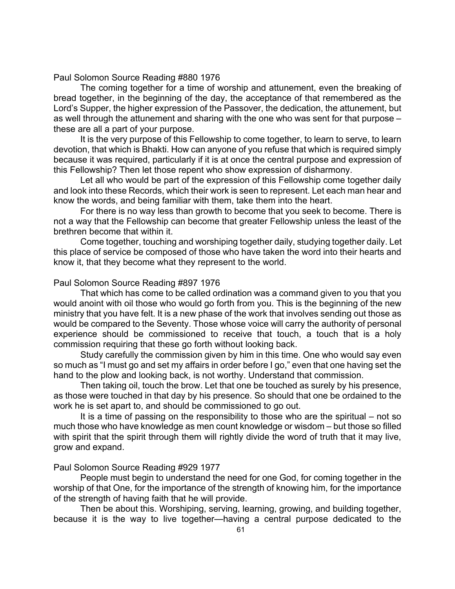Paul Solomon Source Reading #880 1976

The coming together for a time of worship and attunement, even the breaking of bread together, in the beginning of the day, the acceptance of that remembered as the Lord's Supper, the higher expression of the Passover, the dedication, the attunement, but as well through the attunement and sharing with the one who was sent for that purpose – these are all a part of your purpose.

It is the very purpose of this Fellowship to come together, to learn to serve, to learn devotion, that which is Bhakti. How can anyone of you refuse that which is required simply because it was required, particularly if it is at once the central purpose and expression of this Fellowship? Then let those repent who show expression of disharmony.

Let all who would be part of the expression of this Fellowship come together daily and look into these Records, which their work is seen to represent. Let each man hear and know the words, and being familiar with them, take them into the heart.

For there is no way less than growth to become that you seek to become. There is not a way that the Fellowship can become that greater Fellowship unless the least of the brethren become that within it.

Come together, touching and worshiping together daily, studying together daily. Let this place of service be composed of those who have taken the word into their hearts and know it, that they become what they represent to the world.

### Paul Solomon Source Reading #897 1976

That which has come to be called ordination was a command given to you that you would anoint with oil those who would go forth from you. This is the beginning of the new ministry that you have felt. It is a new phase of the work that involves sending out those as would be compared to the Seventy. Those whose voice will carry the authority of personal experience should be commissioned to receive that touch, a touch that is a holy commission requiring that these go forth without looking back.

Study carefully the commission given by him in this time. One who would say even so much as "I must go and set my affairs in order before I go," even that one having set the hand to the plow and looking back, is not worthy. Understand that commission.

Then taking oil, touch the brow. Let that one be touched as surely by his presence, as those were touched in that day by his presence. So should that one be ordained to the work he is set apart to, and should be commissioned to go out.

It is a time of passing on the responsibility to those who are the spiritual – not so much those who have knowledge as men count knowledge or wisdom – but those so filled with spirit that the spirit through them will rightly divide the word of truth that it may live, grow and expand.

### Paul Solomon Source Reading #929 1977

People must begin to understand the need for one God, for coming together in the worship of that One, for the importance of the strength of knowing him, for the importance of the strength of having faith that he will provide.

Then be about this. Worshiping, serving, learning, growing, and building together, because it is the way to live together—having a central purpose dedicated to the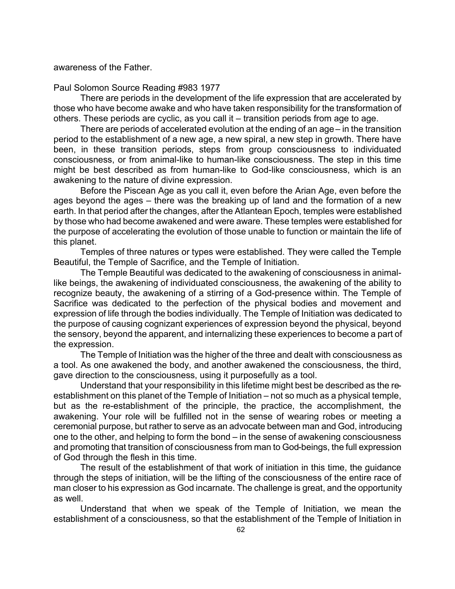awareness of the Father.

Paul Solomon Source Reading #983 1977

There are periods in the development of the life expression that are accelerated by those who have become awake and who have taken responsibility for the transformation of others. These periods are cyclic, as you call it – transition periods from age to age.

There are periods of accelerated evolution at the ending of an age – in the transition period to the establishment of a new age, a new spiral, a new step in growth. There have been, in these transition periods, steps from group consciousness to individuated consciousness, or from animal-like to human-like consciousness. The step in this time might be best described as from human-like to God-like consciousness, which is an awakening to the nature of divine expression.

Before the Piscean Age as you call it, even before the Arian Age, even before the ages beyond the ages – there was the breaking up of land and the formation of a new earth. In that period after the changes, after the Atlantean Epoch, temples were established by those who had become awakened and were aware. These temples were established for the purpose of accelerating the evolution of those unable to function or maintain the life of this planet.

Temples of three natures or types were established. They were called the Temple Beautiful, the Temple of Sacrifice, and the Temple of Initiation.

The Temple Beautiful was dedicated to the awakening of consciousness in animallike beings, the awakening of individuated consciousness, the awakening of the ability to recognize beauty, the awakening of a stirring of a God-presence within. The Temple of Sacrifice was dedicated to the perfection of the physical bodies and movement and expression of life through the bodies individually. The Temple of Initiation was dedicated to the purpose of causing cognizant experiences of expression beyond the physical, beyond the sensory, beyond the apparent, and internalizing these experiences to become a part of the expression.

The Temple of Initiation was the higher of the three and dealt with consciousness as a tool. As one awakened the body, and another awakened the consciousness, the third, gave direction to the consciousness, using it purposefully as a tool.

Understand that your responsibility in this lifetime might best be described as the reestablishment on this planet of the Temple of Initiation – not so much as a physical temple, but as the re-establishment of the principle, the practice, the accomplishment, the awakening. Your role will be fulfilled not in the sense of wearing robes or meeting a ceremonial purpose, but rather to serve as an advocate between man and God, introducing one to the other, and helping to form the bond – in the sense of awakening consciousness and promoting that transition of consciousness from man to God-beings, the full expression of God through the flesh in this time.

The result of the establishment of that work of initiation in this time, the guidance through the steps of initiation, will be the lifting of the consciousness of the entire race of man closer to his expression as God incarnate. The challenge is great, and the opportunity as well.

Understand that when we speak of the Temple of Initiation, we mean the establishment of a consciousness, so that the establishment of the Temple of Initiation in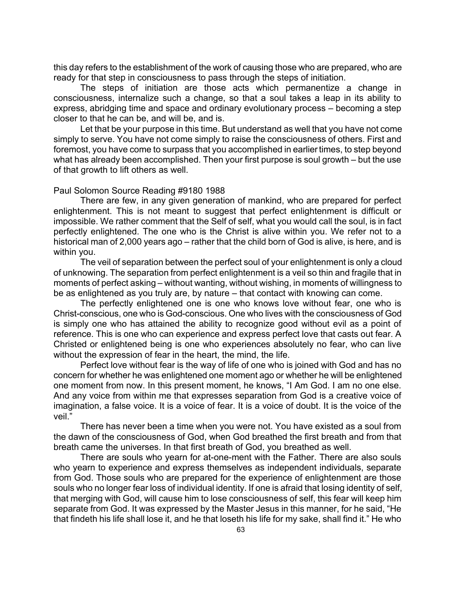this day refers to the establishment of the work of causing those who are prepared, who are ready for that step in consciousness to pass through the steps of initiation.

The steps of initiation are those acts which permanentize a change in consciousness, internalize such a change, so that a soul takes a leap in its ability to express, abridging time and space and ordinary evolutionary process – becoming a step closer to that he can be, and will be, and is.

Let that be your purpose in this time. But understand as well that you have not come simply to serve. You have not come simply to raise the consciousness of others. First and foremost, you have come to surpass that you accomplished in earlier times, to step beyond what has already been accomplished. Then your first purpose is soul growth – but the use of that growth to lift others as well.

### Paul Solomon Source Reading #9180 1988

There are few, in any given generation of mankind, who are prepared for perfect enlightenment. This is not meant to suggest that perfect enlightenment is difficult or impossible. We rather comment that the Self of self, what you would call the soul, is in fact perfectly enlightened. The one who is the Christ is alive within you. We refer not to a historical man of 2,000 years ago – rather that the child born of God is alive, is here, and is within you.

The veil of separation between the perfect soul of your enlightenment is only a cloud of unknowing. The separation from perfect enlightenment is a veil so thin and fragile that in moments of perfect asking – without wanting, without wishing, in moments of willingness to be as enlightened as you truly are, by nature – that contact with knowing can come.

The perfectly enlightened one is one who knows love without fear, one who is Christ-conscious, one who is God-conscious. One who lives with the consciousness of God is simply one who has attained the ability to recognize good without evil as a point of reference. This is one who can experience and express perfect love that casts out fear. A Christed or enlightened being is one who experiences absolutely no fear, who can live without the expression of fear in the heart, the mind, the life.

Perfect love without fear is the way of life of one who is joined with God and has no concern for whether he was enlightened one moment ago or whether he will be enlightened one moment from now. In this present moment, he knows, "I Am God. I am no one else. And any voice from within me that expresses separation from God is a creative voice of imagination, a false voice. It is a voice of fear. It is a voice of doubt. It is the voice of the veil."

There has never been a time when you were not. You have existed as a soul from the dawn of the consciousness of God, when God breathed the first breath and from that breath came the universes. In that first breath of God, you breathed as well.

There are souls who yearn for at-one-ment with the Father. There are also souls who yearn to experience and express themselves as independent individuals, separate from God. Those souls who are prepared for the experience of enlightenment are those souls who no longer fear loss of individual identity. If one is afraid that losing identity of self, that merging with God, will cause him to lose consciousness of self, this fear will keep him separate from God. It was expressed by the Master Jesus in this manner, for he said, "He that findeth his life shall lose it, and he that loseth his life for my sake, shall find it." He who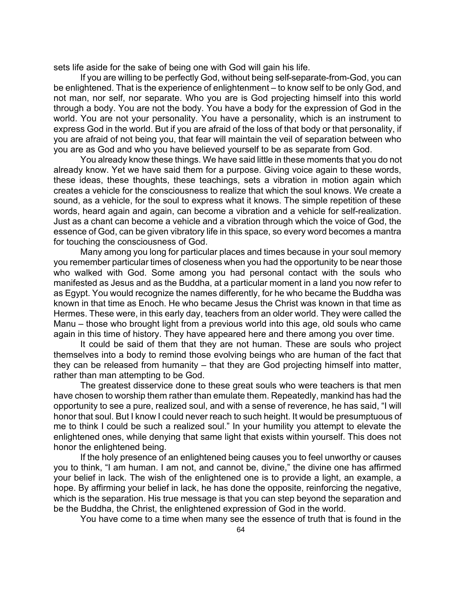sets life aside for the sake of being one with God will gain his life.

If you are willing to be perfectly God, without being self-separate-from-God, you can be enlightened. That is the experience of enlightenment – to know self to be only God, and not man, nor self, nor separate. Who you are is God projecting himself into this world through a body. You are not the body. You have a body for the expression of God in the world. You are not your personality. You have a personality, which is an instrument to express God in the world. But if you are afraid of the loss of that body or that personality, if you are afraid of not being you, that fear will maintain the veil of separation between who you are as God and who you have believed yourself to be as separate from God.

You already know these things. We have said little in these moments that you do not already know. Yet we have said them for a purpose. Giving voice again to these words, these ideas, these thoughts, these teachings, sets a vibration in motion again which creates a vehicle for the consciousness to realize that which the soul knows. We create a sound, as a vehicle, for the soul to express what it knows. The simple repetition of these words, heard again and again, can become a vibration and a vehicle for self-realization. Just as a chant can become a vehicle and a vibration through which the voice of God, the essence of God, can be given vibratory life in this space, so every word becomes a mantra for touching the consciousness of God.

Many among you long for particular places and times because in your soul memory you remember particular times of closeness when you had the opportunity to be near those who walked with God. Some among you had personal contact with the souls who manifested as Jesus and as the Buddha, at a particular moment in a land you now refer to as Egypt. You would recognize the names differently, for he who became the Buddha was known in that time as Enoch. He who became Jesus the Christ was known in that time as Hermes. These were, in this early day, teachers from an older world. They were called the Manu – those who brought light from a previous world into this age, old souls who came again in this time of history. They have appeared here and there among you over time.

It could be said of them that they are not human. These are souls who project themselves into a body to remind those evolving beings who are human of the fact that they can be released from humanity – that they are God projecting himself into matter, rather than man attempting to be God.

The greatest disservice done to these great souls who were teachers is that men have chosen to worship them rather than emulate them. Repeatedly, mankind has had the opportunity to see a pure, realized soul, and with a sense of reverence, he has said, "I will honor that soul. But I know I could never reach to such height. It would be presumptuous of me to think I could be such a realized soul." In your humility you attempt to elevate the enlightened ones, while denying that same light that exists within yourself. This does not honor the enlightened being.

If the holy presence of an enlightened being causes you to feel unworthy or causes you to think, "I am human. I am not, and cannot be, divine," the divine one has affirmed your belief in lack. The wish of the enlightened one is to provide a light, an example, a hope. By affirming your belief in lack, he has done the opposite, reinforcing the negative, which is the separation. His true message is that you can step beyond the separation and be the Buddha, the Christ, the enlightened expression of God in the world.

You have come to a time when many see the essence of truth that is found in the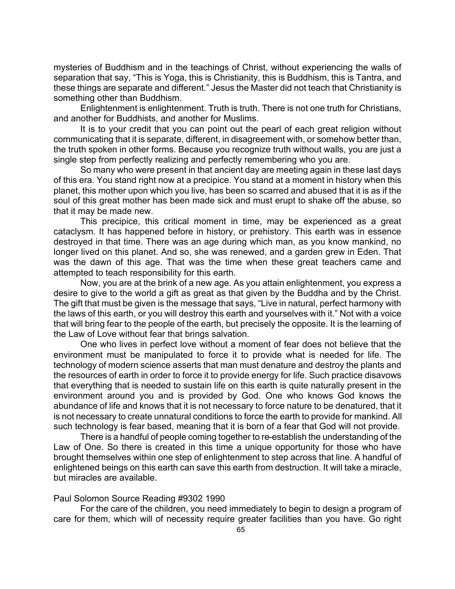mysteries of Buddhism and in the teachings of Christ, without experiencing the walls of separation that say, "This is Yoga, this is Christianity, this is Buddhism, this is Tantra, and these things are separate and different." Jesus the Master did not teach that Christianity is something other than Buddhism.

Enlightenment is enlightenment. Truth is truth. There is not one truth for Christians, and another for Buddhists, and another for Muslims.

It is to your credit that you can point out the pearl of each great religion without communicating that it is separate, different, in disagreement with, or somehow better than, the truth spoken in other forms. Because you recognize truth without walls, you are just a single step from perfectly realizing and perfectly remembering who you are.

So many who were present in that ancient day are meeting again in these last days of this era. You stand right now at a precipice. You stand at a moment in history when this planet, this mother upon which you live, has been so scarred and abused that it is as if the soul of this great mother has been made sick and must erupt to shake off the abuse, so that it may be made new.

This precipice, this critical moment in time, may be experienced as a great cataclysm. It has happened before in history, or prehistory. This earth was in essence destroyed in that time. There was an age during which man, as you know mankind, no longer lived on this planet. And so, she was renewed, and a garden grew in Eden. That was the dawn of this age. That was the time when these great teachers came and attempted to teach responsibility for this earth.

Now, you are at the brink of a new age. As you attain enlightenment, you express a desire to give to the world a gift as great as that given by the Buddha and by the Christ. The gift that must be given is the message that says, "Live in natural, perfect harmony with the laws of this earth, or you will destroy this earth and yourselves with it." Not with a voice that will bring fear to the people of the earth, but precisely the opposite. It is the learning of the Law of Love without fear that brings salvation.

One who lives in perfect love without a moment of fear does not believe that the environment must be manipulated to force it to provide what is needed for life. The technology of modern science asserts that man must denature and destroy the plants and the resources of earth in order to force it to provide energy for life. Such practice disavows that everything that is needed to sustain life on this earth is quite naturally present in the environment around you and is provided by God. One who knows God knows the abundance of life and knows that it is not necessary to force nature to be denatured, that it is not necessary to create unnatural conditions to force the earth to provide for mankind. All such technology is fear based, meaning that it is born of a fear that God will not provide.

There is a handful of people coming together to re-establish the understanding of the Law of One. So there is created in this time a unique opportunity for those who have brought themselves within one step of enlightenment to step across that line. A handful of enlightened beings on this earth can save this earth from destruction. It will take a miracle, but miracles are available.

### Paul Solomon Source Reading #9302 1990

For the care of the children, you need immediately to begin to design a program of care for them, which will of necessity require greater facilities than you have. Go right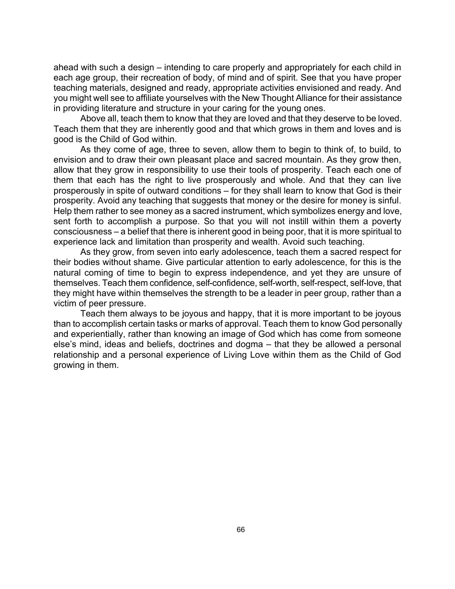ahead with such a design – intending to care properly and appropriately for each child in each age group, their recreation of body, of mind and of spirit. See that you have proper teaching materials, designed and ready, appropriate activities envisioned and ready. And you might well see to affiliate yourselves with the New Thought Alliance for their assistance in providing literature and structure in your caring for the young ones.

Above all, teach them to know that they are loved and that they deserve to be loved. Teach them that they are inherently good and that which grows in them and loves and is good is the Child of God within.

As they come of age, three to seven, allow them to begin to think of, to build, to envision and to draw their own pleasant place and sacred mountain. As they grow then, allow that they grow in responsibility to use their tools of prosperity. Teach each one of them that each has the right to live prosperously and whole. And that they can live prosperously in spite of outward conditions – for they shall learn to know that God is their prosperity. Avoid any teaching that suggests that money or the desire for money is sinful. Help them rather to see money as a sacred instrument, which symbolizes energy and love, sent forth to accomplish a purpose. So that you will not instill within them a poverty consciousness – a belief that there is inherent good in being poor, that it is more spiritual to experience lack and limitation than prosperity and wealth. Avoid such teaching.

As they grow, from seven into early adolescence, teach them a sacred respect for their bodies without shame. Give particular attention to early adolescence, for this is the natural coming of time to begin to express independence, and yet they are unsure of themselves. Teach them confidence, self-confidence, self-worth, self-respect, self-love, that they might have within themselves the strength to be a leader in peer group, rather than a victim of peer pressure.

Teach them always to be joyous and happy, that it is more important to be joyous than to accomplish certain tasks or marks of approval. Teach them to know God personally and experientially, rather than knowing an image of God which has come from someone else's mind, ideas and beliefs, doctrines and dogma – that they be allowed a personal relationship and a personal experience of Living Love within them as the Child of God growing in them.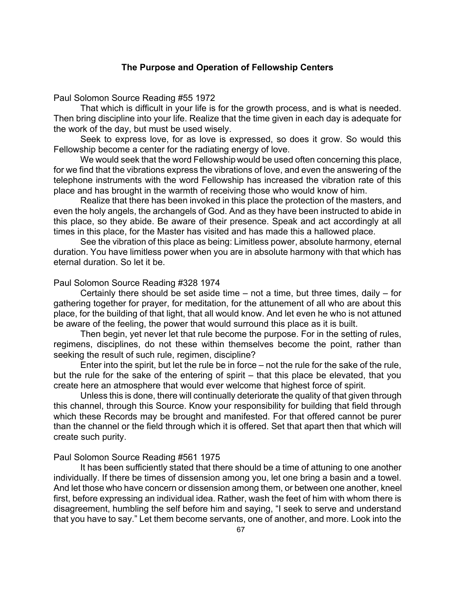## **The Purpose and Operation of Fellowship Centers**

Paul Solomon Source Reading #55 1972

That which is difficult in your life is for the growth process, and is what is needed. Then bring discipline into your life. Realize that the time given in each day is adequate for the work of the day, but must be used wisely.

Seek to express love, for as love is expressed, so does it grow. So would this Fellowship become a center for the radiating energy of love.

We would seek that the word Fellowship would be used often concerning this place, for we find that the vibrations express the vibrations of love, and even the answering of the telephone instruments with the word Fellowship has increased the vibration rate of this place and has brought in the warmth of receiving those who would know of him.

Realize that there has been invoked in this place the protection of the masters, and even the holy angels, the archangels of God. And as they have been instructed to abide in this place, so they abide. Be aware of their presence. Speak and act accordingly at all times in this place, for the Master has visited and has made this a hallowed place.

See the vibration of this place as being: Limitless power, absolute harmony, eternal duration. You have limitless power when you are in absolute harmony with that which has eternal duration. So let it be.

## Paul Solomon Source Reading #328 1974

Certainly there should be set aside time  $-$  not a time, but three times, daily  $-$  for gathering together for prayer, for meditation, for the attunement of all who are about this place, for the building of that light, that all would know. And let even he who is not attuned be aware of the feeling, the power that would surround this place as it is built.

Then begin, yet never let that rule become the purpose. For in the setting of rules, regimens, disciplines, do not these within themselves become the point, rather than seeking the result of such rule, regimen, discipline?

Enter into the spirit, but let the rule be in force – not the rule for the sake of the rule, but the rule for the sake of the entering of spirit – that this place be elevated, that you create here an atmosphere that would ever welcome that highest force of spirit.

Unless this is done, there will continually deteriorate the quality of that given through this channel, through this Source. Know your responsibility for building that field through which these Records may be brought and manifested. For that offered cannot be purer than the channel or the field through which it is offered. Set that apart then that which will create such purity.

#### Paul Solomon Source Reading #561 1975

It has been sufficiently stated that there should be a time of attuning to one another individually. If there be times of dissension among you, let one bring a basin and a towel. And let those who have concern or dissension among them, or between one another, kneel first, before expressing an individual idea. Rather, wash the feet of him with whom there is disagreement, humbling the self before him and saying, "I seek to serve and understand that you have to say." Let them become servants, one of another, and more. Look into the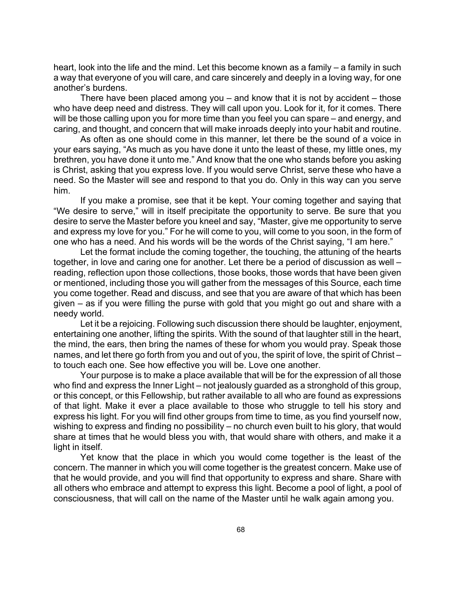heart, look into the life and the mind. Let this become known as a family – a family in such a way that everyone of you will care, and care sincerely and deeply in a loving way, for one another's burdens.

There have been placed among you  $-$  and know that it is not by accident  $-$  those who have deep need and distress. They will call upon you. Look for it, for it comes. There will be those calling upon you for more time than you feel you can spare – and energy, and caring, and thought, and concern that will make inroads deeply into your habit and routine.

As often as one should come in this manner, let there be the sound of a voice in your ears saying, "As much as you have done it unto the least of these, my little ones, my brethren, you have done it unto me." And know that the one who stands before you asking is Christ, asking that you express love. If you would serve Christ, serve these who have a need. So the Master will see and respond to that you do. Only in this way can you serve him.

If you make a promise, see that it be kept. Your coming together and saying that "We desire to serve," will in itself precipitate the opportunity to serve. Be sure that you desire to serve the Master before you kneel and say, "Master, give me opportunity to serve and express my love for you." For he will come to you, will come to you soon, in the form of one who has a need. And his words will be the words of the Christ saying, "I am here."

Let the format include the coming together, the touching, the attuning of the hearts together, in love and caring one for another. Let there be a period of discussion as well – reading, reflection upon those collections, those books, those words that have been given or mentioned, including those you will gather from the messages of this Source, each time you come together. Read and discuss, and see that you are aware of that which has been given – as if you were filling the purse with gold that you might go out and share with a needy world.

Let it be a rejoicing. Following such discussion there should be laughter, enjoyment, entertaining one another, lifting the spirits. With the sound of that laughter still in the heart, the mind, the ears, then bring the names of these for whom you would pray. Speak those names, and let there go forth from you and out of you, the spirit of love, the spirit of Christ – to touch each one. See how effective you will be. Love one another.

Your purpose is to make a place available that will be for the expression of all those who find and express the Inner Light – not jealously guarded as a stronghold of this group, or this concept, or this Fellowship, but rather available to all who are found as expressions of that light. Make it ever a place available to those who struggle to tell his story and express his light. For you will find other groups from time to time, as you find yourself now, wishing to express and finding no possibility – no church even built to his glory, that would share at times that he would bless you with, that would share with others, and make it a light in itself.

Yet know that the place in which you would come together is the least of the concern. The manner in which you will come together is the greatest concern. Make use of that he would provide, and you will find that opportunity to express and share. Share with all others who embrace and attempt to express this light. Become a pool of light, a pool of consciousness, that will call on the name of the Master until he walk again among you.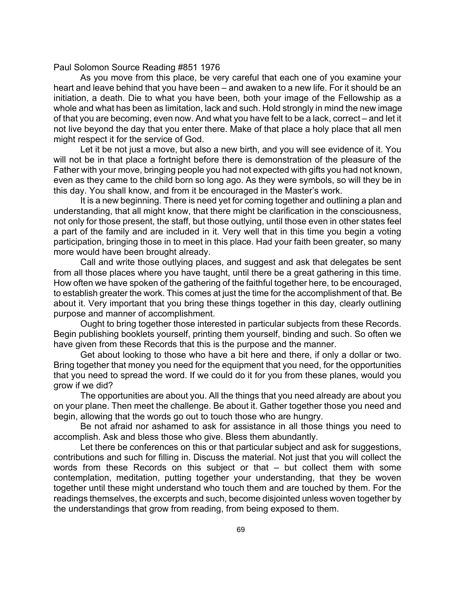#### Paul Solomon Source Reading #851 1976

As you move from this place, be very careful that each one of you examine your heart and leave behind that you have been – and awaken to a new life. For it should be an initiation, a death. Die to what you have been, both your image of the Fellowship as a whole and what has been as limitation, lack and such. Hold strongly in mind the new image of that you are becoming, even now. And what you have felt to be a lack, correct – and let it not live beyond the day that you enter there. Make of that place a holy place that all men might respect it for the service of God.

Let it be not just a move, but also a new birth, and you will see evidence of it. You will not be in that place a fortnight before there is demonstration of the pleasure of the Father with your move, bringing people you had not expected with gifts you had not known, even as they came to the child born so long ago. As they were symbols, so will they be in this day. You shall know, and from it be encouraged in the Master's work.

It is a new beginning. There is need yet for coming together and outlining a plan and understanding, that all might know, that there might be clarification in the consciousness, not only for those present, the staff, but those outlying, until those even in other states feel a part of the family and are included in it. Very well that in this time you begin a voting participation, bringing those in to meet in this place. Had your faith been greater, so many more would have been brought already.

Call and write those outlying places, and suggest and ask that delegates be sent from all those places where you have taught, until there be a great gathering in this time. How often we have spoken of the gathering of the faithful together here, to be encouraged, to establish greater the work. This comes at just the time for the accomplishment of that. Be about it. Very important that you bring these things together in this day, clearly outlining purpose and manner of accomplishment.

Ought to bring together those interested in particular subjects from these Records. Begin publishing booklets yourself, printing them yourself, binding and such. So often we have given from these Records that this is the purpose and the manner.

Get about looking to those who have a bit here and there, if only a dollar or two. Bring together that money you need for the equipment that you need, for the opportunities that you need to spread the word. If we could do it for you from these planes, would you grow if we did?

The opportunities are about you. All the things that you need already are about you on your plane. Then meet the challenge. Be about it. Gather together those you need and begin, allowing that the words go out to touch those who are hungry.

Be not afraid nor ashamed to ask for assistance in all those things you need to accomplish. Ask and bless those who give. Bless them abundantly.

Let there be conferences on this or that particular subject and ask for suggestions, contributions and such for filling in. Discuss the material. Not just that you will collect the words from these Records on this subject or that – but collect them with some contemplation, meditation, putting together your understanding, that they be woven together until these might understand who touch them and are touched by them. For the readings themselves, the excerpts and such, become disjointed unless woven together by the understandings that grow from reading, from being exposed to them.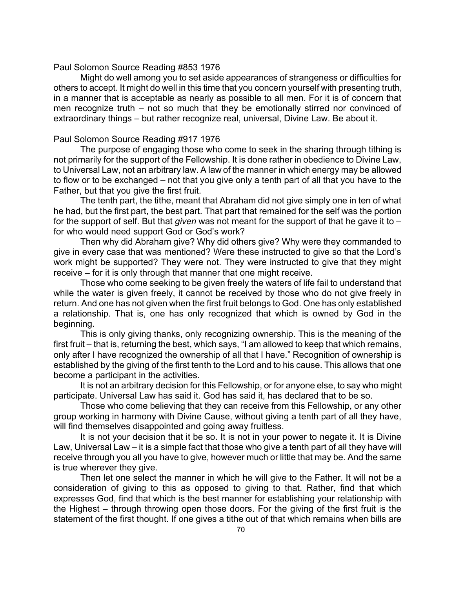#### Paul Solomon Source Reading #853 1976

Might do well among you to set aside appearances of strangeness or difficulties for others to accept. It might do well in this time that you concern yourself with presenting truth, in a manner that is acceptable as nearly as possible to all men. For it is of concern that men recognize truth – not so much that they be emotionally stirred nor convinced of extraordinary things – but rather recognize real, universal, Divine Law. Be about it.

#### Paul Solomon Source Reading #917 1976

The purpose of engaging those who come to seek in the sharing through tithing is not primarily for the support of the Fellowship. It is done rather in obedience to Divine Law, to Universal Law, not an arbitrary law. A law of the manner in which energy may be allowed to flow or to be exchanged – not that you give only a tenth part of all that you have to the Father, but that you give the first fruit.

The tenth part, the tithe, meant that Abraham did not give simply one in ten of what he had, but the first part, the best part. That part that remained for the self was the portion for the support of self. But that *given* was not meant for the support of that he gave it to – for who would need support God or God's work?

Then why did Abraham give? Why did others give? Why were they commanded to give in every case that was mentioned? Were these instructed to give so that the Lord's work might be supported? They were not. They were instructed to give that they might receive – for it is only through that manner that one might receive.

Those who come seeking to be given freely the waters of life fail to understand that while the water is given freely, it cannot be received by those who do not give freely in return. And one has not given when the first fruit belongs to God. One has only established a relationship. That is, one has only recognized that which is owned by God in the beginning.

This is only giving thanks, only recognizing ownership. This is the meaning of the first fruit – that is, returning the best, which says, "I am allowed to keep that which remains, only after I have recognized the ownership of all that I have." Recognition of ownership is established by the giving of the first tenth to the Lord and to his cause. This allows that one become a participant in the activities.

It is not an arbitrary decision for this Fellowship, or for anyone else, to say who might participate. Universal Law has said it. God has said it, has declared that to be so.

Those who come believing that they can receive from this Fellowship, or any other group working in harmony with Divine Cause, without giving a tenth part of all they have, will find themselves disappointed and going away fruitless.

It is not your decision that it be so. It is not in your power to negate it. It is Divine Law, Universal Law – it is a simple fact that those who give a tenth part of all they have will receive through you all you have to give, however much or little that may be. And the same is true wherever they give.

Then let one select the manner in which he will give to the Father. It will not be a consideration of giving to this as opposed to giving to that. Rather, find that which expresses God, find that which is the best manner for establishing your relationship with the Highest – through throwing open those doors. For the giving of the first fruit is the statement of the first thought. If one gives a tithe out of that which remains when bills are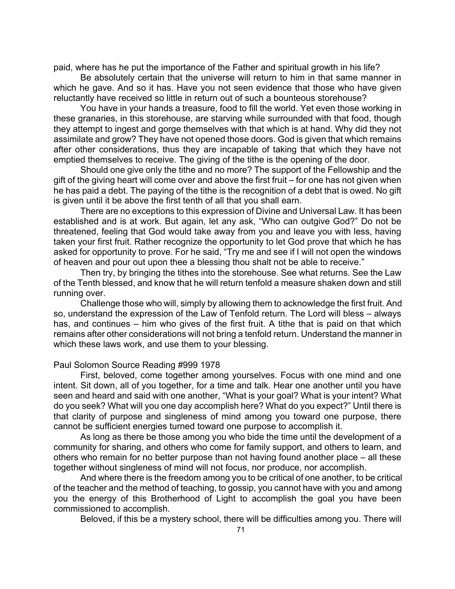paid, where has he put the importance of the Father and spiritual growth in his life?

Be absolutely certain that the universe will return to him in that same manner in which he gave. And so it has. Have you not seen evidence that those who have given reluctantly have received so little in return out of such a bounteous storehouse?

You have in your hands a treasure, food to fill the world. Yet even those working in these granaries, in this storehouse, are starving while surrounded with that food, though they attempt to ingest and gorge themselves with that which is at hand. Why did they not assimilate and grow? They have not opened those doors. God is given that which remains after other considerations, thus they are incapable of taking that which they have not emptied themselves to receive. The giving of the tithe is the opening of the door.

Should one give only the tithe and no more? The support of the Fellowship and the gift of the giving heart will come over and above the first fruit – for one has not given when he has paid a debt. The paying of the tithe is the recognition of a debt that is owed. No gift is given until it be above the first tenth of all that you shall earn.

There are no exceptions to this expression of Divine and Universal Law. It has been established and is at work. But again, let any ask, "Who can outgive God?" Do not be threatened, feeling that God would take away from you and leave you with less, having taken your first fruit. Rather recognize the opportunity to let God prove that which he has asked for opportunity to prove. For he said, "Try me and see if I will not open the windows of heaven and pour out upon thee a blessing thou shalt not be able to receive."

Then try, by bringing the tithes into the storehouse. See what returns. See the Law of the Tenth blessed, and know that he will return tenfold a measure shaken down and still running over.

Challenge those who will, simply by allowing them to acknowledge the first fruit. And so, understand the expression of the Law of Tenfold return. The Lord will bless – always has, and continues – him who gives of the first fruit. A tithe that is paid on that which remains after other considerations will not bring a tenfold return. Understand the manner in which these laws work, and use them to your blessing.

### Paul Solomon Source Reading #999 1978

First, beloved, come together among yourselves. Focus with one mind and one intent. Sit down, all of you together, for a time and talk. Hear one another until you have seen and heard and said with one another, "What is your goal? What is your intent? What do you seek? What will you one day accomplish here? What do you expect?" Until there is that clarity of purpose and singleness of mind among you toward one purpose, there cannot be sufficient energies turned toward one purpose to accomplish it.

As long as there be those among you who bide the time until the development of a community for sharing, and others who come for family support, and others to learn, and others who remain for no better purpose than not having found another place – all these together without singleness of mind will not focus, nor produce, nor accomplish.

And where there is the freedom among you to be critical of one another, to be critical of the teacher and the method of teaching, to gossip, you cannot have with you and among you the energy of this Brotherhood of Light to accomplish the goal you have been commissioned to accomplish.

Beloved, if this be a mystery school, there will be difficulties among you. There will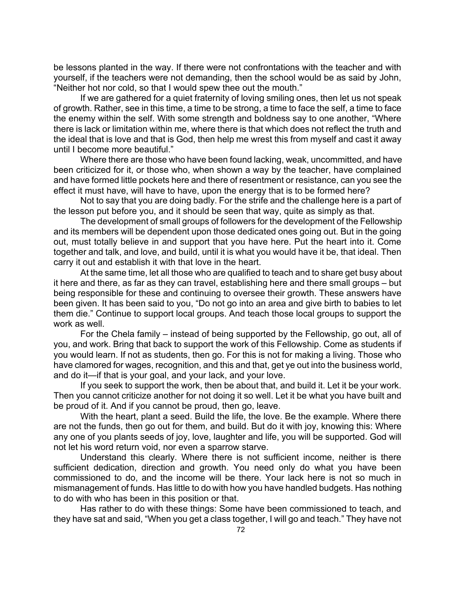be lessons planted in the way. If there were not confrontations with the teacher and with yourself, if the teachers were not demanding, then the school would be as said by John, "Neither hot nor cold, so that I would spew thee out the mouth."

If we are gathered for a quiet fraternity of loving smiling ones, then let us not speak of growth. Rather, see in this time, a time to be strong, a time to face the self, a time to face the enemy within the self. With some strength and boldness say to one another, "Where there is lack or limitation within me, where there is that which does not reflect the truth and the ideal that is love and that is God, then help me wrest this from myself and cast it away until I become more beautiful."

Where there are those who have been found lacking, weak, uncommitted, and have been criticized for it, or those who, when shown a way by the teacher, have complained and have formed little pockets here and there of resentment or resistance, can you see the effect it must have, will have to have, upon the energy that is to be formed here?

Not to say that you are doing badly. For the strife and the challenge here is a part of the lesson put before you, and it should be seen that way, quite as simply as that.

The development of small groups of followers for the development of the Fellowship and its members will be dependent upon those dedicated ones going out. But in the going out, must totally believe in and support that you have here. Put the heart into it. Come together and talk, and love, and build, until it is what you would have it be, that ideal. Then carry it out and establish it with that love in the heart.

At the same time, let all those who are qualified to teach and to share get busy about it here and there, as far as they can travel, establishing here and there small groups – but being responsible for these and continuing to oversee their growth. These answers have been given. It has been said to you, "Do not go into an area and give birth to babies to let them die." Continue to support local groups. And teach those local groups to support the work as well.

For the Chela family – instead of being supported by the Fellowship, go out, all of you, and work. Bring that back to support the work of this Fellowship. Come as students if you would learn. If not as students, then go. For this is not for making a living. Those who have clamored for wages, recognition, and this and that, get ye out into the business world, and do it—if that is your goal, and your lack, and your love.

If you seek to support the work, then be about that, and build it. Let it be your work. Then you cannot criticize another for not doing it so well. Let it be what you have built and be proud of it. And if you cannot be proud, then go, leave.

With the heart, plant a seed. Build the life, the love. Be the example. Where there are not the funds, then go out for them, and build. But do it with joy, knowing this: Where any one of you plants seeds of joy, love, laughter and life, you will be supported. God will not let his word return void, nor even a sparrow starve.

Understand this clearly. Where there is not sufficient income, neither is there sufficient dedication, direction and growth. You need only do what you have been commissioned to do, and the income will be there. Your lack here is not so much in mismanagement of funds. Has little to do with how you have handled budgets. Has nothing to do with who has been in this position or that.

Has rather to do with these things: Some have been commissioned to teach, and they have sat and said, "When you get a class together, I will go and teach." They have not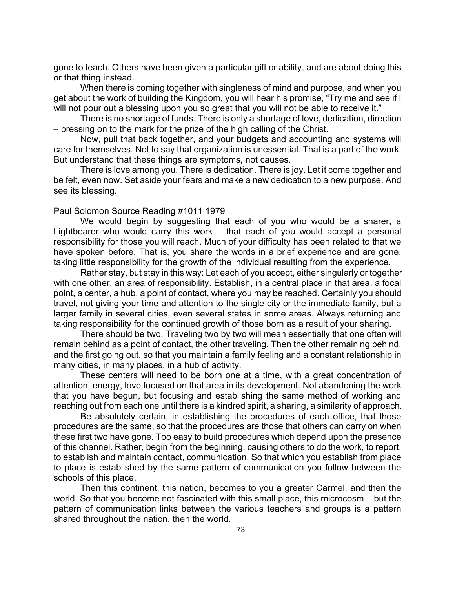gone to teach. Others have been given a particular gift or ability, and are about doing this or that thing instead.

When there is coming together with singleness of mind and purpose, and when you get about the work of building the Kingdom, you will hear his promise, "Try me and see if I will not pour out a blessing upon you so great that you will not be able to receive it."

There is no shortage of funds. There is only a shortage of love, dedication, direction – pressing on to the mark for the prize of the high calling of the Christ.

Now, pull that back together, and your budgets and accounting and systems will care for themselves. Not to say that organization is unessential. That is a part of the work. But understand that these things are symptoms, not causes.

There is love among you. There is dedication. There is joy. Let it come together and be felt, even now. Set aside your fears and make a new dedication to a new purpose. And see its blessing.

#### Paul Solomon Source Reading #1011 1979

We would begin by suggesting that each of you who would be a sharer, a Lightbearer who would carry this work – that each of you would accept a personal responsibility for those you will reach. Much of your difficulty has been related to that we have spoken before. That is, you share the words in a brief experience and are gone, taking little responsibility for the growth of the individual resulting from the experience.

Rather stay, but stay in this way: Let each of you accept, either singularly or together with one other, an area of responsibility. Establish, in a central place in that area, a focal point, a center, a hub, a point of contact, where you may be reached. Certainly you should travel, not giving your time and attention to the single city or the immediate family, but a larger family in several cities, even several states in some areas. Always returning and taking responsibility for the continued growth of those born as a result of your sharing.

There should be two. Traveling two by two will mean essentially that one often will remain behind as a point of contact, the other traveling. Then the other remaining behind, and the first going out, so that you maintain a family feeling and a constant relationship in many cities, in many places, in a hub of activity.

These centers will need to be born one at a time, with a great concentration of attention, energy, love focused on that area in its development. Not abandoning the work that you have begun, but focusing and establishing the same method of working and reaching out from each one until there is a kindred spirit, a sharing, a similarity of approach.

Be absolutely certain, in establishing the procedures of each office, that those procedures are the same, so that the procedures are those that others can carry on when these first two have gone. Too easy to build procedures which depend upon the presence of this channel. Rather, begin from the beginning, causing others to do the work, to report, to establish and maintain contact, communication. So that which you establish from place to place is established by the same pattern of communication you follow between the schools of this place.

Then this continent, this nation, becomes to you a greater Carmel, and then the world. So that you become not fascinated with this small place, this microcosm – but the pattern of communication links between the various teachers and groups is a pattern shared throughout the nation, then the world.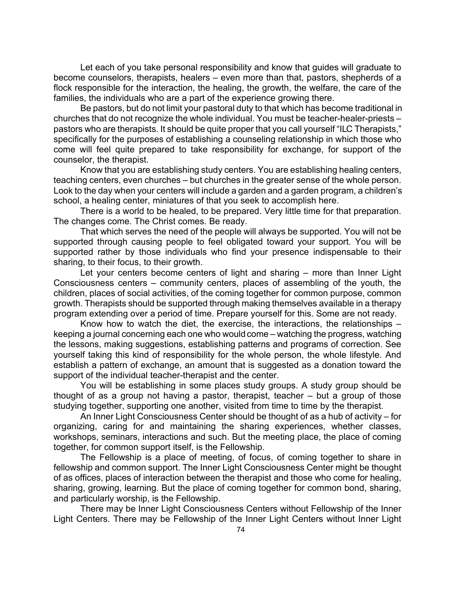Let each of you take personal responsibility and know that guides will graduate to become counselors, therapists, healers – even more than that, pastors, shepherds of a flock responsible for the interaction, the healing, the growth, the welfare, the care of the families, the individuals who are a part of the experience growing there.

Be pastors, but do not limit your pastoral duty to that which has become traditional in churches that do not recognize the whole individual. You must be teacher-healer-priests – pastors who are therapists. It should be quite proper that you call yourself "ILC Therapists," specifically for the purposes of establishing a counseling relationship in which those who come will feel quite prepared to take responsibility for exchange, for support of the counselor, the therapist.

Know that you are establishing study centers. You are establishing healing centers, teaching centers, even churches – but churches in the greater sense of the whole person. Look to the day when your centers will include a garden and a garden program, a children's school, a healing center, miniatures of that you seek to accomplish here.

There is a world to be healed, to be prepared. Very little time for that preparation. The changes come. The Christ comes. Be ready.

That which serves the need of the people will always be supported. You will not be supported through causing people to feel obligated toward your support. You will be supported rather by those individuals who find your presence indispensable to their sharing, to their focus, to their growth.

Let your centers become centers of light and sharing – more than Inner Light Consciousness centers – community centers, places of assembling of the youth, the children, places of social activities, of the coming together for common purpose, common growth. Therapists should be supported through making themselves available in a therapy program extending over a period of time. Prepare yourself for this. Some are not ready.

Know how to watch the diet, the exercise, the interactions, the relationships – keeping a journal concerning each one who would come – watching the progress, watching the lessons, making suggestions, establishing patterns and programs of correction. See yourself taking this kind of responsibility for the whole person, the whole lifestyle. And establish a pattern of exchange, an amount that is suggested as a donation toward the support of the individual teacher-therapist and the center.

You will be establishing in some places study groups. A study group should be thought of as a group not having a pastor, therapist, teacher – but a group of those studying together, supporting one another, visited from time to time by the therapist.

An Inner Light Consciousness Center should be thought of as a hub of activity – for organizing, caring for and maintaining the sharing experiences, whether classes, workshops, seminars, interactions and such. But the meeting place, the place of coming together, for common support itself, is the Fellowship.

The Fellowship is a place of meeting, of focus, of coming together to share in fellowship and common support. The Inner Light Consciousness Center might be thought of as offices, places of interaction between the therapist and those who come for healing, sharing, growing, learning. But the place of coming together for common bond, sharing, and particularly worship, is the Fellowship.

There may be Inner Light Consciousness Centers without Fellowship of the Inner Light Centers. There may be Fellowship of the Inner Light Centers without Inner Light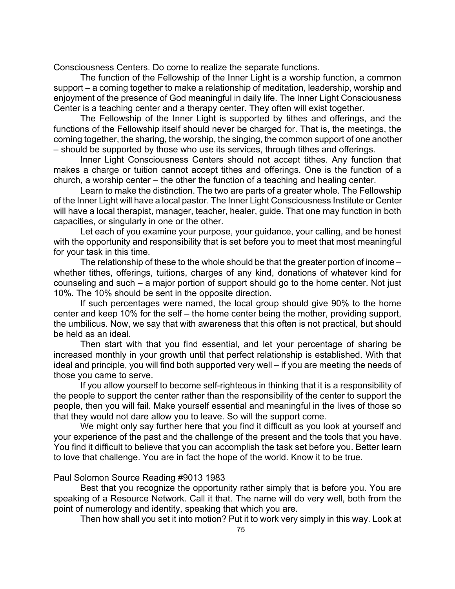Consciousness Centers. Do come to realize the separate functions.

The function of the Fellowship of the Inner Light is a worship function, a common support – a coming together to make a relationship of meditation, leadership, worship and enjoyment of the presence of God meaningful in daily life. The Inner Light Consciousness Center is a teaching center and a therapy center. They often will exist together.

The Fellowship of the Inner Light is supported by tithes and offerings, and the functions of the Fellowship itself should never be charged for. That is, the meetings, the coming together, the sharing, the worship, the singing, the common support of one another – should be supported by those who use its services, through tithes and offerings.

Inner Light Consciousness Centers should not accept tithes. Any function that makes a charge or tuition cannot accept tithes and offerings. One is the function of a church, a worship center – the other the function of a teaching and healing center.

Learn to make the distinction. The two are parts of a greater whole. The Fellowship of the Inner Light will have a local pastor. The Inner Light Consciousness Institute or Center will have a local therapist, manager, teacher, healer, guide. That one may function in both capacities, or singularly in one or the other.

Let each of you examine your purpose, your guidance, your calling, and be honest with the opportunity and responsibility that is set before you to meet that most meaningful for your task in this time.

The relationship of these to the whole should be that the greater portion of income – whether tithes, offerings, tuitions, charges of any kind, donations of whatever kind for counseling and such – a major portion of support should go to the home center. Not just 10%. The 10% should be sent in the opposite direction.

If such percentages were named, the local group should give 90% to the home center and keep 10% for the self – the home center being the mother, providing support, the umbilicus. Now, we say that with awareness that this often is not practical, but should be held as an ideal.

Then start with that you find essential, and let your percentage of sharing be increased monthly in your growth until that perfect relationship is established. With that ideal and principle, you will find both supported very well – if you are meeting the needs of those you came to serve.

If you allow yourself to become self-righteous in thinking that it is a responsibility of the people to support the center rather than the responsibility of the center to support the people, then you will fail. Make yourself essential and meaningful in the lives of those so that they would not dare allow you to leave. So will the support come.

We might only say further here that you find it difficult as you look at yourself and your experience of the past and the challenge of the present and the tools that you have. You find it difficult to believe that you can accomplish the task set before you. Better learn to love that challenge. You are in fact the hope of the world. Know it to be true.

## Paul Solomon Source Reading #9013 1983

Best that you recognize the opportunity rather simply that is before you. You are speaking of a Resource Network. Call it that. The name will do very well, both from the point of numerology and identity, speaking that which you are.

Then how shall you set it into motion? Put it to work very simply in this way. Look at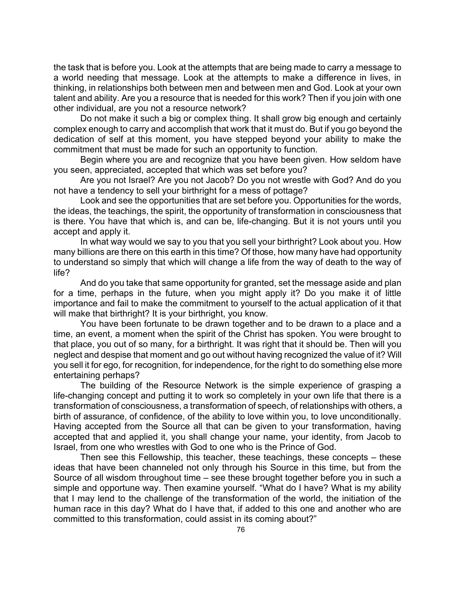the task that is before you. Look at the attempts that are being made to carry a message to a world needing that message. Look at the attempts to make a difference in lives, in thinking, in relationships both between men and between men and God. Look at your own talent and ability. Are you a resource that is needed for this work? Then if you join with one other individual, are you not a resource network?

Do not make it such a big or complex thing. It shall grow big enough and certainly complex enough to carry and accomplish that work that it must do. But if you go beyond the dedication of self at this moment, you have stepped beyond your ability to make the commitment that must be made for such an opportunity to function.

Begin where you are and recognize that you have been given. How seldom have you seen, appreciated, accepted that which was set before you?

Are you not Israel? Are you not Jacob? Do you not wrestle with God? And do you not have a tendency to sell your birthright for a mess of pottage?

Look and see the opportunities that are set before you. Opportunities for the words, the ideas, the teachings, the spirit, the opportunity of transformation in consciousness that is there. You have that which is, and can be, life-changing. But it is not yours until you accept and apply it.

In what way would we say to you that you sell your birthright? Look about you. How many billions are there on this earth in this time? Of those, how many have had opportunity to understand so simply that which will change a life from the way of death to the way of life?

And do you take that same opportunity for granted, set the message aside and plan for a time, perhaps in the future, when you might apply it? Do you make it of little importance and fail to make the commitment to yourself to the actual application of it that will make that birthright? It is your birthright, you know.

You have been fortunate to be drawn together and to be drawn to a place and a time, an event, a moment when the spirit of the Christ has spoken. You were brought to that place, you out of so many, for a birthright. It was right that it should be. Then will you neglect and despise that moment and go out without having recognized the value of it? Will you sell it for ego, for recognition, for independence, for the right to do something else more entertaining perhaps?

The building of the Resource Network is the simple experience of grasping a life-changing concept and putting it to work so completely in your own life that there is a transformation of consciousness, a transformation of speech, of relationships with others, a birth of assurance, of confidence, of the ability to love within you, to love unconditionally. Having accepted from the Source all that can be given to your transformation, having accepted that and applied it, you shall change your name, your identity, from Jacob to Israel, from one who wrestles with God to one who is the Prince of God.

Then see this Fellowship, this teacher, these teachings, these concepts – these ideas that have been channeled not only through his Source in this time, but from the Source of all wisdom throughout time – see these brought together before you in such a simple and opportune way. Then examine yourself. "What do I have? What is my ability that I may lend to the challenge of the transformation of the world, the initiation of the human race in this day? What do I have that, if added to this one and another who are committed to this transformation, could assist in its coming about?"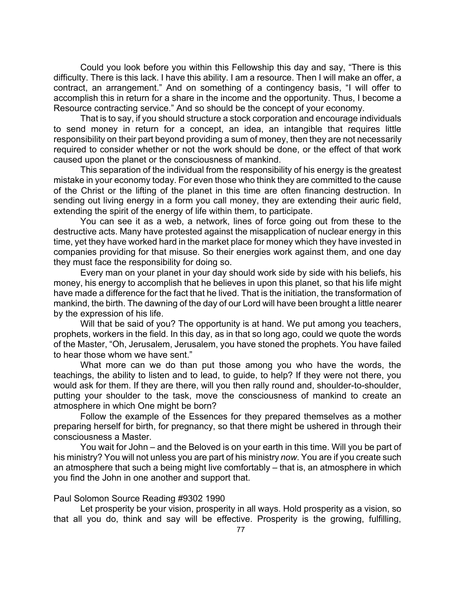Could you look before you within this Fellowship this day and say, "There is this difficulty. There is this lack. I have this ability. I am a resource. Then I will make an offer, a contract, an arrangement." And on something of a contingency basis, "I will offer to accomplish this in return for a share in the income and the opportunity. Thus, I become a Resource contracting service." And so should be the concept of your economy.

That is to say, if you should structure a stock corporation and encourage individuals to send money in return for a concept, an idea, an intangible that requires little responsibility on their part beyond providing a sum of money, then they are not necessarily required to consider whether or not the work should be done, or the effect of that work caused upon the planet or the consciousness of mankind.

This separation of the individual from the responsibility of his energy is the greatest mistake in your economy today. For even those who think they are committed to the cause of the Christ or the lifting of the planet in this time are often financing destruction. In sending out living energy in a form you call money, they are extending their auric field, extending the spirit of the energy of life within them, to participate.

You can see it as a web, a network, lines of force going out from these to the destructive acts. Many have protested against the misapplication of nuclear energy in this time, yet they have worked hard in the market place for money which they have invested in companies providing for that misuse. So their energies work against them, and one day they must face the responsibility for doing so.

Every man on your planet in your day should work side by side with his beliefs, his money, his energy to accomplish that he believes in upon this planet, so that his life might have made a difference for the fact that he lived. That is the initiation, the transformation of mankind, the birth. The dawning of the day of our Lord will have been brought a little nearer by the expression of his life.

Will that be said of you? The opportunity is at hand. We put among you teachers, prophets, workers in the field. In this day, as in that so long ago, could we quote the words of the Master, "Oh, Jerusalem, Jerusalem, you have stoned the prophets. You have failed to hear those whom we have sent."

What more can we do than put those among you who have the words, the teachings, the ability to listen and to lead, to guide, to help? If they were not there, you would ask for them. If they are there, will you then rally round and, shoulder-to-shoulder, putting your shoulder to the task, move the consciousness of mankind to create an atmosphere in which One might be born?

Follow the example of the Essences for they prepared themselves as a mother preparing herself for birth, for pregnancy, so that there might be ushered in through their consciousness a Master.

You wait for John – and the Beloved is on your earth in this time. Will you be part of his ministry? You will not unless you are part of his ministry *now*. You are if you create such an atmosphere that such a being might live comfortably – that is, an atmosphere in which you find the John in one another and support that.

## Paul Solomon Source Reading #9302 1990

Let prosperity be your vision, prosperity in all ways. Hold prosperity as a vision, so that all you do, think and say will be effective. Prosperity is the growing, fulfilling,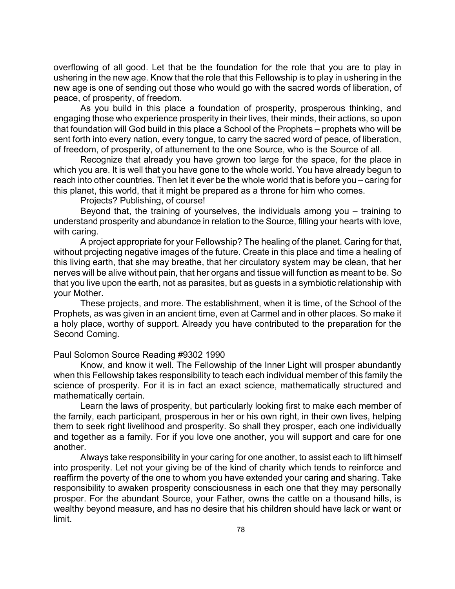overflowing of all good. Let that be the foundation for the role that you are to play in ushering in the new age. Know that the role that this Fellowship is to play in ushering in the new age is one of sending out those who would go with the sacred words of liberation, of peace, of prosperity, of freedom.

As you build in this place a foundation of prosperity, prosperous thinking, and engaging those who experience prosperity in their lives, their minds, their actions, so upon that foundation will God build in this place a School of the Prophets – prophets who will be sent forth into every nation, every tongue, to carry the sacred word of peace, of liberation, of freedom, of prosperity, of attunement to the one Source, who is the Source of all.

Recognize that already you have grown too large for the space, for the place in which you are. It is well that you have gone to the whole world. You have already begun to reach into other countries. Then let it ever be the whole world that is before you – caring for this planet, this world, that it might be prepared as a throne for him who comes.

Projects? Publishing, of course!

Beyond that, the training of yourselves, the individuals among you – training to understand prosperity and abundance in relation to the Source, filling your hearts with love, with caring.

A project appropriate for your Fellowship? The healing of the planet. Caring for that, without projecting negative images of the future. Create in this place and time a healing of this living earth, that she may breathe, that her circulatory system may be clean, that her nerves will be alive without pain, that her organs and tissue will function as meant to be. So that you live upon the earth, not as parasites, but as guests in a symbiotic relationship with your Mother.

These projects, and more. The establishment, when it is time, of the School of the Prophets, as was given in an ancient time, even at Carmel and in other places. So make it a holy place, worthy of support. Already you have contributed to the preparation for the Second Coming.

Paul Solomon Source Reading #9302 1990

Know, and know it well. The Fellowship of the Inner Light will prosper abundantly when this Fellowship takes responsibility to teach each individual member of this family the science of prosperity. For it is in fact an exact science, mathematically structured and mathematically certain.

Learn the laws of prosperity, but particularly looking first to make each member of the family, each participant, prosperous in her or his own right, in their own lives, helping them to seek right livelihood and prosperity. So shall they prosper, each one individually and together as a family. For if you love one another, you will support and care for one another.

Always take responsibility in your caring for one another, to assist each to lift himself into prosperity. Let not your giving be of the kind of charity which tends to reinforce and reaffirm the poverty of the one to whom you have extended your caring and sharing. Take responsibility to awaken prosperity consciousness in each one that they may personally prosper. For the abundant Source, your Father, owns the cattle on a thousand hills, is wealthy beyond measure, and has no desire that his children should have lack or want or limit.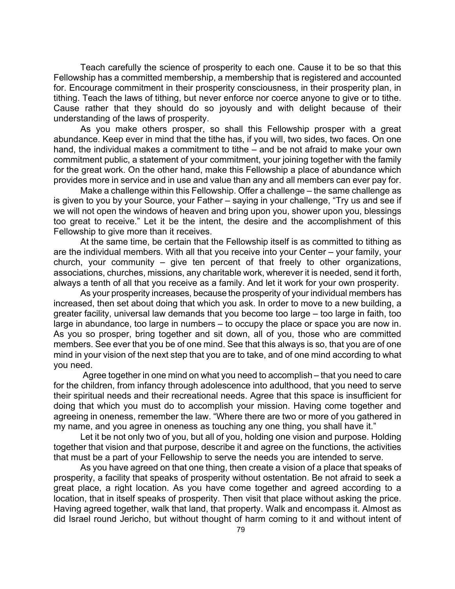Teach carefully the science of prosperity to each one. Cause it to be so that this Fellowship has a committed membership, a membership that is registered and accounted for. Encourage commitment in their prosperity consciousness, in their prosperity plan, in tithing. Teach the laws of tithing, but never enforce nor coerce anyone to give or to tithe. Cause rather that they should do so joyously and with delight because of their understanding of the laws of prosperity.

As you make others prosper, so shall this Fellowship prosper with a great abundance. Keep ever in mind that the tithe has, if you will, two sides, two faces. On one hand, the individual makes a commitment to tithe – and be not afraid to make your own commitment public, a statement of your commitment, your joining together with the family for the great work. On the other hand, make this Fellowship a place of abundance which provides more in service and in use and value than any and all members can ever pay for.

Make a challenge within this Fellowship. Offer a challenge – the same challenge as is given to you by your Source, your Father – saying in your challenge, "Try us and see if we will not open the windows of heaven and bring upon you, shower upon you, blessings too great to receive." Let it be the intent, the desire and the accomplishment of this Fellowship to give more than it receives.

At the same time, be certain that the Fellowship itself is as committed to tithing as are the individual members. With all that you receive into your Center – your family, your church, your community – give ten percent of that freely to other organizations, associations, churches, missions, any charitable work, wherever it is needed, send it forth, always a tenth of all that you receive as a family. And let it work for your own prosperity.

As your prosperity increases, because the prosperity of your individual members has increased, then set about doing that which you ask. In order to move to a new building, a greater facility, universal law demands that you become too large – too large in faith, too large in abundance, too large in numbers – to occupy the place or space you are now in. As you so prosper, bring together and sit down, all of you, those who are committed members. See ever that you be of one mind. See that this always is so, that you are of one mind in your vision of the next step that you are to take, and of one mind according to what you need.

 Agree together in one mind on what you need to accomplish – that you need to care for the children, from infancy through adolescence into adulthood, that you need to serve their spiritual needs and their recreational needs. Agree that this space is insufficient for doing that which you must do to accomplish your mission. Having come together and agreeing in oneness, remember the law. "Where there are two or more of you gathered in my name, and you agree in oneness as touching any one thing, you shall have it."

Let it be not only two of you, but all of you, holding one vision and purpose. Holding together that vision and that purpose, describe it and agree on the functions, the activities that must be a part of your Fellowship to serve the needs you are intended to serve.

As you have agreed on that one thing, then create a vision of a place that speaks of prosperity, a facility that speaks of prosperity without ostentation. Be not afraid to seek a great place, a right location. As you have come together and agreed according to a location, that in itself speaks of prosperity. Then visit that place without asking the price. Having agreed together, walk that land, that property. Walk and encompass it. Almost as did Israel round Jericho, but without thought of harm coming to it and without intent of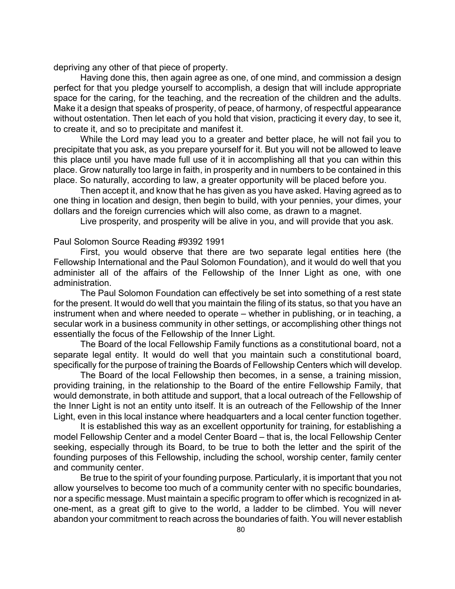depriving any other of that piece of property.

Having done this, then again agree as one, of one mind, and commission a design perfect for that you pledge yourself to accomplish, a design that will include appropriate space for the caring, for the teaching, and the recreation of the children and the adults. Make it a design that speaks of prosperity, of peace, of harmony, of respectful appearance without ostentation. Then let each of you hold that vision, practicing it every day, to see it, to create it, and so to precipitate and manifest it.

While the Lord may lead you to a greater and better place, he will not fail you to precipitate that you ask, as you prepare yourself for it. But you will not be allowed to leave this place until you have made full use of it in accomplishing all that you can within this place. Grow naturally too large in faith, in prosperity and in numbers to be contained in this place. So naturally, according to law, a greater opportunity will be placed before you.

Then accept it, and know that he has given as you have asked. Having agreed as to one thing in location and design, then begin to build, with your pennies, your dimes, your dollars and the foreign currencies which will also come, as drawn to a magnet.

Live prosperity, and prosperity will be alive in you, and will provide that you ask.

Paul Solomon Source Reading #9392 1991

First, you would observe that there are two separate legal entities here (the Fellowship International and the Paul Solomon Foundation), and it would do well that you administer all of the affairs of the Fellowship of the Inner Light as one, with one administration.

The Paul Solomon Foundation can effectively be set into something of a rest state for the present. It would do well that you maintain the filing of its status, so that you have an instrument when and where needed to operate – whether in publishing, or in teaching, a secular work in a business community in other settings, or accomplishing other things not essentially the focus of the Fellowship of the Inner Light.

The Board of the local Fellowship Family functions as a constitutional board, not a separate legal entity. It would do well that you maintain such a constitutional board, specifically for the purpose of training the Boards of Fellowship Centers which will develop.

The Board of the local Fellowship then becomes, in a sense, a training mission, providing training, in the relationship to the Board of the entire Fellowship Family, that would demonstrate, in both attitude and support, that a local outreach of the Fellowship of the Inner Light is not an entity unto itself. It is an outreach of the Fellowship of the Inner Light, even in this local instance where headquarters and a local center function together.

It is established this way as an excellent opportunity for training, for establishing a model Fellowship Center and a model Center Board – that is, the local Fellowship Center seeking, especially through its Board, to be true to both the letter and the spirit of the founding purposes of this Fellowship, including the school, worship center, family center and community center.

Be true to the spirit of your founding purpose. Particularly, it is important that you not allow yourselves to become too much of a community center with no specific boundaries, nor a specific message. Must maintain a specific program to offer which is recognized in atone-ment, as a great gift to give to the world, a ladder to be climbed. You will never abandon your commitment to reach across the boundaries of faith. You will never establish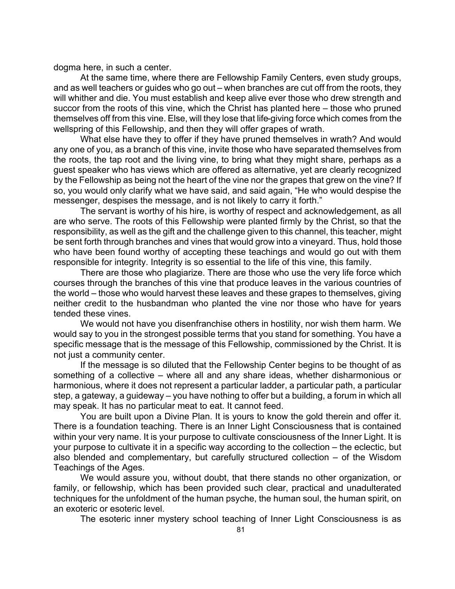dogma here, in such a center.

At the same time, where there are Fellowship Family Centers, even study groups, and as well teachers or guides who go out – when branches are cut off from the roots, they will whither and die. You must establish and keep alive ever those who drew strength and succor from the roots of this vine, which the Christ has planted here – those who pruned themselves off from this vine. Else, will they lose that life-giving force which comes from the wellspring of this Fellowship, and then they will offer grapes of wrath.

What else have they to offer if they have pruned themselves in wrath? And would any one of you, as a branch of this vine, invite those who have separated themselves from the roots, the tap root and the living vine, to bring what they might share, perhaps as a guest speaker who has views which are offered as alternative, yet are clearly recognized by the Fellowship as being not the heart of the vine nor the grapes that grew on the vine? If so, you would only clarify what we have said, and said again, "He who would despise the messenger, despises the message, and is not likely to carry it forth."

The servant is worthy of his hire, is worthy of respect and acknowledgement, as all are who serve. The roots of this Fellowship were planted firmly by the Christ, so that the responsibility, as well as the gift and the challenge given to this channel, this teacher, might be sent forth through branches and vines that would grow into a vineyard. Thus, hold those who have been found worthy of accepting these teachings and would go out with them responsible for integrity. Integrity is so essential to the life of this vine, this family.

There are those who plagiarize. There are those who use the very life force which courses through the branches of this vine that produce leaves in the various countries of the world – those who would harvest these leaves and these grapes to themselves, giving neither credit to the husbandman who planted the vine nor those who have for years tended these vines.

We would not have you disenfranchise others in hostility, nor wish them harm. We would say to you in the strongest possible terms that you stand for something. You have a specific message that is the message of this Fellowship, commissioned by the Christ. It is not just a community center.

If the message is so diluted that the Fellowship Center begins to be thought of as something of a collective – where all and any share ideas, whether disharmonious or harmonious, where it does not represent a particular ladder, a particular path, a particular step, a gateway, a guideway – you have nothing to offer but a building, a forum in which all may speak. It has no particular meat to eat. It cannot feed.

You are built upon a Divine Plan. It is yours to know the gold therein and offer it. There is a foundation teaching. There is an Inner Light Consciousness that is contained within your very name. It is your purpose to cultivate consciousness of the Inner Light. It is your purpose to cultivate it in a specific way according to the collection – the eclectic, but also blended and complementary, but carefully structured collection – of the Wisdom Teachings of the Ages.

We would assure you, without doubt, that there stands no other organization, or family, or fellowship, which has been provided such clear, practical and unadulterated techniques for the unfoldment of the human psyche, the human soul, the human spirit, on an exoteric or esoteric level.

The esoteric inner mystery school teaching of Inner Light Consciousness is as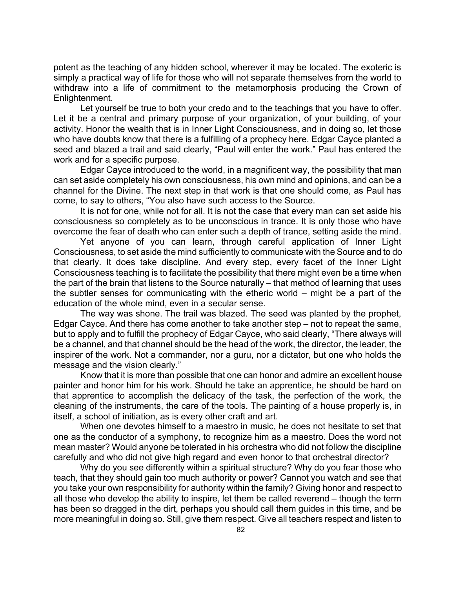potent as the teaching of any hidden school, wherever it may be located. The exoteric is simply a practical way of life for those who will not separate themselves from the world to withdraw into a life of commitment to the metamorphosis producing the Crown of Enlightenment.

Let yourself be true to both your credo and to the teachings that you have to offer. Let it be a central and primary purpose of your organization, of your building, of your activity. Honor the wealth that is in Inner Light Consciousness, and in doing so, let those who have doubts know that there is a fulfilling of a prophecy here. Edgar Cayce planted a seed and blazed a trail and said clearly, "Paul will enter the work." Paul has entered the work and for a specific purpose.

Edgar Cayce introduced to the world, in a magnificent way, the possibility that man can set aside completely his own consciousness, his own mind and opinions, and can be a channel for the Divine. The next step in that work is that one should come, as Paul has come, to say to others, "You also have such access to the Source.

It is not for one, while not for all. It is not the case that every man can set aside his consciousness so completely as to be unconscious in trance. It is only those who have overcome the fear of death who can enter such a depth of trance, setting aside the mind.

Yet anyone of you can learn, through careful application of Inner Light Consciousness, to set aside the mind sufficiently to communicate with the Source and to do that clearly. It does take discipline. And every step, every facet of the Inner Light Consciousness teaching is to facilitate the possibility that there might even be a time when the part of the brain that listens to the Source naturally – that method of learning that uses the subtler senses for communicating with the etheric world – might be a part of the education of the whole mind, even in a secular sense.

The way was shone. The trail was blazed. The seed was planted by the prophet, Edgar Cayce. And there has come another to take another step – not to repeat the same, but to apply and to fulfill the prophecy of Edgar Cayce, who said clearly, "There always will be a channel, and that channel should be the head of the work, the director, the leader, the inspirer of the work. Not a commander, nor a guru, nor a dictator, but one who holds the message and the vision clearly."

Know that it is more than possible that one can honor and admire an excellent house painter and honor him for his work. Should he take an apprentice, he should be hard on that apprentice to accomplish the delicacy of the task, the perfection of the work, the cleaning of the instruments, the care of the tools. The painting of a house properly is, in itself, a school of initiation, as is every other craft and art.

When one devotes himself to a maestro in music, he does not hesitate to set that one as the conductor of a symphony, to recognize him as a maestro. Does the word not mean master? Would anyone be tolerated in his orchestra who did not follow the discipline carefully and who did not give high regard and even honor to that orchestral director?

Why do you see differently within a spiritual structure? Why do you fear those who teach, that they should gain too much authority or power? Cannot you watch and see that you take your own responsibility for authority within the family? Giving honor and respect to all those who develop the ability to inspire, let them be called reverend – though the term has been so dragged in the dirt, perhaps you should call them guides in this time, and be more meaningful in doing so. Still, give them respect. Give all teachers respect and listen to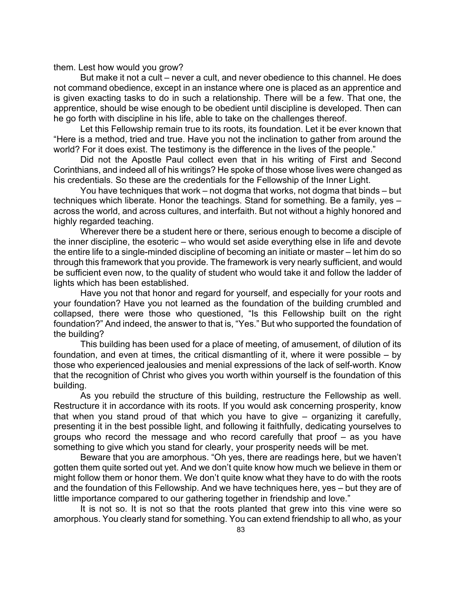them. Lest how would you grow?

But make it not a cult – never a cult, and never obedience to this channel. He does not command obedience, except in an instance where one is placed as an apprentice and is given exacting tasks to do in such a relationship. There will be a few. That one, the apprentice, should be wise enough to be obedient until discipline is developed. Then can he go forth with discipline in his life, able to take on the challenges thereof.

Let this Fellowship remain true to its roots, its foundation. Let it be ever known that "Here is a method, tried and true. Have you not the inclination to gather from around the world? For it does exist. The testimony is the difference in the lives of the people."

Did not the Apostle Paul collect even that in his writing of First and Second Corinthians, and indeed all of his writings? He spoke of those whose lives were changed as his credentials. So these are the credentials for the Fellowship of the Inner Light.

You have techniques that work – not dogma that works, not dogma that binds – but techniques which liberate. Honor the teachings. Stand for something. Be a family, yes – across the world, and across cultures, and interfaith. But not without a highly honored and highly regarded teaching.

Wherever there be a student here or there, serious enough to become a disciple of the inner discipline, the esoteric – who would set aside everything else in life and devote the entire life to a single-minded discipline of becoming an initiate or master – let him do so through this framework that you provide. The framework is very nearly sufficient, and would be sufficient even now, to the quality of student who would take it and follow the ladder of lights which has been established.

Have you not that honor and regard for yourself, and especially for your roots and your foundation? Have you not learned as the foundation of the building crumbled and collapsed, there were those who questioned, "Is this Fellowship built on the right foundation?" And indeed, the answer to that is, "Yes." But who supported the foundation of the building?

This building has been used for a place of meeting, of amusement, of dilution of its foundation, and even at times, the critical dismantling of it, where it were possible – by those who experienced jealousies and menial expressions of the lack of self-worth. Know that the recognition of Christ who gives you worth within yourself is the foundation of this building.

As you rebuild the structure of this building, restructure the Fellowship as well. Restructure it in accordance with its roots. If you would ask concerning prosperity, know that when you stand proud of that which you have to give – organizing it carefully, presenting it in the best possible light, and following it faithfully, dedicating yourselves to groups who record the message and who record carefully that proof – as you have something to give which you stand for clearly, your prosperity needs will be met.

Beware that you are amorphous. "Oh yes, there are readings here, but we haven't gotten them quite sorted out yet. And we don't quite know how much we believe in them or might follow them or honor them. We don't quite know what they have to do with the roots and the foundation of this Fellowship. And we have techniques here, yes – but they are of little importance compared to our gathering together in friendship and love."

It is not so. It is not so that the roots planted that grew into this vine were so amorphous. You clearly stand for something. You can extend friendship to all who, as your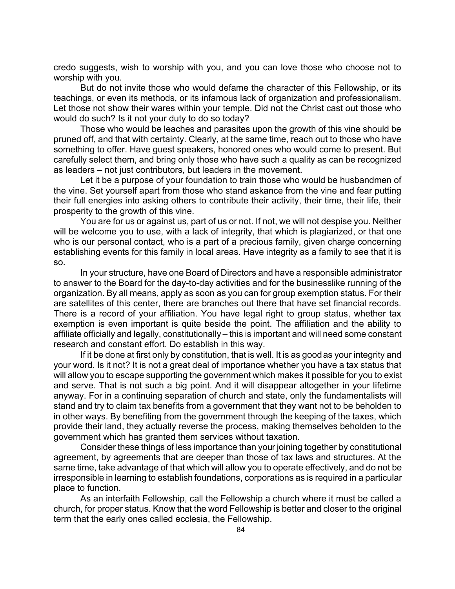credo suggests, wish to worship with you, and you can love those who choose not to worship with you.

But do not invite those who would defame the character of this Fellowship, or its teachings, or even its methods, or its infamous lack of organization and professionalism. Let those not show their wares within your temple. Did not the Christ cast out those who would do such? Is it not your duty to do so today?

Those who would be leaches and parasites upon the growth of this vine should be pruned off, and that with certainty. Clearly, at the same time, reach out to those who have something to offer. Have guest speakers, honored ones who would come to present. But carefully select them, and bring only those who have such a quality as can be recognized as leaders – not just contributors, but leaders in the movement.

Let it be a purpose of your foundation to train those who would be husbandmen of the vine. Set yourself apart from those who stand askance from the vine and fear putting their full energies into asking others to contribute their activity, their time, their life, their prosperity to the growth of this vine.

You are for us or against us, part of us or not. If not, we will not despise you. Neither will be welcome you to use, with a lack of integrity, that which is plagiarized, or that one who is our personal contact, who is a part of a precious family, given charge concerning establishing events for this family in local areas. Have integrity as a family to see that it is so.

In your structure, have one Board of Directors and have a responsible administrator to answer to the Board for the day-to-day activities and for the businesslike running of the organization. By all means, apply as soon as you can for group exemption status. For their are satellites of this center, there are branches out there that have set financial records. There is a record of your affiliation. You have legal right to group status, whether tax exemption is even important is quite beside the point. The affiliation and the ability to affiliate officially and legally, constitutionally – this is important and will need some constant research and constant effort. Do establish in this way.

If it be done at first only by constitution, that is well. It is as good as your integrity and your word. Is it not? It is not a great deal of importance whether you have a tax status that will allow you to escape supporting the government which makes it possible for you to exist and serve. That is not such a big point. And it will disappear altogether in your lifetime anyway. For in a continuing separation of church and state, only the fundamentalists will stand and try to claim tax benefits from a government that they want not to be beholden to in other ways. By benefiting from the government through the keeping of the taxes, which provide their land, they actually reverse the process, making themselves beholden to the government which has granted them services without taxation.

Consider these things of less importance than your joining together by constitutional agreement, by agreements that are deeper than those of tax laws and structures. At the same time, take advantage of that which will allow you to operate effectively, and do not be irresponsible in learning to establish foundations, corporations as is required in a particular place to function.

As an interfaith Fellowship, call the Fellowship a church where it must be called a church, for proper status. Know that the word Fellowship is better and closer to the original term that the early ones called ecclesia, the Fellowship.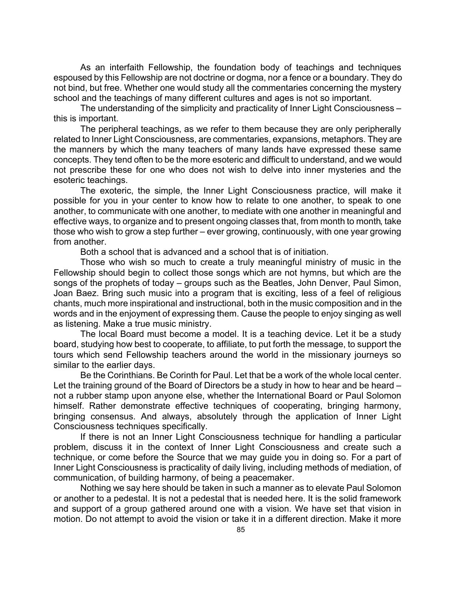As an interfaith Fellowship, the foundation body of teachings and techniques espoused by this Fellowship are not doctrine or dogma, nor a fence or a boundary. They do not bind, but free. Whether one would study all the commentaries concerning the mystery school and the teachings of many different cultures and ages is not so important.

The understanding of the simplicity and practicality of Inner Light Consciousness – this is important.

The peripheral teachings, as we refer to them because they are only peripherally related to Inner Light Consciousness, are commentaries, expansions, metaphors. They are the manners by which the many teachers of many lands have expressed these same concepts. They tend often to be the more esoteric and difficult to understand, and we would not prescribe these for one who does not wish to delve into inner mysteries and the esoteric teachings.

The exoteric, the simple, the Inner Light Consciousness practice, will make it possible for you in your center to know how to relate to one another, to speak to one another, to communicate with one another, to mediate with one another in meaningful and effective ways, to organize and to present ongoing classes that, from month to month, take those who wish to grow a step further – ever growing, continuously, with one year growing from another.

Both a school that is advanced and a school that is of initiation.

Those who wish so much to create a truly meaningful ministry of music in the Fellowship should begin to collect those songs which are not hymns, but which are the songs of the prophets of today – groups such as the Beatles, John Denver, Paul Simon, Joan Baez. Bring such music into a program that is exciting, less of a feel of religious chants, much more inspirational and instructional, both in the music composition and in the words and in the enjoyment of expressing them. Cause the people to enjoy singing as well as listening. Make a true music ministry.

The local Board must become a model. It is a teaching device. Let it be a study board, studying how best to cooperate, to affiliate, to put forth the message, to support the tours which send Fellowship teachers around the world in the missionary journeys so similar to the earlier days.

Be the Corinthians. Be Corinth for Paul. Let that be a work of the whole local center. Let the training ground of the Board of Directors be a study in how to hear and be heard – not a rubber stamp upon anyone else, whether the International Board or Paul Solomon himself. Rather demonstrate effective techniques of cooperating, bringing harmony, bringing consensus. And always, absolutely through the application of Inner Light Consciousness techniques specifically.

If there is not an Inner Light Consciousness technique for handling a particular problem, discuss it in the context of Inner Light Consciousness and create such a technique, or come before the Source that we may guide you in doing so. For a part of Inner Light Consciousness is practicality of daily living, including methods of mediation, of communication, of building harmony, of being a peacemaker.

Nothing we say here should be taken in such a manner as to elevate Paul Solomon or another to a pedestal. It is not a pedestal that is needed here. It is the solid framework and support of a group gathered around one with a vision. We have set that vision in motion. Do not attempt to avoid the vision or take it in a different direction. Make it more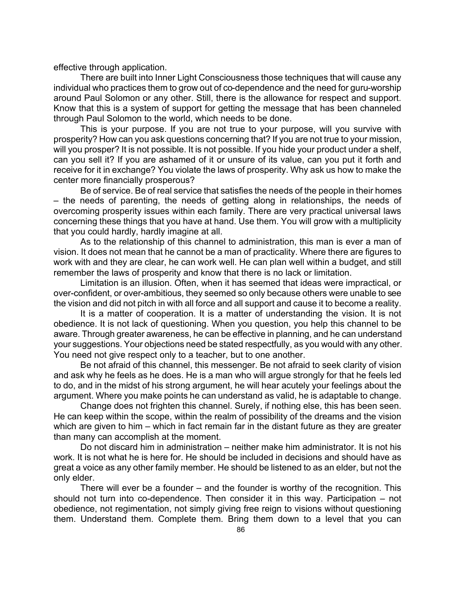effective through application.

There are built into Inner Light Consciousness those techniques that will cause any individual who practices them to grow out of co-dependence and the need for guru-worship around Paul Solomon or any other. Still, there is the allowance for respect and support. Know that this is a system of support for getting the message that has been channeled through Paul Solomon to the world, which needs to be done.

This is your purpose. If you are not true to your purpose, will you survive with prosperity? How can you ask questions concerning that? If you are not true to your mission, will you prosper? It is not possible. It is not possible. If you hide your product under a shelf, can you sell it? If you are ashamed of it or unsure of its value, can you put it forth and receive for it in exchange? You violate the laws of prosperity. Why ask us how to make the center more financially prosperous?

Be of service. Be of real service that satisfies the needs of the people in their homes – the needs of parenting, the needs of getting along in relationships, the needs of overcoming prosperity issues within each family. There are very practical universal laws concerning these things that you have at hand. Use them. You will grow with a multiplicity that you could hardly, hardly imagine at all.

As to the relationship of this channel to administration, this man is ever a man of vision. It does not mean that he cannot be a man of practicality. Where there are figures to work with and they are clear, he can work well. He can plan well within a budget, and still remember the laws of prosperity and know that there is no lack or limitation.

Limitation is an illusion. Often, when it has seemed that ideas were impractical, or over-confident, or over-ambitious, they seemed so only because others were unable to see the vision and did not pitch in with all force and all support and cause it to become a reality.

It is a matter of cooperation. It is a matter of understanding the vision. It is not obedience. It is not lack of questioning. When you question, you help this channel to be aware. Through greater awareness, he can be effective in planning, and he can understand your suggestions. Your objections need be stated respectfully, as you would with any other. You need not give respect only to a teacher, but to one another.

Be not afraid of this channel, this messenger. Be not afraid to seek clarity of vision and ask why he feels as he does. He is a man who will argue strongly for that he feels led to do, and in the midst of his strong argument, he will hear acutely your feelings about the argument. Where you make points he can understand as valid, he is adaptable to change.

Change does not frighten this channel. Surely, if nothing else, this has been seen. He can keep within the scope, within the realm of possibility of the dreams and the vision which are given to him – which in fact remain far in the distant future as they are greater than many can accomplish at the moment.

Do not discard him in administration – neither make him administrator. It is not his work. It is not what he is here for. He should be included in decisions and should have as great a voice as any other family member. He should be listened to as an elder, but not the only elder.

There will ever be a founder – and the founder is worthy of the recognition. This should not turn into co-dependence. Then consider it in this way. Participation – not obedience, not regimentation, not simply giving free reign to visions without questioning them. Understand them. Complete them. Bring them down to a level that you can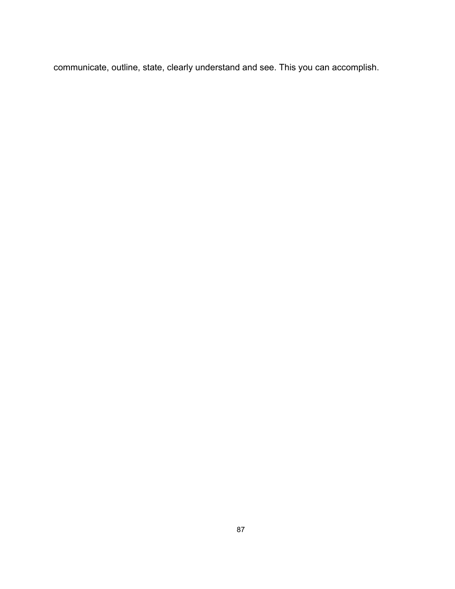communicate, outline, state, clearly understand and see. This you can accomplish.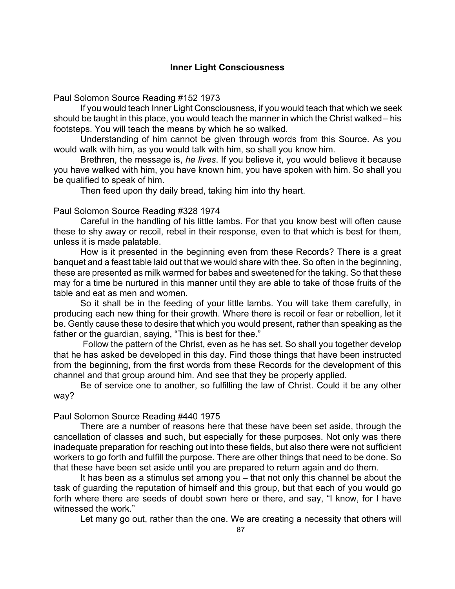# **Inner Light Consciousness**

Paul Solomon Source Reading #152 1973

If you would teach Inner Light Consciousness, if you would teach that which we seek should be taught in this place, you would teach the manner in which the Christ walked – his footsteps. You will teach the means by which he so walked.

Understanding of him cannot be given through words from this Source. As you would walk with him, as you would talk with him, so shall you know him.

Brethren, the message is, *he lives*. If you believe it, you would believe it because you have walked with him, you have known him, you have spoken with him. So shall you be qualified to speak of him.

Then feed upon thy daily bread, taking him into thy heart.

## Paul Solomon Source Reading #328 1974

Careful in the handling of his little lambs. For that you know best will often cause these to shy away or recoil, rebel in their response, even to that which is best for them, unless it is made palatable.

How is it presented in the beginning even from these Records? There is a great banquet and a feast table laid out that we would share with thee. So often in the beginning, these are presented as milk warmed for babes and sweetened for the taking. So that these may for a time be nurtured in this manner until they are able to take of those fruits of the table and eat as men and women.

So it shall be in the feeding of your little lambs. You will take them carefully, in producing each new thing for their growth. Where there is recoil or fear or rebellion, let it be. Gently cause these to desire that which you would present, rather than speaking as the father or the guardian, saying, "This is best for thee."

 Follow the pattern of the Christ, even as he has set. So shall you together develop that he has asked be developed in this day. Find those things that have been instructed from the beginning, from the first words from these Records for the development of this channel and that group around him. And see that they be properly applied.

Be of service one to another, so fulfilling the law of Christ. Could it be any other way?

### Paul Solomon Source Reading #440 1975

There are a number of reasons here that these have been set aside, through the cancellation of classes and such, but especially for these purposes. Not only was there inadequate preparation for reaching out into these fields, but also there were not sufficient workers to go forth and fulfill the purpose. There are other things that need to be done. So that these have been set aside until you are prepared to return again and do them.

It has been as a stimulus set among you – that not only this channel be about the task of guarding the reputation of himself and this group, but that each of you would go forth where there are seeds of doubt sown here or there, and say, "I know, for I have witnessed the work."

Let many go out, rather than the one. We are creating a necessity that others will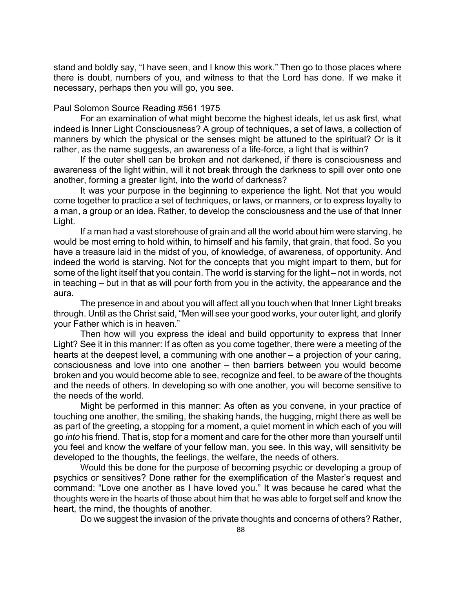stand and boldly say, "I have seen, and I know this work." Then go to those places where there is doubt, numbers of you, and witness to that the Lord has done. If we make it necessary, perhaps then you will go, you see.

## Paul Solomon Source Reading #561 1975

For an examination of what might become the highest ideals, let us ask first, what indeed is Inner Light Consciousness? A group of techniques, a set of laws, a collection of manners by which the physical or the senses might be attuned to the spiritual? Or is it rather, as the name suggests, an awareness of a life-force, a light that is within?

If the outer shell can be broken and not darkened, if there is consciousness and awareness of the light within, will it not break through the darkness to spill over onto one another, forming a greater light, into the world of darkness?

It was your purpose in the beginning to experience the light. Not that you would come together to practice a set of techniques, or laws, or manners, or to express loyalty to a man, a group or an idea. Rather, to develop the consciousness and the use of that Inner Light.

If a man had a vast storehouse of grain and all the world about him were starving, he would be most erring to hold within, to himself and his family, that grain, that food. So you have a treasure laid in the midst of you, of knowledge, of awareness, of opportunity. And indeed the world is starving. Not for the concepts that you might impart to them, but for some of the light itself that you contain. The world is starving for the light – not in words, not in teaching – but in that as will pour forth from you in the activity, the appearance and the aura.

The presence in and about you will affect all you touch when that Inner Light breaks through. Until as the Christ said, "Men will see your good works, your outer light, and glorify your Father which is in heaven."

Then how will you express the ideal and build opportunity to express that Inner Light? See it in this manner: If as often as you come together, there were a meeting of the hearts at the deepest level, a communing with one another – a projection of your caring, consciousness and love into one another – then barriers between you would become broken and you would become able to see, recognize and feel, to be aware of the thoughts and the needs of others. In developing so with one another, you will become sensitive to the needs of the world.

Might be performed in this manner: As often as you convene, in your practice of touching one another, the smiling, the shaking hands, the hugging, might there as well be as part of the greeting, a stopping for a moment, a quiet moment in which each of you will go *into* his friend. That is, stop for a moment and care for the other more than yourself until you feel and know the welfare of your fellow man, you see. In this way, will sensitivity be developed to the thoughts, the feelings, the welfare, the needs of others.

Would this be done for the purpose of becoming psychic or developing a group of psychics or sensitives? Done rather for the exemplification of the Master's request and command: "Love one another as I have loved you." It was because he cared what the thoughts were in the hearts of those about him that he was able to forget self and know the heart, the mind, the thoughts of another.

Do we suggest the invasion of the private thoughts and concerns of others? Rather,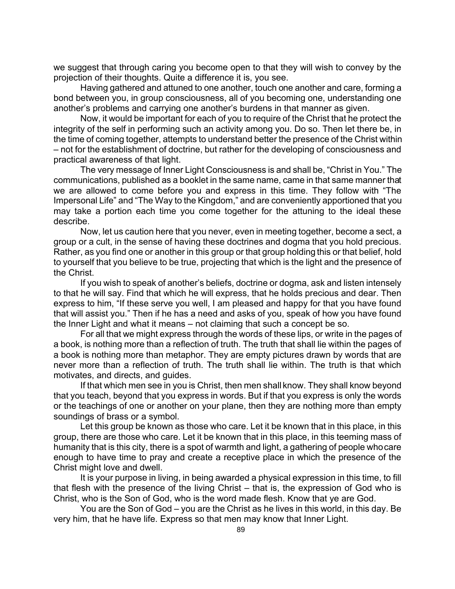we suggest that through caring you become open to that they will wish to convey by the projection of their thoughts. Quite a difference it is, you see.

Having gathered and attuned to one another, touch one another and care, forming a bond between you, in group consciousness, all of you becoming one, understanding one another's problems and carrying one another's burdens in that manner as given.

Now, it would be important for each of you to require of the Christ that he protect the integrity of the self in performing such an activity among you. Do so. Then let there be, in the time of coming together, attempts to understand better the presence of the Christ within – not for the establishment of doctrine, but rather for the developing of consciousness and practical awareness of that light.

The very message of Inner Light Consciousness is and shall be, "Christ in You." The communications, published as a booklet in the same name, came in that same manner that we are allowed to come before you and express in this time. They follow with "The Impersonal Life" and "The Way to the Kingdom," and are conveniently apportioned that you may take a portion each time you come together for the attuning to the ideal these describe.

Now, let us caution here that you never, even in meeting together, become a sect, a group or a cult, in the sense of having these doctrines and dogma that you hold precious. Rather, as you find one or another in this group or that group holding this or that belief, hold to yourself that you believe to be true, projecting that which is the light and the presence of the Christ.

If you wish to speak of another's beliefs, doctrine or dogma, ask and listen intensely to that he will say. Find that which he will express, that he holds precious and dear. Then express to him, "If these serve you well, I am pleased and happy for that you have found that will assist you." Then if he has a need and asks of you, speak of how you have found the Inner Light and what it means – not claiming that such a concept be so.

For all that we might express through the words of these lips, or write in the pages of a book, is nothing more than a reflection of truth. The truth that shall lie within the pages of a book is nothing more than metaphor. They are empty pictures drawn by words that are never more than a reflection of truth. The truth shall lie within. The truth is that which motivates, and directs, and guides.

If that which men see in you is Christ, then men shall know. They shall know beyond that you teach, beyond that you express in words. But if that you express is only the words or the teachings of one or another on your plane, then they are nothing more than empty soundings of brass or a symbol.

Let this group be known as those who care. Let it be known that in this place, in this group, there are those who care. Let it be known that in this place, in this teeming mass of humanity that is this city, there is a spot of warmth and light, a gathering of people who care enough to have time to pray and create a receptive place in which the presence of the Christ might love and dwell.

It is your purpose in living, in being awarded a physical expression in this time, to fill that flesh with the presence of the living Christ – that is, the expression of God who is Christ, who is the Son of God, who is the word made flesh. Know that ye are God.

You are the Son of God – you are the Christ as he lives in this world, in this day. Be very him, that he have life. Express so that men may know that Inner Light.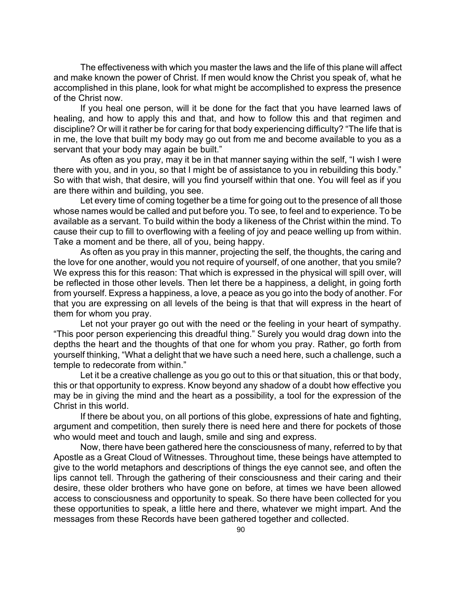The effectiveness with which you master the laws and the life of this plane will affect and make known the power of Christ. If men would know the Christ you speak of, what he accomplished in this plane, look for what might be accomplished to express the presence of the Christ now.

If you heal one person, will it be done for the fact that you have learned laws of healing, and how to apply this and that, and how to follow this and that regimen and discipline? Or will it rather be for caring for that body experiencing difficulty? "The life that is in me, the love that built my body may go out from me and become available to you as a servant that your body may again be built."

As often as you pray, may it be in that manner saying within the self, "I wish I were there with you, and in you, so that I might be of assistance to you in rebuilding this body." So with that wish, that desire, will you find yourself within that one. You will feel as if you are there within and building, you see.

Let every time of coming together be a time for going out to the presence of all those whose names would be called and put before you. To see, to feel and to experience. To be available as a servant. To build within the body a likeness of the Christ within the mind. To cause their cup to fill to overflowing with a feeling of joy and peace welling up from within. Take a moment and be there, all of you, being happy.

As often as you pray in this manner, projecting the self, the thoughts, the caring and the love for one another, would you not require of yourself, of one another, that you smile? We express this for this reason: That which is expressed in the physical will spill over, will be reflected in those other levels. Then let there be a happiness, a delight, in going forth from yourself. Express a happiness, a love, a peace as you go into the body of another. For that you are expressing on all levels of the being is that that will express in the heart of them for whom you pray.

Let not your prayer go out with the need or the feeling in your heart of sympathy. "This poor person experiencing this dreadful thing." Surely you would drag down into the depths the heart and the thoughts of that one for whom you pray. Rather, go forth from yourself thinking, "What a delight that we have such a need here, such a challenge, such a temple to redecorate from within."

Let it be a creative challenge as you go out to this or that situation, this or that body, this or that opportunity to express. Know beyond any shadow of a doubt how effective you may be in giving the mind and the heart as a possibility, a tool for the expression of the Christ in this world.

If there be about you, on all portions of this globe, expressions of hate and fighting, argument and competition, then surely there is need here and there for pockets of those who would meet and touch and laugh, smile and sing and express.

Now, there have been gathered here the consciousness of many, referred to by that Apostle as a Great Cloud of Witnesses. Throughout time, these beings have attempted to give to the world metaphors and descriptions of things the eye cannot see, and often the lips cannot tell. Through the gathering of their consciousness and their caring and their desire, these older brothers who have gone on before, at times we have been allowed access to consciousness and opportunity to speak. So there have been collected for you these opportunities to speak, a little here and there, whatever we might impart. And the messages from these Records have been gathered together and collected.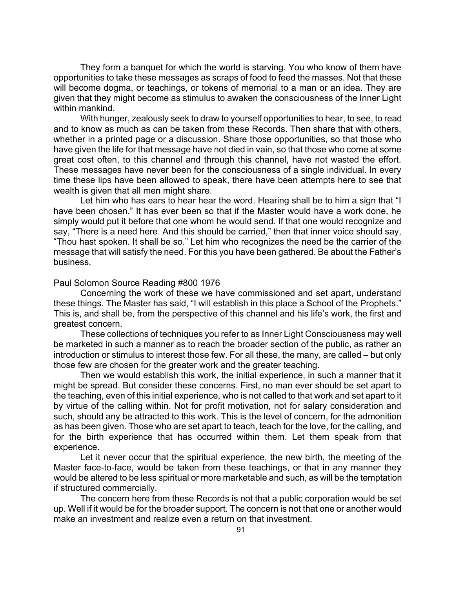They form a banquet for which the world is starving. You who know of them have opportunities to take these messages as scraps of food to feed the masses. Not that these will become dogma, or teachings, or tokens of memorial to a man or an idea. They are given that they might become as stimulus to awaken the consciousness of the Inner Light within mankind.

With hunger, zealously seek to draw to yourself opportunities to hear, to see, to read and to know as much as can be taken from these Records. Then share that with others, whether in a printed page or a discussion. Share those opportunities, so that those who have given the life for that message have not died in vain, so that those who come at some great cost often, to this channel and through this channel, have not wasted the effort. These messages have never been for the consciousness of a single individual. In every time these lips have been allowed to speak, there have been attempts here to see that wealth is given that all men might share.

Let him who has ears to hear hear the word. Hearing shall be to him a sign that "I have been chosen." It has ever been so that if the Master would have a work done, he simply would put it before that one whom he would send. If that one would recognize and say, "There is a need here. And this should be carried," then that inner voice should say, "Thou hast spoken. It shall be so." Let him who recognizes the need be the carrier of the message that will satisfy the need. For this you have been gathered. Be about the Father's business.

Paul Solomon Source Reading #800 1976

Concerning the work of these we have commissioned and set apart, understand these things. The Master has said, "I will establish in this place a School of the Prophets." This is, and shall be, from the perspective of this channel and his life's work, the first and greatest concern.

These collections of techniques you refer to as Inner Light Consciousness may well be marketed in such a manner as to reach the broader section of the public, as rather an introduction or stimulus to interest those few. For all these, the many, are called – but only those few are chosen for the greater work and the greater teaching.

Then we would establish this work, the initial experience, in such a manner that it might be spread. But consider these concerns. First, no man ever should be set apart to the teaching, even of this initial experience, who is not called to that work and set apart to it by virtue of the calling within. Not for profit motivation, not for salary consideration and such, should any be attracted to this work. This is the level of concern, for the admonition as has been given. Those who are set apart to teach, teach for the love, for the calling, and for the birth experience that has occurred within them. Let them speak from that experience.

Let it never occur that the spiritual experience, the new birth, the meeting of the Master face-to-face, would be taken from these teachings, or that in any manner they would be altered to be less spiritual or more marketable and such, as will be the temptation if structured commercially.

The concern here from these Records is not that a public corporation would be set up. Well if it would be for the broader support. The concern is not that one or another would make an investment and realize even a return on that investment.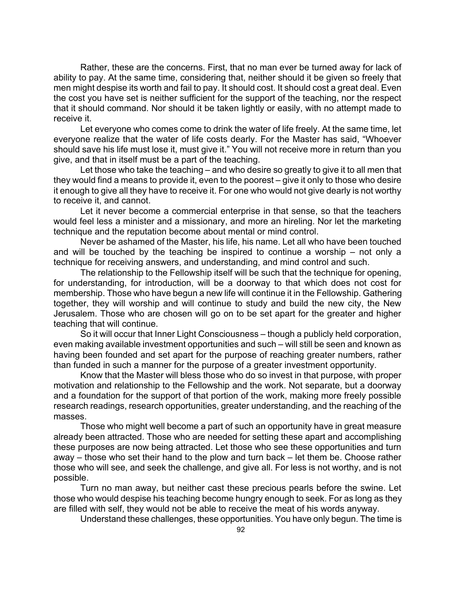Rather, these are the concerns. First, that no man ever be turned away for lack of ability to pay. At the same time, considering that, neither should it be given so freely that men might despise its worth and fail to pay. It should cost. It should cost a great deal. Even the cost you have set is neither sufficient for the support of the teaching, nor the respect that it should command. Nor should it be taken lightly or easily, with no attempt made to receive it.

Let everyone who comes come to drink the water of life freely. At the same time, let everyone realize that the water of life costs dearly. For the Master has said, "Whoever should save his life must lose it, must give it." You will not receive more in return than you give, and that in itself must be a part of the teaching.

Let those who take the teaching – and who desire so greatly to give it to all men that they would find a means to provide it, even to the poorest – give it only to those who desire it enough to give all they have to receive it. For one who would not give dearly is not worthy to receive it, and cannot.

Let it never become a commercial enterprise in that sense, so that the teachers would feel less a minister and a missionary, and more an hireling. Nor let the marketing technique and the reputation become about mental or mind control.

Never be ashamed of the Master, his life, his name. Let all who have been touched and will be touched by the teaching be inspired to continue a worship – not only a technique for receiving answers, and understanding, and mind control and such.

The relationship to the Fellowship itself will be such that the technique for opening, for understanding, for introduction, will be a doorway to that which does not cost for membership. Those who have begun a new life will continue it in the Fellowship. Gathering together, they will worship and will continue to study and build the new city, the New Jerusalem. Those who are chosen will go on to be set apart for the greater and higher teaching that will continue.

So it will occur that Inner Light Consciousness – though a publicly held corporation, even making available investment opportunities and such – will still be seen and known as having been founded and set apart for the purpose of reaching greater numbers, rather than funded in such a manner for the purpose of a greater investment opportunity.

Know that the Master will bless those who do so invest in that purpose, with proper motivation and relationship to the Fellowship and the work. Not separate, but a doorway and a foundation for the support of that portion of the work, making more freely possible research readings, research opportunities, greater understanding, and the reaching of the masses.

Those who might well become a part of such an opportunity have in great measure already been attracted. Those who are needed for setting these apart and accomplishing these purposes are now being attracted. Let those who see these opportunities and turn away – those who set their hand to the plow and turn back – let them be. Choose rather those who will see, and seek the challenge, and give all. For less is not worthy, and is not possible.

Turn no man away, but neither cast these precious pearls before the swine. Let those who would despise his teaching become hungry enough to seek. For as long as they are filled with self, they would not be able to receive the meat of his words anyway.

Understand these challenges, these opportunities. You have only begun. The time is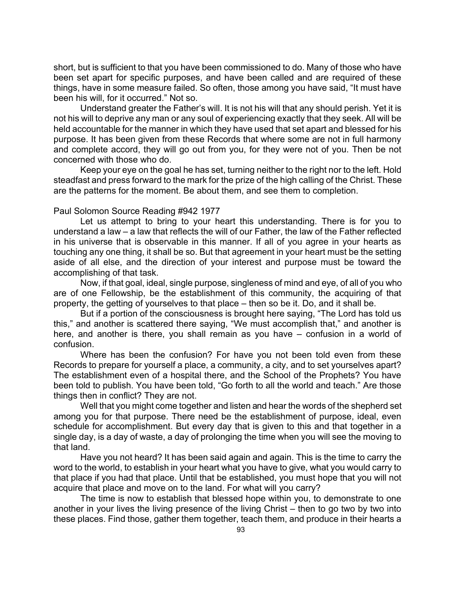short, but is sufficient to that you have been commissioned to do. Many of those who have been set apart for specific purposes, and have been called and are required of these things, have in some measure failed. So often, those among you have said, "It must have been his will, for it occurred." Not so.

Understand greater the Father's will. It is not his will that any should perish. Yet it is not his will to deprive any man or any soul of experiencing exactly that they seek. All will be held accountable for the manner in which they have used that set apart and blessed for his purpose. It has been given from these Records that where some are not in full harmony and complete accord, they will go out from you, for they were not of you. Then be not concerned with those who do.

Keep your eye on the goal he has set, turning neither to the right nor to the left. Hold steadfast and press forward to the mark for the prize of the high calling of the Christ. These are the patterns for the moment. Be about them, and see them to completion.

## Paul Solomon Source Reading #942 1977

Let us attempt to bring to your heart this understanding. There is for you to understand a law – a law that reflects the will of our Father, the law of the Father reflected in his universe that is observable in this manner. If all of you agree in your hearts as touching any one thing, it shall be so. But that agreement in your heart must be the setting aside of all else, and the direction of your interest and purpose must be toward the accomplishing of that task.

Now, if that goal, ideal, single purpose, singleness of mind and eye, of all of you who are of one Fellowship, be the establishment of this community, the acquiring of that property, the getting of yourselves to that place – then so be it. Do, and it shall be.

But if a portion of the consciousness is brought here saying, "The Lord has told us this," and another is scattered there saying, "We must accomplish that," and another is here, and another is there, you shall remain as you have – confusion in a world of confusion.

Where has been the confusion? For have you not been told even from these Records to prepare for yourself a place, a community, a city, and to set yourselves apart? The establishment even of a hospital there, and the School of the Prophets? You have been told to publish. You have been told, "Go forth to all the world and teach." Are those things then in conflict? They are not.

Well that you might come together and listen and hear the words of the shepherd set among you for that purpose. There need be the establishment of purpose, ideal, even schedule for accomplishment. But every day that is given to this and that together in a single day, is a day of waste, a day of prolonging the time when you will see the moving to that land.

Have you not heard? It has been said again and again. This is the time to carry the word to the world, to establish in your heart what you have to give, what you would carry to that place if you had that place. Until that be established, you must hope that you will not acquire that place and move on to the land. For what will you carry?

The time is now to establish that blessed hope within you, to demonstrate to one another in your lives the living presence of the living Christ – then to go two by two into these places. Find those, gather them together, teach them, and produce in their hearts a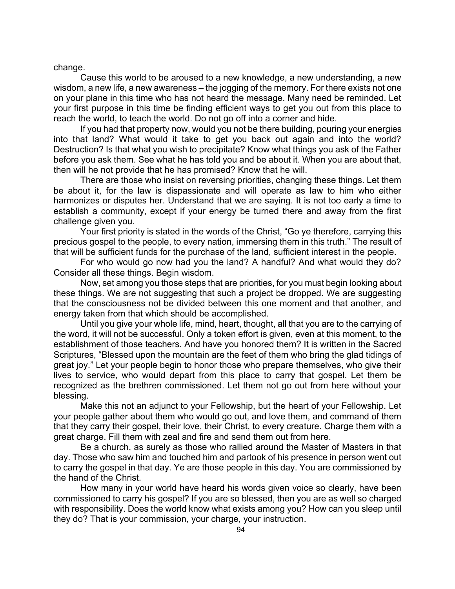change.

Cause this world to be aroused to a new knowledge, a new understanding, a new wisdom, a new life, a new awareness – the jogging of the memory. For there exists not one on your plane in this time who has not heard the message. Many need be reminded. Let your first purpose in this time be finding efficient ways to get you out from this place to reach the world, to teach the world. Do not go off into a corner and hide.

If you had that property now, would you not be there building, pouring your energies into that land? What would it take to get you back out again and into the world? Destruction? Is that what you wish to precipitate? Know what things you ask of the Father before you ask them. See what he has told you and be about it. When you are about that, then will he not provide that he has promised? Know that he will.

There are those who insist on reversing priorities, changing these things. Let them be about it, for the law is dispassionate and will operate as law to him who either harmonizes or disputes her. Understand that we are saying. It is not too early a time to establish a community, except if your energy be turned there and away from the first challenge given you.

Your first priority is stated in the words of the Christ, "Go ye therefore, carrying this precious gospel to the people, to every nation, immersing them in this truth." The result of that will be sufficient funds for the purchase of the land, sufficient interest in the people.

For who would go now had you the land? A handful? And what would they do? Consider all these things. Begin wisdom.

Now, set among you those steps that are priorities, for you must begin looking about these things. We are not suggesting that such a project be dropped. We are suggesting that the consciousness not be divided between this one moment and that another, and energy taken from that which should be accomplished.

Until you give your whole life, mind, heart, thought, all that you are to the carrying of the word, it will not be successful. Only a token effort is given, even at this moment, to the establishment of those teachers. And have you honored them? It is written in the Sacred Scriptures, "Blessed upon the mountain are the feet of them who bring the glad tidings of great joy." Let your people begin to honor those who prepare themselves, who give their lives to service, who would depart from this place to carry that gospel. Let them be recognized as the brethren commissioned. Let them not go out from here without your blessing.

Make this not an adjunct to your Fellowship, but the heart of your Fellowship. Let your people gather about them who would go out, and love them, and command of them that they carry their gospel, their love, their Christ, to every creature. Charge them with a great charge. Fill them with zeal and fire and send them out from here.

Be a church, as surely as those who rallied around the Master of Masters in that day. Those who saw him and touched him and partook of his presence in person went out to carry the gospel in that day. Ye are those people in this day. You are commissioned by the hand of the Christ.

How many in your world have heard his words given voice so clearly, have been commissioned to carry his gospel? If you are so blessed, then you are as well so charged with responsibility. Does the world know what exists among you? How can you sleep until they do? That is your commission, your charge, your instruction.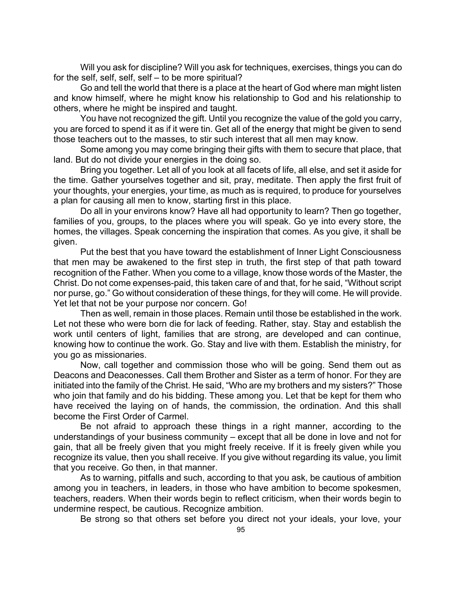Will you ask for discipline? Will you ask for techniques, exercises, things you can do for the self, self, self, self – to be more spiritual?

Go and tell the world that there is a place at the heart of God where man might listen and know himself, where he might know his relationship to God and his relationship to others, where he might be inspired and taught.

You have not recognized the gift. Until you recognize the value of the gold you carry, you are forced to spend it as if it were tin. Get all of the energy that might be given to send those teachers out to the masses, to stir such interest that all men may know.

Some among you may come bringing their gifts with them to secure that place, that land. But do not divide your energies in the doing so.

Bring you together. Let all of you look at all facets of life, all else, and set it aside for the time. Gather yourselves together and sit, pray, meditate. Then apply the first fruit of your thoughts, your energies, your time, as much as is required, to produce for yourselves a plan for causing all men to know, starting first in this place.

Do all in your environs know? Have all had opportunity to learn? Then go together, families of you, groups, to the places where you will speak. Go ye into every store, the homes, the villages. Speak concerning the inspiration that comes. As you give, it shall be given.

Put the best that you have toward the establishment of Inner Light Consciousness that men may be awakened to the first step in truth, the first step of that path toward recognition of the Father. When you come to a village, know those words of the Master, the Christ. Do not come expenses-paid, this taken care of and that, for he said, "Without script nor purse, go." Go without consideration of these things, for they will come. He will provide. Yet let that not be your purpose nor concern. Go!

Then as well, remain in those places. Remain until those be established in the work. Let not these who were born die for lack of feeding. Rather, stay. Stay and establish the work until centers of light, families that are strong, are developed and can continue, knowing how to continue the work. Go. Stay and live with them. Establish the ministry, for you go as missionaries.

Now, call together and commission those who will be going. Send them out as Deacons and Deaconesses. Call them Brother and Sister as a term of honor. For they are initiated into the family of the Christ. He said, "Who are my brothers and my sisters?" Those who join that family and do his bidding. These among you. Let that be kept for them who have received the laying on of hands, the commission, the ordination. And this shall become the First Order of Carmel.

Be not afraid to approach these things in a right manner, according to the understandings of your business community – except that all be done in love and not for gain, that all be freely given that you might freely receive. If it is freely given while you recognize its value, then you shall receive. If you give without regarding its value, you limit that you receive. Go then, in that manner.

As to warning, pitfalls and such, according to that you ask, be cautious of ambition among you in teachers, in leaders, in those who have ambition to become spokesmen, teachers, readers. When their words begin to reflect criticism, when their words begin to undermine respect, be cautious. Recognize ambition.

Be strong so that others set before you direct not your ideals, your love, your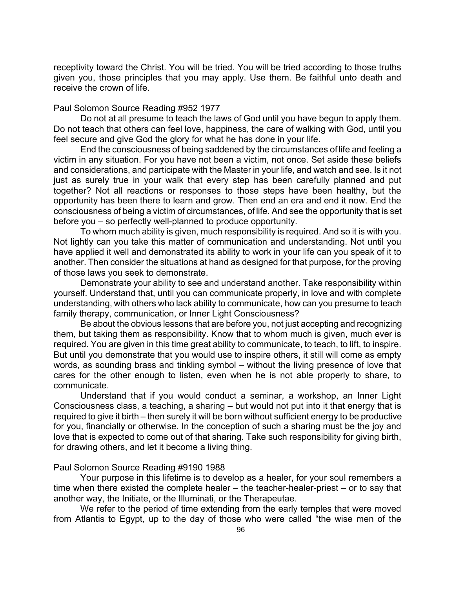receptivity toward the Christ. You will be tried. You will be tried according to those truths given you, those principles that you may apply. Use them. Be faithful unto death and receive the crown of life.

#### Paul Solomon Source Reading #952 1977

Do not at all presume to teach the laws of God until you have begun to apply them. Do not teach that others can feel love, happiness, the care of walking with God, until you feel secure and give God the glory for what he has done in your life.

End the consciousness of being saddened by the circumstances of life and feeling a victim in any situation. For you have not been a victim, not once. Set aside these beliefs and considerations, and participate with the Master in your life, and watch and see. Is it not just as surely true in your walk that every step has been carefully planned and put together? Not all reactions or responses to those steps have been healthy, but the opportunity has been there to learn and grow. Then end an era and end it now. End the consciousness of being a victim of circumstances, of life. And see the opportunity that is set before you – so perfectly well-planned to produce opportunity.

To whom much ability is given, much responsibility is required. And so it is with you. Not lightly can you take this matter of communication and understanding. Not until you have applied it well and demonstrated its ability to work in your life can you speak of it to another. Then consider the situations at hand as designed for that purpose, for the proving of those laws you seek to demonstrate.

Demonstrate your ability to see and understand another. Take responsibility within yourself. Understand that, until you can communicate properly, in love and with complete understanding, with others who lack ability to communicate, how can you presume to teach family therapy, communication, or Inner Light Consciousness?

Be about the obvious lessons that are before you, not just accepting and recognizing them, but taking them as responsibility. Know that to whom much is given, much ever is required. You are given in this time great ability to communicate, to teach, to lift, to inspire. But until you demonstrate that you would use to inspire others, it still will come as empty words, as sounding brass and tinkling symbol – without the living presence of love that cares for the other enough to listen, even when he is not able properly to share, to communicate.

Understand that if you would conduct a seminar, a workshop, an Inner Light Consciousness class, a teaching, a sharing – but would not put into it that energy that is required to give it birth – then surely it will be born without sufficient energy to be productive for you, financially or otherwise. In the conception of such a sharing must be the joy and love that is expected to come out of that sharing. Take such responsibility for giving birth, for drawing others, and let it become a living thing.

### Paul Solomon Source Reading #9190 1988

Your purpose in this lifetime is to develop as a healer, for your soul remembers a time when there existed the complete healer – the teacher-healer-priest – or to say that another way, the Initiate, or the Illuminati, or the Therapeutae.

We refer to the period of time extending from the early temples that were moved from Atlantis to Egypt, up to the day of those who were called "the wise men of the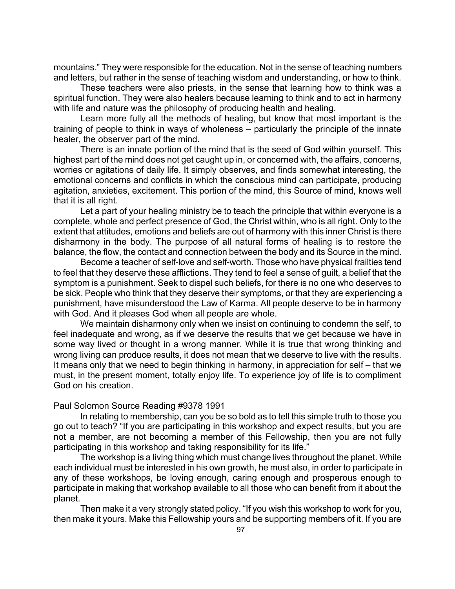mountains." They were responsible for the education. Not in the sense of teaching numbers and letters, but rather in the sense of teaching wisdom and understanding, or how to think.

These teachers were also priests, in the sense that learning how to think was a spiritual function. They were also healers because learning to think and to act in harmony with life and nature was the philosophy of producing health and healing.

Learn more fully all the methods of healing, but know that most important is the training of people to think in ways of wholeness – particularly the principle of the innate healer, the observer part of the mind.

There is an innate portion of the mind that is the seed of God within yourself. This highest part of the mind does not get caught up in, or concerned with, the affairs, concerns, worries or agitations of daily life. It simply observes, and finds somewhat interesting, the emotional concerns and conflicts in which the conscious mind can participate, producing agitation, anxieties, excitement. This portion of the mind, this Source of mind, knows well that it is all right.

Let a part of your healing ministry be to teach the principle that within everyone is a complete, whole and perfect presence of God, the Christ within, who is all right. Only to the extent that attitudes, emotions and beliefs are out of harmony with this inner Christ is there disharmony in the body. The purpose of all natural forms of healing is to restore the balance, the flow, the contact and connection between the body and its Source in the mind.

Become a teacher of self-love and self-worth. Those who have physical frailties tend to feel that they deserve these afflictions. They tend to feel a sense of guilt, a belief that the symptom is a punishment. Seek to dispel such beliefs, for there is no one who deserves to be sick. People who think that they deserve their symptoms, or that they are experiencing a punishment, have misunderstood the Law of Karma. All people deserve to be in harmony with God. And it pleases God when all people are whole.

We maintain disharmony only when we insist on continuing to condemn the self, to feel inadequate and wrong, as if we deserve the results that we get because we have in some way lived or thought in a wrong manner. While it is true that wrong thinking and wrong living can produce results, it does not mean that we deserve to live with the results. It means only that we need to begin thinking in harmony, in appreciation for self – that we must, in the present moment, totally enjoy life. To experience joy of life is to compliment God on his creation.

### Paul Solomon Source Reading #9378 1991

In relating to membership, can you be so bold as to tell this simple truth to those you go out to teach? "If you are participating in this workshop and expect results, but you are not a member, are not becoming a member of this Fellowship, then you are not fully participating in this workshop and taking responsibility for its life."

The workshop is a living thing which must change lives throughout the planet. While each individual must be interested in his own growth, he must also, in order to participate in any of these workshops, be loving enough, caring enough and prosperous enough to participate in making that workshop available to all those who can benefit from it about the planet.

Then make it a very strongly stated policy. "If you wish this workshop to work for you, then make it yours. Make this Fellowship yours and be supporting members of it. If you are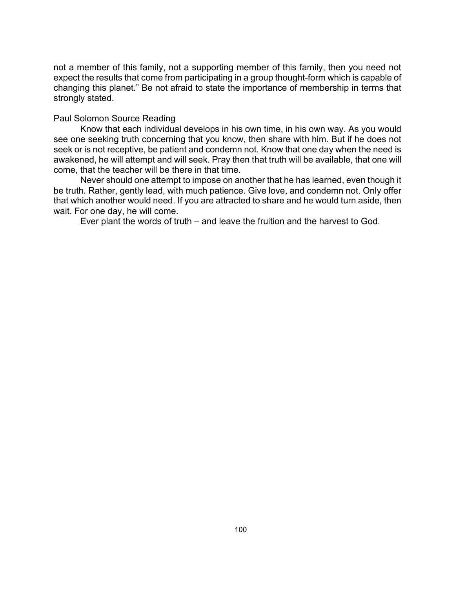not a member of this family, not a supporting member of this family, then you need not expect the results that come from participating in a group thought-form which is capable of changing this planet." Be not afraid to state the importance of membership in terms that strongly stated.

## Paul Solomon Source Reading

Know that each individual develops in his own time, in his own way. As you would see one seeking truth concerning that you know, then share with him. But if he does not seek or is not receptive, be patient and condemn not. Know that one day when the need is awakened, he will attempt and will seek. Pray then that truth will be available, that one will come, that the teacher will be there in that time.

Never should one attempt to impose on another that he has learned, even though it be truth. Rather, gently lead, with much patience. Give love, and condemn not. Only offer that which another would need. If you are attracted to share and he would turn aside, then wait. For one day, he will come.

Ever plant the words of truth – and leave the fruition and the harvest to God.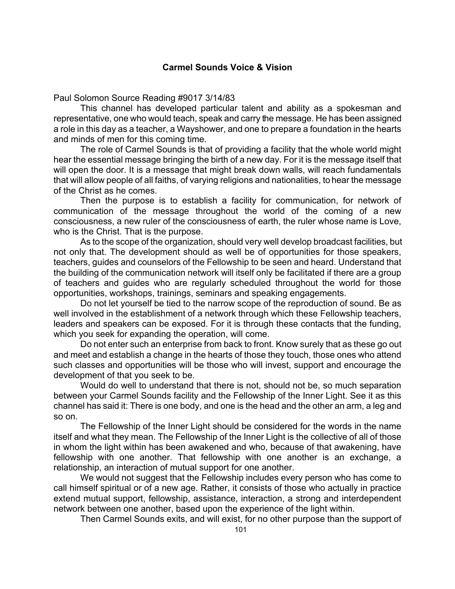# **Carmel Sounds Voice & Vision**

Paul Solomon Source Reading #9017 3/14/83

This channel has developed particular talent and ability as a spokesman and representative, one who would teach, speak and carry the message. He has been assigned a role in this day as a teacher, a Wayshower, and one to prepare a foundation in the hearts and minds of men for this coming time.

The role of Carmel Sounds is that of providing a facility that the whole world might hear the essential message bringing the birth of a new day. For it is the message itself that will open the door. It is a message that might break down walls, will reach fundamentals that will allow people of all faiths, of varying religions and nationalities, to hear the message of the Christ as he comes.

Then the purpose is to establish a facility for communication, for network of communication of the message throughout the world of the coming of a new consciousness, a new ruler of the consciousness of earth, the ruler whose name is Love, who is the Christ. That is the purpose.

As to the scope of the organization, should very well develop broadcast facilities, but not only that. The development should as well be of opportunities for those speakers, teachers, guides and counselors of the Fellowship to be seen and heard. Understand that the building of the communication network will itself only be facilitated if there are a group of teachers and guides who are regularly scheduled throughout the world for those opportunities, workshops, trainings, seminars and speaking engagements.

Do not let yourself be tied to the narrow scope of the reproduction of sound. Be as well involved in the establishment of a network through which these Fellowship teachers, leaders and speakers can be exposed. For it is through these contacts that the funding, which you seek for expanding the operation, will come.

Do not enter such an enterprise from back to front. Know surely that as these go out and meet and establish a change in the hearts of those they touch, those ones who attend such classes and opportunities will be those who will invest, support and encourage the development of that you seek to be.

Would do well to understand that there is not, should not be, so much separation between your Carmel Sounds facility and the Fellowship of the Inner Light. See it as this channel has said it: There is one body, and one is the head and the other an arm, a leg and so on.

The Fellowship of the Inner Light should be considered for the words in the name itself and what they mean. The Fellowship of the Inner Light is the collective of all of those in whom the light within has been awakened and who, because of that awakening, have fellowship with one another. That fellowship with one another is an exchange, a relationship, an interaction of mutual support for one another.

We would not suggest that the Fellowship includes every person who has come to call himself spiritual or of a new age. Rather, it consists of those who actually in practice extend mutual support, fellowship, assistance, interaction, a strong and interdependent network between one another, based upon the experience of the light within.

Then Carmel Sounds exits, and will exist, for no other purpose than the support of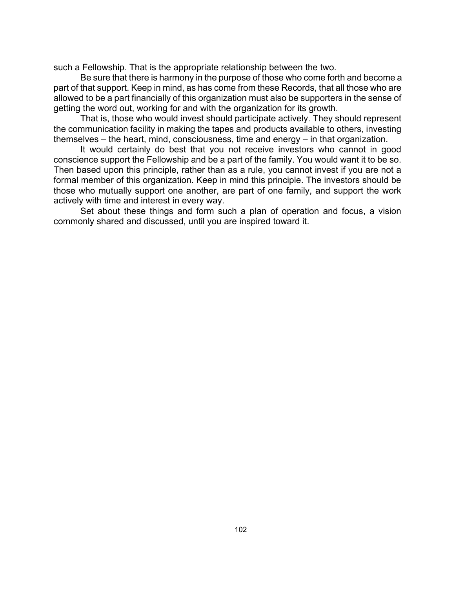such a Fellowship. That is the appropriate relationship between the two.

Be sure that there is harmony in the purpose of those who come forth and become a part of that support. Keep in mind, as has come from these Records, that all those who are allowed to be a part financially of this organization must also be supporters in the sense of getting the word out, working for and with the organization for its growth.

That is, those who would invest should participate actively. They should represent the communication facility in making the tapes and products available to others, investing themselves – the heart, mind, consciousness, time and energy – in that organization.

It would certainly do best that you not receive investors who cannot in good conscience support the Fellowship and be a part of the family. You would want it to be so. Then based upon this principle, rather than as a rule, you cannot invest if you are not a formal member of this organization. Keep in mind this principle. The investors should be those who mutually support one another, are part of one family, and support the work actively with time and interest in every way.

Set about these things and form such a plan of operation and focus, a vision commonly shared and discussed, until you are inspired toward it.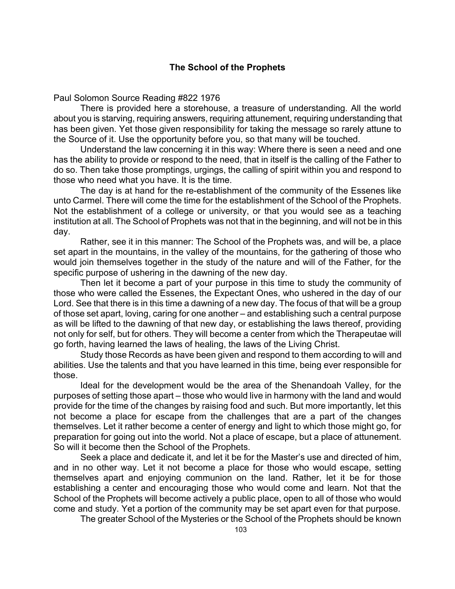# **The School of the Prophets**

Paul Solomon Source Reading #822 1976

There is provided here a storehouse, a treasure of understanding. All the world about you is starving, requiring answers, requiring attunement, requiring understanding that has been given. Yet those given responsibility for taking the message so rarely attune to the Source of it. Use the opportunity before you, so that many will be touched.

Understand the law concerning it in this way: Where there is seen a need and one has the ability to provide or respond to the need, that in itself is the calling of the Father to do so. Then take those promptings, urgings, the calling of spirit within you and respond to those who need what you have. It is the time.

The day is at hand for the re-establishment of the community of the Essenes like unto Carmel. There will come the time for the establishment of the School of the Prophets. Not the establishment of a college or university, or that you would see as a teaching institution at all. The School of Prophets was not that in the beginning, and will not be in this day.

Rather, see it in this manner: The School of the Prophets was, and will be, a place set apart in the mountains, in the valley of the mountains, for the gathering of those who would join themselves together in the study of the nature and will of the Father, for the specific purpose of ushering in the dawning of the new day.

Then let it become a part of your purpose in this time to study the community of those who were called the Essenes, the Expectant Ones, who ushered in the day of our Lord. See that there is in this time a dawning of a new day. The focus of that will be a group of those set apart, loving, caring for one another – and establishing such a central purpose as will be lifted to the dawning of that new day, or establishing the laws thereof, providing not only for self, but for others. They will become a center from which the Therapeutae will go forth, having learned the laws of healing, the laws of the Living Christ.

Study those Records as have been given and respond to them according to will and abilities. Use the talents and that you have learned in this time, being ever responsible for those.

Ideal for the development would be the area of the Shenandoah Valley, for the purposes of setting those apart – those who would live in harmony with the land and would provide for the time of the changes by raising food and such. But more importantly, let this not become a place for escape from the challenges that are a part of the changes themselves. Let it rather become a center of energy and light to which those might go, for preparation for going out into the world. Not a place of escape, but a place of attunement. So will it become then the School of the Prophets.

Seek a place and dedicate it, and let it be for the Master's use and directed of him, and in no other way. Let it not become a place for those who would escape, setting themselves apart and enjoying communion on the land. Rather, let it be for those establishing a center and encouraging those who would come and learn. Not that the School of the Prophets will become actively a public place, open to all of those who would come and study. Yet a portion of the community may be set apart even for that purpose.

The greater School of the Mysteries or the School of the Prophets should be known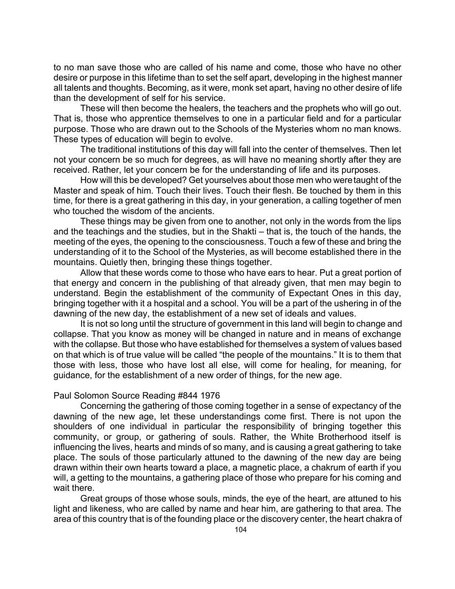to no man save those who are called of his name and come, those who have no other desire or purpose in this lifetime than to set the self apart, developing in the highest manner all talents and thoughts. Becoming, as it were, monk set apart, having no other desire of life than the development of self for his service.

These will then become the healers, the teachers and the prophets who will go out. That is, those who apprentice themselves to one in a particular field and for a particular purpose. Those who are drawn out to the Schools of the Mysteries whom no man knows. These types of education will begin to evolve.

The traditional institutions of this day will fall into the center of themselves. Then let not your concern be so much for degrees, as will have no meaning shortly after they are received. Rather, let your concern be for the understanding of life and its purposes.

How will this be developed? Get yourselves about those men who were taught of the Master and speak of him. Touch their lives. Touch their flesh. Be touched by them in this time, for there is a great gathering in this day, in your generation, a calling together of men who touched the wisdom of the ancients.

These things may be given from one to another, not only in the words from the lips and the teachings and the studies, but in the Shakti – that is, the touch of the hands, the meeting of the eyes, the opening to the consciousness. Touch a few of these and bring the understanding of it to the School of the Mysteries, as will become established there in the mountains. Quietly then, bringing these things together.

Allow that these words come to those who have ears to hear. Put a great portion of that energy and concern in the publishing of that already given, that men may begin to understand. Begin the establishment of the community of Expectant Ones in this day, bringing together with it a hospital and a school. You will be a part of the ushering in of the dawning of the new day, the establishment of a new set of ideals and values.

It is not so long until the structure of government in this land will begin to change and collapse. That you know as money will be changed in nature and in means of exchange with the collapse. But those who have established for themselves a system of values based on that which is of true value will be called "the people of the mountains." It is to them that those with less, those who have lost all else, will come for healing, for meaning, for guidance, for the establishment of a new order of things, for the new age.

# Paul Solomon Source Reading #844 1976

Concerning the gathering of those coming together in a sense of expectancy of the dawning of the new age, let these understandings come first. There is not upon the shoulders of one individual in particular the responsibility of bringing together this community, or group, or gathering of souls. Rather, the White Brotherhood itself is influencing the lives, hearts and minds of so many, and is causing a great gathering to take place. The souls of those particularly attuned to the dawning of the new day are being drawn within their own hearts toward a place, a magnetic place, a chakrum of earth if you will, a getting to the mountains, a gathering place of those who prepare for his coming and wait there.

Great groups of those whose souls, minds, the eye of the heart, are attuned to his light and likeness, who are called by name and hear him, are gathering to that area. The area of this country that is of the founding place or the discovery center, the heart chakra of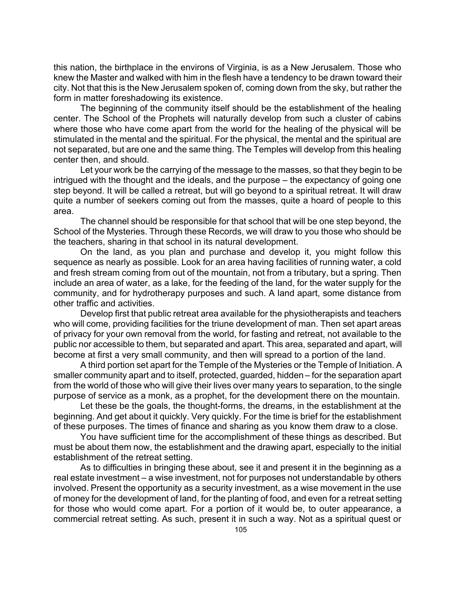this nation, the birthplace in the environs of Virginia, is as a New Jerusalem. Those who knew the Master and walked with him in the flesh have a tendency to be drawn toward their city. Not that this is the New Jerusalem spoken of, coming down from the sky, but rather the form in matter foreshadowing its existence.

The beginning of the community itself should be the establishment of the healing center. The School of the Prophets will naturally develop from such a cluster of cabins where those who have come apart from the world for the healing of the physical will be stimulated in the mental and the spiritual. For the physical, the mental and the spiritual are not separated, but are one and the same thing. The Temples will develop from this healing center then, and should.

Let your work be the carrying of the message to the masses, so that they begin to be intrigued with the thought and the ideals, and the purpose – the expectancy of going one step beyond. It will be called a retreat, but will go beyond to a spiritual retreat. It will draw quite a number of seekers coming out from the masses, quite a hoard of people to this area.

The channel should be responsible for that school that will be one step beyond, the School of the Mysteries. Through these Records, we will draw to you those who should be the teachers, sharing in that school in its natural development.

On the land, as you plan and purchase and develop it, you might follow this sequence as nearly as possible. Look for an area having facilities of running water, a cold and fresh stream coming from out of the mountain, not from a tributary, but a spring. Then include an area of water, as a lake, for the feeding of the land, for the water supply for the community, and for hydrotherapy purposes and such. A land apart, some distance from other traffic and activities.

Develop first that public retreat area available for the physiotherapists and teachers who will come, providing facilities for the triune development of man. Then set apart areas of privacy for your own removal from the world, for fasting and retreat, not available to the public nor accessible to them, but separated and apart. This area, separated and apart, will become at first a very small community, and then will spread to a portion of the land.

A third portion set apart for the Temple of the Mysteries or the Temple of Initiation. A smaller community apart and to itself, protected, guarded, hidden – for the separation apart from the world of those who will give their lives over many years to separation, to the single purpose of service as a monk, as a prophet, for the development there on the mountain.

Let these be the goals, the thought-forms, the dreams, in the establishment at the beginning. And get about it quickly. Very quickly. For the time is brief for the establishment of these purposes. The times of finance and sharing as you know them draw to a close.

You have sufficient time for the accomplishment of these things as described. But must be about them now, the establishment and the drawing apart, especially to the initial establishment of the retreat setting.

As to difficulties in bringing these about, see it and present it in the beginning as a real estate investment – a wise investment, not for purposes not understandable by others involved. Present the opportunity as a security investment, as a wise movement in the use of money for the development of land, for the planting of food, and even for a retreat setting for those who would come apart. For a portion of it would be, to outer appearance, a commercial retreat setting. As such, present it in such a way. Not as a spiritual quest or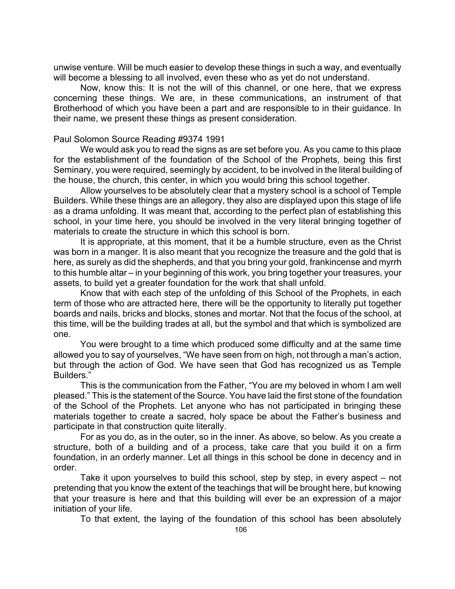unwise venture. Will be much easier to develop these things in such a way, and eventually will become a blessing to all involved, even these who as yet do not understand.

Now, know this: It is not the will of this channel, or one here, that we express concerning these things. We are, in these communications, an instrument of that Brotherhood of which you have been a part and are responsible to in their guidance. In their name, we present these things as present consideration.

# Paul Solomon Source Reading #9374 1991

We would ask you to read the signs as are set before you. As you came to this place for the establishment of the foundation of the School of the Prophets, being this first Seminary, you were required, seemingly by accident, to be involved in the literal building of the house, the church, this center, in which you would bring this school together.

Allow yourselves to be absolutely clear that a mystery school is a school of Temple Builders. While these things are an allegory, they also are displayed upon this stage of life as a drama unfolding. It was meant that, according to the perfect plan of establishing this school, in your time here, you should be involved in the very literal bringing together of materials to create the structure in which this school is born.

It is appropriate, at this moment, that it be a humble structure, even as the Christ was born in a manger. It is also meant that you recognize the treasure and the gold that is here, as surely as did the shepherds, and that you bring your gold, frankincense and myrrh to this humble altar – in your beginning of this work, you bring together your treasures, your assets, to build yet a greater foundation for the work that shall unfold.

Know that with each step of the unfolding of this School of the Prophets, in each term of those who are attracted here, there will be the opportunity to literally put together boards and nails, bricks and blocks, stones and mortar. Not that the focus of the school, at this time, will be the building trades at all, but the symbol and that which is symbolized are one.

You were brought to a time which produced some difficulty and at the same time allowed you to say of yourselves, "We have seen from on high, not through a man's action, but through the action of God. We have seen that God has recognized us as Temple Builders."

This is the communication from the Father, "You are my beloved in whom I am well pleased." This is the statement of the Source. You have laid the first stone of the foundation of the School of the Prophets. Let anyone who has not participated in bringing these materials together to create a sacred, holy space be about the Father's business and participate in that construction quite literally.

For as you do, as in the outer, so in the inner. As above, so below. As you create a structure, both of a building and of a process, take care that you build it on a firm foundation, in an orderly manner. Let all things in this school be done in decency and in order.

Take it upon yourselves to build this school, step by step, in every aspect – not pretending that you know the extent of the teachings that will be brought here, but knowing that your treasure is here and that this building will ever be an expression of a major initiation of your life.

To that extent, the laying of the foundation of this school has been absolutely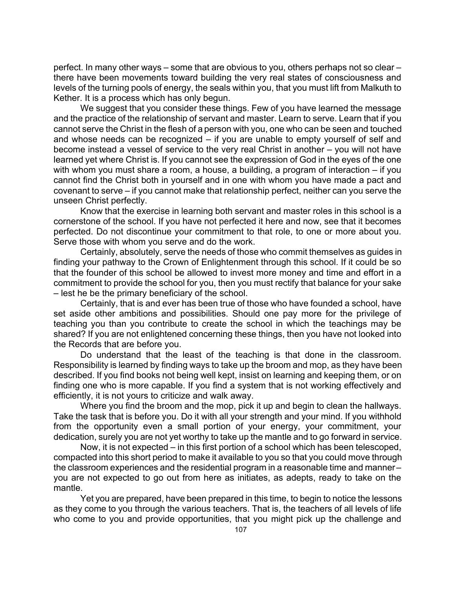perfect. In many other ways – some that are obvious to you, others perhaps not so clear – there have been movements toward building the very real states of consciousness and levels of the turning pools of energy, the seals within you, that you must lift from Malkuth to Kether. It is a process which has only begun.

We suggest that you consider these things. Few of you have learned the message and the practice of the relationship of servant and master. Learn to serve. Learn that if you cannot serve the Christ in the flesh of a person with you, one who can be seen and touched and whose needs can be recognized – if you are unable to empty yourself of self and become instead a vessel of service to the very real Christ in another – you will not have learned yet where Christ is. If you cannot see the expression of God in the eyes of the one with whom you must share a room, a house, a building, a program of interaction – if you cannot find the Christ both in yourself and in one with whom you have made a pact and covenant to serve – if you cannot make that relationship perfect, neither can you serve the unseen Christ perfectly.

Know that the exercise in learning both servant and master roles in this school is a cornerstone of the school. If you have not perfected it here and now, see that it becomes perfected. Do not discontinue your commitment to that role, to one or more about you. Serve those with whom you serve and do the work.

Certainly, absolutely, serve the needs of those who commit themselves as guides in finding your pathway to the Crown of Enlightenment through this school. If it could be so that the founder of this school be allowed to invest more money and time and effort in a commitment to provide the school for you, then you must rectify that balance for your sake – lest he be the primary beneficiary of the school.

Certainly, that is and ever has been true of those who have founded a school, have set aside other ambitions and possibilities. Should one pay more for the privilege of teaching you than you contribute to create the school in which the teachings may be shared? If you are not enlightened concerning these things, then you have not looked into the Records that are before you.

Do understand that the least of the teaching is that done in the classroom. Responsibility is learned by finding ways to take up the broom and mop, as they have been described. If you find books not being well kept, insist on learning and keeping them, or on finding one who is more capable. If you find a system that is not working effectively and efficiently, it is not yours to criticize and walk away.

Where you find the broom and the mop, pick it up and begin to clean the hallways. Take the task that is before you. Do it with all your strength and your mind. If you withhold from the opportunity even a small portion of your energy, your commitment, your dedication, surely you are not yet worthy to take up the mantle and to go forward in service.

Now, it is not expected – in this first portion of a school which has been telescoped, compacted into this short period to make it available to you so that you could move through the classroom experiences and the residential program in a reasonable time and manner – you are not expected to go out from here as initiates, as adepts, ready to take on the mantle.

Yet you are prepared, have been prepared in this time, to begin to notice the lessons as they come to you through the various teachers. That is, the teachers of all levels of life who come to you and provide opportunities, that you might pick up the challenge and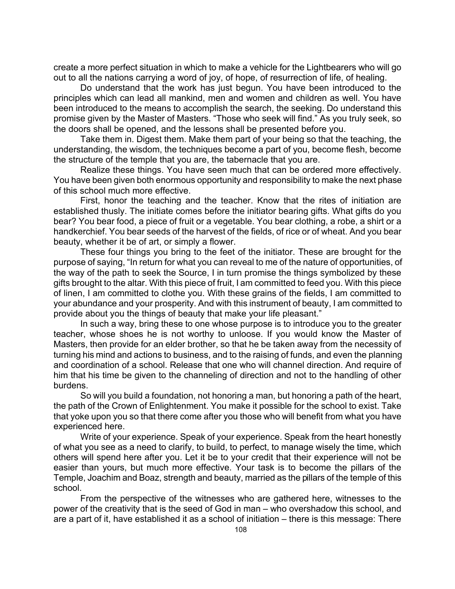create a more perfect situation in which to make a vehicle for the Lightbearers who will go out to all the nations carrying a word of joy, of hope, of resurrection of life, of healing.

Do understand that the work has just begun. You have been introduced to the principles which can lead all mankind, men and women and children as well. You have been introduced to the means to accomplish the search, the seeking. Do understand this promise given by the Master of Masters. "Those who seek will find." As you truly seek, so the doors shall be opened, and the lessons shall be presented before you.

Take them in. Digest them. Make them part of your being so that the teaching, the understanding, the wisdom, the techniques become a part of you, become flesh, become the structure of the temple that you are, the tabernacle that you are.

Realize these things. You have seen much that can be ordered more effectively. You have been given both enormous opportunity and responsibility to make the next phase of this school much more effective.

First, honor the teaching and the teacher. Know that the rites of initiation are established thusly. The initiate comes before the initiator bearing gifts. What gifts do you bear? You bear food, a piece of fruit or a vegetable. You bear clothing, a robe, a shirt or a handkerchief. You bear seeds of the harvest of the fields, of rice or of wheat. And you bear beauty, whether it be of art, or simply a flower.

These four things you bring to the feet of the initiator. These are brought for the purpose of saying, "In return for what you can reveal to me of the nature of opportunities, of the way of the path to seek the Source, I in turn promise the things symbolized by these gifts brought to the altar. With this piece of fruit, I am committed to feed you. With this piece of linen, I am committed to clothe you. With these grains of the fields, I am committed to your abundance and your prosperity. And with this instrument of beauty, I am committed to provide about you the things of beauty that make your life pleasant."

In such a way, bring these to one whose purpose is to introduce you to the greater teacher, whose shoes he is not worthy to unloose. If you would know the Master of Masters, then provide for an elder brother, so that he be taken away from the necessity of turning his mind and actions to business, and to the raising of funds, and even the planning and coordination of a school. Release that one who will channel direction. And require of him that his time be given to the channeling of direction and not to the handling of other burdens.

So will you build a foundation, not honoring a man, but honoring a path of the heart, the path of the Crown of Enlightenment. You make it possible for the school to exist. Take that yoke upon you so that there come after you those who will benefit from what you have experienced here.

Write of your experience. Speak of your experience. Speak from the heart honestly of what you see as a need to clarify, to build, to perfect, to manage wisely the time, which others will spend here after you. Let it be to your credit that their experience will not be easier than yours, but much more effective. Your task is to become the pillars of the Temple, Joachim and Boaz, strength and beauty, married as the pillars of the temple of this school.

From the perspective of the witnesses who are gathered here, witnesses to the power of the creativity that is the seed of God in man – who overshadow this school, and are a part of it, have established it as a school of initiation – there is this message: There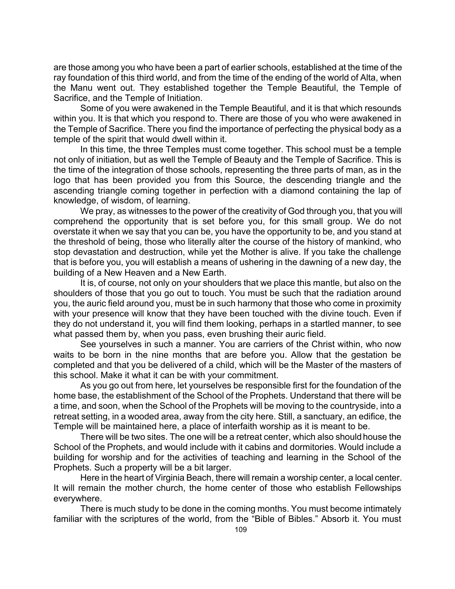are those among you who have been a part of earlier schools, established at the time of the ray foundation of this third world, and from the time of the ending of the world of Alta, when the Manu went out. They established together the Temple Beautiful, the Temple of Sacrifice, and the Temple of Initiation.

Some of you were awakened in the Temple Beautiful, and it is that which resounds within you. It is that which you respond to. There are those of you who were awakened in the Temple of Sacrifice. There you find the importance of perfecting the physical body as a temple of the spirit that would dwell within it.

In this time, the three Temples must come together. This school must be a temple not only of initiation, but as well the Temple of Beauty and the Temple of Sacrifice. This is the time of the integration of those schools, representing the three parts of man, as in the logo that has been provided you from this Source, the descending triangle and the ascending triangle coming together in perfection with a diamond containing the lap of knowledge, of wisdom, of learning.

We pray, as witnesses to the power of the creativity of God through you, that you will comprehend the opportunity that is set before you, for this small group. We do not overstate it when we say that you can be, you have the opportunity to be, and you stand at the threshold of being, those who literally alter the course of the history of mankind, who stop devastation and destruction, while yet the Mother is alive. If you take the challenge that is before you, you will establish a means of ushering in the dawning of a new day, the building of a New Heaven and a New Earth.

It is, of course, not only on your shoulders that we place this mantle, but also on the shoulders of those that you go out to touch. You must be such that the radiation around you, the auric field around you, must be in such harmony that those who come in proximity with your presence will know that they have been touched with the divine touch. Even if they do not understand it, you will find them looking, perhaps in a startled manner, to see what passed them by, when you pass, even brushing their auric field.

See yourselves in such a manner. You are carriers of the Christ within, who now waits to be born in the nine months that are before you. Allow that the gestation be completed and that you be delivered of a child, which will be the Master of the masters of this school. Make it what it can be with your commitment.

As you go out from here, let yourselves be responsible first for the foundation of the home base, the establishment of the School of the Prophets. Understand that there will be a time, and soon, when the School of the Prophets will be moving to the countryside, into a retreat setting, in a wooded area, away from the city here. Still, a sanctuary, an edifice, the Temple will be maintained here, a place of interfaith worship as it is meant to be.

There will be two sites. The one will be a retreat center, which also should house the School of the Prophets, and would include with it cabins and dormitories. Would include a building for worship and for the activities of teaching and learning in the School of the Prophets. Such a property will be a bit larger.

Here in the heart of Virginia Beach, there will remain a worship center, a local center. It will remain the mother church, the home center of those who establish Fellowships everywhere.

There is much study to be done in the coming months. You must become intimately familiar with the scriptures of the world, from the "Bible of Bibles." Absorb it. You must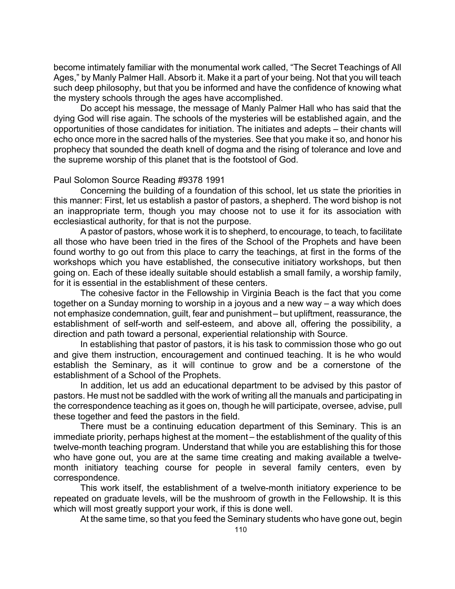become intimately familiar with the monumental work called, "The Secret Teachings of All Ages," by Manly Palmer Hall. Absorb it. Make it a part of your being. Not that you will teach such deep philosophy, but that you be informed and have the confidence of knowing what the mystery schools through the ages have accomplished.

Do accept his message, the message of Manly Palmer Hall who has said that the dying God will rise again. The schools of the mysteries will be established again, and the opportunities of those candidates for initiation. The initiates and adepts – their chants will echo once more in the sacred halls of the mysteries. See that you make it so, and honor his prophecy that sounded the death knell of dogma and the rising of tolerance and love and the supreme worship of this planet that is the footstool of God.

# Paul Solomon Source Reading #9378 1991

Concerning the building of a foundation of this school, let us state the priorities in this manner: First, let us establish a pastor of pastors, a shepherd. The word bishop is not an inappropriate term, though you may choose not to use it for its association with ecclesiastical authority, for that is not the purpose.

A pastor of pastors, whose work it is to shepherd, to encourage, to teach, to facilitate all those who have been tried in the fires of the School of the Prophets and have been found worthy to go out from this place to carry the teachings, at first in the forms of the workshops which you have established, the consecutive initiatory workshops, but then going on. Each of these ideally suitable should establish a small family, a worship family, for it is essential in the establishment of these centers.

The cohesive factor in the Fellowship in Virginia Beach is the fact that you come together on a Sunday morning to worship in a joyous and a new way – a way which does not emphasize condemnation, guilt, fear and punishment – but upliftment, reassurance, the establishment of self-worth and self-esteem, and above all, offering the possibility, a direction and path toward a personal, experiential relationship with Source.

In establishing that pastor of pastors, it is his task to commission those who go out and give them instruction, encouragement and continued teaching. It is he who would establish the Seminary, as it will continue to grow and be a cornerstone of the establishment of a School of the Prophets.

In addition, let us add an educational department to be advised by this pastor of pastors. He must not be saddled with the work of writing all the manuals and participating in the correspondence teaching as it goes on, though he will participate, oversee, advise, pull these together and feed the pastors in the field.

There must be a continuing education department of this Seminary. This is an immediate priority, perhaps highest at the moment – the establishment of the quality of this twelve-month teaching program. Understand that while you are establishing this for those who have gone out, you are at the same time creating and making available a twelvemonth initiatory teaching course for people in several family centers, even by correspondence.

This work itself, the establishment of a twelve-month initiatory experience to be repeated on graduate levels, will be the mushroom of growth in the Fellowship. It is this which will most greatly support your work, if this is done well.

At the same time, so that you feed the Seminary students who have gone out, begin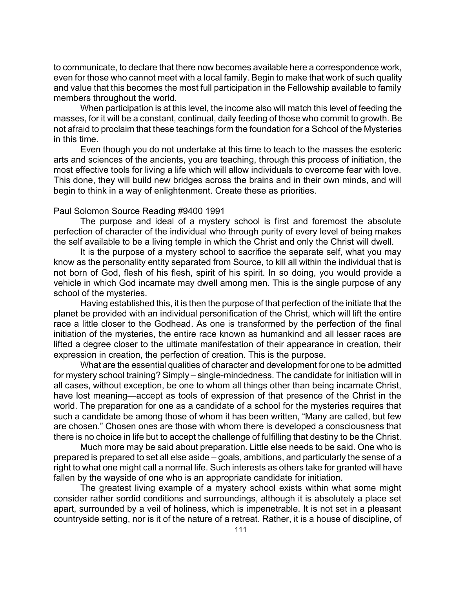to communicate, to declare that there now becomes available here a correspondence work, even for those who cannot meet with a local family. Begin to make that work of such quality and value that this becomes the most full participation in the Fellowship available to family members throughout the world.

When participation is at this level, the income also will match this level of feeding the masses, for it will be a constant, continual, daily feeding of those who commit to growth. Be not afraid to proclaim that these teachings form the foundation for a School of the Mysteries in this time.

Even though you do not undertake at this time to teach to the masses the esoteric arts and sciences of the ancients, you are teaching, through this process of initiation, the most effective tools for living a life which will allow individuals to overcome fear with love. This done, they will build new bridges across the brains and in their own minds, and will begin to think in a way of enlightenment. Create these as priorities.

### Paul Solomon Source Reading #9400 1991

The purpose and ideal of a mystery school is first and foremost the absolute perfection of character of the individual who through purity of every level of being makes the self available to be a living temple in which the Christ and only the Christ will dwell.

It is the purpose of a mystery school to sacrifice the separate self, what you may know as the personality entity separated from Source, to kill all within the individual that is not born of God, flesh of his flesh, spirit of his spirit. In so doing, you would provide a vehicle in which God incarnate may dwell among men. This is the single purpose of any school of the mysteries.

Having established this, it is then the purpose of that perfection of the initiate that the planet be provided with an individual personification of the Christ, which will lift the entire race a little closer to the Godhead. As one is transformed by the perfection of the final initiation of the mysteries, the entire race known as humankind and all lesser races are lifted a degree closer to the ultimate manifestation of their appearance in creation, their expression in creation, the perfection of creation. This is the purpose.

What are the essential qualities of character and development for one to be admitted for mystery school training? Simply – single-mindedness. The candidate for initiation will in all cases, without exception, be one to whom all things other than being incarnate Christ, have lost meaning—accept as tools of expression of that presence of the Christ in the world. The preparation for one as a candidate of a school for the mysteries requires that such a candidate be among those of whom it has been written, "Many are called, but few are chosen." Chosen ones are those with whom there is developed a consciousness that there is no choice in life but to accept the challenge of fulfilling that destiny to be the Christ.

Much more may be said about preparation. Little else needs to be said. One who is prepared is prepared to set all else aside – goals, ambitions, and particularly the sense of a right to what one might call a normal life. Such interests as others take for granted will have fallen by the wayside of one who is an appropriate candidate for initiation.

The greatest living example of a mystery school exists within what some might consider rather sordid conditions and surroundings, although it is absolutely a place set apart, surrounded by a veil of holiness, which is impenetrable. It is not set in a pleasant countryside setting, nor is it of the nature of a retreat. Rather, it is a house of discipline, of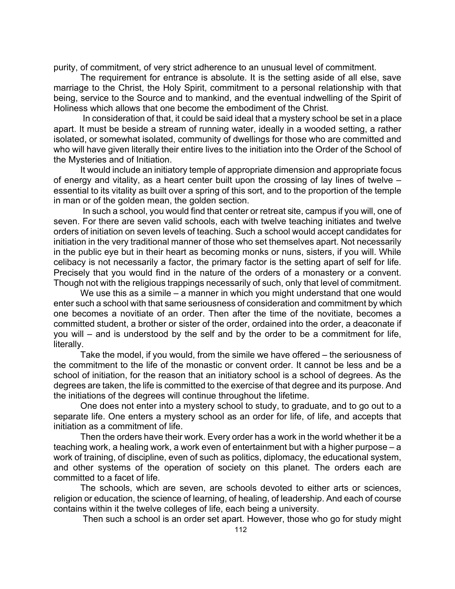purity, of commitment, of very strict adherence to an unusual level of commitment.

The requirement for entrance is absolute. It is the setting aside of all else, save marriage to the Christ, the Holy Spirit, commitment to a personal relationship with that being, service to the Source and to mankind, and the eventual indwelling of the Spirit of Holiness which allows that one become the embodiment of the Christ.

 In consideration of that, it could be said ideal that a mystery school be set in a place apart. It must be beside a stream of running water, ideally in a wooded setting, a rather isolated, or somewhat isolated, community of dwellings for those who are committed and who will have given literally their entire lives to the initiation into the Order of the School of the Mysteries and of Initiation.

It would include an initiatory temple of appropriate dimension and appropriate focus of energy and vitality, as a heart center built upon the crossing of lay lines of twelve – essential to its vitality as built over a spring of this sort, and to the proportion of the temple in man or of the golden mean, the golden section.

 In such a school, you would find that center or retreat site, campus if you will, one of seven. For there are seven valid schools, each with twelve teaching initiates and twelve orders of initiation on seven levels of teaching. Such a school would accept candidates for initiation in the very traditional manner of those who set themselves apart. Not necessarily in the public eye but in their heart as becoming monks or nuns, sisters, if you will. While celibacy is not necessarily a factor, the primary factor is the setting apart of self for life. Precisely that you would find in the nature of the orders of a monastery or a convent. Though not with the religious trappings necessarily of such, only that level of commitment.

We use this as a simile – a manner in which you might understand that one would enter such a school with that same seriousness of consideration and commitment by which one becomes a novitiate of an order. Then after the time of the novitiate, becomes a committed student, a brother or sister of the order, ordained into the order, a deaconate if you will – and is understood by the self and by the order to be a commitment for life, literally.

Take the model, if you would, from the simile we have offered – the seriousness of the commitment to the life of the monastic or convent order. It cannot be less and be a school of initiation, for the reason that an initiatory school is a school of degrees. As the degrees are taken, the life is committed to the exercise of that degree and its purpose. And the initiations of the degrees will continue throughout the lifetime.

One does not enter into a mystery school to study, to graduate, and to go out to a separate life. One enters a mystery school as an order for life, of life, and accepts that initiation as a commitment of life.

Then the orders have their work. Every order has a work in the world whether it be a teaching work, a healing work, a work even of entertainment but with a higher purpose – a work of training, of discipline, even of such as politics, diplomacy, the educational system, and other systems of the operation of society on this planet. The orders each are committed to a facet of life.

The schools, which are seven, are schools devoted to either arts or sciences, religion or education, the science of learning, of healing, of leadership. And each of course contains within it the twelve colleges of life, each being a university.

Then such a school is an order set apart. However, those who go for study might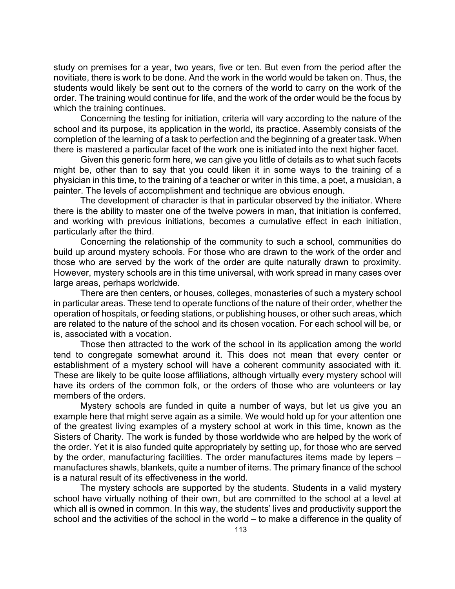study on premises for a year, two years, five or ten. But even from the period after the novitiate, there is work to be done. And the work in the world would be taken on. Thus, the students would likely be sent out to the corners of the world to carry on the work of the order. The training would continue for life, and the work of the order would be the focus by which the training continues.

Concerning the testing for initiation, criteria will vary according to the nature of the school and its purpose, its application in the world, its practice. Assembly consists of the completion of the learning of a task to perfection and the beginning of a greater task. When there is mastered a particular facet of the work one is initiated into the next higher facet.

Given this generic form here, we can give you little of details as to what such facets might be, other than to say that you could liken it in some ways to the training of a physician in this time, to the training of a teacher or writer in this time, a poet, a musician, a painter. The levels of accomplishment and technique are obvious enough.

The development of character is that in particular observed by the initiator. Where there is the ability to master one of the twelve powers in man, that initiation is conferred, and working with previous initiations, becomes a cumulative effect in each initiation, particularly after the third.

Concerning the relationship of the community to such a school, communities do build up around mystery schools. For those who are drawn to the work of the order and those who are served by the work of the order are quite naturally drawn to proximity. However, mystery schools are in this time universal, with work spread in many cases over large areas, perhaps worldwide.

There are then centers, or houses, colleges, monasteries of such a mystery school in particular areas. These tend to operate functions of the nature of their order, whether the operation of hospitals, or feeding stations, or publishing houses, or other such areas, which are related to the nature of the school and its chosen vocation. For each school will be, or is, associated with a vocation.

Those then attracted to the work of the school in its application among the world tend to congregate somewhat around it. This does not mean that every center or establishment of a mystery school will have a coherent community associated with it. These are likely to be quite loose affiliations, although virtually every mystery school will have its orders of the common folk, or the orders of those who are volunteers or lay members of the orders.

Mystery schools are funded in quite a number of ways, but let us give you an example here that might serve again as a simile. We would hold up for your attention one of the greatest living examples of a mystery school at work in this time, known as the Sisters of Charity. The work is funded by those worldwide who are helped by the work of the order. Yet it is also funded quite appropriately by setting up, for those who are served by the order, manufacturing facilities. The order manufactures items made by lepers – manufactures shawls, blankets, quite a number of items. The primary finance of the school is a natural result of its effectiveness in the world.

The mystery schools are supported by the students. Students in a valid mystery school have virtually nothing of their own, but are committed to the school at a level at which all is owned in common. In this way, the students' lives and productivity support the school and the activities of the school in the world – to make a difference in the quality of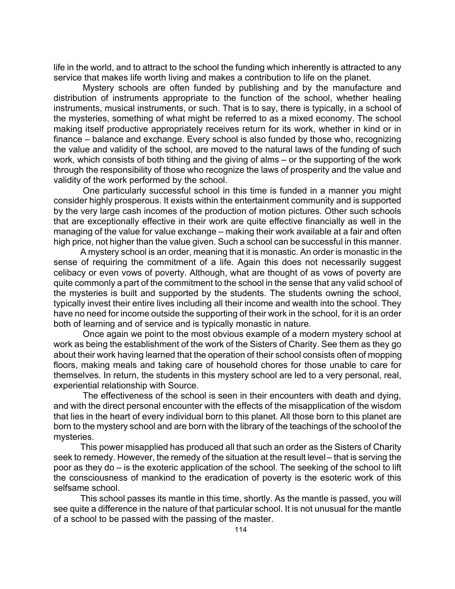life in the world, and to attract to the school the funding which inherently is attracted to any service that makes life worth living and makes a contribution to life on the planet.

 Mystery schools are often funded by publishing and by the manufacture and distribution of instruments appropriate to the function of the school, whether healing instruments, musical instruments, or such. That is to say, there is typically, in a school of the mysteries, something of what might be referred to as a mixed economy. The school making itself productive appropriately receives return for its work, whether in kind or in finance – balance and exchange. Every school is also funded by those who, recognizing the value and validity of the school, are moved to the natural laws of the funding of such work, which consists of both tithing and the giving of alms – or the supporting of the work through the responsibility of those who recognize the laws of prosperity and the value and validity of the work performed by the school.

 One particularly successful school in this time is funded in a manner you might consider highly prosperous. It exists within the entertainment community and is supported by the very large cash incomes of the production of motion pictures. Other such schools that are exceptionally effective in their work are quite effective financially as well in the managing of the value for value exchange – making their work available at a fair and often high price, not higher than the value given. Such a school can be successful in this manner.

A mystery school is an order, meaning that it is monastic. An order is monastic in the sense of requiring the commitment of a life. Again this does not necessarily suggest celibacy or even vows of poverty. Although, what are thought of as vows of poverty are quite commonly a part of the commitment to the school in the sense that any valid school of the mysteries is built and supported by the students. The students owning the school, typically invest their entire lives including all their income and wealth into the school. They have no need for income outside the supporting of their work in the school, for it is an order both of learning and of service and is typically monastic in nature.

 Once again we point to the most obvious example of a modern mystery school at work as being the establishment of the work of the Sisters of Charity. See them as they go about their work having learned that the operation of their school consists often of mopping floors, making meals and taking care of household chores for those unable to care for themselves. In return, the students in this mystery school are led to a very personal, real, experiential relationship with Source.

 The effectiveness of the school is seen in their encounters with death and dying, and with the direct personal encounter with the effects of the misapplication of the wisdom that lies in the heart of every individual born to this planet. All those born to this planet are born to the mystery school and are born with the library of the teachings of the school of the mysteries.

This power misapplied has produced all that such an order as the Sisters of Charity seek to remedy. However, the remedy of the situation at the result level – that is serving the poor as they do – is the exoteric application of the school. The seeking of the school to lift the consciousness of mankind to the eradication of poverty is the esoteric work of this selfsame school.

This school passes its mantle in this time, shortly. As the mantle is passed, you will see quite a difference in the nature of that particular school. It is not unusual for the mantle of a school to be passed with the passing of the master.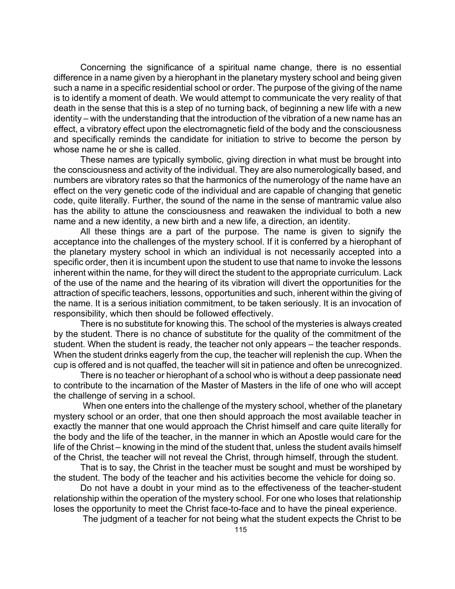Concerning the significance of a spiritual name change, there is no essential difference in a name given by a hierophant in the planetary mystery school and being given such a name in a specific residential school or order. The purpose of the giving of the name is to identify a moment of death. We would attempt to communicate the very reality of that death in the sense that this is a step of no turning back, of beginning a new life with a new identity – with the understanding that the introduction of the vibration of a new name has an effect, a vibratory effect upon the electromagnetic field of the body and the consciousness and specifically reminds the candidate for initiation to strive to become the person by whose name he or she is called.

These names are typically symbolic, giving direction in what must be brought into the consciousness and activity of the individual. They are also numerologically based, and numbers are vibratory rates so that the harmonics of the numerology of the name have an effect on the very genetic code of the individual and are capable of changing that genetic code, quite literally. Further, the sound of the name in the sense of mantramic value also has the ability to attune the consciousness and reawaken the individual to both a new name and a new identity, a new birth and a new life, a direction, an identity.

All these things are a part of the purpose. The name is given to signify the acceptance into the challenges of the mystery school. If it is conferred by a hierophant of the planetary mystery school in which an individual is not necessarily accepted into a specific order, then it is incumbent upon the student to use that name to invoke the lessons inherent within the name, for they will direct the student to the appropriate curriculum. Lack of the use of the name and the hearing of its vibration will divert the opportunities for the attraction of specific teachers, lessons, opportunities and such, inherent within the giving of the name. It is a serious initiation commitment, to be taken seriously. It is an invocation of responsibility, which then should be followed effectively.

There is no substitute for knowing this. The school of the mysteries is always created by the student. There is no chance of substitute for the quality of the commitment of the student. When the student is ready, the teacher not only appears – the teacher responds. When the student drinks eagerly from the cup, the teacher will replenish the cup. When the cup is offered and is not quaffed, the teacher will sit in patience and often be unrecognized.

There is no teacher or hierophant of a school who is without a deep passionate need to contribute to the incarnation of the Master of Masters in the life of one who will accept the challenge of serving in a school.

 When one enters into the challenge of the mystery school, whether of the planetary mystery school or an order, that one then should approach the most available teacher in exactly the manner that one would approach the Christ himself and care quite literally for the body and the life of the teacher, in the manner in which an Apostle would care for the life of the Christ – knowing in the mind of the student that, unless the student avails himself of the Christ, the teacher will not reveal the Christ, through himself, through the student.

That is to say, the Christ in the teacher must be sought and must be worshiped by the student. The body of the teacher and his activities become the vehicle for doing so.

Do not have a doubt in your mind as to the effectiveness of the teacher-student relationship within the operation of the mystery school. For one who loses that relationship loses the opportunity to meet the Christ face-to-face and to have the pineal experience.

The judgment of a teacher for not being what the student expects the Christ to be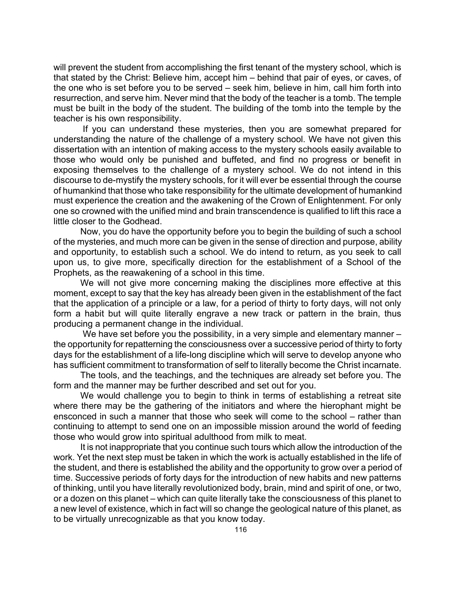will prevent the student from accomplishing the first tenant of the mystery school, which is that stated by the Christ: Believe him, accept him – behind that pair of eyes, or caves, of the one who is set before you to be served – seek him, believe in him, call him forth into resurrection, and serve him. Never mind that the body of the teacher is a tomb. The temple must be built in the body of the student. The building of the tomb into the temple by the teacher is his own responsibility.

 If you can understand these mysteries, then you are somewhat prepared for understanding the nature of the challenge of a mystery school. We have not given this dissertation with an intention of making access to the mystery schools easily available to those who would only be punished and buffeted, and find no progress or benefit in exposing themselves to the challenge of a mystery school. We do not intend in this discourse to de-mystify the mystery schools, for it will ever be essential through the course of humankind that those who take responsibility for the ultimate development of humankind must experience the creation and the awakening of the Crown of Enlightenment. For only one so crowned with the unified mind and brain transcendence is qualified to lift this race a little closer to the Godhead.

Now, you do have the opportunity before you to begin the building of such a school of the mysteries, and much more can be given in the sense of direction and purpose, ability and opportunity, to establish such a school. We do intend to return, as you seek to call upon us, to give more, specifically direction for the establishment of a School of the Prophets, as the reawakening of a school in this time.

We will not give more concerning making the disciplines more effective at this moment, except to say that the key has already been given in the establishment of the fact that the application of a principle or a law, for a period of thirty to forty days, will not only form a habit but will quite literally engrave a new track or pattern in the brain, thus producing a permanent change in the individual.

We have set before you the possibility, in a very simple and elementary manner the opportunity for repatterning the consciousness over a successive period of thirty to forty days for the establishment of a life-long discipline which will serve to develop anyone who has sufficient commitment to transformation of self to literally become the Christ incarnate.

The tools, and the teachings, and the techniques are already set before you. The form and the manner may be further described and set out for you.

We would challenge you to begin to think in terms of establishing a retreat site where there may be the gathering of the initiators and where the hierophant might be ensconced in such a manner that those who seek will come to the school – rather than continuing to attempt to send one on an impossible mission around the world of feeding those who would grow into spiritual adulthood from milk to meat.

It is not inappropriate that you continue such tours which allow the introduction of the work. Yet the next step must be taken in which the work is actually established in the life of the student, and there is established the ability and the opportunity to grow over a period of time. Successive periods of forty days for the introduction of new habits and new patterns of thinking, until you have literally revolutionized body, brain, mind and spirit of one, or two, or a dozen on this planet – which can quite literally take the consciousness of this planet to a new level of existence, which in fact will so change the geological nature of this planet, as to be virtually unrecognizable as that you know today.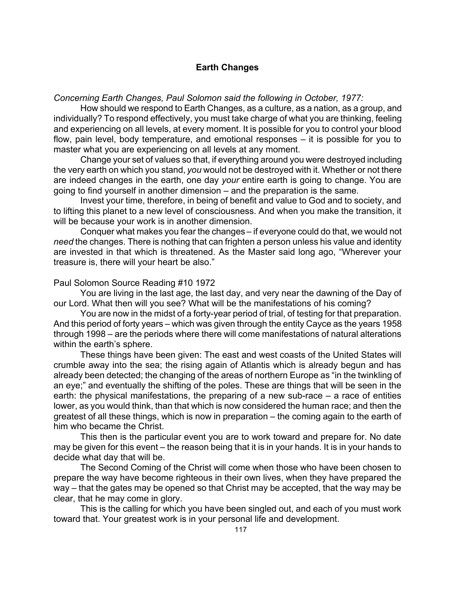# **Earth Changes**

*Concerning Earth Changes, Paul Solomon said the following in October, 1977:*

How should we respond to Earth Changes, as a culture, as a nation, as a group, and individually? To respond effectively, you must take charge of what you are thinking, feeling and experiencing on all levels, at every moment. It is possible for you to control your blood flow, pain level, body temperature, and emotional responses – it is possible for you to master what you are experiencing on all levels at any moment.

Change your set of values so that, if everything around you were destroyed including the very earth on which you stand, *you* would not be destroyed with it. Whether or not there are indeed changes in the earth, one day *your* entire earth is going to change. You are going to find yourself in another dimension – and the preparation is the same.

Invest your time, therefore, in being of benefit and value to God and to society, and to lifting this planet to a new level of consciousness. And when you make the transition, it will be because your work is in another dimension.

Conquer what makes you fear the changes – if everyone could do that, we would not *need* the changes. There is nothing that can frighten a person unless his value and identity are invested in that which is threatened. As the Master said long ago, "Wherever your treasure is, there will your heart be also."

# Paul Solomon Source Reading #10 1972

You are living in the last age, the last day, and very near the dawning of the Day of our Lord. What then will you see? What will be the manifestations of his coming?

You are now in the midst of a forty-year period of trial, of testing for that preparation. And this period of forty years – which was given through the entity Cayce as the years 1958 through 1998 – are the periods where there will come manifestations of natural alterations within the earth's sphere.

These things have been given: The east and west coasts of the United States will crumble away into the sea; the rising again of Atlantis which is already begun and has already been detected; the changing of the areas of northern Europe as "in the twinkling of an eye;" and eventually the shifting of the poles. These are things that will be seen in the earth: the physical manifestations, the preparing of a new sub-race – a race of entities lower, as you would think, than that which is now considered the human race; and then the greatest of all these things, which is now in preparation – the coming again to the earth of him who became the Christ.

This then is the particular event you are to work toward and prepare for. No date may be given for this event – the reason being that it is in your hands. It is in your hands to decide what day that will be.

The Second Coming of the Christ will come when those who have been chosen to prepare the way have become righteous in their own lives, when they have prepared the way – that the gates may be opened so that Christ may be accepted, that the way may be clear, that he may come in glory.

This is the calling for which you have been singled out, and each of you must work toward that. Your greatest work is in your personal life and development.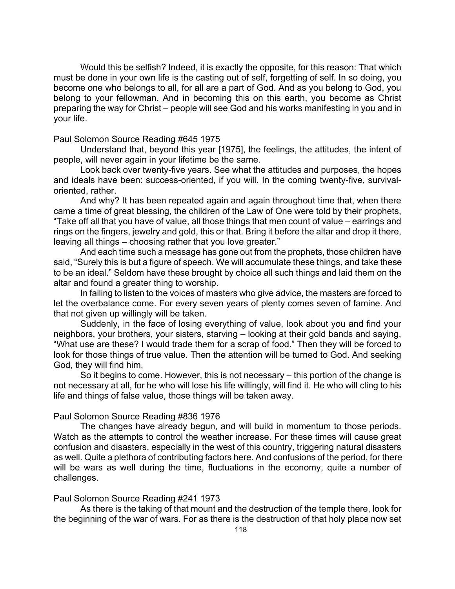Would this be selfish? Indeed, it is exactly the opposite, for this reason: That which must be done in your own life is the casting out of self, forgetting of self. In so doing, you become one who belongs to all, for all are a part of God. And as you belong to God, you belong to your fellowman. And in becoming this on this earth, you become as Christ preparing the way for Christ – people will see God and his works manifesting in you and in your life.

# Paul Solomon Source Reading #645 1975

Understand that, beyond this year [1975], the feelings, the attitudes, the intent of people, will never again in your lifetime be the same.

Look back over twenty-five years. See what the attitudes and purposes, the hopes and ideals have been: success-oriented, if you will. In the coming twenty-five, survivaloriented, rather.

And why? It has been repeated again and again throughout time that, when there came a time of great blessing, the children of the Law of One were told by their prophets, "Take off all that you have of value, all those things that men count of value – earrings and rings on the fingers, jewelry and gold, this or that. Bring it before the altar and drop it there, leaving all things – choosing rather that you love greater."

And each time such a message has gone out from the prophets, those children have said, "Surely this is but a figure of speech. We will accumulate these things, and take these to be an ideal." Seldom have these brought by choice all such things and laid them on the altar and found a greater thing to worship.

In failing to listen to the voices of masters who give advice, the masters are forced to let the overbalance come. For every seven years of plenty comes seven of famine. And that not given up willingly will be taken.

Suddenly, in the face of losing everything of value, look about you and find your neighbors, your brothers, your sisters, starving – looking at their gold bands and saying, "What use are these? I would trade them for a scrap of food." Then they will be forced to look for those things of true value. Then the attention will be turned to God. And seeking God, they will find him.

So it begins to come. However, this is not necessary – this portion of the change is not necessary at all, for he who will lose his life willingly, will find it. He who will cling to his life and things of false value, those things will be taken away.

# Paul Solomon Source Reading #836 1976

The changes have already begun, and will build in momentum to those periods. Watch as the attempts to control the weather increase. For these times will cause great confusion and disasters, especially in the west of this country, triggering natural disasters as well. Quite a plethora of contributing factors here. And confusions of the period, for there will be wars as well during the time, fluctuations in the economy, quite a number of challenges.

# Paul Solomon Source Reading #241 1973

As there is the taking of that mount and the destruction of the temple there, look for the beginning of the war of wars. For as there is the destruction of that holy place now set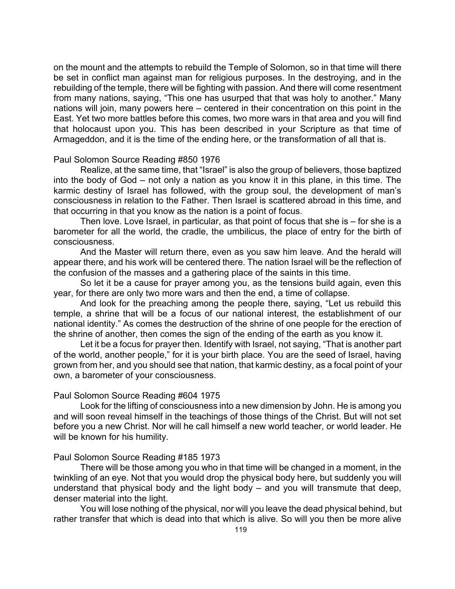on the mount and the attempts to rebuild the Temple of Solomon, so in that time will there be set in conflict man against man for religious purposes. In the destroying, and in the rebuilding of the temple, there will be fighting with passion. And there will come resentment from many nations, saying, "This one has usurped that that was holy to another." Many nations will join, many powers here – centered in their concentration on this point in the East. Yet two more battles before this comes, two more wars in that area and you will find that holocaust upon you. This has been described in your Scripture as that time of Armageddon, and it is the time of the ending here, or the transformation of all that is.

# Paul Solomon Source Reading #850 1976

Realize, at the same time, that "Israel" is also the group of believers, those baptized into the body of God – not only a nation as you know it in this plane, in this time. The karmic destiny of Israel has followed, with the group soul, the development of man's consciousness in relation to the Father. Then Israel is scattered abroad in this time, and that occurring in that you know as the nation is a point of focus.

Then love. Love Israel, in particular, as that point of focus that she is – for she is a barometer for all the world, the cradle, the umbilicus, the place of entry for the birth of consciousness.

And the Master will return there, even as you saw him leave. And the herald will appear there, and his work will be centered there. The nation Israel will be the reflection of the confusion of the masses and a gathering place of the saints in this time.

So let it be a cause for prayer among you, as the tensions build again, even this year, for there are only two more wars and then the end, a time of collapse.

And look for the preaching among the people there, saying, "Let us rebuild this temple, a shrine that will be a focus of our national interest, the establishment of our national identity." As comes the destruction of the shrine of one people for the erection of the shrine of another, then comes the sign of the ending of the earth as you know it.

Let it be a focus for prayer then. Identify with Israel, not saying, "That is another part of the world, another people," for it is your birth place. You are the seed of Israel, having grown from her, and you should see that nation, that karmic destiny, as a focal point of your own, a barometer of your consciousness.

#### Paul Solomon Source Reading #604 1975

Look for the lifting of consciousness into a new dimension by John. He is among you and will soon reveal himself in the teachings of those things of the Christ. But will not set before you a new Christ. Nor will he call himself a new world teacher, or world leader. He will be known for his humility.

# Paul Solomon Source Reading #185 1973

There will be those among you who in that time will be changed in a moment, in the twinkling of an eye. Not that you would drop the physical body here, but suddenly you will understand that physical body and the light body – and you will transmute that deep, denser material into the light.

You will lose nothing of the physical, nor will you leave the dead physical behind, but rather transfer that which is dead into that which is alive. So will you then be more alive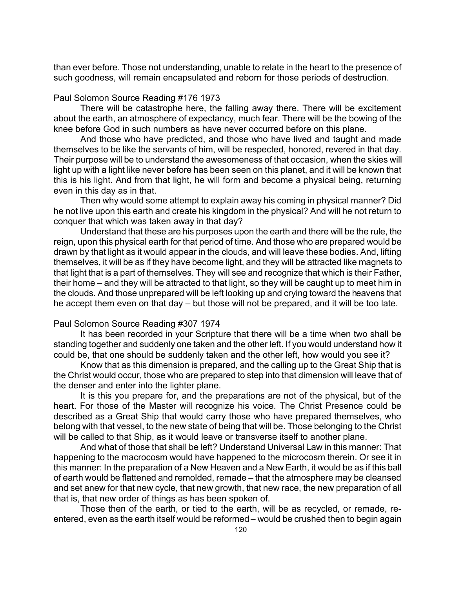than ever before. Those not understanding, unable to relate in the heart to the presence of such goodness, will remain encapsulated and reborn for those periods of destruction.

# Paul Solomon Source Reading #176 1973

There will be catastrophe here, the falling away there. There will be excitement about the earth, an atmosphere of expectancy, much fear. There will be the bowing of the knee before God in such numbers as have never occurred before on this plane.

And those who have predicted, and those who have lived and taught and made themselves to be like the servants of him, will be respected, honored, revered in that day. Their purpose will be to understand the awesomeness of that occasion, when the skies will light up with a light like never before has been seen on this planet, and it will be known that this is his light. And from that light, he will form and become a physical being, returning even in this day as in that.

Then why would some attempt to explain away his coming in physical manner? Did he not live upon this earth and create his kingdom in the physical? And will he not return to conquer that which was taken away in that day?

Understand that these are his purposes upon the earth and there will be the rule, the reign, upon this physical earth for that period of time. And those who are prepared would be drawn by that light as it would appear in the clouds, and will leave these bodies. And, lifting themselves, it will be as if they have become light, and they will be attracted like magnets to that light that is a part of themselves. They will see and recognize that which is their Father, their home – and they will be attracted to that light, so they will be caught up to meet him in the clouds. And those unprepared will be left looking up and crying toward the heavens that he accept them even on that day – but those will not be prepared, and it will be too late.

# Paul Solomon Source Reading #307 1974

It has been recorded in your Scripture that there will be a time when two shall be standing together and suddenly one taken and the other left. If you would understand how it could be, that one should be suddenly taken and the other left, how would you see it?

Know that as this dimension is prepared, and the calling up to the Great Ship that is the Christ would occur, those who are prepared to step into that dimension will leave that of the denser and enter into the lighter plane.

It is this you prepare for, and the preparations are not of the physical, but of the heart. For those of the Master will recognize his voice. The Christ Presence could be described as a Great Ship that would carry those who have prepared themselves, who belong with that vessel, to the new state of being that will be. Those belonging to the Christ will be called to that Ship, as it would leave or transverse itself to another plane.

And what of those that shall be left? Understand Universal Law in this manner: That happening to the macrocosm would have happened to the microcosm therein. Or see it in this manner: In the preparation of a New Heaven and a New Earth, it would be as if this ball of earth would be flattened and remolded, remade – that the atmosphere may be cleansed and set anew for that new cycle, that new growth, that new race, the new preparation of all that is, that new order of things as has been spoken of.

Those then of the earth, or tied to the earth, will be as recycled, or remade, reentered, even as the earth itself would be reformed – would be crushed then to begin again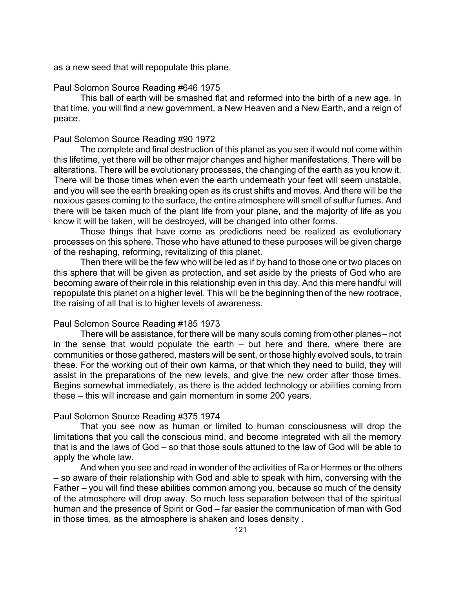as a new seed that will repopulate this plane.

# Paul Solomon Source Reading #646 1975

This ball of earth will be smashed flat and reformed into the birth of a new age. In that time, you will find a new government, a New Heaven and a New Earth, and a reign of peace.

# Paul Solomon Source Reading #90 1972

The complete and final destruction of this planet as you see it would not come within this lifetime, yet there will be other major changes and higher manifestations. There will be alterations. There will be evolutionary processes, the changing of the earth as you know it. There will be those times when even the earth underneath your feet will seem unstable, and you will see the earth breaking open as its crust shifts and moves. And there will be the noxious gases coming to the surface, the entire atmosphere will smell of sulfur fumes. And there will be taken much of the plant life from your plane, and the majority of life as you know it will be taken, will be destroyed, will be changed into other forms.

Those things that have come as predictions need be realized as evolutionary processes on this sphere. Those who have attuned to these purposes will be given charge of the reshaping, reforming, revitalizing of this planet.

Then there will be the few who will be led as if by hand to those one or two places on this sphere that will be given as protection, and set aside by the priests of God who are becoming aware of their role in this relationship even in this day. And this mere handful will repopulate this planet on a higher level. This will be the beginning then of the new rootrace, the raising of all that is to higher levels of awareness.

# Paul Solomon Source Reading #185 1973

There will be assistance, for there will be many souls coming from other planes – not in the sense that would populate the earth – but here and there, where there are communities or those gathered, masters will be sent, or those highly evolved souls, to train these. For the working out of their own karma, or that which they need to build, they will assist in the preparations of the new levels, and give the new order after those times. Begins somewhat immediately, as there is the added technology or abilities coming from these – this will increase and gain momentum in some 200 years.

### Paul Solomon Source Reading #375 1974

That you see now as human or limited to human consciousness will drop the limitations that you call the conscious mind, and become integrated with all the memory that is and the laws of God – so that those souls attuned to the law of God will be able to apply the whole law.

And when you see and read in wonder of the activities of Ra or Hermes or the others – so aware of their relationship with God and able to speak with him, conversing with the Father – you will find these abilities common among you, because so much of the density of the atmosphere will drop away. So much less separation between that of the spiritual human and the presence of Spirit or God – far easier the communication of man with God in those times, as the atmosphere is shaken and loses density .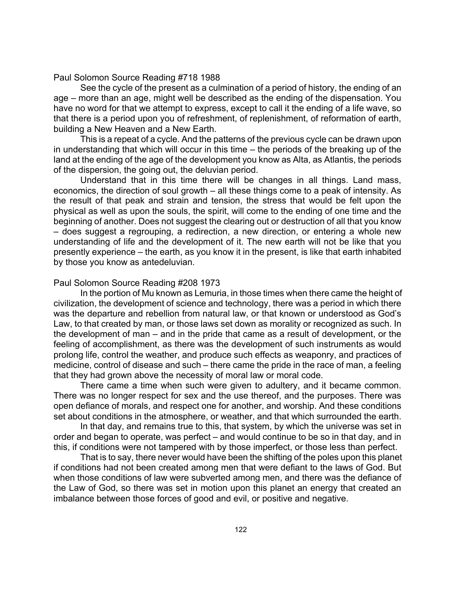# Paul Solomon Source Reading #718 1988

See the cycle of the present as a culmination of a period of history, the ending of an age – more than an age, might well be described as the ending of the dispensation. You have no word for that we attempt to express, except to call it the ending of a life wave, so that there is a period upon you of refreshment, of replenishment, of reformation of earth, building a New Heaven and a New Earth.

This is a repeat of a cycle. And the patterns of the previous cycle can be drawn upon in understanding that which will occur in this time – the periods of the breaking up of the land at the ending of the age of the development you know as Alta, as Atlantis, the periods of the dispersion, the going out, the deluvian period.

Understand that in this time there will be changes in all things. Land mass, economics, the direction of soul growth – all these things come to a peak of intensity. As the result of that peak and strain and tension, the stress that would be felt upon the physical as well as upon the souls, the spirit, will come to the ending of one time and the beginning of another. Does not suggest the clearing out or destruction of all that you know – does suggest a regrouping, a redirection, a new direction, or entering a whole new understanding of life and the development of it. The new earth will not be like that you presently experience – the earth, as you know it in the present, is like that earth inhabited by those you know as antedeluvian.

### Paul Solomon Source Reading #208 1973

In the portion of Mu known as Lemuria, in those times when there came the height of civilization, the development of science and technology, there was a period in which there was the departure and rebellion from natural law, or that known or understood as God's Law, to that created by man, or those laws set down as morality or recognized as such. In the development of man – and in the pride that came as a result of development, or the feeling of accomplishment, as there was the development of such instruments as would prolong life, control the weather, and produce such effects as weaponry, and practices of medicine, control of disease and such – there came the pride in the race of man, a feeling that they had grown above the necessity of moral law or moral code.

There came a time when such were given to adultery, and it became common. There was no longer respect for sex and the use thereof, and the purposes. There was open defiance of morals, and respect one for another, and worship. And these conditions set about conditions in the atmosphere, or weather, and that which surrounded the earth.

In that day, and remains true to this, that system, by which the universe was set in order and began to operate, was perfect – and would continue to be so in that day, and in this, if conditions were not tampered with by those imperfect, or those less than perfect.

That is to say, there never would have been the shifting of the poles upon this planet if conditions had not been created among men that were defiant to the laws of God. But when those conditions of law were subverted among men, and there was the defiance of the Law of God, so there was set in motion upon this planet an energy that created an imbalance between those forces of good and evil, or positive and negative.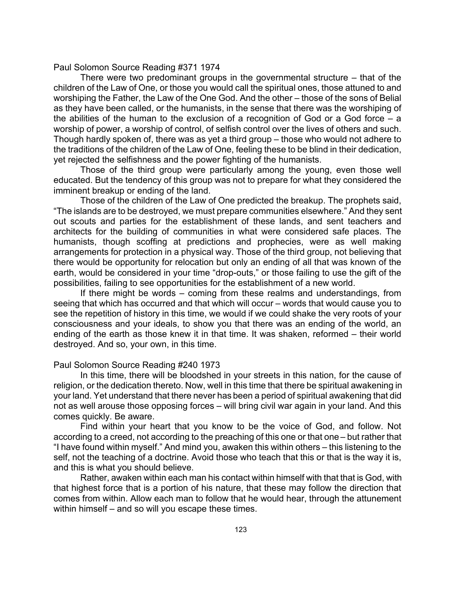#### Paul Solomon Source Reading #371 1974

There were two predominant groups in the governmental structure – that of the children of the Law of One, or those you would call the spiritual ones, those attuned to and worshiping the Father, the Law of the One God. And the other – those of the sons of Belial as they have been called, or the humanists, in the sense that there was the worshiping of the abilities of the human to the exclusion of a recognition of God or a God force  $-$  a worship of power, a worship of control, of selfish control over the lives of others and such. Though hardly spoken of, there was as yet a third group – those who would not adhere to the traditions of the children of the Law of One, feeling these to be blind in their dedication, yet rejected the selfishness and the power fighting of the humanists.

Those of the third group were particularly among the young, even those well educated. But the tendency of this group was not to prepare for what they considered the imminent breakup or ending of the land.

Those of the children of the Law of One predicted the breakup. The prophets said, "The islands are to be destroyed, we must prepare communities elsewhere." And they sent out scouts and parties for the establishment of these lands, and sent teachers and architects for the building of communities in what were considered safe places. The humanists, though scoffing at predictions and prophecies, were as well making arrangements for protection in a physical way. Those of the third group, not believing that there would be opportunity for relocation but only an ending of all that was known of the earth, would be considered in your time "drop-outs," or those failing to use the gift of the possibilities, failing to see opportunities for the establishment of a new world.

If there might be words – coming from these realms and understandings, from seeing that which has occurred and that which will occur – words that would cause you to see the repetition of history in this time, we would if we could shake the very roots of your consciousness and your ideals, to show you that there was an ending of the world, an ending of the earth as those knew it in that time. It was shaken, reformed – their world destroyed. And so, your own, in this time.

### Paul Solomon Source Reading #240 1973

In this time, there will be bloodshed in your streets in this nation, for the cause of religion, or the dedication thereto. Now, well in this time that there be spiritual awakening in your land. Yet understand that there never has been a period of spiritual awakening that did not as well arouse those opposing forces – will bring civil war again in your land. And this comes quickly. Be aware.

Find within your heart that you know to be the voice of God, and follow. Not according to a creed, not according to the preaching of this one or that one – but rather that "I have found within myself." And mind you, awaken this within others – this listening to the self, not the teaching of a doctrine. Avoid those who teach that this or that is the way it is, and this is what you should believe.

Rather, awaken within each man his contact within himself with that that is God, with that highest force that is a portion of his nature, that these may follow the direction that comes from within. Allow each man to follow that he would hear, through the attunement within himself – and so will you escape these times.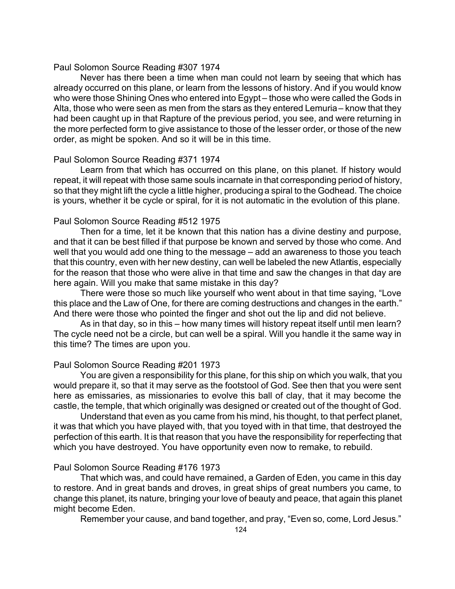### Paul Solomon Source Reading #307 1974

Never has there been a time when man could not learn by seeing that which has already occurred on this plane, or learn from the lessons of history. And if you would know who were those Shining Ones who entered into Egypt – those who were called the Gods in Alta, those who were seen as men from the stars as they entered Lemuria – know that they had been caught up in that Rapture of the previous period, you see, and were returning in the more perfected form to give assistance to those of the lesser order, or those of the new order, as might be spoken. And so it will be in this time.

# Paul Solomon Source Reading #371 1974

Learn from that which has occurred on this plane, on this planet. If history would repeat, it will repeat with those same souls incarnate in that corresponding period of history, so that they might lift the cycle a little higher, producing a spiral to the Godhead. The choice is yours, whether it be cycle or spiral, for it is not automatic in the evolution of this plane.

### Paul Solomon Source Reading #512 1975

Then for a time, let it be known that this nation has a divine destiny and purpose, and that it can be best filled if that purpose be known and served by those who come. And well that you would add one thing to the message – add an awareness to those you teach that this country, even with her new destiny, can well be labeled the new Atlantis, especially for the reason that those who were alive in that time and saw the changes in that day are here again. Will you make that same mistake in this day?

There were those so much like yourself who went about in that time saying, "Love this place and the Law of One, for there are coming destructions and changes in the earth." And there were those who pointed the finger and shot out the lip and did not believe.

As in that day, so in this – how many times will history repeat itself until men learn? The cycle need not be a circle, but can well be a spiral. Will you handle it the same way in this time? The times are upon you.

# Paul Solomon Source Reading #201 1973

You are given a responsibility for this plane, for this ship on which you walk, that you would prepare it, so that it may serve as the footstool of God. See then that you were sent here as emissaries, as missionaries to evolve this ball of clay, that it may become the castle, the temple, that which originally was designed or created out of the thought of God.

Understand that even as you came from his mind, his thought, to that perfect planet, it was that which you have played with, that you toyed with in that time, that destroyed the perfection of this earth. It is that reason that you have the responsibility for reperfecting that which you have destroyed. You have opportunity even now to remake, to rebuild.

### Paul Solomon Source Reading #176 1973

That which was, and could have remained, a Garden of Eden, you came in this day to restore. And in great bands and droves, in great ships of great numbers you came, to change this planet, its nature, bringing your love of beauty and peace, that again this planet might become Eden.

Remember your cause, and band together, and pray, "Even so, come, Lord Jesus."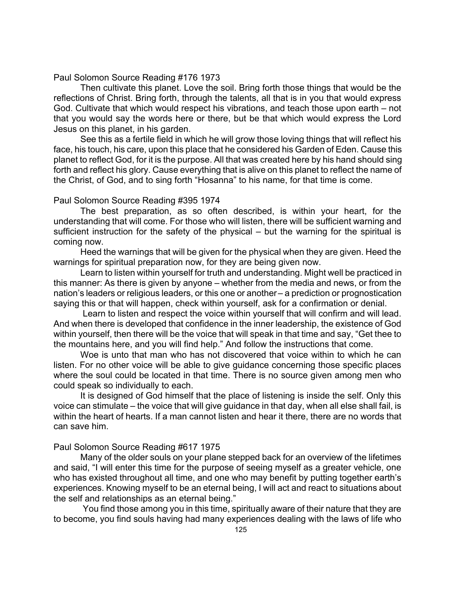# Paul Solomon Source Reading #176 1973

Then cultivate this planet. Love the soil. Bring forth those things that would be the reflections of Christ. Bring forth, through the talents, all that is in you that would express God. Cultivate that which would respect his vibrations, and teach those upon earth – not that you would say the words here or there, but be that which would express the Lord Jesus on this planet, in his garden.

See this as a fertile field in which he will grow those loving things that will reflect his face, his touch, his care, upon this place that he considered his Garden of Eden. Cause this planet to reflect God, for it is the purpose. All that was created here by his hand should sing forth and reflect his glory. Cause everything that is alive on this planet to reflect the name of the Christ, of God, and to sing forth "Hosanna" to his name, for that time is come.

# Paul Solomon Source Reading #395 1974

The best preparation, as so often described, is within your heart, for the understanding that will come. For those who will listen, there will be sufficient warning and sufficient instruction for the safety of the physical – but the warning for the spiritual is coming now.

Heed the warnings that will be given for the physical when they are given. Heed the warnings for spiritual preparation now, for they are being given now.

Learn to listen within yourself for truth and understanding. Might well be practiced in this manner: As there is given by anyone – whether from the media and news, or from the nation's leaders or religious leaders, or this one or another– a prediction or prognostication saying this or that will happen, check within yourself, ask for a confirmation or denial.

 Learn to listen and respect the voice within yourself that will confirm and will lead. And when there is developed that confidence in the inner leadership, the existence of God within yourself, then there will be the voice that will speak in that time and say, "Get thee to the mountains here, and you will find help." And follow the instructions that come.

Woe is unto that man who has not discovered that voice within to which he can listen. For no other voice will be able to give guidance concerning those specific places where the soul could be located in that time. There is no source given among men who could speak so individually to each.

It is designed of God himself that the place of listening is inside the self. Only this voice can stimulate – the voice that will give guidance in that day, when all else shall fail, is within the heart of hearts. If a man cannot listen and hear it there, there are no words that can save him.

# Paul Solomon Source Reading #617 1975

Many of the older souls on your plane stepped back for an overview of the lifetimes and said, "I will enter this time for the purpose of seeing myself as a greater vehicle, one who has existed throughout all time, and one who may benefit by putting together earth's experiences. Knowing myself to be an eternal being, I will act and react to situations about the self and relationships as an eternal being."

 You find those among you in this time, spiritually aware of their nature that they are to become, you find souls having had many experiences dealing with the laws of life who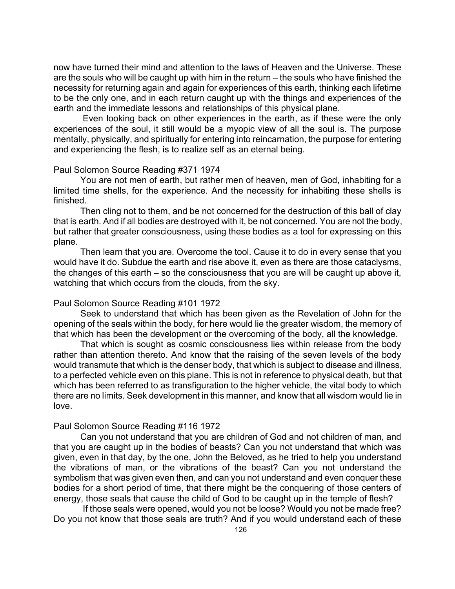now have turned their mind and attention to the laws of Heaven and the Universe. These are the souls who will be caught up with him in the return – the souls who have finished the necessity for returning again and again for experiences of this earth, thinking each lifetime to be the only one, and in each return caught up with the things and experiences of the earth and the immediate lessons and relationships of this physical plane.

 Even looking back on other experiences in the earth, as if these were the only experiences of the soul, it still would be a myopic view of all the soul is. The purpose mentally, physically, and spiritually for entering into reincarnation, the purpose for entering and experiencing the flesh, is to realize self as an eternal being.

### Paul Solomon Source Reading #371 1974

You are not men of earth, but rather men of heaven, men of God, inhabiting for a limited time shells, for the experience. And the necessity for inhabiting these shells is finished.

Then cling not to them, and be not concerned for the destruction of this ball of clay that is earth. And if all bodies are destroyed with it, be not concerned. You are not the body, but rather that greater consciousness, using these bodies as a tool for expressing on this plane.

Then learn that you are. Overcome the tool. Cause it to do in every sense that you would have it do. Subdue the earth and rise above it, even as there are those cataclysms, the changes of this earth – so the consciousness that you are will be caught up above it, watching that which occurs from the clouds, from the sky.

#### Paul Solomon Source Reading #101 1972

Seek to understand that which has been given as the Revelation of John for the opening of the seals within the body, for here would lie the greater wisdom, the memory of that which has been the development or the overcoming of the body, all the knowledge.

That which is sought as cosmic consciousness lies within release from the body rather than attention thereto. And know that the raising of the seven levels of the body would transmute that which is the denser body, that which is subject to disease and illness, to a perfected vehicle even on this plane. This is not in reference to physical death, but that which has been referred to as transfiguration to the higher vehicle, the vital body to which there are no limits. Seek development in this manner, and know that all wisdom would lie in love.

### Paul Solomon Source Reading #116 1972

Can you not understand that you are children of God and not children of man, and that you are caught up in the bodies of beasts? Can you not understand that which was given, even in that day, by the one, John the Beloved, as he tried to help you understand the vibrations of man, or the vibrations of the beast? Can you not understand the symbolism that was given even then, and can you not understand and even conquer these bodies for a short period of time, that there might be the conquering of those centers of energy, those seals that cause the child of God to be caught up in the temple of flesh?

 If those seals were opened, would you not be loose? Would you not be made free? Do you not know that those seals are truth? And if you would understand each of these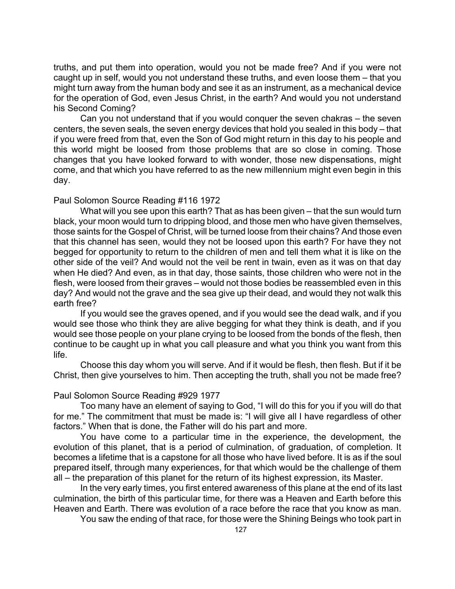truths, and put them into operation, would you not be made free? And if you were not caught up in self, would you not understand these truths, and even loose them – that you might turn away from the human body and see it as an instrument, as a mechanical device for the operation of God, even Jesus Christ, in the earth? And would you not understand his Second Coming?

Can you not understand that if you would conquer the seven chakras – the seven centers, the seven seals, the seven energy devices that hold you sealed in this body – that if you were freed from that, even the Son of God might return in this day to his people and this world might be loosed from those problems that are so close in coming. Those changes that you have looked forward to with wonder, those new dispensations, might come, and that which you have referred to as the new millennium might even begin in this day.

### Paul Solomon Source Reading #116 1972

What will you see upon this earth? That as has been given – that the sun would turn black, your moon would turn to dripping blood, and those men who have given themselves, those saints for the Gospel of Christ, will be turned loose from their chains? And those even that this channel has seen, would they not be loosed upon this earth? For have they not begged for opportunity to return to the children of men and tell them what it is like on the other side of the veil? And would not the veil be rent in twain, even as it was on that day when He died? And even, as in that day, those saints, those children who were not in the flesh, were loosed from their graves – would not those bodies be reassembled even in this day? And would not the grave and the sea give up their dead, and would they not walk this earth free?

If you would see the graves opened, and if you would see the dead walk, and if you would see those who think they are alive begging for what they think is death, and if you would see those people on your plane crying to be loosed from the bonds of the flesh, then continue to be caught up in what you call pleasure and what you think you want from this life.

Choose this day whom you will serve. And if it would be flesh, then flesh. But if it be Christ, then give yourselves to him. Then accepting the truth, shall you not be made free?

# Paul Solomon Source Reading #929 1977

Too many have an element of saying to God, "I will do this for you if you will do that for me." The commitment that must be made is: "I will give all I have regardless of other factors." When that is done, the Father will do his part and more.

You have come to a particular time in the experience, the development, the evolution of this planet, that is a period of culmination, of graduation, of completion. It becomes a lifetime that is a capstone for all those who have lived before. It is as if the soul prepared itself, through many experiences, for that which would be the challenge of them all – the preparation of this planet for the return of its highest expression, its Master.

In the very early times, you first entered awareness of this plane at the end of its last culmination, the birth of this particular time, for there was a Heaven and Earth before this Heaven and Earth. There was evolution of a race before the race that you know as man.

You saw the ending of that race, for those were the Shining Beings who took part in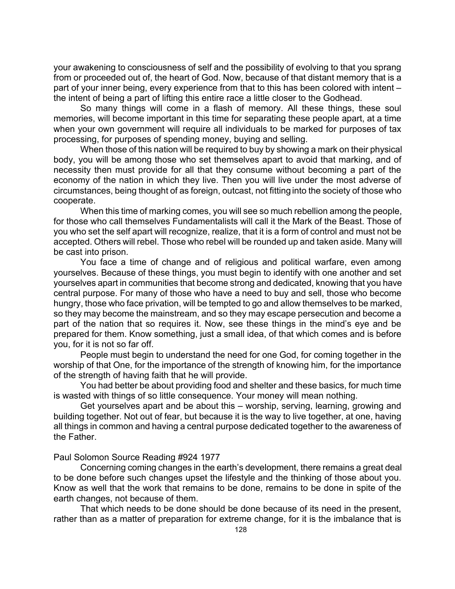your awakening to consciousness of self and the possibility of evolving to that you sprang from or proceeded out of, the heart of God. Now, because of that distant memory that is a part of your inner being, every experience from that to this has been colored with intent – the intent of being a part of lifting this entire race a little closer to the Godhead.

So many things will come in a flash of memory. All these things, these soul memories, will become important in this time for separating these people apart, at a time when your own government will require all individuals to be marked for purposes of tax processing, for purposes of spending money, buying and selling.

When those of this nation will be required to buy by showing a mark on their physical body, you will be among those who set themselves apart to avoid that marking, and of necessity then must provide for all that they consume without becoming a part of the economy of the nation in which they live. Then you will live under the most adverse of circumstances, being thought of as foreign, outcast, not fitting into the society of those who cooperate.

When this time of marking comes, you will see so much rebellion among the people, for those who call themselves Fundamentalists will call it the Mark of the Beast. Those of you who set the self apart will recognize, realize, that it is a form of control and must not be accepted. Others will rebel. Those who rebel will be rounded up and taken aside. Many will be cast into prison.

You face a time of change and of religious and political warfare, even among yourselves. Because of these things, you must begin to identify with one another and set yourselves apart in communities that become strong and dedicated, knowing that you have central purpose. For many of those who have a need to buy and sell, those who become hungry, those who face privation, will be tempted to go and allow themselves to be marked, so they may become the mainstream, and so they may escape persecution and become a part of the nation that so requires it. Now, see these things in the mind's eye and be prepared for them. Know something, just a small idea, of that which comes and is before you, for it is not so far off.

People must begin to understand the need for one God, for coming together in the worship of that One, for the importance of the strength of knowing him, for the importance of the strength of having faith that he will provide.

You had better be about providing food and shelter and these basics, for much time is wasted with things of so little consequence. Your money will mean nothing.

Get yourselves apart and be about this – worship, serving, learning, growing and building together. Not out of fear, but because it is the way to live together, at one, having all things in common and having a central purpose dedicated together to the awareness of the Father.

# Paul Solomon Source Reading #924 1977

Concerning coming changes in the earth's development, there remains a great deal to be done before such changes upset the lifestyle and the thinking of those about you. Know as well that the work that remains to be done, remains to be done in spite of the earth changes, not because of them.

That which needs to be done should be done because of its need in the present, rather than as a matter of preparation for extreme change, for it is the imbalance that is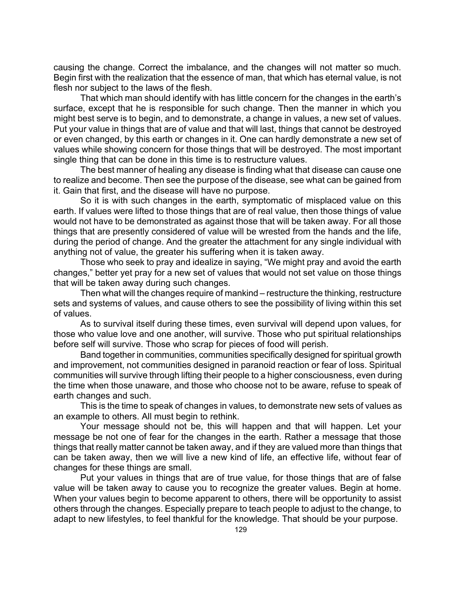causing the change. Correct the imbalance, and the changes will not matter so much. Begin first with the realization that the essence of man, that which has eternal value, is not flesh nor subject to the laws of the flesh.

That which man should identify with has little concern for the changes in the earth's surface, except that he is responsible for such change. Then the manner in which you might best serve is to begin, and to demonstrate, a change in values, a new set of values. Put your value in things that are of value and that will last, things that cannot be destroyed or even changed, by this earth or changes in it. One can hardly demonstrate a new set of values while showing concern for those things that will be destroyed. The most important single thing that can be done in this time is to restructure values.

The best manner of healing any disease is finding what that disease can cause one to realize and become. Then see the purpose of the disease, see what can be gained from it. Gain that first, and the disease will have no purpose.

So it is with such changes in the earth, symptomatic of misplaced value on this earth. If values were lifted to those things that are of real value, then those things of value would not have to be demonstrated as against those that will be taken away. For all those things that are presently considered of value will be wrested from the hands and the life, during the period of change. And the greater the attachment for any single individual with anything not of value, the greater his suffering when it is taken away.

Those who seek to pray and idealize in saying, "We might pray and avoid the earth changes," better yet pray for a new set of values that would not set value on those things that will be taken away during such changes.

Then what will the changes require of mankind – restructure the thinking, restructure sets and systems of values, and cause others to see the possibility of living within this set of values.

As to survival itself during these times, even survival will depend upon values, for those who value love and one another, will survive. Those who put spiritual relationships before self will survive. Those who scrap for pieces of food will perish.

Band together in communities, communities specifically designed for spiritual growth and improvement, not communities designed in paranoid reaction or fear of loss. Spiritual communities will survive through lifting their people to a higher consciousness, even during the time when those unaware, and those who choose not to be aware, refuse to speak of earth changes and such.

This is the time to speak of changes in values, to demonstrate new sets of values as an example to others. All must begin to rethink.

Your message should not be, this will happen and that will happen. Let your message be not one of fear for the changes in the earth. Rather a message that those things that really matter cannot be taken away, and if they are valued more than things that can be taken away, then we will live a new kind of life, an effective life, without fear of changes for these things are small.

Put your values in things that are of true value, for those things that are of false value will be taken away to cause you to recognize the greater values. Begin at home. When your values begin to become apparent to others, there will be opportunity to assist others through the changes. Especially prepare to teach people to adjust to the change, to adapt to new lifestyles, to feel thankful for the knowledge. That should be your purpose.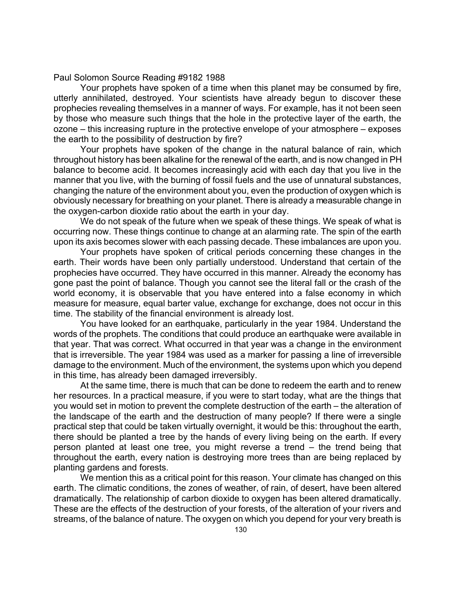Paul Solomon Source Reading #9182 1988

Your prophets have spoken of a time when this planet may be consumed by fire, utterly annihilated, destroyed. Your scientists have already begun to discover these prophecies revealing themselves in a manner of ways. For example, has it not been seen by those who measure such things that the hole in the protective layer of the earth, the ozone – this increasing rupture in the protective envelope of your atmosphere – exposes the earth to the possibility of destruction by fire?

Your prophets have spoken of the change in the natural balance of rain, which throughout history has been alkaline for the renewal of the earth, and is now changed in PH balance to become acid. It becomes increasingly acid with each day that you live in the manner that you live, with the burning of fossil fuels and the use of unnatural substances, changing the nature of the environment about you, even the production of oxygen which is obviously necessary for breathing on your planet. There is already a measurable change in the oxygen-carbon dioxide ratio about the earth in your day.

We do not speak of the future when we speak of these things. We speak of what is occurring now. These things continue to change at an alarming rate. The spin of the earth upon its axis becomes slower with each passing decade. These imbalances are upon you.

Your prophets have spoken of critical periods concerning these changes in the earth. Their words have been only partially understood. Understand that certain of the prophecies have occurred. They have occurred in this manner. Already the economy has gone past the point of balance. Though you cannot see the literal fall or the crash of the world economy, it is observable that you have entered into a false economy in which measure for measure, equal barter value, exchange for exchange, does not occur in this time. The stability of the financial environment is already lost.

You have looked for an earthquake, particularly in the year 1984. Understand the words of the prophets. The conditions that could produce an earthquake were available in that year. That was correct. What occurred in that year was a change in the environment that is irreversible. The year 1984 was used as a marker for passing a line of irreversible damage to the environment. Much of the environment, the systems upon which you depend in this time, has already been damaged irreversibly.

At the same time, there is much that can be done to redeem the earth and to renew her resources. In a practical measure, if you were to start today, what are the things that you would set in motion to prevent the complete destruction of the earth – the alteration of the landscape of the earth and the destruction of many people? If there were a single practical step that could be taken virtually overnight, it would be this: throughout the earth, there should be planted a tree by the hands of every living being on the earth. If every person planted at least one tree, you might reverse a trend – the trend being that throughout the earth, every nation is destroying more trees than are being replaced by planting gardens and forests.

We mention this as a critical point for this reason. Your climate has changed on this earth. The climatic conditions, the zones of weather, of rain, of desert, have been altered dramatically. The relationship of carbon dioxide to oxygen has been altered dramatically. These are the effects of the destruction of your forests, of the alteration of your rivers and streams, of the balance of nature. The oxygen on which you depend for your very breath is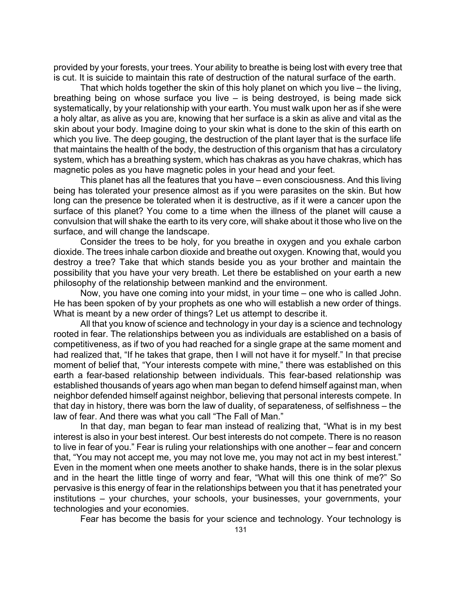provided by your forests, your trees. Your ability to breathe is being lost with every tree that is cut. It is suicide to maintain this rate of destruction of the natural surface of the earth.

That which holds together the skin of this holy planet on which you live – the living, breathing being on whose surface you live – is being destroyed, is being made sick systematically, by your relationship with your earth. You must walk upon her as if she were a holy altar, as alive as you are, knowing that her surface is a skin as alive and vital as the skin about your body. Imagine doing to your skin what is done to the skin of this earth on which you live. The deep gouging, the destruction of the plant layer that is the surface life that maintains the health of the body, the destruction of this organism that has a circulatory system, which has a breathing system, which has chakras as you have chakras, which has magnetic poles as you have magnetic poles in your head and your feet.

This planet has all the features that you have – even consciousness. And this living being has tolerated your presence almost as if you were parasites on the skin. But how long can the presence be tolerated when it is destructive, as if it were a cancer upon the surface of this planet? You come to a time when the illness of the planet will cause a convulsion that will shake the earth to its very core, will shake about it those who live on the surface, and will change the landscape.

Consider the trees to be holy, for you breathe in oxygen and you exhale carbon dioxide. The trees inhale carbon dioxide and breathe out oxygen. Knowing that, would you destroy a tree? Take that which stands beside you as your brother and maintain the possibility that you have your very breath. Let there be established on your earth a new philosophy of the relationship between mankind and the environment.

Now, you have one coming into your midst, in your time – one who is called John. He has been spoken of by your prophets as one who will establish a new order of things. What is meant by a new order of things? Let us attempt to describe it.

All that you know of science and technology in your day is a science and technology rooted in fear. The relationships between you as individuals are established on a basis of competitiveness, as if two of you had reached for a single grape at the same moment and had realized that, "If he takes that grape, then I will not have it for myself." In that precise moment of belief that, "Your interests compete with mine," there was established on this earth a fear-based relationship between individuals. This fear-based relationship was established thousands of years ago when man began to defend himself against man, when neighbor defended himself against neighbor, believing that personal interests compete. In that day in history, there was born the law of duality, of separateness, of selfishness – the law of fear. And there was what you call "The Fall of Man."

In that day, man began to fear man instead of realizing that, "What is in my best interest is also in your best interest. Our best interests do not compete. There is no reason to live in fear of you." Fear is ruling your relationships with one another – fear and concern that, "You may not accept me, you may not love me, you may not act in my best interest." Even in the moment when one meets another to shake hands, there is in the solar plexus and in the heart the little tinge of worry and fear, "What will this one think of me?" So pervasive is this energy of fear in the relationships between you that it has penetrated your institutions – your churches, your schools, your businesses, your governments, your technologies and your economies.

Fear has become the basis for your science and technology. Your technology is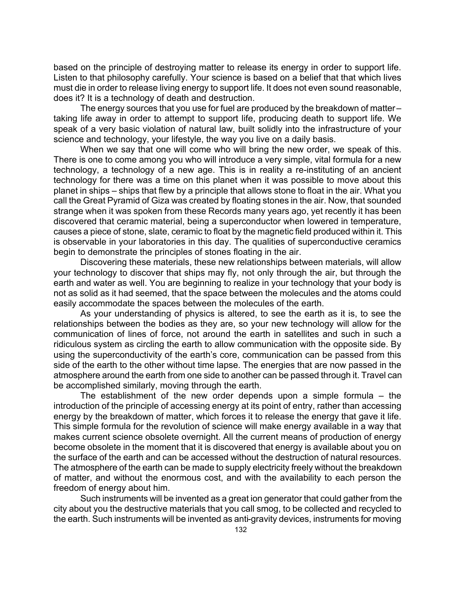based on the principle of destroying matter to release its energy in order to support life. Listen to that philosophy carefully. Your science is based on a belief that that which lives must die in order to release living energy to support life. It does not even sound reasonable, does it? It is a technology of death and destruction.

The energy sources that you use for fuel are produced by the breakdown of matter – taking life away in order to attempt to support life, producing death to support life. We speak of a very basic violation of natural law, built solidly into the infrastructure of your science and technology, your lifestyle, the way you live on a daily basis.

When we say that one will come who will bring the new order, we speak of this. There is one to come among you who will introduce a very simple, vital formula for a new technology, a technology of a new age. This is in reality a re-instituting of an ancient technology for there was a time on this planet when it was possible to move about this planet in ships – ships that flew by a principle that allows stone to float in the air. What you call the Great Pyramid of Giza was created by floating stones in the air. Now, that sounded strange when it was spoken from these Records many years ago, yet recently it has been discovered that ceramic material, being a superconductor when lowered in temperature, causes a piece of stone, slate, ceramic to float by the magnetic field produced within it. This is observable in your laboratories in this day. The qualities of superconductive ceramics begin to demonstrate the principles of stones floating in the air.

Discovering these materials, these new relationships between materials, will allow your technology to discover that ships may fly, not only through the air, but through the earth and water as well. You are beginning to realize in your technology that your body is not as solid as it had seemed, that the space between the molecules and the atoms could easily accommodate the spaces between the molecules of the earth.

As your understanding of physics is altered, to see the earth as it is, to see the relationships between the bodies as they are, so your new technology will allow for the communication of lines of force, not around the earth in satellites and such in such a ridiculous system as circling the earth to allow communication with the opposite side. By using the superconductivity of the earth's core, communication can be passed from this side of the earth to the other without time lapse. The energies that are now passed in the atmosphere around the earth from one side to another can be passed through it. Travel can be accomplished similarly, moving through the earth.

The establishment of the new order depends upon a simple formula – the introduction of the principle of accessing energy at its point of entry, rather than accessing energy by the breakdown of matter, which forces it to release the energy that gave it life. This simple formula for the revolution of science will make energy available in a way that makes current science obsolete overnight. All the current means of production of energy become obsolete in the moment that it is discovered that energy is available about you on the surface of the earth and can be accessed without the destruction of natural resources. The atmosphere of the earth can be made to supply electricity freely without the breakdown of matter, and without the enormous cost, and with the availability to each person the freedom of energy about him.

Such instruments will be invented as a great ion generator that could gather from the city about you the destructive materials that you call smog, to be collected and recycled to the earth. Such instruments will be invented as anti-gravity devices, instruments for moving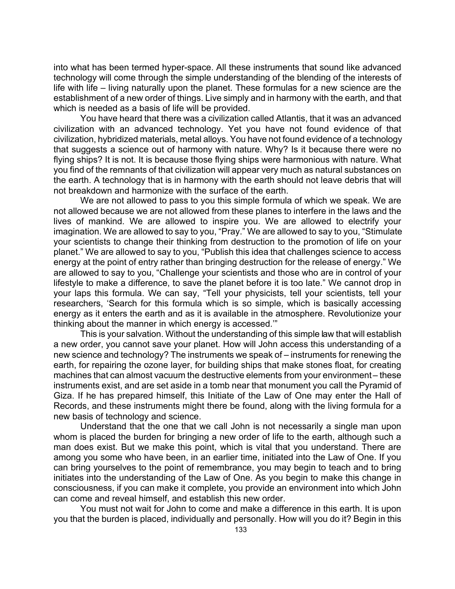into what has been termed hyper-space. All these instruments that sound like advanced technology will come through the simple understanding of the blending of the interests of life with life – living naturally upon the planet. These formulas for a new science are the establishment of a new order of things. Live simply and in harmony with the earth, and that which is needed as a basis of life will be provided.

You have heard that there was a civilization called Atlantis, that it was an advanced civilization with an advanced technology. Yet you have not found evidence of that civilization, hybridized materials, metal alloys. You have not found evidence of a technology that suggests a science out of harmony with nature. Why? Is it because there were no flying ships? It is not. It is because those flying ships were harmonious with nature. What you find of the remnants of that civilization will appear very much as natural substances on the earth. A technology that is in harmony with the earth should not leave debris that will not breakdown and harmonize with the surface of the earth.

We are not allowed to pass to you this simple formula of which we speak. We are not allowed because we are not allowed from these planes to interfere in the laws and the lives of mankind. We are allowed to inspire you. We are allowed to electrify your imagination. We are allowed to say to you, "Pray." We are allowed to say to you, "Stimulate your scientists to change their thinking from destruction to the promotion of life on your planet." We are allowed to say to you, "Publish this idea that challenges science to access energy at the point of entry rather than bringing destruction for the release of energy." We are allowed to say to you, "Challenge your scientists and those who are in control of your lifestyle to make a difference, to save the planet before it is too late." We cannot drop in your laps this formula. We can say, "Tell your physicists, tell your scientists, tell your researchers, 'Search for this formula which is so simple, which is basically accessing energy as it enters the earth and as it is available in the atmosphere. Revolutionize your thinking about the manner in which energy is accessed.'"

This is your salvation. Without the understanding of this simple law that will establish a new order, you cannot save your planet. How will John access this understanding of a new science and technology? The instruments we speak of – instruments for renewing the earth, for repairing the ozone layer, for building ships that make stones float, for creating machines that can almost vacuum the destructive elements from your environment – these instruments exist, and are set aside in a tomb near that monument you call the Pyramid of Giza. If he has prepared himself, this Initiate of the Law of One may enter the Hall of Records, and these instruments might there be found, along with the living formula for a new basis of technology and science.

Understand that the one that we call John is not necessarily a single man upon whom is placed the burden for bringing a new order of life to the earth, although such a man does exist. But we make this point, which is vital that you understand. There are among you some who have been, in an earlier time, initiated into the Law of One. If you can bring yourselves to the point of remembrance, you may begin to teach and to bring initiates into the understanding of the Law of One. As you begin to make this change in consciousness, if you can make it complete, you provide an environment into which John can come and reveal himself, and establish this new order.

You must not wait for John to come and make a difference in this earth. It is upon you that the burden is placed, individually and personally. How will you do it? Begin in this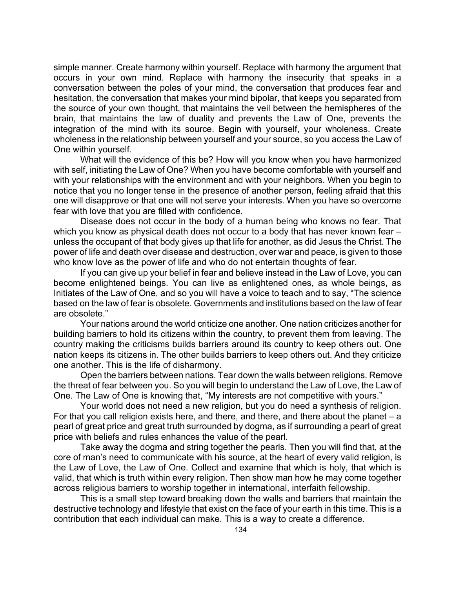simple manner. Create harmony within yourself. Replace with harmony the argument that occurs in your own mind. Replace with harmony the insecurity that speaks in a conversation between the poles of your mind, the conversation that produces fear and hesitation, the conversation that makes your mind bipolar, that keeps you separated from the source of your own thought, that maintains the veil between the hemispheres of the brain, that maintains the law of duality and prevents the Law of One, prevents the integration of the mind with its source. Begin with yourself, your wholeness. Create wholeness in the relationship between yourself and your source, so you access the Law of One within yourself.

What will the evidence of this be? How will you know when you have harmonized with self, initiating the Law of One? When you have become comfortable with yourself and with your relationships with the environment and with your neighbors. When you begin to notice that you no longer tense in the presence of another person, feeling afraid that this one will disapprove or that one will not serve your interests. When you have so overcome fear with love that you are filled with confidence.

Disease does not occur in the body of a human being who knows no fear. That which you know as physical death does not occur to a body that has never known fear – unless the occupant of that body gives up that life for another, as did Jesus the Christ. The power of life and death over disease and destruction, over war and peace, is given to those who know love as the power of life and who do not entertain thoughts of fear.

If you can give up your belief in fear and believe instead in the Law of Love, you can become enlightened beings. You can live as enlightened ones, as whole beings, as Initiates of the Law of One, and so you will have a voice to teach and to say, "The science based on the law of fear is obsolete. Governments and institutions based on the law of fear are obsolete."

Your nations around the world criticize one another. One nation criticizes another for building barriers to hold its citizens within the country, to prevent them from leaving. The country making the criticisms builds barriers around its country to keep others out. One nation keeps its citizens in. The other builds barriers to keep others out. And they criticize one another. This is the life of disharmony.

Open the barriers between nations. Tear down the walls between religions. Remove the threat of fear between you. So you will begin to understand the Law of Love, the Law of One. The Law of One is knowing that, "My interests are not competitive with yours."

Your world does not need a new religion, but you do need a synthesis of religion. For that you call religion exists here, and there, and there, and there about the planet – a pearl of great price and great truth surrounded by dogma, as if surrounding a pearl of great price with beliefs and rules enhances the value of the pearl.

Take away the dogma and string together the pearls. Then you will find that, at the core of man's need to communicate with his source, at the heart of every valid religion, is the Law of Love, the Law of One. Collect and examine that which is holy, that which is valid, that which is truth within every religion. Then show man how he may come together across religious barriers to worship together in international, interfaith fellowship.

This is a small step toward breaking down the walls and barriers that maintain the destructive technology and lifestyle that exist on the face of your earth in this time. This is a contribution that each individual can make. This is a way to create a difference.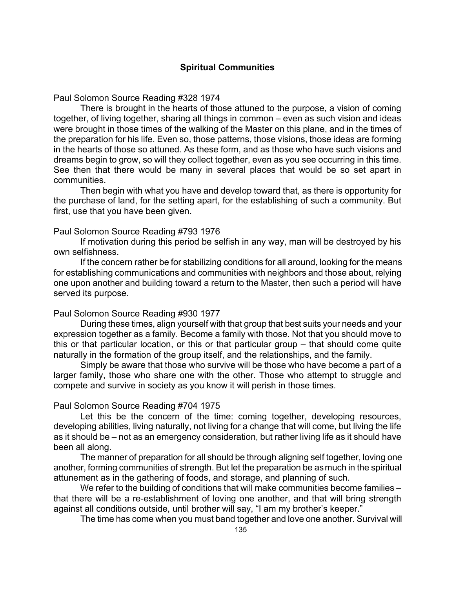# **Spiritual Communities**

Paul Solomon Source Reading #328 1974

There is brought in the hearts of those attuned to the purpose, a vision of coming together, of living together, sharing all things in common – even as such vision and ideas were brought in those times of the walking of the Master on this plane, and in the times of the preparation for his life. Even so, those patterns, those visions, those ideas are forming in the hearts of those so attuned. As these form, and as those who have such visions and dreams begin to grow, so will they collect together, even as you see occurring in this time. See then that there would be many in several places that would be so set apart in communities.

Then begin with what you have and develop toward that, as there is opportunity for the purchase of land, for the setting apart, for the establishing of such a community. But first, use that you have been given.

### Paul Solomon Source Reading #793 1976

If motivation during this period be selfish in any way, man will be destroyed by his own selfishness.

If the concern rather be for stabilizing conditions for all around, looking for the means for establishing communications and communities with neighbors and those about, relying one upon another and building toward a return to the Master, then such a period will have served its purpose.

#### Paul Solomon Source Reading #930 1977

During these times, align yourself with that group that best suits your needs and your expression together as a family. Become a family with those. Not that you should move to this or that particular location, or this or that particular group – that should come quite naturally in the formation of the group itself, and the relationships, and the family.

Simply be aware that those who survive will be those who have become a part of a larger family, those who share one with the other. Those who attempt to struggle and compete and survive in society as you know it will perish in those times.

### Paul Solomon Source Reading #704 1975

Let this be the concern of the time: coming together, developing resources, developing abilities, living naturally, not living for a change that will come, but living the life as it should be – not as an emergency consideration, but rather living life as it should have been all along.

The manner of preparation for all should be through aligning self together, loving one another, forming communities of strength. But let the preparation be as much in the spiritual attunement as in the gathering of foods, and storage, and planning of such.

We refer to the building of conditions that will make communities become families – that there will be a re-establishment of loving one another, and that will bring strength against all conditions outside, until brother will say, "I am my brother's keeper."

The time has come when you must band together and love one another. Survival will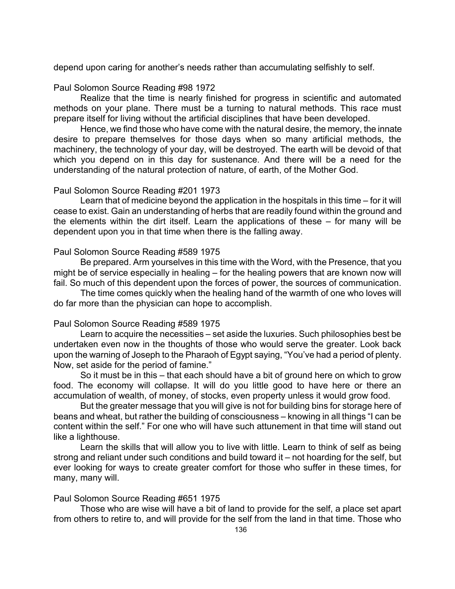depend upon caring for another's needs rather than accumulating selfishly to self.

# Paul Solomon Source Reading #98 1972

Realize that the time is nearly finished for progress in scientific and automated methods on your plane. There must be a turning to natural methods. This race must prepare itself for living without the artificial disciplines that have been developed.

Hence, we find those who have come with the natural desire, the memory, the innate desire to prepare themselves for those days when so many artificial methods, the machinery, the technology of your day, will be destroyed. The earth will be devoid of that which you depend on in this day for sustenance. And there will be a need for the understanding of the natural protection of nature, of earth, of the Mother God.

# Paul Solomon Source Reading #201 1973

Learn that of medicine beyond the application in the hospitals in this time – for it will cease to exist. Gain an understanding of herbs that are readily found within the ground and the elements within the dirt itself. Learn the applications of these – for many will be dependent upon you in that time when there is the falling away.

# Paul Solomon Source Reading #589 1975

Be prepared. Arm yourselves in this time with the Word, with the Presence, that you might be of service especially in healing – for the healing powers that are known now will fail. So much of this dependent upon the forces of power, the sources of communication.

The time comes quickly when the healing hand of the warmth of one who loves will do far more than the physician can hope to accomplish.

# Paul Solomon Source Reading #589 1975

Learn to acquire the necessities – set aside the luxuries. Such philosophies best be undertaken even now in the thoughts of those who would serve the greater. Look back upon the warning of Joseph to the Pharaoh of Egypt saying, "You've had a period of plenty. Now, set aside for the period of famine."

So it must be in this – that each should have a bit of ground here on which to grow food. The economy will collapse. It will do you little good to have here or there an accumulation of wealth, of money, of stocks, even property unless it would grow food.

But the greater message that you will give is not for building bins for storage here of beans and wheat, but rather the building of consciousness – knowing in all things "I can be content within the self." For one who will have such attunement in that time will stand out like a lighthouse.

Learn the skills that will allow you to live with little. Learn to think of self as being strong and reliant under such conditions and build toward it – not hoarding for the self, but ever looking for ways to create greater comfort for those who suffer in these times, for many, many will.

# Paul Solomon Source Reading #651 1975

Those who are wise will have a bit of land to provide for the self, a place set apart from others to retire to, and will provide for the self from the land in that time. Those who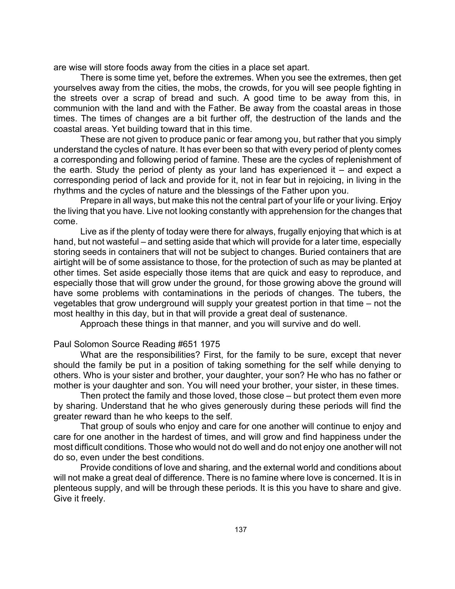are wise will store foods away from the cities in a place set apart.

There is some time yet, before the extremes. When you see the extremes, then get yourselves away from the cities, the mobs, the crowds, for you will see people fighting in the streets over a scrap of bread and such. A good time to be away from this, in communion with the land and with the Father. Be away from the coastal areas in those times. The times of changes are a bit further off, the destruction of the lands and the coastal areas. Yet building toward that in this time.

These are not given to produce panic or fear among you, but rather that you simply understand the cycles of nature. It has ever been so that with every period of plenty comes a corresponding and following period of famine. These are the cycles of replenishment of the earth. Study the period of plenty as your land has experienced it – and expect a corresponding period of lack and provide for it, not in fear but in rejoicing, in living in the rhythms and the cycles of nature and the blessings of the Father upon you.

Prepare in all ways, but make this not the central part of your life or your living. Enjoy the living that you have. Live not looking constantly with apprehension for the changes that come.

Live as if the plenty of today were there for always, frugally enjoying that which is at hand, but not wasteful – and setting aside that which will provide for a later time, especially storing seeds in containers that will not be subject to changes. Buried containers that are airtight will be of some assistance to those, for the protection of such as may be planted at other times. Set aside especially those items that are quick and easy to reproduce, and especially those that will grow under the ground, for those growing above the ground will have some problems with contaminations in the periods of changes. The tubers, the vegetables that grow underground will supply your greatest portion in that time – not the most healthy in this day, but in that will provide a great deal of sustenance.

Approach these things in that manner, and you will survive and do well.

Paul Solomon Source Reading #651 1975

What are the responsibilities? First, for the family to be sure, except that never should the family be put in a position of taking something for the self while denying to others. Who is your sister and brother, your daughter, your son? He who has no father or mother is your daughter and son. You will need your brother, your sister, in these times.

Then protect the family and those loved, those close – but protect them even more by sharing. Understand that he who gives generously during these periods will find the greater reward than he who keeps to the self.

That group of souls who enjoy and care for one another will continue to enjoy and care for one another in the hardest of times, and will grow and find happiness under the most difficult conditions. Those who would not do well and do not enjoy one another will not do so, even under the best conditions.

Provide conditions of love and sharing, and the external world and conditions about will not make a great deal of difference. There is no famine where love is concerned. It is in plenteous supply, and will be through these periods. It is this you have to share and give. Give it freely.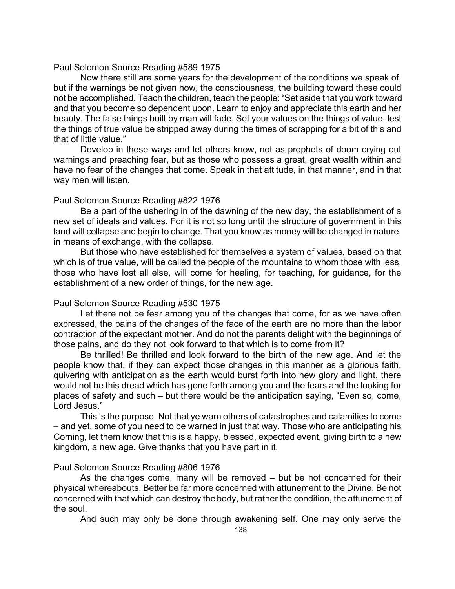### Paul Solomon Source Reading #589 1975

Now there still are some years for the development of the conditions we speak of, but if the warnings be not given now, the consciousness, the building toward these could not be accomplished. Teach the children, teach the people: "Set aside that you work toward and that you become so dependent upon. Learn to enjoy and appreciate this earth and her beauty. The false things built by man will fade. Set your values on the things of value, lest the things of true value be stripped away during the times of scrapping for a bit of this and that of little value."

Develop in these ways and let others know, not as prophets of doom crying out warnings and preaching fear, but as those who possess a great, great wealth within and have no fear of the changes that come. Speak in that attitude, in that manner, and in that way men will listen.

# Paul Solomon Source Reading #822 1976

Be a part of the ushering in of the dawning of the new day, the establishment of a new set of ideals and values. For it is not so long until the structure of government in this land will collapse and begin to change. That you know as money will be changed in nature, in means of exchange, with the collapse.

But those who have established for themselves a system of values, based on that which is of true value, will be called the people of the mountains to whom those with less, those who have lost all else, will come for healing, for teaching, for guidance, for the establishment of a new order of things, for the new age.

# Paul Solomon Source Reading #530 1975

Let there not be fear among you of the changes that come, for as we have often expressed, the pains of the changes of the face of the earth are no more than the labor contraction of the expectant mother. And do not the parents delight with the beginnings of those pains, and do they not look forward to that which is to come from it?

Be thrilled! Be thrilled and look forward to the birth of the new age. And let the people know that, if they can expect those changes in this manner as a glorious faith, quivering with anticipation as the earth would burst forth into new glory and light, there would not be this dread which has gone forth among you and the fears and the looking for places of safety and such – but there would be the anticipation saying, "Even so, come, Lord Jesus."

This is the purpose. Not that ye warn others of catastrophes and calamities to come – and yet, some of you need to be warned in just that way. Those who are anticipating his Coming, let them know that this is a happy, blessed, expected event, giving birth to a new kingdom, a new age. Give thanks that you have part in it.

# Paul Solomon Source Reading #806 1976

As the changes come, many will be removed – but be not concerned for their physical whereabouts. Better be far more concerned with attunement to the Divine. Be not concerned with that which can destroy the body, but rather the condition, the attunement of the soul.

And such may only be done through awakening self. One may only serve the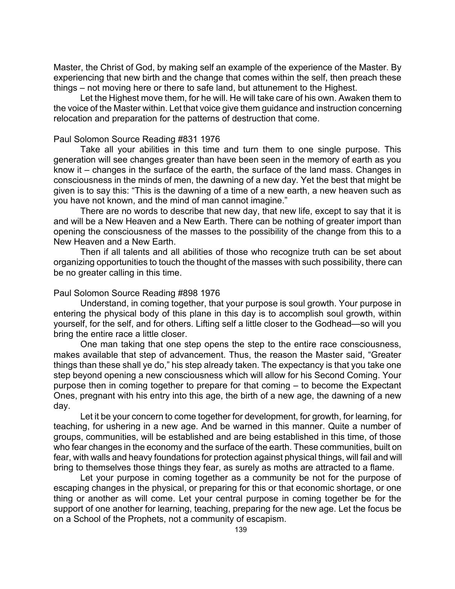Master, the Christ of God, by making self an example of the experience of the Master. By experiencing that new birth and the change that comes within the self, then preach these things – not moving here or there to safe land, but attunement to the Highest.

Let the Highest move them, for he will. He will take care of his own. Awaken them to the voice of the Master within. Let that voice give them guidance and instruction concerning relocation and preparation for the patterns of destruction that come.

# Paul Solomon Source Reading #831 1976

Take all your abilities in this time and turn them to one single purpose. This generation will see changes greater than have been seen in the memory of earth as you know it – changes in the surface of the earth, the surface of the land mass. Changes in consciousness in the minds of men, the dawning of a new day. Yet the best that might be given is to say this: "This is the dawning of a time of a new earth, a new heaven such as you have not known, and the mind of man cannot imagine."

There are no words to describe that new day, that new life, except to say that it is and will be a New Heaven and a New Earth. There can be nothing of greater import than opening the consciousness of the masses to the possibility of the change from this to a New Heaven and a New Earth.

Then if all talents and all abilities of those who recognize truth can be set about organizing opportunities to touch the thought of the masses with such possibility, there can be no greater calling in this time.

# Paul Solomon Source Reading #898 1976

Understand, in coming together, that your purpose is soul growth. Your purpose in entering the physical body of this plane in this day is to accomplish soul growth, within yourself, for the self, and for others. Lifting self a little closer to the Godhead—so will you bring the entire race a little closer.

One man taking that one step opens the step to the entire race consciousness, makes available that step of advancement. Thus, the reason the Master said, "Greater things than these shall ye do," his step already taken. The expectancy is that you take one step beyond opening a new consciousness which will allow for his Second Coming. Your purpose then in coming together to prepare for that coming – to become the Expectant Ones, pregnant with his entry into this age, the birth of a new age, the dawning of a new day.

Let it be your concern to come together for development, for growth, for learning, for teaching, for ushering in a new age. And be warned in this manner. Quite a number of groups, communities, will be established and are being established in this time, of those who fear changes in the economy and the surface of the earth. These communities, built on fear, with walls and heavy foundations for protection against physical things, will fail and will bring to themselves those things they fear, as surely as moths are attracted to a flame.

Let your purpose in coming together as a community be not for the purpose of escaping changes in the physical, or preparing for this or that economic shortage, or one thing or another as will come. Let your central purpose in coming together be for the support of one another for learning, teaching, preparing for the new age. Let the focus be on a School of the Prophets, not a community of escapism.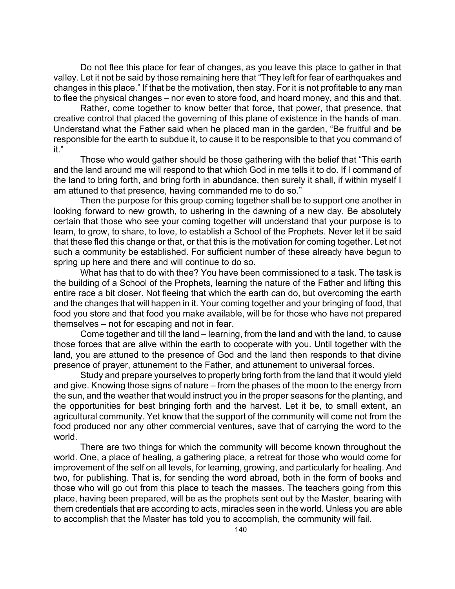Do not flee this place for fear of changes, as you leave this place to gather in that valley. Let it not be said by those remaining here that "They left for fear of earthquakes and changes in this place." If that be the motivation, then stay. For it is not profitable to any man to flee the physical changes – nor even to store food, and hoard money, and this and that.

Rather, come together to know better that force, that power, that presence, that creative control that placed the governing of this plane of existence in the hands of man. Understand what the Father said when he placed man in the garden, "Be fruitful and be responsible for the earth to subdue it, to cause it to be responsible to that you command of it."

Those who would gather should be those gathering with the belief that "This earth and the land around me will respond to that which God in me tells it to do. If I command of the land to bring forth, and bring forth in abundance, then surely it shall, if within myself I am attuned to that presence, having commanded me to do so."

Then the purpose for this group coming together shall be to support one another in looking forward to new growth, to ushering in the dawning of a new day. Be absolutely certain that those who see your coming together will understand that your purpose is to learn, to grow, to share, to love, to establish a School of the Prophets. Never let it be said that these fled this change or that, or that this is the motivation for coming together. Let not such a community be established. For sufficient number of these already have begun to spring up here and there and will continue to do so.

What has that to do with thee? You have been commissioned to a task. The task is the building of a School of the Prophets, learning the nature of the Father and lifting this entire race a bit closer. Not fleeing that which the earth can do, but overcoming the earth and the changes that will happen in it. Your coming together and your bringing of food, that food you store and that food you make available, will be for those who have not prepared themselves – not for escaping and not in fear.

Come together and till the land – learning, from the land and with the land, to cause those forces that are alive within the earth to cooperate with you. Until together with the land, you are attuned to the presence of God and the land then responds to that divine presence of prayer, attunement to the Father, and attunement to universal forces.

Study and prepare yourselves to properly bring forth from the land that it would yield and give. Knowing those signs of nature – from the phases of the moon to the energy from the sun, and the weather that would instruct you in the proper seasons for the planting, and the opportunities for best bringing forth and the harvest. Let it be, to small extent, an agricultural community. Yet know that the support of the community will come not from the food produced nor any other commercial ventures, save that of carrying the word to the world.

There are two things for which the community will become known throughout the world. One, a place of healing, a gathering place, a retreat for those who would come for improvement of the self on all levels, for learning, growing, and particularly for healing. And two, for publishing. That is, for sending the word abroad, both in the form of books and those who will go out from this place to teach the masses. The teachers going from this place, having been prepared, will be as the prophets sent out by the Master, bearing with them credentials that are according to acts, miracles seen in the world. Unless you are able to accomplish that the Master has told you to accomplish, the community will fail.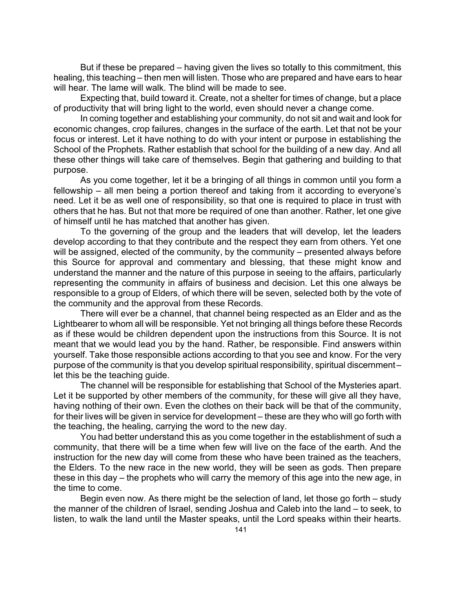But if these be prepared – having given the lives so totally to this commitment, this healing, this teaching – then men will listen. Those who are prepared and have ears to hear will hear. The lame will walk. The blind will be made to see.

Expecting that, build toward it. Create, not a shelter for times of change, but a place of productivity that will bring light to the world, even should never a change come.

In coming together and establishing your community, do not sit and wait and look for economic changes, crop failures, changes in the surface of the earth. Let that not be your focus or interest. Let it have nothing to do with your intent or purpose in establishing the School of the Prophets. Rather establish that school for the building of a new day. And all these other things will take care of themselves. Begin that gathering and building to that purpose.

As you come together, let it be a bringing of all things in common until you form a fellowship – all men being a portion thereof and taking from it according to everyone's need. Let it be as well one of responsibility, so that one is required to place in trust with others that he has. But not that more be required of one than another. Rather, let one give of himself until he has matched that another has given.

To the governing of the group and the leaders that will develop, let the leaders develop according to that they contribute and the respect they earn from others. Yet one will be assigned, elected of the community, by the community – presented always before this Source for approval and commentary and blessing, that these might know and understand the manner and the nature of this purpose in seeing to the affairs, particularly representing the community in affairs of business and decision. Let this one always be responsible to a group of Elders, of which there will be seven, selected both by the vote of the community and the approval from these Records.

There will ever be a channel, that channel being respected as an Elder and as the Lightbearer to whom all will be responsible. Yet not bringing all things before these Records as if these would be children dependent upon the instructions from this Source. It is not meant that we would lead you by the hand. Rather, be responsible. Find answers within yourself. Take those responsible actions according to that you see and know. For the very purpose of the community is that you develop spiritual responsibility, spiritual discernment – let this be the teaching guide.

The channel will be responsible for establishing that School of the Mysteries apart. Let it be supported by other members of the community, for these will give all they have, having nothing of their own. Even the clothes on their back will be that of the community, for their lives will be given in service for development – these are they who will go forth with the teaching, the healing, carrying the word to the new day.

You had better understand this as you come together in the establishment of such a community, that there will be a time when few will live on the face of the earth. And the instruction for the new day will come from these who have been trained as the teachers, the Elders. To the new race in the new world, they will be seen as gods. Then prepare these in this day – the prophets who will carry the memory of this age into the new age, in the time to come.

Begin even now. As there might be the selection of land, let those go forth – study the manner of the children of Israel, sending Joshua and Caleb into the land – to seek, to listen, to walk the land until the Master speaks, until the Lord speaks within their hearts.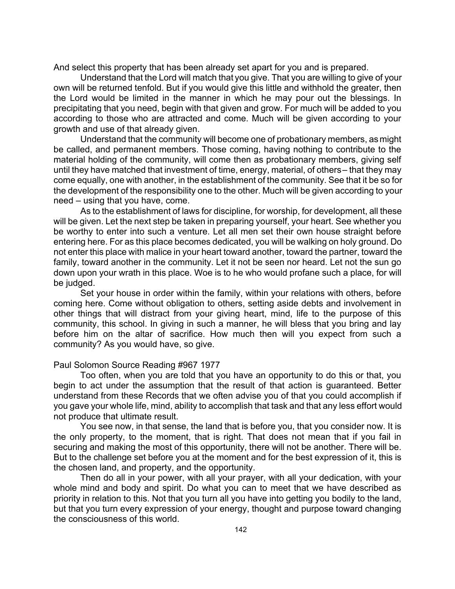And select this property that has been already set apart for you and is prepared.

Understand that the Lord will match that you give. That you are willing to give of your own will be returned tenfold. But if you would give this little and withhold the greater, then the Lord would be limited in the manner in which he may pour out the blessings. In precipitating that you need, begin with that given and grow. For much will be added to you according to those who are attracted and come. Much will be given according to your growth and use of that already given.

Understand that the community will become one of probationary members, as might be called, and permanent members. Those coming, having nothing to contribute to the material holding of the community, will come then as probationary members, giving self until they have matched that investment of time, energy, material, of others – that they may come equally, one with another, in the establishment of the community. See that it be so for the development of the responsibility one to the other. Much will be given according to your need – using that you have, come.

As to the establishment of laws for discipline, for worship, for development, all these will be given. Let the next step be taken in preparing yourself, your heart. See whether you be worthy to enter into such a venture. Let all men set their own house straight before entering here. For as this place becomes dedicated, you will be walking on holy ground. Do not enter this place with malice in your heart toward another, toward the partner, toward the family, toward another in the community. Let it not be seen nor heard. Let not the sun go down upon your wrath in this place. Woe is to he who would profane such a place, for will be judged.

Set your house in order within the family, within your relations with others, before coming here. Come without obligation to others, setting aside debts and involvement in other things that will distract from your giving heart, mind, life to the purpose of this community, this school. In giving in such a manner, he will bless that you bring and lay before him on the altar of sacrifice. How much then will you expect from such a community? As you would have, so give.

## Paul Solomon Source Reading #967 1977

Too often, when you are told that you have an opportunity to do this or that, you begin to act under the assumption that the result of that action is guaranteed. Better understand from these Records that we often advise you of that you could accomplish if you gave your whole life, mind, ability to accomplish that task and that any less effort would not produce that ultimate result.

You see now, in that sense, the land that is before you, that you consider now. It is the only property, to the moment, that is right. That does not mean that if you fail in securing and making the most of this opportunity, there will not be another. There will be. But to the challenge set before you at the moment and for the best expression of it, this is the chosen land, and property, and the opportunity.

Then do all in your power, with all your prayer, with all your dedication, with your whole mind and body and spirit. Do what you can to meet that we have described as priority in relation to this. Not that you turn all you have into getting you bodily to the land, but that you turn every expression of your energy, thought and purpose toward changing the consciousness of this world.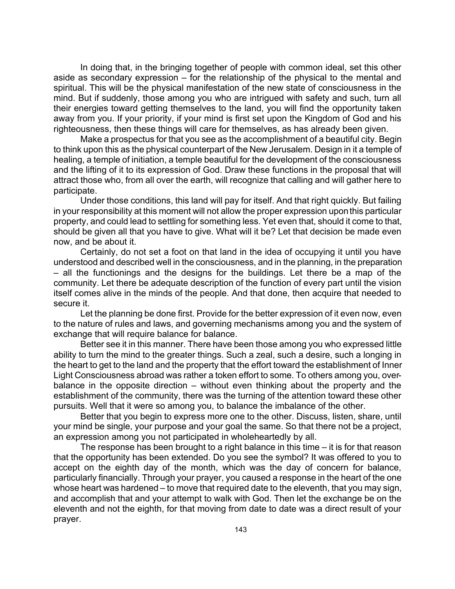In doing that, in the bringing together of people with common ideal, set this other aside as secondary expression – for the relationship of the physical to the mental and spiritual. This will be the physical manifestation of the new state of consciousness in the mind. But if suddenly, those among you who are intrigued with safety and such, turn all their energies toward getting themselves to the land, you will find the opportunity taken away from you. If your priority, if your mind is first set upon the Kingdom of God and his righteousness, then these things will care for themselves, as has already been given.

Make a prospectus for that you see as the accomplishment of a beautiful city. Begin to think upon this as the physical counterpart of the New Jerusalem. Design in it a temple of healing, a temple of initiation, a temple beautiful for the development of the consciousness and the lifting of it to its expression of God. Draw these functions in the proposal that will attract those who, from all over the earth, will recognize that calling and will gather here to participate.

Under those conditions, this land will pay for itself. And that right quickly. But failing in your responsibility at this moment will not allow the proper expression upon this particular property, and could lead to settling for something less. Yet even that, should it come to that, should be given all that you have to give. What will it be? Let that decision be made even now, and be about it.

Certainly, do not set a foot on that land in the idea of occupying it until you have understood and described well in the consciousness, and in the planning, in the preparation – all the functionings and the designs for the buildings. Let there be a map of the community. Let there be adequate description of the function of every part until the vision itself comes alive in the minds of the people. And that done, then acquire that needed to secure it.

Let the planning be done first. Provide for the better expression of it even now, even to the nature of rules and laws, and governing mechanisms among you and the system of exchange that will require balance for balance.

Better see it in this manner. There have been those among you who expressed little ability to turn the mind to the greater things. Such a zeal, such a desire, such a longing in the heart to get to the land and the property that the effort toward the establishment of Inner Light Consciousness abroad was rather a token effort to some. To others among you, overbalance in the opposite direction – without even thinking about the property and the establishment of the community, there was the turning of the attention toward these other pursuits. Well that it were so among you, to balance the imbalance of the other.

Better that you begin to express more one to the other. Discuss, listen, share, until your mind be single, your purpose and your goal the same. So that there not be a project, an expression among you not participated in wholeheartedly by all.

The response has been brought to a right balance in this time – it is for that reason that the opportunity has been extended. Do you see the symbol? It was offered to you to accept on the eighth day of the month, which was the day of concern for balance, particularly financially. Through your prayer, you caused a response in the heart of the one whose heart was hardened – to move that required date to the eleventh, that you may sign, and accomplish that and your attempt to walk with God. Then let the exchange be on the eleventh and not the eighth, for that moving from date to date was a direct result of your prayer.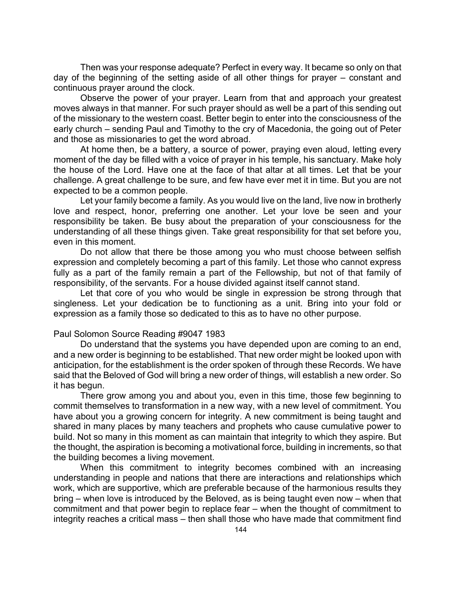Then was your response adequate? Perfect in every way. It became so only on that day of the beginning of the setting aside of all other things for prayer – constant and continuous prayer around the clock.

Observe the power of your prayer. Learn from that and approach your greatest moves always in that manner. For such prayer should as well be a part of this sending out of the missionary to the western coast. Better begin to enter into the consciousness of the early church – sending Paul and Timothy to the cry of Macedonia, the going out of Peter and those as missionaries to get the word abroad.

At home then, be a battery, a source of power, praying even aloud, letting every moment of the day be filled with a voice of prayer in his temple, his sanctuary. Make holy the house of the Lord. Have one at the face of that altar at all times. Let that be your challenge. A great challenge to be sure, and few have ever met it in time. But you are not expected to be a common people.

Let your family become a family. As you would live on the land, live now in brotherly love and respect, honor, preferring one another. Let your love be seen and your responsibility be taken. Be busy about the preparation of your consciousness for the understanding of all these things given. Take great responsibility for that set before you, even in this moment.

Do not allow that there be those among you who must choose between selfish expression and completely becoming a part of this family. Let those who cannot express fully as a part of the family remain a part of the Fellowship, but not of that family of responsibility, of the servants. For a house divided against itself cannot stand.

Let that core of you who would be single in expression be strong through that singleness. Let your dedication be to functioning as a unit. Bring into your fold or expression as a family those so dedicated to this as to have no other purpose.

### Paul Solomon Source Reading #9047 1983

Do understand that the systems you have depended upon are coming to an end, and a new order is beginning to be established. That new order might be looked upon with anticipation, for the establishment is the order spoken of through these Records. We have said that the Beloved of God will bring a new order of things, will establish a new order. So it has begun.

There grow among you and about you, even in this time, those few beginning to commit themselves to transformation in a new way, with a new level of commitment. You have about you a growing concern for integrity. A new commitment is being taught and shared in many places by many teachers and prophets who cause cumulative power to build. Not so many in this moment as can maintain that integrity to which they aspire. But the thought, the aspiration is becoming a motivational force, building in increments, so that the building becomes a living movement.

When this commitment to integrity becomes combined with an increasing understanding in people and nations that there are interactions and relationships which work, which are supportive, which are preferable because of the harmonious results they bring – when love is introduced by the Beloved, as is being taught even now – when that commitment and that power begin to replace fear – when the thought of commitment to integrity reaches a critical mass – then shall those who have made that commitment find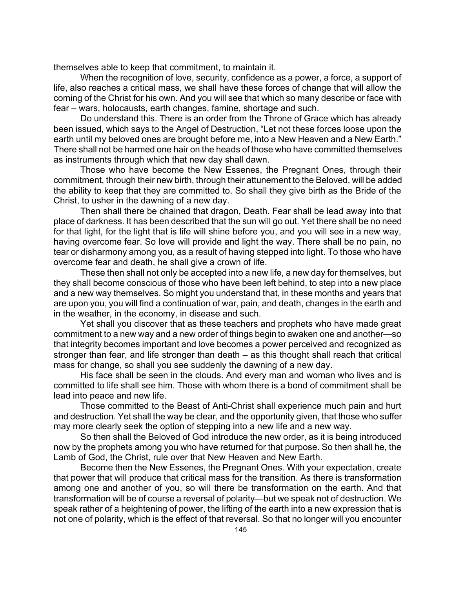themselves able to keep that commitment, to maintain it.

When the recognition of love, security, confidence as a power, a force, a support of life, also reaches a critical mass, we shall have these forces of change that will allow the coming of the Christ for his own. And you will see that which so many describe or face with fear – wars, holocausts, earth changes, famine, shortage and such.

Do understand this. There is an order from the Throne of Grace which has already been issued, which says to the Angel of Destruction, "Let not these forces loose upon the earth until my beloved ones are brought before me, into a New Heaven and a New Earth." There shall not be harmed one hair on the heads of those who have committed themselves as instruments through which that new day shall dawn.

Those who have become the New Essenes, the Pregnant Ones, through their commitment, through their new birth, through their attunement to the Beloved, will be added the ability to keep that they are committed to. So shall they give birth as the Bride of the Christ, to usher in the dawning of a new day.

Then shall there be chained that dragon, Death. Fear shall be lead away into that place of darkness. It has been described that the sun will go out. Yet there shall be no need for that light, for the light that is life will shine before you, and you will see in a new way, having overcome fear. So love will provide and light the way. There shall be no pain, no tear or disharmony among you, as a result of having stepped into light. To those who have overcome fear and death, he shall give a crown of life.

These then shall not only be accepted into a new life, a new day for themselves, but they shall become conscious of those who have been left behind, to step into a new place and a new way themselves. So might you understand that, in these months and years that are upon you, you will find a continuation of war, pain, and death, changes in the earth and in the weather, in the economy, in disease and such.

Yet shall you discover that as these teachers and prophets who have made great commitment to a new way and a new order of things begin to awaken one and another—so that integrity becomes important and love becomes a power perceived and recognized as stronger than fear, and life stronger than death – as this thought shall reach that critical mass for change, so shall you see suddenly the dawning of a new day.

His face shall be seen in the clouds. And every man and woman who lives and is committed to life shall see him. Those with whom there is a bond of commitment shall be lead into peace and new life.

Those committed to the Beast of Anti-Christ shall experience much pain and hurt and destruction. Yet shall the way be clear, and the opportunity given, that those who suffer may more clearly seek the option of stepping into a new life and a new way.

So then shall the Beloved of God introduce the new order, as it is being introduced now by the prophets among you who have returned for that purpose. So then shall he, the Lamb of God, the Christ, rule over that New Heaven and New Earth.

Become then the New Essenes, the Pregnant Ones. With your expectation, create that power that will produce that critical mass for the transition. As there is transformation among one and another of you, so will there be transformation on the earth. And that transformation will be of course a reversal of polarity—but we speak not of destruction. We speak rather of a heightening of power, the lifting of the earth into a new expression that is not one of polarity, which is the effect of that reversal. So that no longer will you encounter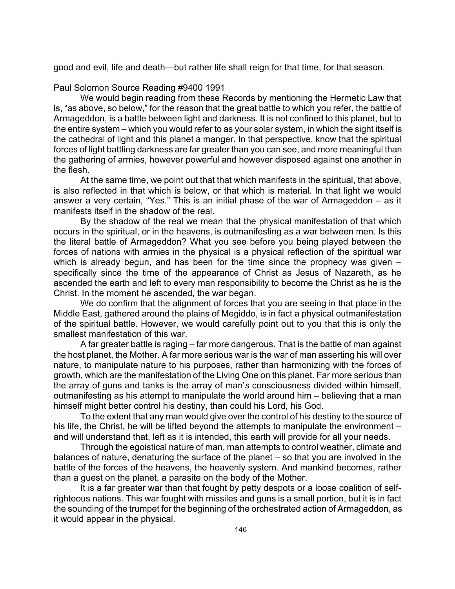good and evil, life and death—but rather life shall reign for that time, for that season.

Paul Solomon Source Reading #9400 1991

We would begin reading from these Records by mentioning the Hermetic Law that is, "as above, so below," for the reason that the great battle to which you refer, the battle of Armageddon, is a battle between light and darkness. It is not confined to this planet, but to the entire system – which you would refer to as your solar system, in which the sight itself is the cathedral of light and this planet a manger. In that perspective, know that the spiritual forces of light battling darkness are far greater than you can see, and more meaningful than the gathering of armies, however powerful and however disposed against one another in the flesh.

At the same time, we point out that that which manifests in the spiritual, that above, is also reflected in that which is below, or that which is material. In that light we would answer a very certain, "Yes." This is an initial phase of the war of Armageddon – as it manifests itself in the shadow of the real.

By the shadow of the real we mean that the physical manifestation of that which occurs in the spiritual, or in the heavens, is outmanifesting as a war between men. Is this the literal battle of Armageddon? What you see before you being played between the forces of nations with armies in the physical is a physical reflection of the spiritual war which is already begun, and has been for the time since the prophecy was given – specifically since the time of the appearance of Christ as Jesus of Nazareth, as he ascended the earth and left to every man responsibility to become the Christ as he is the Christ. In the moment he ascended, the war began.

We do confirm that the alignment of forces that you are seeing in that place in the Middle East, gathered around the plains of Megiddo, is in fact a physical outmanifestation of the spiritual battle. However, we would carefully point out to you that this is only the smallest manifestation of this war.

A far greater battle is raging – far more dangerous. That is the battle of man against the host planet, the Mother. A far more serious war is the war of man asserting his will over nature, to manipulate nature to his purposes, rather than harmonizing with the forces of growth, which are the manifestation of the Living One on this planet. Far more serious than the array of guns and tanks is the array of man'*s* consciousness divided within himself, outmanifesting as his attempt to manipulate the world around him – believing that a man himself might better control his destiny, than could his Lord, his God.

To the extent that any man would give over the control of his destiny to the source of his life, the Christ, he will be lifted beyond the attempts to manipulate the environment – and will understand that, left as it is intended, this earth will provide for all your needs.

Through the egoistical nature of man, man attempts to control weather, climate and balances of nature, denaturing the surface of the planet – so that you are involved in the battle of the forces of the heavens, the heavenly system. And mankind becomes, rather than a guest on the planet, a parasite on the body of the Mother.

It is a far greater war than that fought by petty despots or a loose coalition of selfrighteous nations. This war fought with missiles and guns is a small portion, but it is in fact the sounding of the trumpet for the beginning of the orchestrated action of Armageddon, as it would appear in the physical.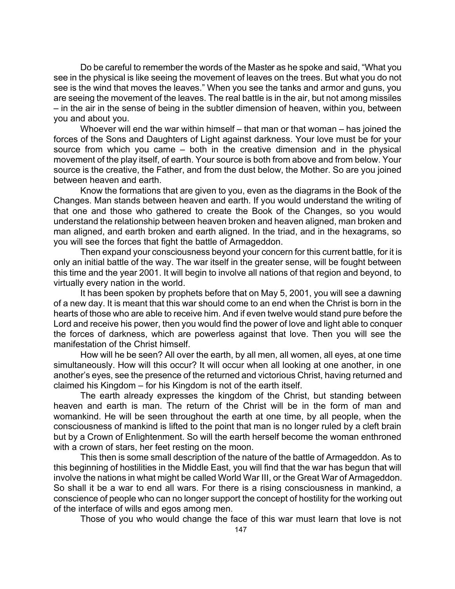Do be careful to remember the words of the Master as he spoke and said, "What you see in the physical is like seeing the movement of leaves on the trees. But what you do not see is the wind that moves the leaves." When you see the tanks and armor and guns, you are seeing the movement of the leaves. The real battle is in the air, but not among missiles – in the air in the sense of being in the subtler dimension of heaven, within you, between you and about you.

Whoever will end the war within himself – that man or that woman – has joined the forces of the Sons and Daughters of Light against darkness. Your love must be for your source from which you came – both in the creative dimension and in the physical movement of the play itself, of earth. Your source is both from above and from below. Your source is the creative, the Father, and from the dust below, the Mother. So are you joined between heaven and earth.

Know the formations that are given to you, even as the diagrams in the Book of the Changes. Man stands between heaven and earth. If you would understand the writing of that one and those who gathered to create the Book of the Changes, so you would understand the relationship between heaven broken and heaven aligned, man broken and man aligned, and earth broken and earth aligned. In the triad, and in the hexagrams, so you will see the forces that fight the battle of Armageddon.

Then expand your consciousness beyond your concern for this current battle, for it is only an initial battle of the way. The war itself in the greater sense, will be fought between this time and the year 2001. It will begin to involve all nations of that region and beyond, to virtually every nation in the world.

It has been spoken by prophets before that on May 5, 2001, you will see a dawning of a new day. It is meant that this war should come to an end when the Christ is born in the hearts of those who are able to receive him. And if even twelve would stand pure before the Lord and receive his power, then you would find the power of love and light able to conquer the forces of darkness, which are powerless against that love. Then you will see the manifestation of the Christ himself.

How will he be seen? All over the earth, by all men, all women, all eyes, at one time simultaneously. How will this occur? It will occur when all looking at one another, in one another's eyes, see the presence of the returned and victorious Christ, having returned and claimed his Kingdom – for his Kingdom is not of the earth itself.

The earth already expresses the kingdom of the Christ, but standing between heaven and earth is man. The return of the Christ will be in the form of man and womankind. He will be seen throughout the earth at one time, by all people, when the consciousness of mankind is lifted to the point that man is no longer ruled by a cleft brain but by a Crown of Enlightenment. So will the earth herself become the woman enthroned with a crown of stars, her feet resting on the moon.

This then is some small description of the nature of the battle of Armageddon. As to this beginning of hostilities in the Middle East, you will find that the war has begun that will involve the nations in what might be called World War III, or the Great War of Armageddon. So shall it be a war to end all wars. For there is a rising consciousness in mankind, a conscience of people who can no longer support the concept of hostility for the working out of the interface of wills and egos among men.

Those of you who would change the face of this war must learn that love is not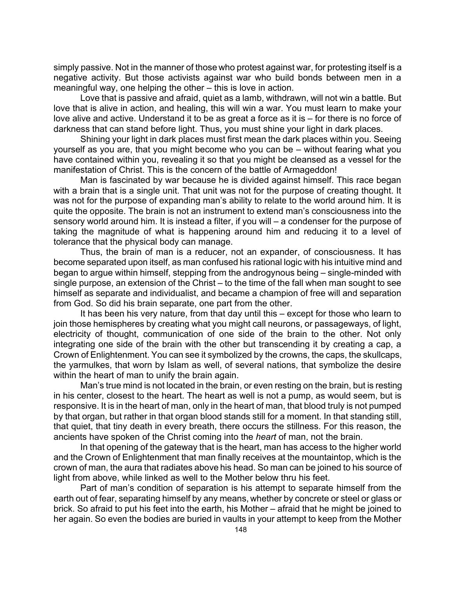simply passive. Not in the manner of those who protest against war, for protesting itself is a negative activity. But those activists against war who build bonds between men in a meaningful way, one helping the other – this is love in action.

Love that is passive and afraid, quiet as a lamb, withdrawn, will not win a battle. But love that is alive in action, and healing, this will win a war. You must learn to make your love alive and active. Understand it to be as great a force as it is – for there is no force of darkness that can stand before light. Thus, you must shine your light in dark places.

Shining your light in dark places must first mean the dark places within you. Seeing yourself as you are, that you might become who you can be – without fearing what you have contained within you, revealing it so that you might be cleansed as a vessel for the manifestation of Christ. This is the concern of the battle of Armageddon!

Man is fascinated by war because he is divided against himself. This race began with a brain that is a single unit. That unit was not for the purpose of creating thought. It was not for the purpose of expanding man's ability to relate to the world around him. It is quite the opposite. The brain is not an instrument to extend man's consciousness into the sensory world around him. It is instead a filter, if you will – a condenser for the purpose of taking the magnitude of what is happening around him and reducing it to a level of tolerance that the physical body can manage.

Thus, the brain of man is a reducer, not an expander, of consciousness. It has become separated upon itself, as man confused his rational logic with his intuitive mind and began to argue within himself, stepping from the androgynous being – single-minded with single purpose, an extension of the Christ – to the time of the fall when man sought to see himself as separate and individualist, and became a champion of free will and separation from God. So did his brain separate, one part from the other.

It has been his very nature, from that day until this – except for those who learn to join those hemispheres by creating what you might call neurons, or passageways, of light, electricity of thought, communication of one side of the brain to the other. Not only integrating one side of the brain with the other but transcending it by creating a cap, a Crown of Enlightenment. You can see it symbolized by the crowns, the caps, the skullcaps, the yarmulkes, that worn by Islam as well, of several nations, that symbolize the desire within the heart of man to unify the brain again.

Man's true mind is not located in the brain, or even resting on the brain, but is resting in his center, closest to the heart. The heart as well is not a pump, as would seem, but is responsive. It is in the heart of man, only in the heart of man, that blood truly is not pumped by that organ, but rather in that organ blood stands still for a moment. In that standing still, that quiet, that tiny death in every breath, there occurs the stillness. For this reason, the ancients have spoken of the Christ coming into the *heart* of man, not the brain.

In that opening of the gateway that is the heart, man has access to the higher world and the Crown of Enlightenment that man finally receives at the mountaintop, which is the crown of man, the aura that radiates above his head. So man can be joined to his source of light from above, while linked as well to the Mother below thru his feet.

Part of man's condition of separation is his attempt to separate himself from the earth out of fear, separating himself by any means, whether by concrete or steel or glass or brick. So afraid to put his feet into the earth, his Mother – afraid that he might be joined to her again. So even the bodies are buried in vaults in your attempt to keep from the Mother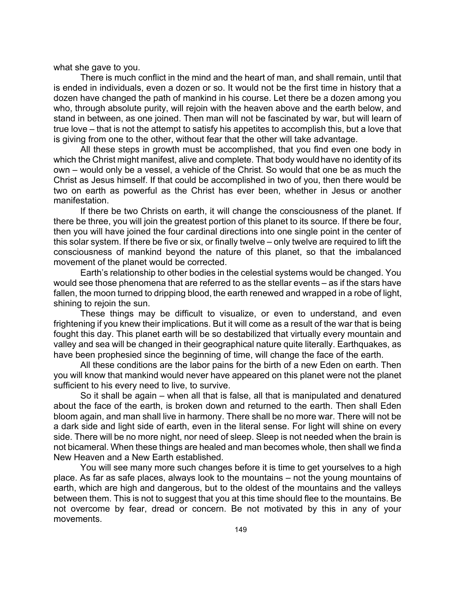what she gave to you.

There is much conflict in the mind and the heart of man, and shall remain, until that is ended in individuals, even a dozen or so. It would not be the first time in history that a dozen have changed the path of mankind in his course. Let there be a dozen among you who, through absolute purity, will rejoin with the heaven above and the earth below, and stand in between, as one joined. Then man will not be fascinated by war, but will learn of true love – that is not the attempt to satisfy his appetites to accomplish this, but a love that is giving from one to the other, without fear that the other will take advantage.

All these steps in growth must be accomplished, that you find even one body in which the Christ might manifest, alive and complete. That body would have no identity of its own – would only be a vessel, a vehicle of the Christ. So would that one be as much the Christ as Jesus himself. If that could be accomplished in two of you, then there would be two on earth as powerful as the Christ has ever been, whether in Jesus or another manifestation.

If there be two Christs on earth, it will change the consciousness of the planet. If there be three, you will join the greatest portion of this planet to its source. If there be four, then you will have joined the four cardinal directions into one single point in the center of this solar system. If there be five or six, or finally twelve – only twelve are required to lift the consciousness of mankind beyond the nature of this planet, so that the imbalanced movement of the planet would be corrected.

Earth's relationship to other bodies in the celestial systems would be changed. You would see those phenomena that are referred to as the stellar events – as if the stars have fallen, the moon turned to dripping blood, the earth renewed and wrapped in a robe of light, shining to rejoin the sun.

These things may be difficult to visualize, or even to understand, and even frightening if you knew their implications. But it will come as a result of the war that is being fought this day. This planet earth will be so destabilized that virtually every mountain and valley and sea will be changed in their geographical nature quite literally. Earthquakes, as have been prophesied since the beginning of time, will change the face of the earth.

All these conditions are the labor pains for the birth of a new Eden on earth. Then you will know that mankind would never have appeared on this planet were not the planet sufficient to his every need to live, to survive.

So it shall be again – when all that is false, all that is manipulated and denatured about the face of the earth, is broken down and returned to the earth. Then shall Eden bloom again, and man shall live in harmony. There shall be no more war. There will not be a dark side and light side of earth, even in the literal sense. For light will shine on every side. There will be no more night, nor need of sleep. Sleep is not needed when the brain is not bicameral. When these things are healed and man becomes whole, then shall we find a New Heaven and a New Earth established.

You will see many more such changes before it is time to get yourselves to a high place. As far as safe places, always look to the mountains – not the young mountains of earth, which are high and dangerous, but to the oldest of the mountains and the valleys between them. This is not to suggest that you at this time should flee to the mountains. Be not overcome by fear, dread or concern. Be not motivated by this in any of your movements.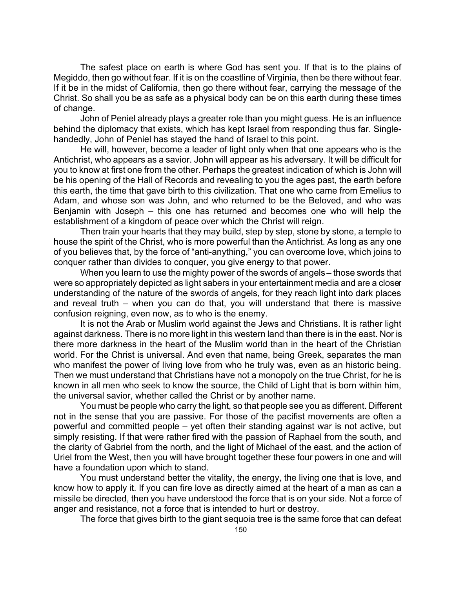The safest place on earth is where God has sent you. If that is to the plains of Megiddo, then go without fear. If it is on the coastline of Virginia, then be there without fear. If it be in the midst of California, then go there without fear, carrying the message of the Christ. So shall you be as safe as a physical body can be on this earth during these times of change.

John of Peniel already plays a greater role than you might guess. He is an influence behind the diplomacy that exists, which has kept Israel from responding thus far. Singlehandedly, John of Peniel has stayed the hand of Israel to this point.

He will, however, become a leader of light only when that one appears who is the Antichrist, who appears as a savior. John will appear as his adversary. It will be difficult for you to know at first one from the other. Perhaps the greatest indication of which is John will be his opening of the Hall of Records and revealing to you the ages past, the earth before this earth, the time that gave birth to this civilization. That one who came from Emelius to Adam, and whose son was John, and who returned to be the Beloved, and who was Benjamin with Joseph – this one has returned and becomes one who will help the establishment of a kingdom of peace over which the Christ will reign.

Then train your hearts that they may build, step by step, stone by stone, a temple to house the spirit of the Christ, who is more powerful than the Antichrist. As long as any one of you believes that, by the force of "anti-anything," you can overcome love, which joins to conquer rather than divides to conquer, you give energy to that power.

When you learn to use the mighty power of the swords of angels – those swords that were so appropriately depicted as light sabers in your entertainment media and are a closer understanding of the nature of the swords of angels, for they reach light into dark places and reveal truth – when you can do that, you will understand that there is massive confusion reigning, even now, as to who is the enemy.

It is not the Arab or Muslim world against the Jews and Christians. It is rather light against darkness. There is no more light in this western land than there is in the east. Nor is there more darkness in the heart of the Muslim world than in the heart of the Christian world. For the Christ is universal. And even that name, being Greek, separates the man who manifest the power of living love from who he truly was, even as an historic being. Then we must understand that Christians have not a monopoly on the true Christ, for he is known in all men who seek to know the source, the Child of Light that is born within him, the universal savior, whether called the Christ or by another name.

You must be people who carry the light, so that people see you as different. Different not in the sense that you are passive. For those of the pacifist movements are often a powerful and committed people – yet often their standing against war is not active, but simply resisting. If that were rather fired with the passion of Raphael from the south, and the clarity of Gabriel from the north, and the light of Michael of the east, and the action of Uriel from the West, then you will have brought together these four powers in one and will have a foundation upon which to stand.

You must understand better the vitality, the energy, the living one that is love, and know how to apply it. If you can fire love as directly aimed at the heart of a man as can a missile be directed, then you have understood the force that is on your side. Not a force of anger and resistance, not a force that is intended to hurt or destroy.

The force that gives birth to the giant sequoia tree is the same force that can defeat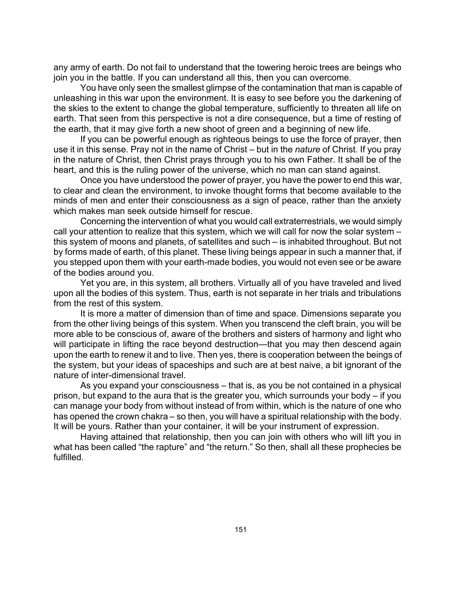any army of earth. Do not fail to understand that the towering heroic trees are beings who join you in the battle. If you can understand all this, then you can overcome.

You have only seen the smallest glimpse of the contamination that man is capable of unleashing in this war upon the environment. It is easy to see before you the darkening of the skies to the extent to change the global temperature, sufficiently to threaten all life on earth. That seen from this perspective is not a dire consequence, but a time of resting of the earth, that it may give forth a new shoot of green and a beginning of new life.

If you can be powerful enough as righteous beings to use the force of prayer, then use it in this sense. Pray not in the name of Christ – but in the *nature* of Christ. If you pray in the nature of Christ, then Christ prays through you to his own Father. It shall be of the heart, and this is the ruling power of the universe, which no man can stand against.

Once you have understood the power of prayer, you have the power to end this war, to clear and clean the environment, to invoke thought forms that become available to the minds of men and enter their consciousness as a sign of peace, rather than the anxiety which makes man seek outside himself for rescue.

Concerning the intervention of what you would call extraterrestrials, we would simply call your attention to realize that this system, which we will call for now the solar system – this system of moons and planets, of satellites and such – is inhabited throughout. But not by forms made of earth, of this planet. These living beings appear in such a manner that, if you stepped upon them with your earth-made bodies, you would not even see or be aware of the bodies around you.

Yet you are, in this system, all brothers. Virtually all of you have traveled and lived upon all the bodies of this system. Thus, earth is not separate in her trials and tribulations from the rest of this system.

It is more a matter of dimension than of time and space. Dimensions separate you from the other living beings of this system. When you transcend the cleft brain, you will be more able to be conscious of, aware of the brothers and sisters of harmony and light who will participate in lifting the race beyond destruction—that you may then descend again upon the earth to renew it and to live. Then yes, there is cooperation between the beings of the system, but your ideas of spaceships and such are at best naive, a bit ignorant of the nature of inter-dimensional travel.

As you expand your consciousness – that is, as you be not contained in a physical prison, but expand to the aura that is the greater you, which surrounds your body – if you can manage your body from without instead of from within, which is the nature of one who has opened the crown chakra – so then, you will have a spiritual relationship with the body. It will be yours. Rather than your container, it will be your instrument of expression.

Having attained that relationship, then you can join with others who will lift you in what has been called "the rapture" and "the return." So then, shall all these prophecies be fulfilled.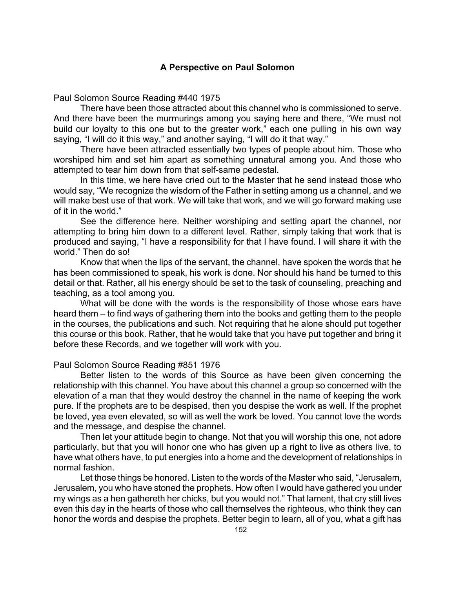# **A Perspective on Paul Solomon**

Paul Solomon Source Reading #440 1975

There have been those attracted about this channel who is commissioned to serve. And there have been the murmurings among you saying here and there, "We must not build our loyalty to this one but to the greater work," each one pulling in his own way saying, "I will do it this way," and another saying, "I will do it that way."

There have been attracted essentially two types of people about him. Those who worshiped him and set him apart as something unnatural among you. And those who attempted to tear him down from that self-same pedestal.

In this time, we here have cried out to the Master that he send instead those who would say, "We recognize the wisdom of the Father in setting among us a channel, and we will make best use of that work. We will take that work, and we will go forward making use of it in the world."

See the difference here. Neither worshiping and setting apart the channel, nor attempting to bring him down to a different level. Rather, simply taking that work that is produced and saying, "I have a responsibility for that I have found. I will share it with the world." Then do so!

Know that when the lips of the servant, the channel, have spoken the words that he has been commissioned to speak, his work is done. Nor should his hand be turned to this detail or that. Rather, all his energy should be set to the task of counseling, preaching and teaching, as a tool among you.

What will be done with the words is the responsibility of those whose ears have heard them – to find ways of gathering them into the books and getting them to the people in the courses, the publications and such. Not requiring that he alone should put together this course or this book. Rather, that he would take that you have put together and bring it before these Records, and we together will work with you.

### Paul Solomon Source Reading #851 1976

Better listen to the words of this Source as have been given concerning the relationship with this channel. You have about this channel a group so concerned with the elevation of a man that they would destroy the channel in the name of keeping the work pure. If the prophets are to be despised, then you despise the work as well. If the prophet be loved, yea even elevated, so will as well the work be loved. You cannot love the words and the message, and despise the channel.

Then let your attitude begin to change. Not that you will worship this one, not adore particularly, but that you will honor one who has given up a right to live as others live, to have what others have, to put energies into a home and the development of relationships in normal fashion.

Let those things be honored. Listen to the words of the Master who said, "Jerusalem, Jerusalem, you who have stoned the prophets. How often I would have gathered you under my wings as a hen gathereth her chicks, but you would not." That lament, that cry still lives even this day in the hearts of those who call themselves the righteous, who think they can honor the words and despise the prophets. Better begin to learn, all of you, what a gift has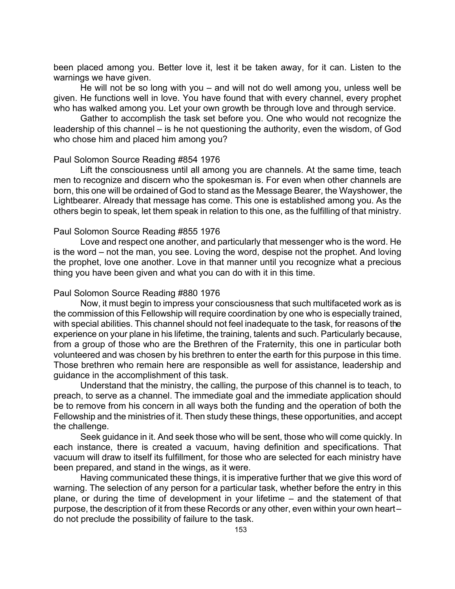been placed among you. Better love it, lest it be taken away, for it can. Listen to the warnings we have given.

He will not be so long with you – and will not do well among you, unless well be given. He functions well in love. You have found that with every channel, every prophet who has walked among you. Let your own growth be through love and through service.

Gather to accomplish the task set before you. One who would not recognize the leadership of this channel – is he not questioning the authority, even the wisdom, of God who chose him and placed him among you?

### Paul Solomon Source Reading #854 1976

Lift the consciousness until all among you are channels. At the same time, teach men to recognize and discern who the spokesman is. For even when other channels are born, this one will be ordained of God to stand as the Message Bearer, the Wayshower, the Lightbearer. Already that message has come. This one is established among you. As the others begin to speak, let them speak in relation to this one, as the fulfilling of that ministry.

### Paul Solomon Source Reading #855 1976

Love and respect one another, and particularly that messenger who is the word. He is the word – not the man, you see. Loving the word, despise not the prophet. And loving the prophet, love one another. Love in that manner until you recognize what a precious thing you have been given and what you can do with it in this time.

### Paul Solomon Source Reading #880 1976

Now, it must begin to impress your consciousness that such multifaceted work as is the commission of this Fellowship will require coordination by one who is especially trained, with special abilities. This channel should not feel inadequate to the task, for reasons of the experience on your plane in his lifetime, the training, talents and such. Particularly because, from a group of those who are the Brethren of the Fraternity, this one in particular both volunteered and was chosen by his brethren to enter the earth for this purpose in this time. Those brethren who remain here are responsible as well for assistance, leadership and guidance in the accomplishment of this task.

Understand that the ministry, the calling, the purpose of this channel is to teach, to preach, to serve as a channel. The immediate goal and the immediate application should be to remove from his concern in all ways both the funding and the operation of both the Fellowship and the ministries of it. Then study these things, these opportunities, and accept the challenge.

Seek guidance in it. And seek those who will be sent, those who will come quickly. In each instance, there is created a vacuum, having definition and specifications. That vacuum will draw to itself its fulfillment, for those who are selected for each ministry have been prepared, and stand in the wings, as it were.

Having communicated these things, it is imperative further that we give this word of warning. The selection of any person for a particular task, whether before the entry in this plane, or during the time of development in your lifetime – and the statement of that purpose, the description of it from these Records or any other, even within your own heart – do not preclude the possibility of failure to the task.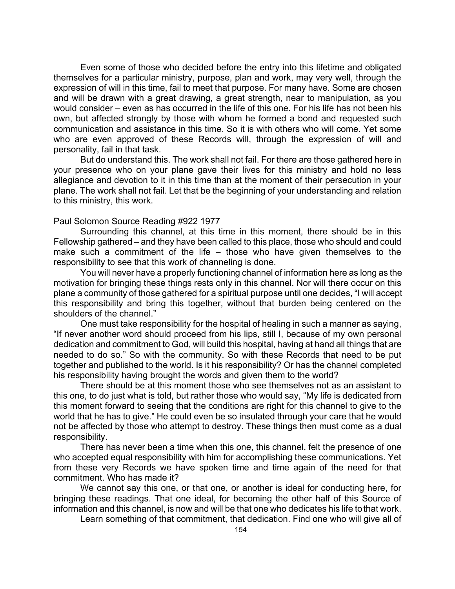Even some of those who decided before the entry into this lifetime and obligated themselves for a particular ministry, purpose, plan and work, may very well, through the expression of will in this time, fail to meet that purpose. For many have. Some are chosen and will be drawn with a great drawing, a great strength, near to manipulation, as you would consider – even as has occurred in the life of this one. For his life has not been his own, but affected strongly by those with whom he formed a bond and requested such communication and assistance in this time. So it is with others who will come. Yet some who are even approved of these Records will, through the expression of will and personality, fail in that task.

But do understand this. The work shall not fail. For there are those gathered here in your presence who on your plane gave their lives for this ministry and hold no less allegiance and devotion to it in this time than at the moment of their persecution in your plane. The work shall not fail. Let that be the beginning of your understanding and relation to this ministry, this work.

### Paul Solomon Source Reading #922 1977

Surrounding this channel, at this time in this moment, there should be in this Fellowship gathered – and they have been called to this place, those who should and could make such a commitment of the life – those who have given themselves to the responsibility to see that this work of channeling is done.

You will never have a properly functioning channel of information here as long as the motivation for bringing these things rests only in this channel. Nor will there occur on this plane a community of those gathered for a spiritual purpose until one decides, "I will accept this responsibility and bring this together, without that burden being centered on the shoulders of the channel."

One must take responsibility for the hospital of healing in such a manner as saying, "If never another word should proceed from his lips, still I, because of my own personal dedication and commitment to God, will build this hospital, having at hand all things that are needed to do so." So with the community. So with these Records that need to be put together and published to the world. Is it his responsibility? Or has the channel completed his responsibility having brought the words and given them to the world?

There should be at this moment those who see themselves not as an assistant to this one, to do just what is told, but rather those who would say, "My life is dedicated from this moment forward to seeing that the conditions are right for this channel to give to the world that he has to give." He could even be so insulated through your care that he would not be affected by those who attempt to destroy. These things then must come as a dual responsibility.

There has never been a time when this one, this channel, felt the presence of one who accepted equal responsibility with him for accomplishing these communications. Yet from these very Records we have spoken time and time again of the need for that commitment. Who has made it?

We cannot say this one, or that one, or another is ideal for conducting here, for bringing these readings. That one ideal, for becoming the other half of this Source of information and this channel, is now and will be that one who dedicates his life to that work.

Learn something of that commitment, that dedication. Find one who will give all of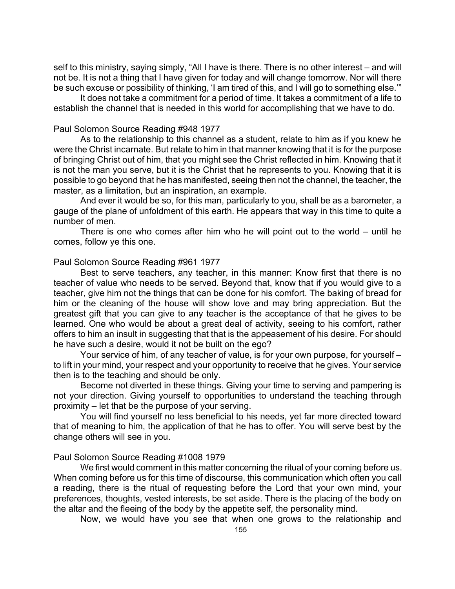self to this ministry, saying simply, "All I have is there. There is no other interest – and will not be. It is not a thing that I have given for today and will change tomorrow. Nor will there be such excuse or possibility of thinking, 'I am tired of this, and I will go to something else.'"

It does not take a commitment for a period of time. It takes a commitment of a life to establish the channel that is needed in this world for accomplishing that we have to do.

#### Paul Solomon Source Reading #948 1977

As to the relationship to this channel as a student, relate to him as if you knew he were the Christ incarnate. But relate to him in that manner knowing that it is for the purpose of bringing Christ out of him, that you might see the Christ reflected in him. Knowing that it is not the man you serve, but it is the Christ that he represents to you. Knowing that it is possible to go beyond that he has manifested, seeing then not the channel, the teacher, the master, as a limitation, but an inspiration, an example.

And ever it would be so, for this man, particularly to you, shall be as a barometer, a gauge of the plane of unfoldment of this earth. He appears that way in this time to quite a number of men.

There is one who comes after him who he will point out to the world – until he comes, follow ye this one.

### Paul Solomon Source Reading #961 1977

Best to serve teachers, any teacher, in this manner: Know first that there is no teacher of value who needs to be served. Beyond that, know that if you would give to a teacher, give him not the things that can be done for his comfort. The baking of bread for him or the cleaning of the house will show love and may bring appreciation. But the greatest gift that you can give to any teacher is the acceptance of that he gives to be learned. One who would be about a great deal of activity, seeing to his comfort, rather offers to him an insult in suggesting that that is the appeasement of his desire. For should he have such a desire, would it not be built on the ego?

Your service of him, of any teacher of value, is for your own purpose, for yourself – to lift in your mind, your respect and your opportunity to receive that he gives. Your service then is to the teaching and should be only.

Become not diverted in these things. Giving your time to serving and pampering is not your direction. Giving yourself to opportunities to understand the teaching through proximity – let that be the purpose of your serving.

You will find yourself no less beneficial to his needs, yet far more directed toward that of meaning to him, the application of that he has to offer. You will serve best by the change others will see in you.

#### Paul Solomon Source Reading #1008 1979

We first would comment in this matter concerning the ritual of your coming before us. When coming before us for this time of discourse, this communication which often you call a reading, there is the ritual of requesting before the Lord that your own mind, your preferences, thoughts, vested interests, be set aside. There is the placing of the body on the altar and the fleeing of the body by the appetite self, the personality mind.

Now, we would have you see that when one grows to the relationship and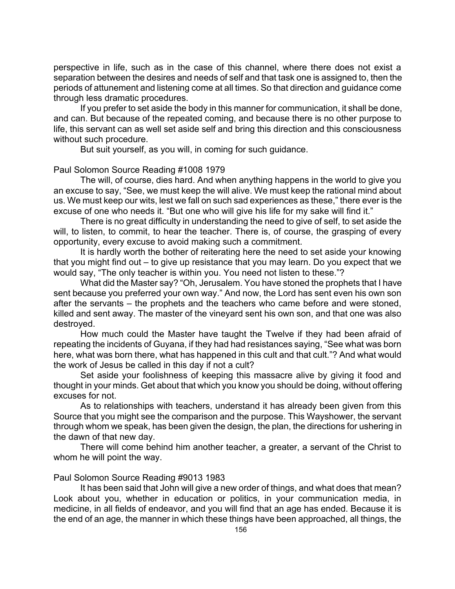perspective in life, such as in the case of this channel, where there does not exist a separation between the desires and needs of self and that task one is assigned to, then the periods of attunement and listening come at all times. So that direction and guidance come through less dramatic procedures.

If you prefer to set aside the body in this manner for communication, it shall be done, and can. But because of the repeated coming, and because there is no other purpose to life, this servant can as well set aside self and bring this direction and this consciousness without such procedure.

But suit yourself, as you will, in coming for such guidance.

Paul Solomon Source Reading #1008 1979

The will, of course, dies hard. And when anything happens in the world to give you an excuse to say, "See, we must keep the will alive. We must keep the rational mind about us. We must keep our wits, lest we fall on such sad experiences as these," there ever is the excuse of one who needs it. "But one who will give his life for my sake will find it."

There is no great difficulty in understanding the need to give of self, to set aside the will, to listen, to commit, to hear the teacher. There is, of course, the grasping of every opportunity, every excuse to avoid making such a commitment.

It is hardly worth the bother of reiterating here the need to set aside your knowing that you might find out – to give up resistance that you may learn. Do you expect that we would say, "The only teacher is within you. You need not listen to these."?

What did the Master say? "Oh, Jerusalem. You have stoned the prophets that I have sent because you preferred your own way." And now, the Lord has sent even his own son after the servants – the prophets and the teachers who came before and were stoned, killed and sent away. The master of the vineyard sent his own son, and that one was also destroyed.

How much could the Master have taught the Twelve if they had been afraid of repeating the incidents of Guyana, if they had had resistances saying, "See what was born here, what was born there, what has happened in this cult and that cult."? And what would the work of Jesus be called in this day if not a cult?

Set aside your foolishness of keeping this massacre alive by giving it food and thought in your minds. Get about that which you know you should be doing, without offering excuses for not.

As to relationships with teachers, understand it has already been given from this Source that you might see the comparison and the purpose. This Wayshower, the servant through whom we speak, has been given the design, the plan, the directions for ushering in the dawn of that new day.

There will come behind him another teacher, a greater, a servant of the Christ to whom he will point the way.

## Paul Solomon Source Reading #9013 1983

It has been said that John will give a new order of things, and what does that mean? Look about you, whether in education or politics, in your communication media, in medicine, in all fields of endeavor, and you will find that an age has ended. Because it is the end of an age, the manner in which these things have been approached, all things, the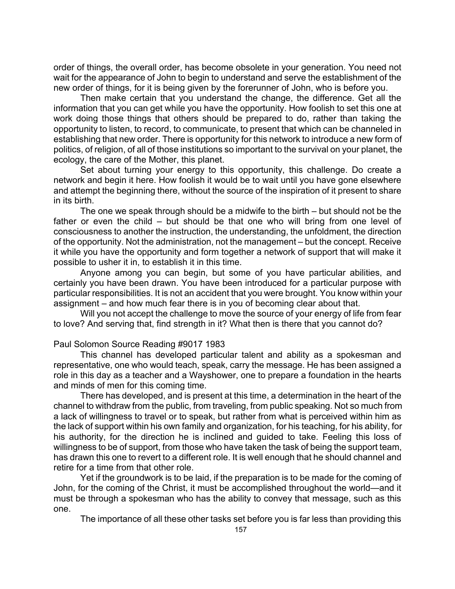order of things, the overall order, has become obsolete in your generation. You need not wait for the appearance of John to begin to understand and serve the establishment of the new order of things, for it is being given by the forerunner of John, who is before you.

Then make certain that you understand the change, the difference. Get all the information that you can get while you have the opportunity. How foolish to set this one at work doing those things that others should be prepared to do, rather than taking the opportunity to listen, to record, to communicate, to present that which can be channeled in establishing that new order. There is opportunity for this network to introduce a new form of politics, of religion, of all of those institutions so important to the survival on your planet, the ecology, the care of the Mother, this planet.

Set about turning your energy to this opportunity, this challenge. Do create a network and begin it here. How foolish it would be to wait until you have gone elsewhere and attempt the beginning there, without the source of the inspiration of it present to share in its birth.

The one we speak through should be a midwife to the birth – but should not be the father or even the child – but should be that one who will bring from one level of consciousness to another the instruction, the understanding, the unfoldment, the direction of the opportunity. Not the administration, not the management – but the concept. Receive it while you have the opportunity and form together a network of support that will make it possible to usher it in, to establish it in this time.

Anyone among you can begin, but some of you have particular abilities, and certainly you have been drawn. You have been introduced for a particular purpose with particular responsibilities. It is not an accident that you were brought. You know within your assignment – and how much fear there is in you of becoming clear about that.

Will you not accept the challenge to move the source of your energy of life from fear to love? And serving that, find strength in it? What then is there that you cannot do?

### Paul Solomon Source Reading #9017 1983

This channel has developed particular talent and ability as a spokesman and representative, one who would teach, speak, carry the message. He has been assigned a role in this day as a teacher and a Wayshower, one to prepare a foundation in the hearts and minds of men for this coming time.

There has developed, and is present at this time, a determination in the heart of the channel to withdraw from the public, from traveling, from public speaking. Not so much from a lack of willingness to travel or to speak, but rather from what is perceived within him as the lack of support within his own family and organization, for his teaching, for his ability, for his authority, for the direction he is inclined and guided to take. Feeling this loss of willingness to be of support, from those who have taken the task of being the support team, has drawn this one to revert to a different role. It is well enough that he should channel and retire for a time from that other role.

Yet if the groundwork is to be laid, if the preparation is to be made for the coming of John, for the coming of the Christ, it must be accomplished throughout the world—and it must be through a spokesman who has the ability to convey that message, such as this one.

The importance of all these other tasks set before you is far less than providing this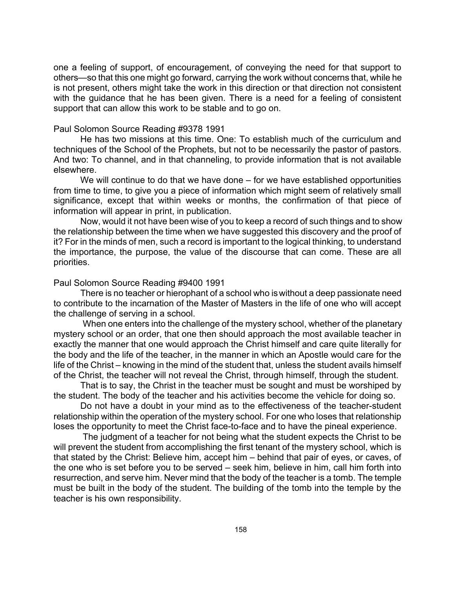one a feeling of support, of encouragement, of conveying the need for that support to others—so that this one might go forward, carrying the work without concerns that, while he is not present, others might take the work in this direction or that direction not consistent with the guidance that he has been given. There is a need for a feeling of consistent support that can allow this work to be stable and to go on.

#### Paul Solomon Source Reading #9378 1991

He has two missions at this time. One: To establish much of the curriculum and techniques of the School of the Prophets, but not to be necessarily the pastor of pastors. And two: To channel, and in that channeling, to provide information that is not available elsewhere.

We will continue to do that we have done – for we have established opportunities from time to time, to give you a piece of information which might seem of relatively small significance, except that within weeks or months, the confirmation of that piece of information will appear in print, in publication.

Now, would it not have been wise of you to keep a record of such things and to show the relationship between the time when we have suggested this discovery and the proof of it? For in the minds of men, such a record is important to the logical thinking, to understand the importance, the purpose, the value of the discourse that can come. These are all priorities.

#### Paul Solomon Source Reading #9400 1991

There is no teacher or hierophant of a school who is without a deep passionate need to contribute to the incarnation of the Master of Masters in the life of one who will accept the challenge of serving in a school.

 When one enters into the challenge of the mystery school, whether of the planetary mystery school or an order, that one then should approach the most available teacher in exactly the manner that one would approach the Christ himself and care quite literally for the body and the life of the teacher, in the manner in which an Apostle would care for the life of the Christ – knowing in the mind of the student that, unless the student avails himself of the Christ, the teacher will not reveal the Christ, through himself, through the student.

That is to say, the Christ in the teacher must be sought and must be worshiped by the student. The body of the teacher and his activities become the vehicle for doing so.

Do not have a doubt in your mind as to the effectiveness of the teacher-student relationship within the operation of the mystery school. For one who loses that relationship loses the opportunity to meet the Christ face-to-face and to have the pineal experience.

 The judgment of a teacher for not being what the student expects the Christ to be will prevent the student from accomplishing the first tenant of the mystery school, which is that stated by the Christ: Believe him, accept him – behind that pair of eyes, or caves, of the one who is set before you to be served – seek him, believe in him, call him forth into resurrection, and serve him. Never mind that the body of the teacher is a tomb. The temple must be built in the body of the student. The building of the tomb into the temple by the teacher is his own responsibility.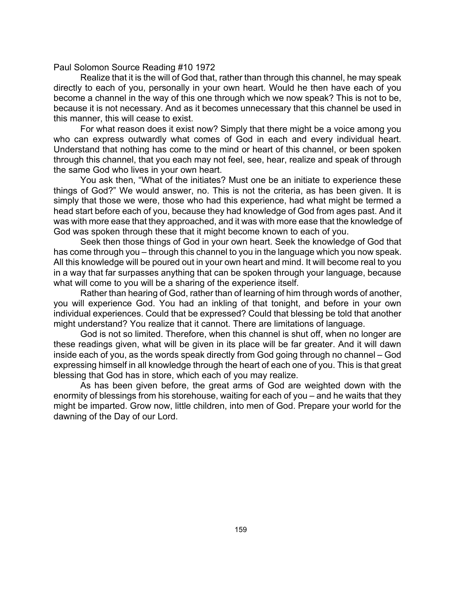Paul Solomon Source Reading #10 1972

Realize that it is the will of God that, rather than through this channel, he may speak directly to each of you, personally in your own heart. Would he then have each of you become a channel in the way of this one through which we now speak? This is not to be, because it is not necessary. And as it becomes unnecessary that this channel be used in this manner, this will cease to exist.

For what reason does it exist now? Simply that there might be a voice among you who can express outwardly what comes of God in each and every individual heart. Understand that nothing has come to the mind or heart of this channel, or been spoken through this channel, that you each may not feel, see, hear, realize and speak of through the same God who lives in your own heart.

You ask then, "What of the initiates? Must one be an initiate to experience these things of God?" We would answer, no. This is not the criteria, as has been given. It is simply that those we were, those who had this experience, had what might be termed a head start before each of you, because they had knowledge of God from ages past. And it was with more ease that they approached, and it was with more ease that the knowledge of God was spoken through these that it might become known to each of you.

Seek then those things of God in your own heart. Seek the knowledge of God that has come through you – through this channel to you in the language which you now speak. All this knowledge will be poured out in your own heart and mind. It will become real to you in a way that far surpasses anything that can be spoken through your language, because what will come to you will be a sharing of the experience itself.

Rather than hearing of God, rather than of learning of him through words of another, you will experience God. You had an inkling of that tonight, and before in your own individual experiences. Could that be expressed? Could that blessing be told that another might understand? You realize that it cannot. There are limitations of language.

God is not so limited. Therefore, when this channel is shut off, when no longer are these readings given, what will be given in its place will be far greater. And it will dawn inside each of you, as the words speak directly from God going through no channel – God expressing himself in all knowledge through the heart of each one of you. This is that great blessing that God has in store, which each of you may realize.

As has been given before, the great arms of God are weighted down with the enormity of blessings from his storehouse, waiting for each of you – and he waits that they might be imparted. Grow now, little children, into men of God. Prepare your world for the dawning of the Day of our Lord.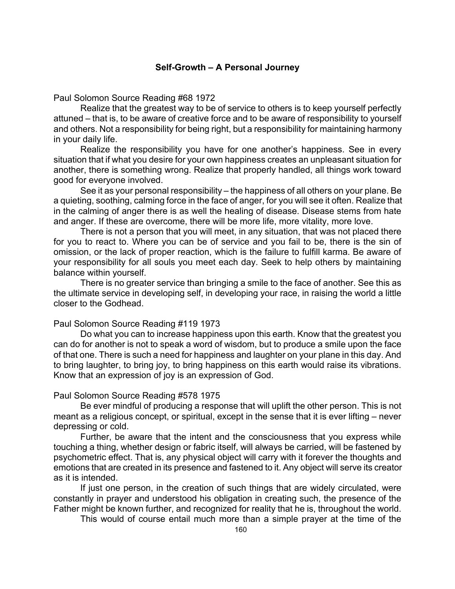### **Self-Growth – A Personal Journey**

Paul Solomon Source Reading #68 1972

Realize that the greatest way to be of service to others is to keep yourself perfectly attuned – that is, to be aware of creative force and to be aware of responsibility to yourself and others. Not a responsibility for being right, but a responsibility for maintaining harmony in your daily life.

Realize the responsibility you have for one another's happiness. See in every situation that if what you desire for your own happiness creates an unpleasant situation for another, there is something wrong. Realize that properly handled, all things work toward good for everyone involved.

See it as your personal responsibility – the happiness of all others on your plane. Be a quieting, soothing, calming force in the face of anger, for you will see it often. Realize that in the calming of anger there is as well the healing of disease. Disease stems from hate and anger. If these are overcome, there will be more life, more vitality, more love.

There is not a person that you will meet, in any situation, that was not placed there for you to react to. Where you can be of service and you fail to be, there is the sin of omission, or the lack of proper reaction, which is the failure to fulfill karma. Be aware of your responsibility for all souls you meet each day. Seek to help others by maintaining balance within yourself.

There is no greater service than bringing a smile to the face of another. See this as the ultimate service in developing self, in developing your race, in raising the world a little closer to the Godhead.

### Paul Solomon Source Reading #119 1973

Do what you can to increase happiness upon this earth. Know that the greatest you can do for another is not to speak a word of wisdom, but to produce a smile upon the face of that one. There is such a need for happiness and laughter on your plane in this day. And to bring laughter, to bring joy, to bring happiness on this earth would raise its vibrations. Know that an expression of joy is an expression of God.

### Paul Solomon Source Reading #578 1975

Be ever mindful of producing a response that will uplift the other person. This is not meant as a religious concept, or spiritual, except in the sense that it is ever lifting – never depressing or cold.

Further, be aware that the intent and the consciousness that you express while touching a thing, whether design or fabric itself, will always be carried, will be fastened by psychometric effect. That is, any physical object will carry with it forever the thoughts and emotions that are created in its presence and fastened to it. Any object will serve its creator as it is intended.

If just one person, in the creation of such things that are widely circulated, were constantly in prayer and understood his obligation in creating such, the presence of the Father might be known further, and recognized for reality that he is, throughout the world.

This would of course entail much more than a simple prayer at the time of the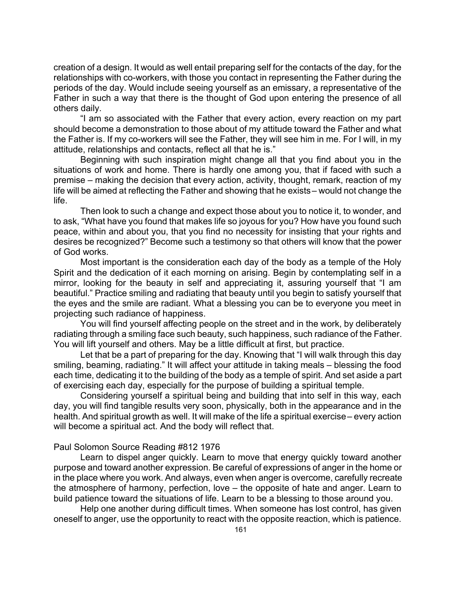creation of a design. It would as well entail preparing self for the contacts of the day, for the relationships with co-workers, with those you contact in representing the Father during the periods of the day. Would include seeing yourself as an emissary, a representative of the Father in such a way that there is the thought of God upon entering the presence of all others daily.

"I am so associated with the Father that every action, every reaction on my part should become a demonstration to those about of my attitude toward the Father and what the Father is. If my co-workers will see the Father, they will see him in me. For I will, in my attitude, relationships and contacts, reflect all that he is."

Beginning with such inspiration might change all that you find about you in the situations of work and home. There is hardly one among you, that if faced with such a premise – making the decision that every action, activity, thought, remark, reaction of my life will be aimed at reflecting the Father and showing that he exists – would not change the life.

Then look to such a change and expect those about you to notice it, to wonder, and to ask, "What have you found that makes life so joyous for you? How have you found such peace, within and about you, that you find no necessity for insisting that your rights and desires be recognized?" Become such a testimony so that others will know that the power of God works.

Most important is the consideration each day of the body as a temple of the Holy Spirit and the dedication of it each morning on arising. Begin by contemplating self in a mirror, looking for the beauty in self and appreciating it, assuring yourself that "I am beautiful." Practice smiling and radiating that beauty until you begin to satisfy yourself that the eyes and the smile are radiant. What a blessing you can be to everyone you meet in projecting such radiance of happiness.

You will find yourself affecting people on the street and in the work, by deliberately radiating through a smiling face such beauty, such happiness, such radiance of the Father. You will lift yourself and others. May be a little difficult at first, but practice.

Let that be a part of preparing for the day. Knowing that "I will walk through this day smiling, beaming, radiating." It will affect your attitude in taking meals – blessing the food each time, dedicating it to the building of the body as a temple of spirit. And set aside a part of exercising each day, especially for the purpose of building a spiritual temple.

Considering yourself a spiritual being and building that into self in this way, each day, you will find tangible results very soon, physically, both in the appearance and in the health. And spiritual growth as well. It will make of the life a spiritual exercise – every action will become a spiritual act. And the body will reflect that.

## Paul Solomon Source Reading #812 1976

Learn to dispel anger quickly. Learn to move that energy quickly toward another purpose and toward another expression. Be careful of expressions of anger in the home or in the place where you work. And always, even when anger is overcome, carefully recreate the atmosphere of harmony, perfection, love – the opposite of hate and anger. Learn to build patience toward the situations of life. Learn to be a blessing to those around you.

Help one another during difficult times. When someone has lost control, has given oneself to anger, use the opportunity to react with the opposite reaction, which is patience.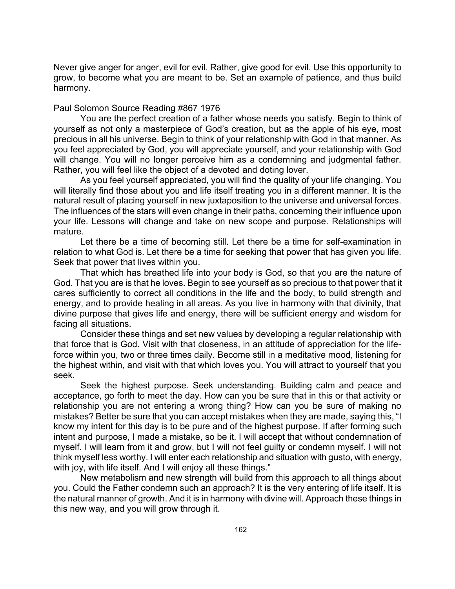Never give anger for anger, evil for evil. Rather, give good for evil. Use this opportunity to grow, to become what you are meant to be. Set an example of patience, and thus build harmony.

### Paul Solomon Source Reading #867 1976

You are the perfect creation of a father whose needs you satisfy. Begin to think of yourself as not only a masterpiece of God's creation, but as the apple of his eye, most precious in all his universe. Begin to think of your relationship with God in that manner. As you feel appreciated by God, you will appreciate yourself, and your relationship with God will change. You will no longer perceive him as a condemning and judgmental father. Rather, you will feel like the object of a devoted and doting lover.

As you feel yourself appreciated, you will find the quality of your life changing. You will literally find those about you and life itself treating you in a different manner. It is the natural result of placing yourself in new juxtaposition to the universe and universal forces. The influences of the stars will even change in their paths, concerning their influence upon your life. Lessons will change and take on new scope and purpose. Relationships will mature.

Let there be a time of becoming still. Let there be a time for self-examination in relation to what God is. Let there be a time for seeking that power that has given you life. Seek that power that lives within you.

That which has breathed life into your body is God, so that you are the nature of God. That you are is that he loves. Begin to see yourself as so precious to that power that it cares sufficiently to correct all conditions in the life and the body, to build strength and energy, and to provide healing in all areas. As you live in harmony with that divinity, that divine purpose that gives life and energy, there will be sufficient energy and wisdom for facing all situations.

Consider these things and set new values by developing a regular relationship with that force that is God. Visit with that closeness, in an attitude of appreciation for the lifeforce within you, two or three times daily. Become still in a meditative mood, listening for the highest within, and visit with that which loves you. You will attract to yourself that you seek.

Seek the highest purpose. Seek understanding. Building calm and peace and acceptance, go forth to meet the day. How can you be sure that in this or that activity or relationship you are not entering a wrong thing? How can you be sure of making no mistakes? Better be sure that you can accept mistakes when they are made, saying this, "I know my intent for this day is to be pure and of the highest purpose. If after forming such intent and purpose, I made a mistake, so be it. I will accept that without condemnation of myself. I will learn from it and grow, but I will not feel guilty or condemn myself. I will not think myself less worthy. I will enter each relationship and situation with gusto, with energy, with joy, with life itself. And I will enjoy all these things."

New metabolism and new strength will build from this approach to all things about you. Could the Father condemn such an approach? It is the very entering of life itself. It is the natural manner of growth. And it is in harmony with divine will. Approach these things in this new way, and you will grow through it.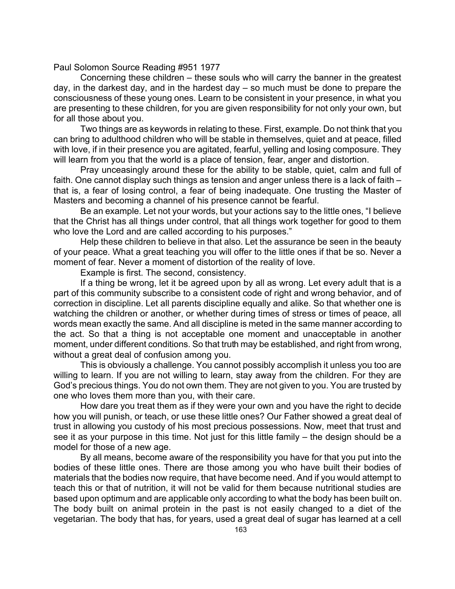Paul Solomon Source Reading #951 1977

Concerning these children – these souls who will carry the banner in the greatest day, in the darkest day, and in the hardest day – so much must be done to prepare the consciousness of these young ones. Learn to be consistent in your presence, in what you are presenting to these children, for you are given responsibility for not only your own, but for all those about you.

Two things are as keywords in relating to these. First, example. Do not think that you can bring to adulthood children who will be stable in themselves, quiet and at peace, filled with love, if in their presence you are agitated, fearful, yelling and losing composure. They will learn from you that the world is a place of tension, fear, anger and distortion.

Pray unceasingly around these for the ability to be stable, quiet, calm and full of faith. One cannot display such things as tension and anger unless there is a lack of faith – that is, a fear of losing control, a fear of being inadequate. One trusting the Master of Masters and becoming a channel of his presence cannot be fearful.

Be an example. Let not your words, but your actions say to the little ones, "I believe that the Christ has all things under control, that all things work together for good to them who love the Lord and are called according to his purposes."

Help these children to believe in that also. Let the assurance be seen in the beauty of your peace. What a great teaching you will offer to the little ones if that be so. Never a moment of fear. Never a moment of distortion of the reality of love.

Example is first. The second, consistency.

If a thing be wrong, let it be agreed upon by all as wrong. Let every adult that is a part of this community subscribe to a consistent code of right and wrong behavior, and of correction in discipline. Let all parents discipline equally and alike. So that whether one is watching the children or another, or whether during times of stress or times of peace, all words mean exactly the same. And all discipline is meted in the same manner according to the act. So that a thing is not acceptable one moment and unacceptable in another moment, under different conditions. So that truth may be established, and right from wrong, without a great deal of confusion among you.

This is obviously a challenge. You cannot possibly accomplish it unless you too are willing to learn. If you are not willing to learn, stay away from the children. For they are God's precious things. You do not own them. They are not given to you. You are trusted by one who loves them more than you, with their care.

How dare you treat them as if they were your own and you have the right to decide how you will punish, or teach, or use these little ones? Our Father showed a great deal of trust in allowing you custody of his most precious possessions. Now, meet that trust and see it as your purpose in this time. Not just for this little family – the design should be a model for those of a new age.

By all means, become aware of the responsibility you have for that you put into the bodies of these little ones. There are those among you who have built their bodies of materials that the bodies now require, that have become need. And if you would attempt to teach this or that of nutrition, it will not be valid for them because nutritional studies are based upon optimum and are applicable only according to what the body has been built on. The body built on animal protein in the past is not easily changed to a diet of the vegetarian. The body that has, for years, used a great deal of sugar has learned at a cell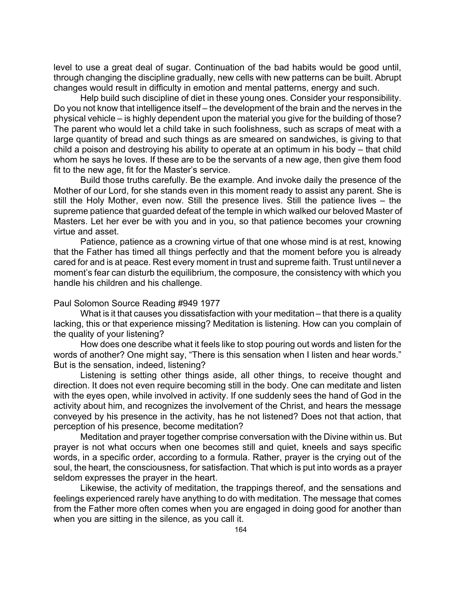level to use a great deal of sugar. Continuation of the bad habits would be good until, through changing the discipline gradually, new cells with new patterns can be built. Abrupt changes would result in difficulty in emotion and mental patterns, energy and such.

Help build such discipline of diet in these young ones. Consider your responsibility. Do you not know that intelligence itself – the development of the brain and the nerves in the physical vehicle – is highly dependent upon the material you give for the building of those? The parent who would let a child take in such foolishness, such as scraps of meat with a large quantity of bread and such things as are smeared on sandwiches, is giving to that child a poison and destroying his ability to operate at an optimum in his body – that child whom he says he loves. If these are to be the servants of a new age, then give them food fit to the new age, fit for the Master's service.

Build those truths carefully. Be the example. And invoke daily the presence of the Mother of our Lord, for she stands even in this moment ready to assist any parent. She is still the Holy Mother, even now. Still the presence lives. Still the patience lives – the supreme patience that guarded defeat of the temple in which walked our beloved Master of Masters. Let her ever be with you and in you, so that patience becomes your crowning virtue and asset.

Patience, patience as a crowning virtue of that one whose mind is at rest, knowing that the Father has timed all things perfectly and that the moment before you is already cared for and is at peace. Rest every moment in trust and supreme faith. Trust until never a moment's fear can disturb the equilibrium, the composure, the consistency with which you handle his children and his challenge.

## Paul Solomon Source Reading #949 1977

What is it that causes you dissatisfaction with your meditation – that there is a quality lacking, this or that experience missing? Meditation is listening. How can you complain of the quality of your listening?

How does one describe what it feels like to stop pouring out words and listen for the words of another? One might say, "There is this sensation when I listen and hear words." But is the sensation, indeed, listening?

Listening is setting other things aside, all other things, to receive thought and direction. It does not even require becoming still in the body. One can meditate and listen with the eyes open, while involved in activity. If one suddenly sees the hand of God in the activity about him, and recognizes the involvement of the Christ, and hears the message conveyed by his presence in the activity, has he not listened? Does not that action, that perception of his presence, become meditation?

Meditation and prayer together comprise conversation with the Divine within us. But prayer is not what occurs when one becomes still and quiet, kneels and says specific words, in a specific order, according to a formula. Rather, prayer is the crying out of the soul, the heart, the consciousness, for satisfaction. That which is put into words as a prayer seldom expresses the prayer in the heart.

Likewise, the activity of meditation, the trappings thereof, and the sensations and feelings experienced rarely have anything to do with meditation. The message that comes from the Father more often comes when you are engaged in doing good for another than when you are sitting in the silence, as you call it.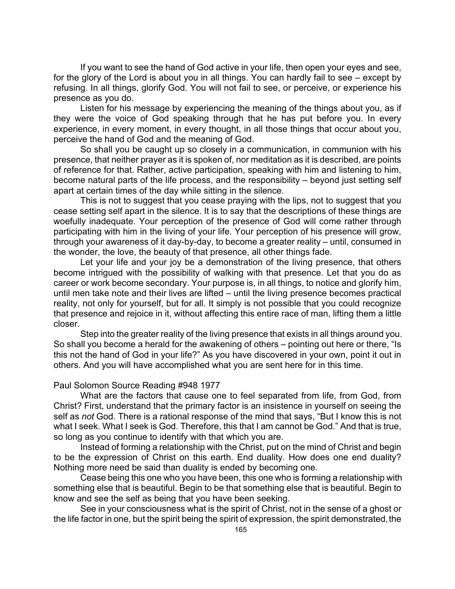If you want to see the hand of God active in your life, then open your eyes and see, for the glory of the Lord is about you in all things. You can hardly fail to see – except by refusing. In all things, glorify God. You will not fail to see, or perceive, or experience his presence as you do.

Listen for his message by experiencing the meaning of the things about you, as if they were the voice of God speaking through that he has put before you. In every experience, in every moment, in every thought, in all those things that occur about you, perceive the hand of God and the meaning of God.

So shall you be caught up so closely in a communication, in communion with his presence, that neither prayer as it is spoken of, nor meditation as it is described, are points of reference for that. Rather, active participation, speaking with him and listening to him, become natural parts of the life process, and the responsibility – beyond just setting self apart at certain times of the day while sitting in the silence.

This is not to suggest that you cease praying with the lips, not to suggest that you cease setting self apart in the silence. It is to say that the descriptions of these things are woefully inadequate. Your perception of the presence of God will come rather through participating with him in the living of your life. Your perception of his presence will grow, through your awareness of it day-by-day, to become a greater reality – until, consumed in the wonder, the love, the beauty of that presence, all other things fade.

Let your life and your joy be a demonstration of the living presence, that others become intrigued with the possibility of walking with that presence. Let that you do as career or work become secondary. Your purpose is, in all things, to notice and glorify him, until men take note and their lives are lifted – until the living presence becomes practical reality, not only for yourself, but for all. It simply is not possible that you could recognize that presence and rejoice in it, without affecting this entire race of man, lifting them a little closer.

Step into the greater reality of the living presence that exists in all things around you. So shall you become a herald for the awakening of others – pointing out here or there, "Is this not the hand of God in your life?" As you have discovered in your own, point it out in others. And you will have accomplished what you are sent here for in this time.

### Paul Solomon Source Reading #948 1977

What are the factors that cause one to feel separated from life, from God, from Christ? First, understand that the primary factor is an insistence in yourself on seeing the self as *not* God. There is a rational response of the mind that says, "But I know this is not what I seek. What I seek is God. Therefore, this that I am cannot be God." And that is true, so long as you continue to identify with that which you are.

Instead of forming a relationship with the Christ, put on the mind of Christ and begin to be the expression of Christ on this earth. End duality. How does one end duality? Nothing more need be said than duality is ended by becoming one.

Cease being this one who you have been, this one who is forming a relationship with something else that is beautiful. Begin to be that something else that is beautiful. Begin to know and see the self as being that you have been seeking.

See in your consciousness what is the spirit of Christ, not in the sense of a ghost or the life factor in one, but the spirit being the spirit of expression, the spirit demonstrated, the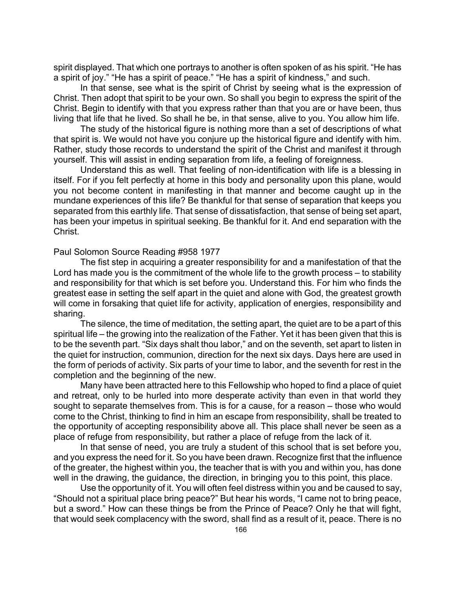spirit displayed. That which one portrays to another is often spoken of as his spirit. "He has a spirit of joy." "He has a spirit of peace." "He has a spirit of kindness," and such.

In that sense, see what is the spirit of Christ by seeing what is the expression of Christ. Then adopt that spirit to be your own. So shall you begin to express the spirit of the Christ. Begin to identify with that you express rather than that you are or have been, thus living that life that he lived. So shall he be, in that sense, alive to you. You allow him life.

The study of the historical figure is nothing more than a set of descriptions of what that spirit is. We would not have you conjure up the historical figure and identify with him. Rather, study those records to understand the spirit of the Christ and manifest it through yourself. This will assist in ending separation from life, a feeling of foreignness.

Understand this as well. That feeling of non-identification with life is a blessing in itself. For if you felt perfectly at home in this body and personality upon this plane, would you not become content in manifesting in that manner and become caught up in the mundane experiences of this life? Be thankful for that sense of separation that keeps you separated from this earthly life. That sense of dissatisfaction, that sense of being set apart, has been your impetus in spiritual seeking. Be thankful for it. And end separation with the Christ.

#### Paul Solomon Source Reading #958 1977

The fist step in acquiring a greater responsibility for and a manifestation of that the Lord has made you is the commitment of the whole life to the growth process – to stability and responsibility for that which is set before you. Understand this. For him who finds the greatest ease in setting the self apart in the quiet and alone with God, the greatest growth will come in forsaking that quiet life for activity, application of energies, responsibility and sharing.

The silence, the time of meditation, the setting apart, the quiet are to be a part of this spiritual life – the growing into the realization of the Father. Yet it has been given that this is to be the seventh part. "Six days shalt thou labor," and on the seventh, set apart to listen in the quiet for instruction, communion, direction for the next six days. Days here are used in the form of periods of activity. Six parts of your time to labor, and the seventh for rest in the completion and the beginning of the new.

Many have been attracted here to this Fellowship who hoped to find a place of quiet and retreat, only to be hurled into more desperate activity than even in that world they sought to separate themselves from. This is for a cause, for a reason – those who would come to the Christ, thinking to find in him an escape from responsibility, shall be treated to the opportunity of accepting responsibility above all. This place shall never be seen as a place of refuge from responsibility, but rather a place of refuge from the lack of it.

In that sense of need, you are truly a student of this school that is set before you, and you express the need for it. So you have been drawn. Recognize first that the influence of the greater, the highest within you, the teacher that is with you and within you, has done well in the drawing, the guidance, the direction, in bringing you to this point, this place.

Use the opportunity of it. You will often feel distress within you and be caused to say, "Should not a spiritual place bring peace?" But hear his words, "I came not to bring peace, but a sword." How can these things be from the Prince of Peace? Only he that will fight, that would seek complacency with the sword, shall find as a result of it, peace. There is no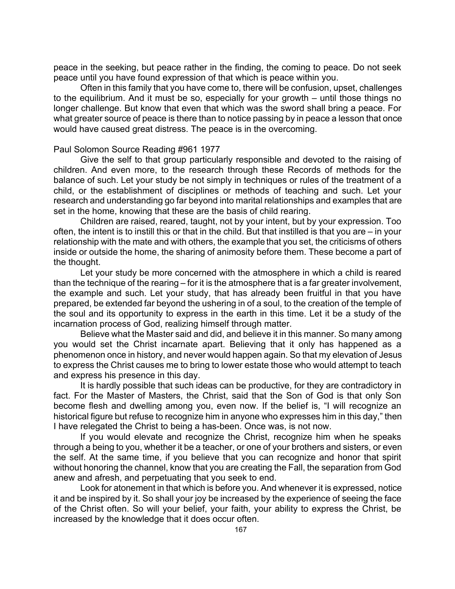peace in the seeking, but peace rather in the finding, the coming to peace. Do not seek peace until you have found expression of that which is peace within you.

Often in this family that you have come to, there will be confusion, upset, challenges to the equilibrium. And it must be so, especially for your growth – until those things no longer challenge. But know that even that which was the sword shall bring a peace. For what greater source of peace is there than to notice passing by in peace a lesson that once would have caused great distress. The peace is in the overcoming.

### Paul Solomon Source Reading #961 1977

Give the self to that group particularly responsible and devoted to the raising of children. And even more, to the research through these Records of methods for the balance of such. Let your study be not simply in techniques or rules of the treatment of a child, or the establishment of disciplines or methods of teaching and such. Let your research and understanding go far beyond into marital relationships and examples that are set in the home, knowing that these are the basis of child rearing.

Children are raised, reared, taught, not by your intent, but by your expression. Too often, the intent is to instill this or that in the child. But that instilled is that you are – in your relationship with the mate and with others, the example that you set, the criticisms of others inside or outside the home, the sharing of animosity before them. These become a part of the thought.

Let your study be more concerned with the atmosphere in which a child is reared than the technique of the rearing – for it is the atmosphere that is a far greater involvement, the example and such. Let your study, that has already been fruitful in that you have prepared, be extended far beyond the ushering in of a soul, to the creation of the temple of the soul and its opportunity to express in the earth in this time. Let it be a study of the incarnation process of God, realizing himself through matter.

Believe what the Master said and did, and believe it in this manner. So many among you would set the Christ incarnate apart. Believing that it only has happened as a phenomenon once in history, and never would happen again. So that my elevation of Jesus to express the Christ causes me to bring to lower estate those who would attempt to teach and express his presence in this day.

It is hardly possible that such ideas can be productive, for they are contradictory in fact. For the Master of Masters, the Christ, said that the Son of God is that only Son become flesh and dwelling among you, even now. If the belief is, "I will recognize an historical figure but refuse to recognize him in anyone who expresses him in this day," then I have relegated the Christ to being a has-been. Once was, is not now.

If you would elevate and recognize the Christ, recognize him when he speaks through a being to you, whether it be a teacher, or one of your brothers and sisters, or even the self. At the same time, if you believe that you can recognize and honor that spirit without honoring the channel, know that you are creating the Fall, the separation from God anew and afresh, and perpetuating that you seek to end.

Look for atonement in that which is before you. And whenever it is expressed, notice it and be inspired by it. So shall your joy be increased by the experience of seeing the face of the Christ often. So will your belief, your faith, your ability to express the Christ, be increased by the knowledge that it does occur often.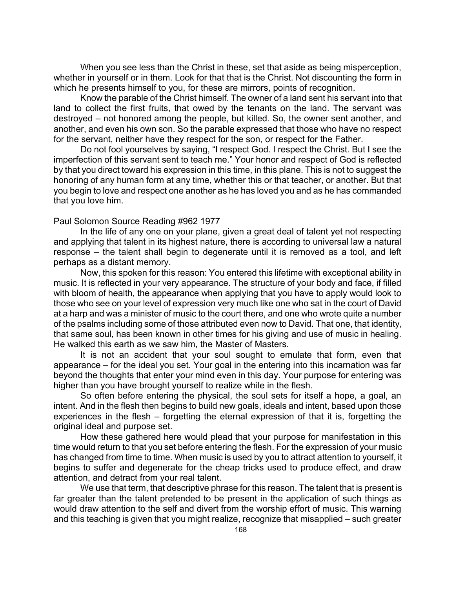When you see less than the Christ in these, set that aside as being misperception, whether in yourself or in them. Look for that that is the Christ. Not discounting the form in which he presents himself to you, for these are mirrors, points of recognition.

Know the parable of the Christ himself. The owner of a land sent his servant into that land to collect the first fruits, that owed by the tenants on the land. The servant was destroyed – not honored among the people, but killed. So, the owner sent another, and another, and even his own son. So the parable expressed that those who have no respect for the servant, neither have they respect for the son, or respect for the Father.

Do not fool yourselves by saying, "I respect God. I respect the Christ. But I see the imperfection of this servant sent to teach me." Your honor and respect of God is reflected by that you direct toward his expression in this time, in this plane. This is not to suggest the honoring of any human form at any time, whether this or that teacher, or another. But that you begin to love and respect one another as he has loved you and as he has commanded that you love him.

### Paul Solomon Source Reading #962 1977

In the life of any one on your plane, given a great deal of talent yet not respecting and applying that talent in its highest nature, there is according to universal law a natural response – the talent shall begin to degenerate until it is removed as a tool, and left perhaps as a distant memory.

Now, this spoken for this reason: You entered this lifetime with exceptional ability in music. It is reflected in your very appearance. The structure of your body and face, if filled with bloom of health, the appearance when applying that you have to apply would look to those who see on your level of expression very much like one who sat in the court of David at a harp and was a minister of music to the court there, and one who wrote quite a number of the psalms including some of those attributed even now to David. That one, that identity, that same soul, has been known in other times for his giving and use of music in healing. He walked this earth as we saw him, the Master of Masters.

It is not an accident that your soul sought to emulate that form, even that appearance – for the ideal you set. Your goal in the entering into this incarnation was far beyond the thoughts that enter your mind even in this day. Your purpose for entering was higher than you have brought yourself to realize while in the flesh.

So often before entering the physical, the soul sets for itself a hope, a goal, an intent. And in the flesh then begins to build new goals, ideals and intent, based upon those experiences in the flesh – forgetting the eternal expression of that it is, forgetting the original ideal and purpose set.

How these gathered here would plead that your purpose for manifestation in this time would return to that you set before entering the flesh. For the expression of your music has changed from time to time. When music is used by you to attract attention to yourself, it begins to suffer and degenerate for the cheap tricks used to produce effect, and draw attention, and detract from your real talent.

We use that term, that descriptive phrase for this reason. The talent that is present is far greater than the talent pretended to be present in the application of such things as would draw attention to the self and divert from the worship effort of music. This warning and this teaching is given that you might realize, recognize that misapplied – such greater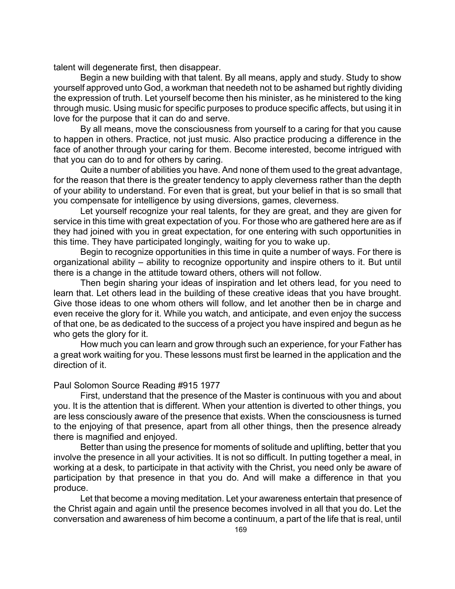talent will degenerate first, then disappear.

Begin a new building with that talent. By all means, apply and study. Study to show yourself approved unto God, a workman that needeth not to be ashamed but rightly dividing the expression of truth. Let yourself become then his minister, as he ministered to the king through music. Using music for specific purposes to produce specific affects, but using it in love for the purpose that it can do and serve.

By all means, move the consciousness from yourself to a caring for that you cause to happen in others. Practice, not just music. Also practice producing a difference in the face of another through your caring for them. Become interested, become intrigued with that you can do to and for others by caring.

Quite a number of abilities you have. And none of them used to the great advantage, for the reason that there is the greater tendency to apply cleverness rather than the depth of your ability to understand. For even that is great, but your belief in that is so small that you compensate for intelligence by using diversions, games, cleverness.

Let yourself recognize your real talents, for they are great, and they are given for service in this time with great expectation of you. For those who are gathered here are as if they had joined with you in great expectation, for one entering with such opportunities in this time. They have participated longingly, waiting for you to wake up.

Begin to recognize opportunities in this time in quite a number of ways. For there is organizational ability – ability to recognize opportunity and inspire others to it. But until there is a change in the attitude toward others, others will not follow.

Then begin sharing your ideas of inspiration and let others lead, for you need to learn that. Let others lead in the building of these creative ideas that you have brought. Give those ideas to one whom others will follow, and let another then be in charge and even receive the glory for it. While you watch, and anticipate, and even enjoy the success of that one, be as dedicated to the success of a project you have inspired and begun as he who gets the glory for it.

How much you can learn and grow through such an experience, for your Father has a great work waiting for you. These lessons must first be learned in the application and the direction of it.

### Paul Solomon Source Reading #915 1977

First, understand that the presence of the Master is continuous with you and about you. It is the attention that is different. When your attention is diverted to other things, you are less consciously aware of the presence that exists. When the consciousness is turned to the enjoying of that presence, apart from all other things, then the presence already there is magnified and enjoyed.

Better than using the presence for moments of solitude and uplifting, better that you involve the presence in all your activities. It is not so difficult. In putting together a meal, in working at a desk, to participate in that activity with the Christ, you need only be aware of participation by that presence in that you do. And will make a difference in that you produce.

Let that become a moving meditation. Let your awareness entertain that presence of the Christ again and again until the presence becomes involved in all that you do. Let the conversation and awareness of him become a continuum, a part of the life that is real, until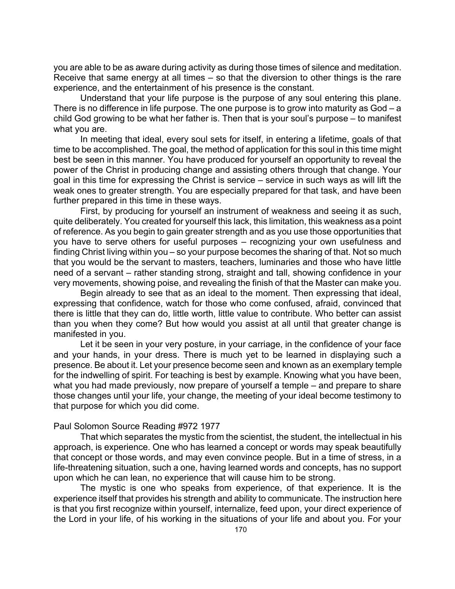you are able to be as aware during activity as during those times of silence and meditation. Receive that same energy at all times – so that the diversion to other things is the rare experience, and the entertainment of his presence is the constant.

Understand that your life purpose is the purpose of any soul entering this plane. There is no difference in life purpose. The one purpose is to grow into maturity as God – a child God growing to be what her father is. Then that is your soul's purpose – to manifest what you are.

In meeting that ideal, every soul sets for itself, in entering a lifetime, goals of that time to be accomplished. The goal, the method of application for this soul in this time might best be seen in this manner. You have produced for yourself an opportunity to reveal the power of the Christ in producing change and assisting others through that change. Your goal in this time for expressing the Christ is service – service in such ways as will lift the weak ones to greater strength. You are especially prepared for that task, and have been further prepared in this time in these ways.

First, by producing for yourself an instrument of weakness and seeing it as such, quite deliberately. You created for yourself this lack, this limitation, this weakness as a point of reference. As you begin to gain greater strength and as you use those opportunities that you have to serve others for useful purposes – recognizing your own usefulness and finding Christ living within you – so your purpose becomes the sharing of that. Not so much that you would be the servant to masters, teachers, luminaries and those who have little need of a servant – rather standing strong, straight and tall, showing confidence in your very movements, showing poise, and revealing the finish of that the Master can make you.

Begin already to see that as an ideal to the moment. Then expressing that ideal, expressing that confidence, watch for those who come confused, afraid, convinced that there is little that they can do, little worth, little value to contribute. Who better can assist than you when they come? But how would you assist at all until that greater change is manifested in you.

Let it be seen in your very posture, in your carriage, in the confidence of your face and your hands, in your dress. There is much yet to be learned in displaying such a presence. Be about it. Let your presence become seen and known as an exemplary temple for the indwelling of spirit. For teaching is best by example. Knowing what you have been, what you had made previously, now prepare of yourself a temple – and prepare to share those changes until your life, your change, the meeting of your ideal become testimony to that purpose for which you did come.

### Paul Solomon Source Reading #972 1977

That which separates the mystic from the scientist, the student, the intellectual in his approach, is experience. One who has learned a concept or words may speak beautifully that concept or those words, and may even convince people. But in a time of stress, in a life-threatening situation, such a one, having learned words and concepts, has no support upon which he can lean, no experience that will cause him to be strong.

The mystic is one who speaks from experience, of that experience. It is the experience itself that provides his strength and ability to communicate. The instruction here is that you first recognize within yourself, internalize, feed upon, your direct experience of the Lord in your life, of his working in the situations of your life and about you. For your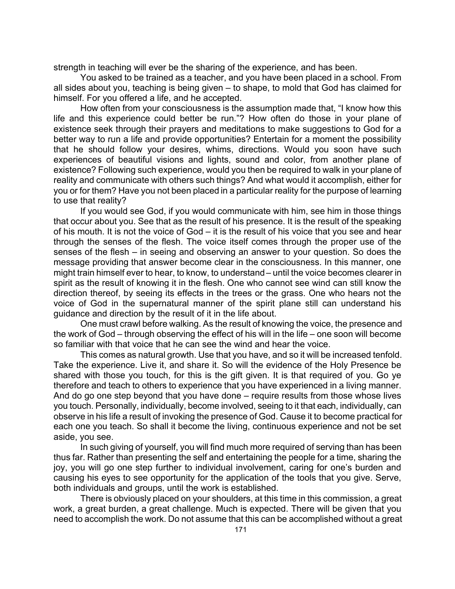strength in teaching will ever be the sharing of the experience, and has been.

You asked to be trained as a teacher, and you have been placed in a school. From all sides about you, teaching is being given – to shape, to mold that God has claimed for himself. For you offered a life, and he accepted.

How often from your consciousness is the assumption made that, "I know how this life and this experience could better be run."? How often do those in your plane of existence seek through their prayers and meditations to make suggestions to God for a better way to run a life and provide opportunities? Entertain for a moment the possibility that he should follow your desires, whims, directions. Would you soon have such experiences of beautiful visions and lights, sound and color, from another plane of existence? Following such experience, would you then be required to walk in your plane of reality and communicate with others such things? And what would it accomplish, either for you or for them? Have you not been placed in a particular reality for the purpose of learning to use that reality?

If you would see God, if you would communicate with him, see him in those things that occur about you. See that as the result of his presence. It is the result of the speaking of his mouth. It is not the voice of God – it is the result of his voice that you see and hear through the senses of the flesh. The voice itself comes through the proper use of the senses of the flesh – in seeing and observing an answer to your question. So does the message providing that answer become clear in the consciousness. In this manner, one might train himself ever to hear, to know, to understand – until the voice becomes clearer in spirit as the result of knowing it in the flesh. One who cannot see wind can still know the direction thereof, by seeing its effects in the trees or the grass. One who hears not the voice of God in the supernatural manner of the spirit plane still can understand his guidance and direction by the result of it in the life about.

One must crawl before walking. As the result of knowing the voice, the presence and the work of God – through observing the effect of his will in the life – one soon will become so familiar with that voice that he can see the wind and hear the voice.

This comes as natural growth. Use that you have, and so it will be increased tenfold. Take the experience. Live it, and share it. So will the evidence of the Holy Presence be shared with those you touch, for this is the gift given. It is that required of you. Go ye therefore and teach to others to experience that you have experienced in a living manner. And do go one step beyond that you have done – require results from those whose lives you touch. Personally, individually, become involved, seeing to it that each, individually, can observe in his life a result of invoking the presence of God. Cause it to become practical for each one you teach. So shall it become the living, continuous experience and not be set aside, you see.

In such giving of yourself, you will find much more required of serving than has been thus far. Rather than presenting the self and entertaining the people for a time, sharing the joy, you will go one step further to individual involvement, caring for one's burden and causing his eyes to see opportunity for the application of the tools that you give. Serve, both individuals and groups, until the work is established.

There is obviously placed on your shoulders, at this time in this commission, a great work, a great burden, a great challenge. Much is expected. There will be given that you need to accomplish the work. Do not assume that this can be accomplished without a great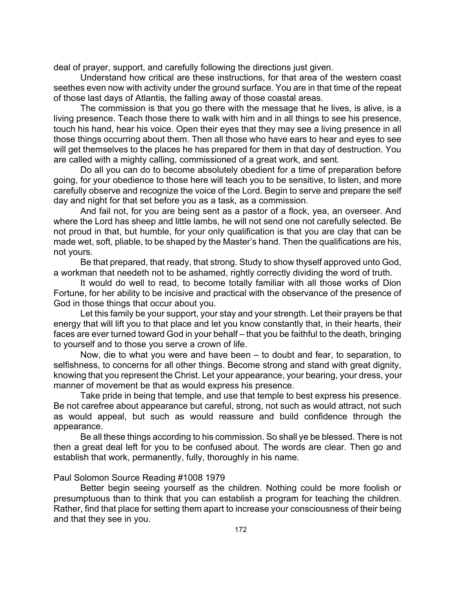deal of prayer, support, and carefully following the directions just given.

Understand how critical are these instructions, for that area of the western coast seethes even now with activity under the ground surface. You are in that time of the repeat of those last days of Atlantis, the falling away of those coastal areas.

The commission is that you go there with the message that he lives, is alive, is a living presence. Teach those there to walk with him and in all things to see his presence, touch his hand, hear his voice. Open their eyes that they may see a living presence in all those things occurring about them. Then all those who have ears to hear and eyes to see will get themselves to the places he has prepared for them in that day of destruction. You are called with a mighty calling, commissioned of a great work, and sent.

Do all you can do to become absolutely obedient for a time of preparation before going, for your obedience to those here will teach you to be sensitive, to listen, and more carefully observe and recognize the voice of the Lord. Begin to serve and prepare the self day and night for that set before you as a task, as a commission.

And fail not, for you are being sent as a pastor of a flock, yea, an overseer. And where the Lord has sheep and little lambs, he will not send one not carefully selected. Be not proud in that, but humble, for your only qualification is that you are clay that can be made wet, soft, pliable, to be shaped by the Master's hand. Then the qualifications are his, not yours.

Be that prepared, that ready, that strong. Study to show thyself approved unto God, a workman that needeth not to be ashamed, rightly correctly dividing the word of truth.

It would do well to read, to become totally familiar with all those works of Dion Fortune, for her ability to be incisive and practical with the observance of the presence of God in those things that occur about you.

Let this family be your support, your stay and your strength. Let their prayers be that energy that will lift you to that place and let you know constantly that, in their hearts, their faces are ever turned toward God in your behalf – that you be faithful to the death, bringing to yourself and to those you serve a crown of life.

Now, die to what you were and have been – to doubt and fear, to separation, to selfishness, to concerns for all other things. Become strong and stand with great dignity, knowing that you represent the Christ. Let your appearance, your bearing, your dress, your manner of movement be that as would express his presence.

Take pride in being that temple, and use that temple to best express his presence. Be not carefree about appearance but careful, strong, not such as would attract, not such as would appeal, but such as would reassure and build confidence through the appearance.

Be all these things according to his commission. So shall ye be blessed. There is not then a great deal left for you to be confused about. The words are clear. Then go and establish that work, permanently, fully, thoroughly in his name.

## Paul Solomon Source Reading #1008 1979

Better begin seeing yourself as the children. Nothing could be more foolish or presumptuous than to think that you can establish a program for teaching the children. Rather, find that place for setting them apart to increase your consciousness of their being and that they see in you.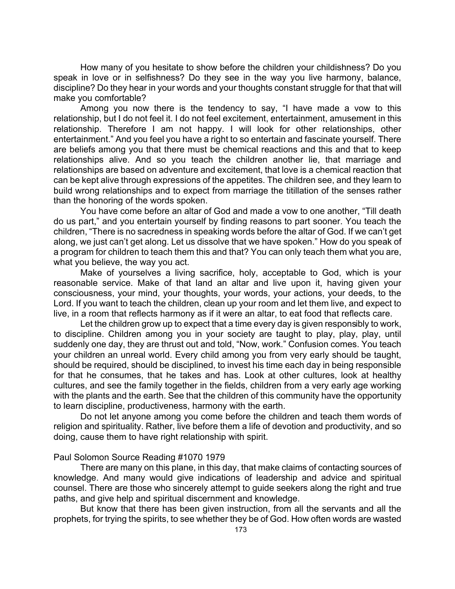How many of you hesitate to show before the children your childishness? Do you speak in love or in selfishness? Do they see in the way you live harmony, balance, discipline? Do they hear in your words and your thoughts constant struggle for that that will make you comfortable?

Among you now there is the tendency to say, "I have made a vow to this relationship, but I do not feel it. I do not feel excitement, entertainment, amusement in this relationship. Therefore I am not happy. I will look for other relationships, other entertainment." And you feel you have a right to so entertain and fascinate yourself. There are beliefs among you that there must be chemical reactions and this and that to keep relationships alive. And so you teach the children another lie, that marriage and relationships are based on adventure and excitement, that love is a chemical reaction that can be kept alive through expressions of the appetites. The children see, and they learn to build wrong relationships and to expect from marriage the titillation of the senses rather than the honoring of the words spoken.

You have come before an altar of God and made a vow to one another, "Till death do us part," and you entertain yourself by finding reasons to part sooner. You teach the children, "There is no sacredness in speaking words before the altar of God. If we can't get along, we just can't get along. Let us dissolve that we have spoken." How do you speak of a program for children to teach them this and that? You can only teach them what you are, what you believe, the way you act.

Make of yourselves a living sacrifice, holy, acceptable to God, which is your reasonable service. Make of that land an altar and live upon it, having given your consciousness, your mind, your thoughts, your words, your actions, your deeds, to the Lord. If you want to teach the children, clean up your room and let them live, and expect to live, in a room that reflects harmony as if it were an altar, to eat food that reflects care.

Let the children grow up to expect that a time every day is given responsibly to work, to discipline. Children among you in your society are taught to play, play, play, until suddenly one day, they are thrust out and told, "Now, work." Confusion comes. You teach your children an unreal world. Every child among you from very early should be taught, should be required, should be disciplined, to invest his time each day in being responsible for that he consumes, that he takes and has. Look at other cultures, look at healthy cultures, and see the family together in the fields, children from a very early age working with the plants and the earth. See that the children of this community have the opportunity to learn discipline, productiveness, harmony with the earth.

Do not let anyone among you come before the children and teach them words of religion and spirituality. Rather, live before them a life of devotion and productivity, and so doing, cause them to have right relationship with spirit.

### Paul Solomon Source Reading #1070 1979

There are many on this plane, in this day, that make claims of contacting sources of knowledge. And many would give indications of leadership and advice and spiritual counsel. There are those who sincerely attempt to guide seekers along the right and true paths, and give help and spiritual discernment and knowledge.

But know that there has been given instruction, from all the servants and all the prophets, for trying the spirits, to see whether they be of God. How often words are wasted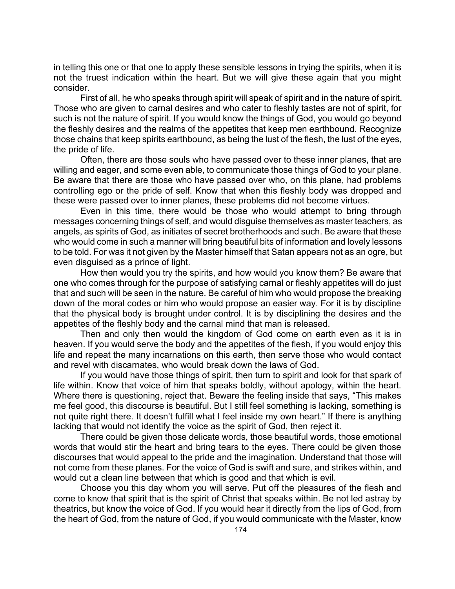in telling this one or that one to apply these sensible lessons in trying the spirits, when it is not the truest indication within the heart. But we will give these again that you might consider.

First of all, he who speaks through spirit will speak of spirit and in the nature of spirit. Those who are given to carnal desires and who cater to fleshly tastes are not of spirit, for such is not the nature of spirit. If you would know the things of God, you would go beyond the fleshly desires and the realms of the appetites that keep men earthbound. Recognize those chains that keep spirits earthbound, as being the lust of the flesh, the lust of the eyes, the pride of life.

Often, there are those souls who have passed over to these inner planes, that are willing and eager, and some even able, to communicate those things of God to your plane. Be aware that there are those who have passed over who, on this plane, had problems controlling ego or the pride of self. Know that when this fleshly body was dropped and these were passed over to inner planes, these problems did not become virtues.

Even in this time, there would be those who would attempt to bring through messages concerning things of self, and would disguise themselves as master teachers, as angels, as spirits of God, as initiates of secret brotherhoods and such. Be aware that these who would come in such a manner will bring beautiful bits of information and lovely lessons to be told. For was it not given by the Master himself that Satan appears not as an ogre, but even disguised as a prince of light.

How then would you try the spirits, and how would you know them? Be aware that one who comes through for the purpose of satisfying carnal or fleshly appetites will do just that and such will be seen in the nature. Be careful of him who would propose the breaking down of the moral codes or him who would propose an easier way. For it is by discipline that the physical body is brought under control. It is by disciplining the desires and the appetites of the fleshly body and the carnal mind that man is released.

Then and only then would the kingdom of God come on earth even as it is in heaven. If you would serve the body and the appetites of the flesh, if you would enjoy this life and repeat the many incarnations on this earth, then serve those who would contact and revel with discarnates, who would break down the laws of God.

If you would have those things of spirit, then turn to spirit and look for that spark of life within. Know that voice of him that speaks boldly, without apology, within the heart. Where there is questioning, reject that. Beware the feeling inside that says, "This makes me feel good, this discourse is beautiful. But I still feel something is lacking, something is not quite right there. It doesn't fulfill what I feel inside my own heart." If there is anything lacking that would not identify the voice as the spirit of God, then reject it.

There could be given those delicate words, those beautiful words, those emotional words that would stir the heart and bring tears to the eyes. There could be given those discourses that would appeal to the pride and the imagination. Understand that those will not come from these planes. For the voice of God is swift and sure, and strikes within, and would cut a clean line between that which is good and that which is evil.

Choose you this day whom you will serve. Put off the pleasures of the flesh and come to know that spirit that is the spirit of Christ that speaks within. Be not led astray by theatrics, but know the voice of God. If you would hear it directly from the lips of God, from the heart of God, from the nature of God, if you would communicate with the Master, know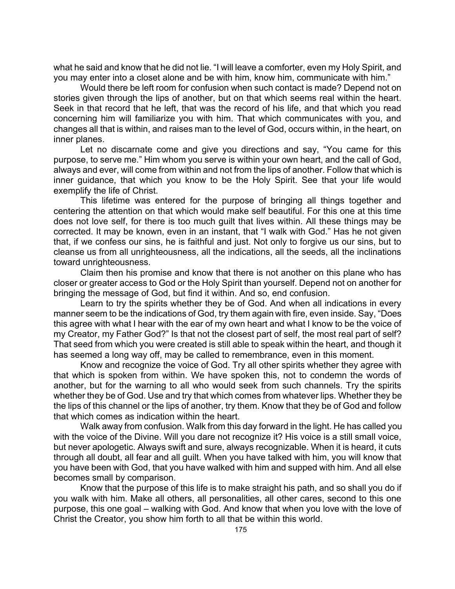what he said and know that he did not lie. "I will leave a comforter, even my Holy Spirit, and you may enter into a closet alone and be with him, know him, communicate with him."

Would there be left room for confusion when such contact is made? Depend not on stories given through the lips of another, but on that which seems real within the heart. Seek in that record that he left, that was the record of his life, and that which you read concerning him will familiarize you with him. That which communicates with you, and changes all that is within, and raises man to the level of God, occurs within, in the heart, on inner planes.

Let no discarnate come and give you directions and say, "You came for this purpose, to serve me." Him whom you serve is within your own heart, and the call of God, always and ever, will come from within and not from the lips of another. Follow that which is inner guidance, that which you know to be the Holy Spirit. See that your life would exemplify the life of Christ.

This lifetime was entered for the purpose of bringing all things together and centering the attention on that which would make self beautiful. For this one at this time does not love self, for there is too much guilt that lives within. All these things may be corrected. It may be known, even in an instant, that "I walk with God." Has he not given that, if we confess our sins, he is faithful and just. Not only to forgive us our sins, but to cleanse us from all unrighteousness, all the indications, all the seeds, all the inclinations toward unrighteousness.

Claim then his promise and know that there is not another on this plane who has closer or greater access to God or the Holy Spirit than yourself. Depend not on another for bringing the message of God, but find it within. And so, end confusion.

Learn to try the spirits whether they be of God. And when all indications in every manner seem to be the indications of God, try them again with fire, even inside. Say, "Does this agree with what I hear with the ear of my own heart and what I know to be the voice of my Creator, my Father God?" Is that not the closest part of self, the most real part of self? That seed from which you were created is still able to speak within the heart, and though it has seemed a long way off, may be called to remembrance, even in this moment.

Know and recognize the voice of God. Try all other spirits whether they agree with that which is spoken from within. We have spoken this, not to condemn the words of another, but for the warning to all who would seek from such channels. Try the spirits whether they be of God. Use and try that which comes from whatever lips. Whether they be the lips of this channel or the lips of another, try them. Know that they be of God and follow that which comes as indication within the heart.

Walk away from confusion. Walk from this day forward in the light. He has called you with the voice of the Divine. Will you dare not recognize it? His voice is a still small voice, but never apologetic. Always swift and sure, always recognizable. When it is heard, it cuts through all doubt, all fear and all guilt. When you have talked with him, you will know that you have been with God, that you have walked with him and supped with him. And all else becomes small by comparison.

Know that the purpose of this life is to make straight his path, and so shall you do if you walk with him. Make all others, all personalities, all other cares, second to this one purpose, this one goal – walking with God. And know that when you love with the love of Christ the Creator, you show him forth to all that be within this world.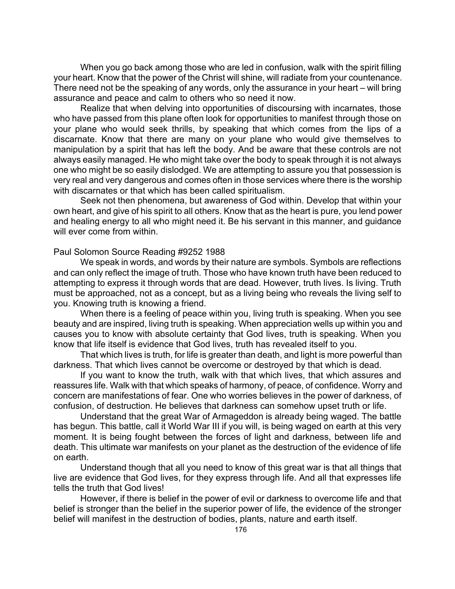When you go back among those who are led in confusion, walk with the spirit filling your heart. Know that the power of the Christ will shine, will radiate from your countenance. There need not be the speaking of any words, only the assurance in your heart – will bring assurance and peace and calm to others who so need it now.

Realize that when delving into opportunities of discoursing with incarnates, those who have passed from this plane often look for opportunities to manifest through those on your plane who would seek thrills, by speaking that which comes from the lips of a discarnate. Know that there are many on your plane who would give themselves to manipulation by a spirit that has left the body. And be aware that these controls are not always easily managed. He who might take over the body to speak through it is not always one who might be so easily dislodged. We are attempting to assure you that possession is very real and very dangerous and comes often in those services where there is the worship with discarnates or that which has been called spiritualism.

Seek not then phenomena, but awareness of God within. Develop that within your own heart, and give of his spirit to all others. Know that as the heart is pure, you lend power and healing energy to all who might need it. Be his servant in this manner, and guidance will ever come from within.

## Paul Solomon Source Reading #9252 1988

We speak in words, and words by their nature are symbols. Symbols are reflections and can only reflect the image of truth. Those who have known truth have been reduced to attempting to express it through words that are dead. However, truth lives. Is living. Truth must be approached, not as a concept, but as a living being who reveals the living self to you. Knowing truth is knowing a friend.

When there is a feeling of peace within you, living truth is speaking. When you see beauty and are inspired, living truth is speaking. When appreciation wells up within you and causes you to know with absolute certainty that God lives, truth is speaking. When you know that life itself is evidence that God lives, truth has revealed itself to you.

That which lives is truth, for life is greater than death, and light is more powerful than darkness. That which lives cannot be overcome or destroyed by that which is dead.

If you want to know the truth, walk with that which lives, that which assures and reassures life. Walk with that which speaks of harmony, of peace, of confidence. Worry and concern are manifestations of fear. One who worries believes in the power of darkness, of confusion, of destruction. He believes that darkness can somehow upset truth or life.

Understand that the great War of Armageddon is already being waged. The battle has begun. This battle, call it World War III if you will, is being waged on earth at this very moment. It is being fought between the forces of light and darkness, between life and death. This ultimate war manifests on your planet as the destruction of the evidence of life on earth.

Understand though that all you need to know of this great war is that all things that live are evidence that God lives, for they express through life. And all that expresses life tells the truth that God lives!

However, if there is belief in the power of evil or darkness to overcome life and that belief is stronger than the belief in the superior power of life, the evidence of the stronger belief will manifest in the destruction of bodies, plants, nature and earth itself.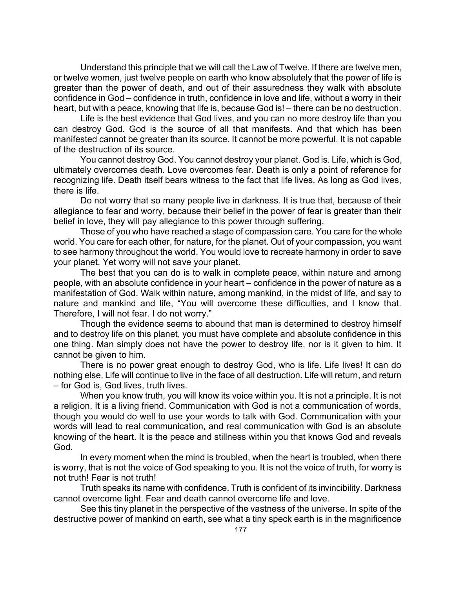Understand this principle that we will call the Law of Twelve. If there are twelve men, or twelve women, just twelve people on earth who know absolutely that the power of life is greater than the power of death, and out of their assuredness they walk with absolute confidence in God – confidence in truth, confidence in love and life, without a worry in their heart, but with a peace, knowing that life is, because God is! – there can be no destruction.

Life is the best evidence that God lives, and you can no more destroy life than you can destroy God. God is the source of all that manifests. And that which has been manifested cannot be greater than its source. It cannot be more powerful. It is not capable of the destruction of its source.

You cannot destroy God. You cannot destroy your planet. God is. Life, which is God, ultimately overcomes death. Love overcomes fear. Death is only a point of reference for recognizing life. Death itself bears witness to the fact that life lives. As long as God lives, there is life.

Do not worry that so many people live in darkness. It is true that, because of their allegiance to fear and worry, because their belief in the power of fear is greater than their belief in love, they will pay allegiance to this power through suffering.

Those of you who have reached a stage of compassion care. You care for the whole world. You care for each other, for nature, for the planet. Out of your compassion, you want to see harmony throughout the world. You would love to recreate harmony in order to save your planet. Yet worry will not save your planet.

The best that you can do is to walk in complete peace, within nature and among people, with an absolute confidence in your heart – confidence in the power of nature as a manifestation of God. Walk within nature, among mankind, in the midst of life, and say to nature and mankind and life, "You will overcome these difficulties, and I know that. Therefore, I will not fear. I do not worry."

Though the evidence seems to abound that man is determined to destroy himself and to destroy life on this planet, you must have complete and absolute confidence in this one thing. Man simply does not have the power to destroy life, nor is it given to him. It cannot be given to him.

There is no power great enough to destroy God, who is life. Life lives! It can do nothing else. Life will continue to live in the face of all destruction. Life will return, and return – for God is, God lives, truth lives.

When you know truth, you will know its voice within you. It is not a principle. It is not a religion. It is a living friend. Communication with God is not a communication of words, though you would do well to use your words to talk with God. Communication with your words will lead to real communication, and real communication with God is an absolute knowing of the heart. It is the peace and stillness within you that knows God and reveals God.

In every moment when the mind is troubled, when the heart is troubled, when there is worry, that is not the voice of God speaking to you. It is not the voice of truth, for worry is not truth! Fear is not truth!

Truth speaks its name with confidence. Truth is confident of its invincibility. Darkness cannot overcome light. Fear and death cannot overcome life and love.

See this tiny planet in the perspective of the vastness of the universe. In spite of the destructive power of mankind on earth, see what a tiny speck earth is in the magnificence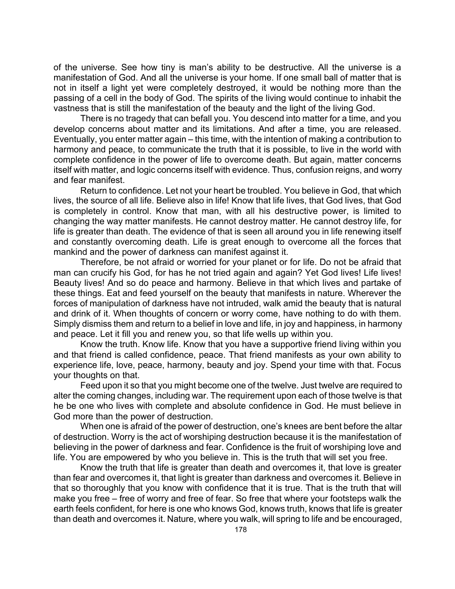of the universe. See how tiny is man's ability to be destructive. All the universe is a manifestation of God. And all the universe is your home. If one small ball of matter that is not in itself a light yet were completely destroyed, it would be nothing more than the passing of a cell in the body of God. The spirits of the living would continue to inhabit the vastness that is still the manifestation of the beauty and the light of the living God.

There is no tragedy that can befall you. You descend into matter for a time, and you develop concerns about matter and its limitations. And after a time, you are released. Eventually, you enter matter again – this time, with the intention of making a contribution to harmony and peace, to communicate the truth that it is possible, to live in the world with complete confidence in the power of life to overcome death. But again, matter concerns itself with matter, and logic concerns itself with evidence. Thus, confusion reigns, and worry and fear manifest.

Return to confidence. Let not your heart be troubled. You believe in God, that which lives, the source of all life. Believe also in life! Know that life lives, that God lives, that God is completely in control. Know that man, with all his destructive power, is limited to changing the way matter manifests. He cannot destroy matter. He cannot destroy life, for life is greater than death. The evidence of that is seen all around you in life renewing itself and constantly overcoming death. Life is great enough to overcome all the forces that mankind and the power of darkness can manifest against it.

Therefore, be not afraid or worried for your planet or for life. Do not be afraid that man can crucify his God, for has he not tried again and again? Yet God lives! Life lives! Beauty lives! And so do peace and harmony. Believe in that which lives and partake of these things. Eat and feed yourself on the beauty that manifests in nature. Wherever the forces of manipulation of darkness have not intruded, walk amid the beauty that is natural and drink of it. When thoughts of concern or worry come, have nothing to do with them. Simply dismiss them and return to a belief in love and life, in joy and happiness, in harmony and peace. Let it fill you and renew you, so that life wells up within you.

Know the truth. Know life. Know that you have a supportive friend living within you and that friend is called confidence, peace. That friend manifests as your own ability to experience life, love, peace, harmony, beauty and joy. Spend your time with that. Focus your thoughts on that.

Feed upon it so that you might become one of the twelve. Just twelve are required to alter the coming changes, including war. The requirement upon each of those twelve is that he be one who lives with complete and absolute confidence in God. He must believe in God more than the power of destruction.

When one is afraid of the power of destruction, one's knees are bent before the altar of destruction. Worry is the act of worshiping destruction because it is the manifestation of believing in the power of darkness and fear. Confidence is the fruit of worshiping love and life. You are empowered by who you believe in. This is the truth that will set you free.

Know the truth that life is greater than death and overcomes it, that love is greater than fear and overcomes it, that light is greater than darkness and overcomes it. Believe in that so thoroughly that you know with confidence that it is true. That is the truth that will make you free – free of worry and free of fear. So free that where your footsteps walk the earth feels confident, for here is one who knows God, knows truth, knows that life is greater than death and overcomes it. Nature, where you walk, will spring to life and be encouraged,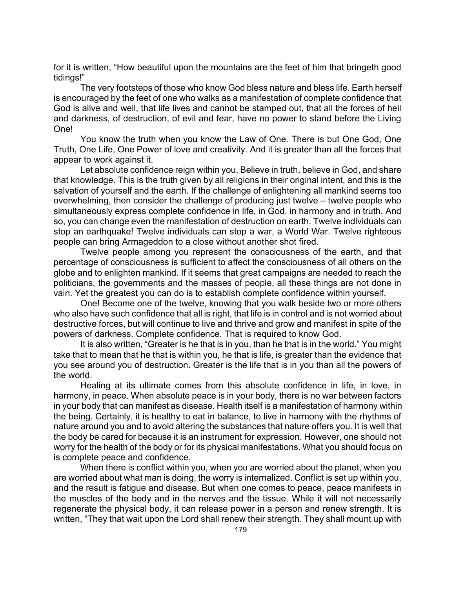for it is written, "How beautiful upon the mountains are the feet of him that bringeth good tidings!"

The very footsteps of those who know God bless nature and bless life. Earth herself is encouraged by the feet of one who walks as a manifestation of complete confidence that God is alive and well, that life lives and cannot be stamped out, that all the forces of hell and darkness, of destruction, of evil and fear, have no power to stand before the Living One!

You know the truth when you know the Law of One. There is but One God, One Truth, One Life, One Power of love and creativity. And it is greater than all the forces that appear to work against it.

Let absolute confidence reign within you. Believe in truth, believe in God, and share that knowledge. This is the truth given by all religions in their original intent, and this is the salvation of yourself and the earth. If the challenge of enlightening all mankind seems too overwhelming, then consider the challenge of producing just twelve – twelve people who simultaneously express complete confidence in life, in God, in harmony and in truth. And so, you can change even the manifestation of destruction on earth. Twelve individuals can stop an earthquake! Twelve individuals can stop a war, a World War. Twelve righteous people can bring Armageddon to a close without another shot fired.

Twelve people among you represent the consciousness of the earth, and that percentage of consciousness is sufficient to affect the consciousness of all others on the globe and to enlighten mankind. If it seems that great campaigns are needed to reach the politicians, the governments and the masses of people, all these things are not done in vain. Yet the greatest you can do is to establish complete confidence within yourself.

One! Become one of the twelve, knowing that you walk beside two or more others who also have such confidence that all is right, that life is in control and is not worried about destructive forces, but will continue to live and thrive and grow and manifest in spite of the powers of darkness. Complete confidence. That is required to know God.

It is also written, "Greater is he that is in you, than he that is in the world." You might take that to mean that he that is within you, he that is life, is greater than the evidence that you see around you of destruction. Greater is the life that is in you than all the powers of the world.

Healing at its ultimate comes from this absolute confidence in life, in love, in harmony, in peace. When absolute peace is in your body, there is no war between factors in your body that can manifest as disease. Health itself is a manifestation of harmony within the being. Certainly, it is healthy to eat in balance, to live in harmony with the rhythms of nature around you and to avoid altering the substances that nature offers you. It is well that the body be cared for because it is an instrument for expression. However, one should not worry for the health of the body or for its physical manifestations. What you should focus on is complete peace and confidence.

When there is conflict within you, when you are worried about the planet, when you are worried about what man is doing, the worry is internalized. Conflict is set up within you, and the result is fatigue and disease. But when one comes to peace, peace manifests in the muscles of the body and in the nerves and the tissue. While it will not necessarily regenerate the physical body, it can release power in a person and renew strength. It is written, "They that wait upon the Lord shall renew their strength. They shall mount up with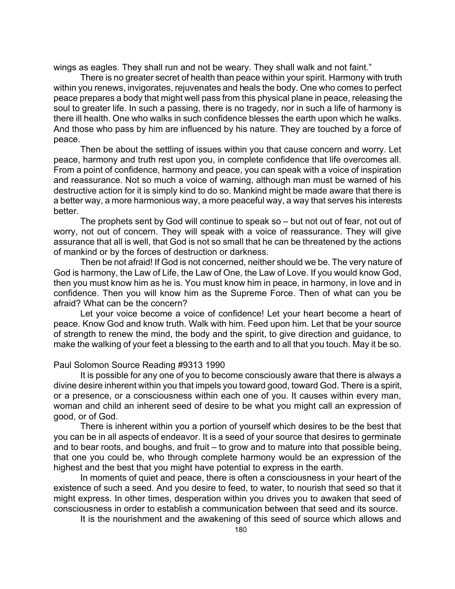wings as eagles. They shall run and not be weary. They shall walk and not faint."

There is no greater secret of health than peace within your spirit. Harmony with truth within you renews, invigorates, rejuvenates and heals the body. One who comes to perfect peace prepares a body that might well pass from this physical plane in peace, releasing the soul to greater life. In such a passing, there is no tragedy, nor in such a life of harmony is there ill health. One who walks in such confidence blesses the earth upon which he walks. And those who pass by him are influenced by his nature. They are touched by a force of peace.

Then be about the settling of issues within you that cause concern and worry. Let peace, harmony and truth rest upon you, in complete confidence that life overcomes all. From a point of confidence, harmony and peace, you can speak with a voice of inspiration and reassurance. Not so much a voice of warning, although man must be warned of his destructive action for it is simply kind to do so. Mankind might be made aware that there is a better way, a more harmonious way, a more peaceful way, a way that serves his interests better.

The prophets sent by God will continue to speak so – but not out of fear, not out of worry, not out of concern. They will speak with a voice of reassurance. They will give assurance that all is well, that God is not so small that he can be threatened by the actions of mankind or by the forces of destruction or darkness.

Then be not afraid! If God is not concerned, neither should we be. The very nature of God is harmony, the Law of Life, the Law of One, the Law of Love. If you would know God, then you must know him as he is. You must know him in peace, in harmony, in love and in confidence. Then you will know him as the Supreme Force. Then of what can you be afraid? What can be the concern?

Let your voice become a voice of confidence! Let your heart become a heart of peace. Know God and know truth. Walk with him. Feed upon him. Let that be your source of strength to renew the mind, the body and the spirit, to give direction and guidance, to make the walking of your feet a blessing to the earth and to all that you touch. May it be so.

## Paul Solomon Source Reading #9313 1990

It is possible for any one of you to become consciously aware that there is always a divine desire inherent within you that impels you toward good, toward God. There is a spirit, or a presence, or a consciousness within each one of you. It causes within every man, woman and child an inherent seed of desire to be what you might call an expression of good, or of God.

There is inherent within you a portion of yourself which desires to be the best that you can be in all aspects of endeavor. It is a seed of your source that desires to germinate and to bear roots, and boughs, and fruit – to grow and to mature into that possible being, that one you could be, who through complete harmony would be an expression of the highest and the best that you might have potential to express in the earth.

In moments of quiet and peace, there is often a consciousness in your heart of the existence of such a seed. And you desire to feed, to water, to nourish that seed so that it might express. In other times, desperation within you drives you to awaken that seed of consciousness in order to establish a communication between that seed and its source.

It is the nourishment and the awakening of this seed of source which allows and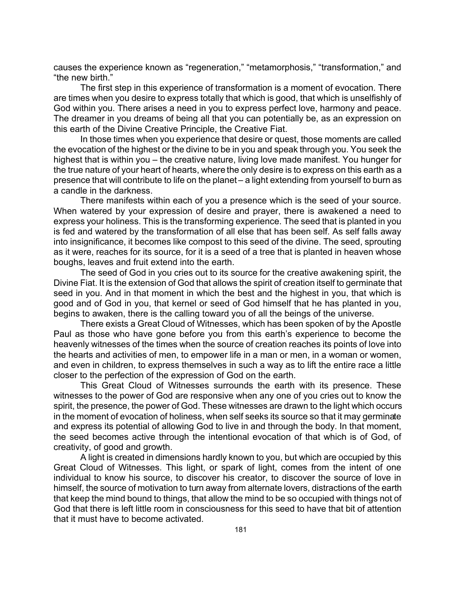causes the experience known as "regeneration," "metamorphosis," "transformation," and "the new birth."

The first step in this experience of transformation is a moment of evocation. There are times when you desire to express totally that which is good, that which is unselfishly of God within you. There arises a need in you to express perfect love, harmony and peace. The dreamer in you dreams of being all that you can potentially be, as an expression on this earth of the Divine Creative Principle, the Creative Fiat.

In those times when you experience that desire or quest, those moments are called the evocation of the highest or the divine to be in you and speak through you. You seek the highest that is within you – the creative nature, living love made manifest. You hunger for the true nature of your heart of hearts, where the only desire is to express on this earth as a presence that will contribute to life on the planet – a light extending from yourself to burn as a candle in the darkness.

There manifests within each of you a presence which is the seed of your source. When watered by your expression of desire and prayer, there is awakened a need to express your holiness. This is the transforming experience. The seed that is planted in you is fed and watered by the transformation of all else that has been self. As self falls away into insignificance, it becomes like compost to this seed of the divine. The seed, sprouting as it were, reaches for its source, for it is a seed of a tree that is planted in heaven whose boughs, leaves and fruit extend into the earth.

The seed of God in you cries out to its source for the creative awakening spirit, the Divine Fiat. It is the extension of God that allows the spirit of creation itself to germinate that seed in you. And in that moment in which the best and the highest in you, that which is good and of God in you, that kernel or seed of God himself that he has planted in you, begins to awaken, there is the calling toward you of all the beings of the universe.

There exists a Great Cloud of Witnesses, which has been spoken of by the Apostle Paul as those who have gone before you from this earth's experience to become the heavenly witnesses of the times when the source of creation reaches its points of love into the hearts and activities of men, to empower life in a man or men, in a woman or women, and even in children, to express themselves in such a way as to lift the entire race a little closer to the perfection of the expression of God on the earth.

This Great Cloud of Witnesses surrounds the earth with its presence. These witnesses to the power of God are responsive when any one of you cries out to know the spirit, the presence, the power of God. These witnesses are drawn to the light which occurs in the moment of evocation of holiness, when self seeks its source so that it may germinate and express its potential of allowing God to live in and through the body. In that moment, the seed becomes active through the intentional evocation of that which is of God, of creativity, of good and growth.

A light is created in dimensions hardly known to you, but which are occupied by this Great Cloud of Witnesses. This light, or spark of light, comes from the intent of one individual to know his source, to discover his creator, to discover the source of love in himself, the source of motivation to turn away from alternate lovers, distractions of the earth that keep the mind bound to things, that allow the mind to be so occupied with things not of God that there is left little room in consciousness for this seed to have that bit of attention that it must have to become activated.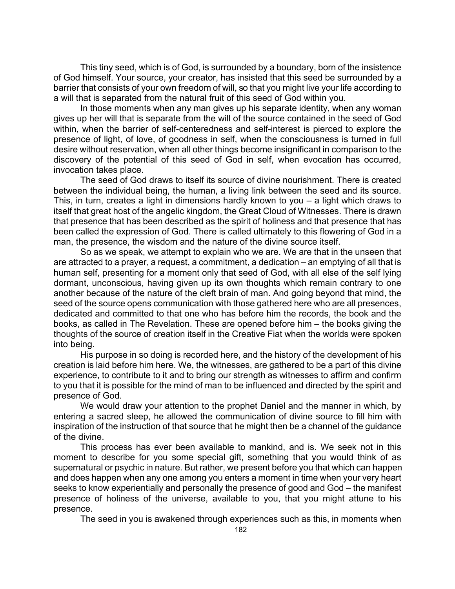This tiny seed, which is of God, is surrounded by a boundary, born of the insistence of God himself. Your source, your creator, has insisted that this seed be surrounded by a barrier that consists of your own freedom of will, so that you might live your life according to a will that is separated from the natural fruit of this seed of God within you.

In those moments when any man gives up his separate identity, when any woman gives up her will that is separate from the will of the source contained in the seed of God within, when the barrier of self-centeredness and self-interest is pierced to explore the presence of light, of love, of goodness in self, when the consciousness is turned in full desire without reservation, when all other things become insignificant in comparison to the discovery of the potential of this seed of God in self, when evocation has occurred, invocation takes place.

The seed of God draws to itself its source of divine nourishment. There is created between the individual being, the human, a living link between the seed and its source. This, in turn, creates a light in dimensions hardly known to you – a light which draws to itself that great host of the angelic kingdom, the Great Cloud of Witnesses. There is drawn that presence that has been described as the spirit of holiness and that presence that has been called the expression of God. There is called ultimately to this flowering of God in a man, the presence, the wisdom and the nature of the divine source itself.

So as we speak, we attempt to explain who we are. We are that in the unseen that are attracted to a prayer, a request, a commitment, a dedication – an emptying of all that is human self, presenting for a moment only that seed of God, with all else of the self lying dormant, unconscious, having given up its own thoughts which remain contrary to one another because of the nature of the cleft brain of man. And going beyond that mind, the seed of the source opens communication with those gathered here who are all presences, dedicated and committed to that one who has before him the records, the book and the books, as called in The Revelation. These are opened before him – the books giving the thoughts of the source of creation itself in the Creative Fiat when the worlds were spoken into being.

His purpose in so doing is recorded here, and the history of the development of his creation is laid before him here. We, the witnesses, are gathered to be a part of this divine experience, to contribute to it and to bring our strength as witnesses to affirm and confirm to you that it is possible for the mind of man to be influenced and directed by the spirit and presence of God.

We would draw your attention to the prophet Daniel and the manner in which, by entering a sacred sleep, he allowed the communication of divine source to fill him with inspiration of the instruction of that source that he might then be a channel of the guidance of the divine.

This process has ever been available to mankind, and is. We seek not in this moment to describe for you some special gift, something that you would think of as supernatural or psychic in nature. But rather, we present before you that which can happen and does happen when any one among you enters a moment in time when your very heart seeks to know experientially and personally the presence of good and God – the manifest presence of holiness of the universe, available to you, that you might attune to his presence.

The seed in you is awakened through experiences such as this, in moments when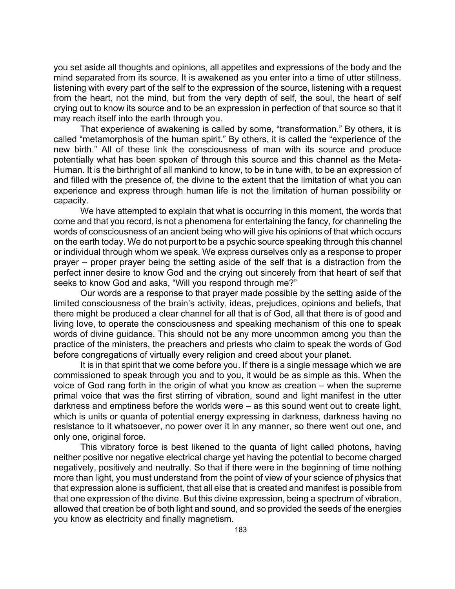you set aside all thoughts and opinions, all appetites and expressions of the body and the mind separated from its source. It is awakened as you enter into a time of utter stillness, listening with every part of the self to the expression of the source, listening with a request from the heart, not the mind, but from the very depth of self, the soul, the heart of self crying out to know its source and to be an expression in perfection of that source so that it may reach itself into the earth through you.

That experience of awakening is called by some, "transformation." By others, it is called "metamorphosis of the human spirit." By others, it is called the "experience of the new birth." All of these link the consciousness of man with its source and produce potentially what has been spoken of through this source and this channel as the Meta-Human. It is the birthright of all mankind to know, to be in tune with, to be an expression of and filled with the presence of, the divine to the extent that the limitation of what you can experience and express through human life is not the limitation of human possibility or capacity.

We have attempted to explain that what is occurring in this moment, the words that come and that you record, is not a phenomena for entertaining the fancy, for channeling the words of consciousness of an ancient being who will give his opinions of that which occurs on the earth today. We do not purport to be a psychic source speaking through this channel or individual through whom we speak. We express ourselves only as a response to proper prayer – proper prayer being the setting aside of the self that is a distraction from the perfect inner desire to know God and the crying out sincerely from that heart of self that seeks to know God and asks, "Will you respond through me?"

Our words are a response to that prayer made possible by the setting aside of the limited consciousness of the brain's activity, ideas, prejudices, opinions and beliefs, that there might be produced a clear channel for all that is of God, all that there is of good and living love, to operate the consciousness and speaking mechanism of this one to speak words of divine guidance. This should not be any more uncommon among you than the practice of the ministers, the preachers and priests who claim to speak the words of God before congregations of virtually every religion and creed about your planet.

It is in that spirit that we come before you. If there is a single message which we are commissioned to speak through you and to you, it would be as simple as this. When the voice of God rang forth in the origin of what you know as creation – when the supreme primal voice that was the first stirring of vibration, sound and light manifest in the utter darkness and emptiness before the worlds were – as this sound went out to create light, which is units or quanta of potential energy expressing in darkness, darkness having no resistance to it whatsoever, no power over it in any manner, so there went out one, and only one, original force.

This vibratory force is best likened to the quanta of light called photons, having neither positive nor negative electrical charge yet having the potential to become charged negatively, positively and neutrally. So that if there were in the beginning of time nothing more than light, you must understand from the point of view of your science of physics that that expression alone is sufficient, that all else that is created and manifest is possible from that one expression of the divine. But this divine expression, being a spectrum of vibration, allowed that creation be of both light and sound, and so provided the seeds of the energies you know as electricity and finally magnetism.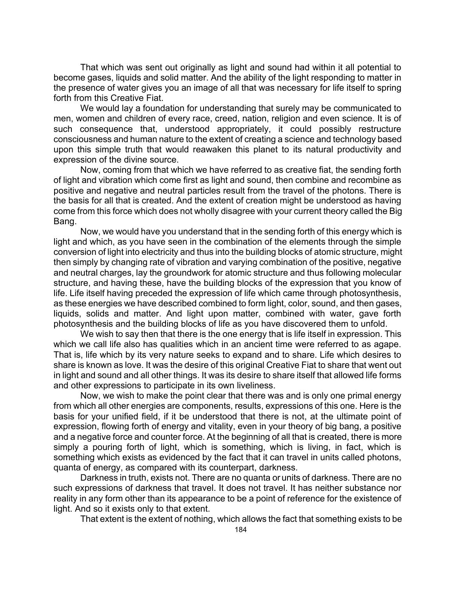That which was sent out originally as light and sound had within it all potential to become gases, liquids and solid matter. And the ability of the light responding to matter in the presence of water gives you an image of all that was necessary for life itself to spring forth from this Creative Fiat.

We would lay a foundation for understanding that surely may be communicated to men, women and children of every race, creed, nation, religion and even science. It is of such consequence that, understood appropriately, it could possibly restructure consciousness and human nature to the extent of creating a science and technology based upon this simple truth that would reawaken this planet to its natural productivity and expression of the divine source.

Now, coming from that which we have referred to as creative fiat, the sending forth of light and vibration which come first as light and sound, then combine and recombine as positive and negative and neutral particles result from the travel of the photons. There is the basis for all that is created. And the extent of creation might be understood as having come from this force which does not wholly disagree with your current theory called the Big Bang.

Now, we would have you understand that in the sending forth of this energy which is light and which, as you have seen in the combination of the elements through the simple conversion of light into electricity and thus into the building blocks of atomic structure, might then simply by changing rate of vibration and varying combination of the positive, negative and neutral charges, lay the groundwork for atomic structure and thus following molecular structure, and having these, have the building blocks of the expression that you know of life. Life itself having preceded the expression of life which came through photosynthesis, as these energies we have described combined to form light, color, sound, and then gases, liquids, solids and matter. And light upon matter, combined with water, gave forth photosynthesis and the building blocks of life as you have discovered them to unfold.

We wish to say then that there is the one energy that is life itself in expression. This which we call life also has qualities which in an ancient time were referred to as agape. That is, life which by its very nature seeks to expand and to share. Life which desires to share is known as love. It was the desire of this original Creative Fiat to share that went out in light and sound and all other things. It was its desire to share itself that allowed life forms and other expressions to participate in its own liveliness.

Now, we wish to make the point clear that there was and is only one primal energy from which all other energies are components, results, expressions of this one. Here is the basis for your unified field, if it be understood that there is not, at the ultimate point of expression, flowing forth of energy and vitality, even in your theory of big bang, a positive and a negative force and counter force. At the beginning of all that is created, there is more simply a pouring forth of light, which is something, which is living, in fact, which is something which exists as evidenced by the fact that it can travel in units called photons, quanta of energy, as compared with its counterpart, darkness.

Darkness in truth, exists not. There are no quanta or units of darkness. There are no such expressions of darkness that travel. It does not travel. It has neither substance nor reality in any form other than its appearance to be a point of reference for the existence of light. And so it exists only to that extent.

That extent is the extent of nothing, which allows the fact that something exists to be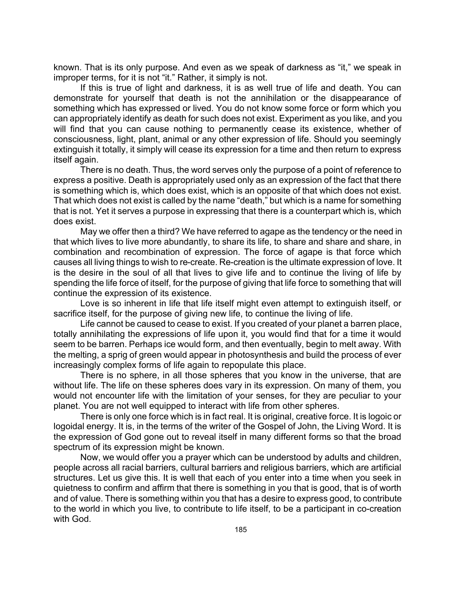known. That is its only purpose. And even as we speak of darkness as "it," we speak in improper terms, for it is not "it." Rather, it simply is not.

If this is true of light and darkness, it is as well true of life and death. You can demonstrate for yourself that death is not the annihilation or the disappearance of something which has expressed or lived. You do not know some force or form which you can appropriately identify as death for such does not exist. Experiment as you like, and you will find that you can cause nothing to permanently cease its existence, whether of consciousness, light, plant, animal or any other expression of life. Should you seemingly extinguish it totally, it simply will cease its expression for a time and then return to express itself again.

There is no death. Thus, the word serves only the purpose of a point of reference to express a positive. Death is appropriately used only as an expression of the fact that there is something which is, which does exist, which is an opposite of that which does not exist. That which does not exist is called by the name "death," but which is a name for something that is not. Yet it serves a purpose in expressing that there is a counterpart which is, which does exist.

May we offer then a third? We have referred to agape as the tendency or the need in that which lives to live more abundantly, to share its life, to share and share and share, in combination and recombination of expression. The force of agape is that force which causes all living things to wish to re-create. Re-creation is the ultimate expression of love. It is the desire in the soul of all that lives to give life and to continue the living of life by spending the life force of itself, for the purpose of giving that life force to something that will continue the expression of its existence.

Love is so inherent in life that life itself might even attempt to extinguish itself, or sacrifice itself, for the purpose of giving new life, to continue the living of life.

Life cannot be caused to cease to exist. If you created of your planet a barren place, totally annihilating the expressions of life upon it, you would find that for a time it would seem to be barren. Perhaps ice would form, and then eventually, begin to melt away. With the melting, a sprig of green would appear in photosynthesis and build the process of ever increasingly complex forms of life again to repopulate this place.

There is no sphere, in all those spheres that you know in the universe, that are without life. The life on these spheres does vary in its expression. On many of them, you would not encounter life with the limitation of your senses, for they are peculiar to your planet. You are not well equipped to interact with life from other spheres.

There is only one force which is in fact real. It is original, creative force. It is logoic or logoidal energy. It is, in the terms of the writer of the Gospel of John, the Living Word. It is the expression of God gone out to reveal itself in many different forms so that the broad spectrum of its expression might be known.

Now, we would offer you a prayer which can be understood by adults and children, people across all racial barriers, cultural barriers and religious barriers, which are artificial structures. Let us give this. It is well that each of you enter into a time when you seek in quietness to confirm and affirm that there is something in you that is good, that is of worth and of value. There is something within you that has a desire to express good, to contribute to the world in which you live, to contribute to life itself, to be a participant in co-creation with God.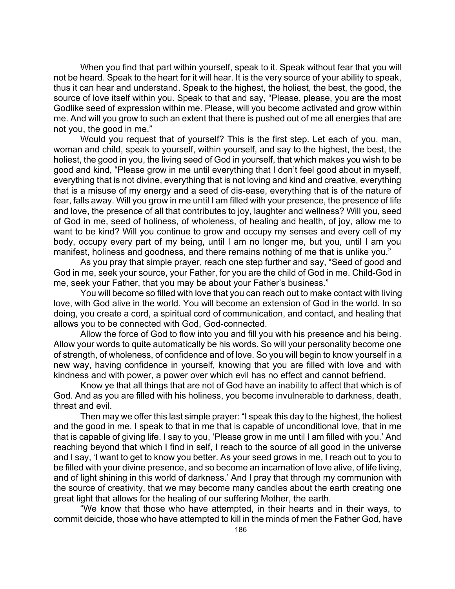When you find that part within yourself, speak to it. Speak without fear that you will not be heard. Speak to the heart for it will hear. It is the very source of your ability to speak, thus it can hear and understand. Speak to the highest, the holiest, the best, the good, the source of love itself within you. Speak to that and say, "Please, please, you are the most Godlike seed of expression within me. Please, will you become activated and grow within me. And will you grow to such an extent that there is pushed out of me all energies that are not you, the good in me."

Would you request that of yourself? This is the first step. Let each of you, man, woman and child, speak to yourself, within yourself, and say to the highest, the best, the holiest, the good in you, the living seed of God in yourself, that which makes you wish to be good and kind, "Please grow in me until everything that I don't feel good about in myself, everything that is not divine, everything that is not loving and kind and creative, everything that is a misuse of my energy and a seed of dis-ease, everything that is of the nature of fear, falls away. Will you grow in me until I am filled with your presence, the presence of life and love, the presence of all that contributes to joy, laughter and wellness? Will you, seed of God in me, seed of holiness, of wholeness, of healing and health, of joy, allow me to want to be kind? Will you continue to grow and occupy my senses and every cell of my body, occupy every part of my being, until I am no longer me, but you, until I am you manifest, holiness and goodness, and there remains nothing of me that is unlike you."

As you pray that simple prayer, reach one step further and say, "Seed of good and God in me, seek your source, your Father, for you are the child of God in me. Child-God in me, seek your Father, that you may be about your Father's business."

You will become so filled with love that you can reach out to make contact with living love, with God alive in the world. You will become an extension of God in the world. In so doing, you create a cord, a spiritual cord of communication, and contact, and healing that allows you to be connected with God, God-connected.

Allow the force of God to flow into you and fill you with his presence and his being. Allow your words to quite automatically be his words. So will your personality become one of strength, of wholeness, of confidence and of love. So you will begin to know yourself in a new way, having confidence in yourself, knowing that you are filled with love and with kindness and with power, a power over which evil has no effect and cannot befriend.

Know ye that all things that are not of God have an inability to affect that which is of God. And as you are filled with his holiness, you become invulnerable to darkness, death, threat and evil.

Then may we offer this last simple prayer: "I speak this day to the highest, the holiest and the good in me. I speak to that in me that is capable of unconditional love, that in me that is capable of giving life. I say to you, 'Please grow in me until I am filled with you.' And reaching beyond that which I find in self, I reach to the source of all good in the universe and I say, 'I want to get to know you better. As your seed grows in me, I reach out to you to be filled with your divine presence, and so become an incarnation of love alive, of life living, and of light shining in this world of darkness.' And I pray that through my communion with the source of creativity, that we may become many candles about the earth creating one great light that allows for the healing of our suffering Mother, the earth.

"We know that those who have attempted, in their hearts and in their ways, to commit deicide, those who have attempted to kill in the minds of men the Father God, have